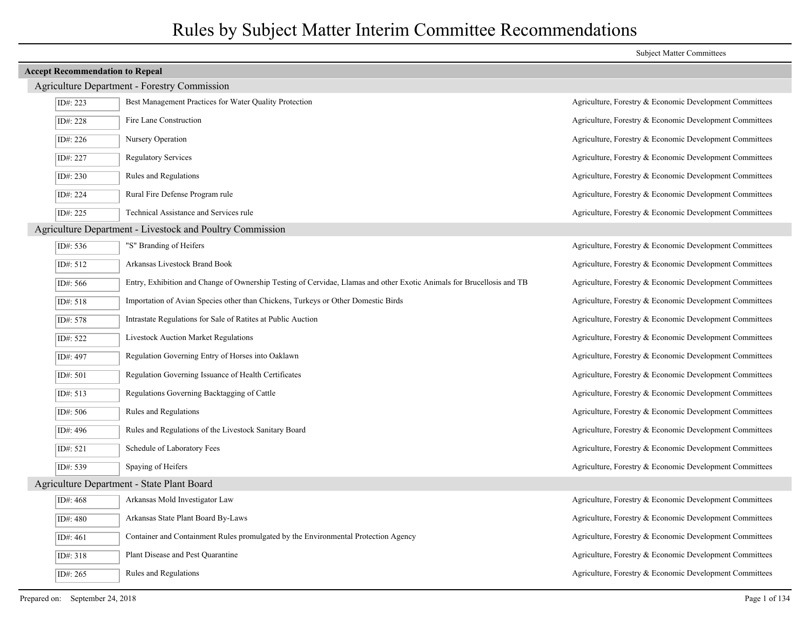| <b>Accept Recommendation to Repeal</b>     |                                                                                                                       |                                                         |  |  |  |
|--------------------------------------------|-----------------------------------------------------------------------------------------------------------------------|---------------------------------------------------------|--|--|--|
|                                            | <b>Agriculture Department - Forestry Commission</b>                                                                   |                                                         |  |  |  |
| ID#: 223                                   | Best Management Practices for Water Quality Protection                                                                | Agriculture, Forestry & Economic Development Committees |  |  |  |
| ID#: 228                                   | Fire Lane Construction                                                                                                | Agriculture, Forestry & Economic Development Committees |  |  |  |
| ID#: $226$                                 | Nursery Operation                                                                                                     | Agriculture, Forestry & Economic Development Committees |  |  |  |
| ID#: 227                                   | <b>Regulatory Services</b>                                                                                            | Agriculture, Forestry & Economic Development Committees |  |  |  |
| ID#: 230                                   | Rules and Regulations                                                                                                 | Agriculture, Forestry & Economic Development Committees |  |  |  |
| ID#: 224                                   | Rural Fire Defense Program rule                                                                                       | Agriculture, Forestry & Economic Development Committees |  |  |  |
| ID#: 225                                   | Technical Assistance and Services rule                                                                                | Agriculture, Forestry & Economic Development Committees |  |  |  |
|                                            | Agriculture Department - Livestock and Poultry Commission                                                             |                                                         |  |  |  |
| ID#: 536                                   | "S" Branding of Heifers                                                                                               | Agriculture, Forestry & Economic Development Committees |  |  |  |
| ID#: 512                                   | Arkansas Livestock Brand Book                                                                                         | Agriculture, Forestry & Economic Development Committees |  |  |  |
| ID#: 566                                   | Entry, Exhibition and Change of Ownership Testing of Cervidae, Llamas and other Exotic Animals for Brucellosis and TB | Agriculture, Forestry & Economic Development Committees |  |  |  |
| ID#: 518                                   | Importation of Avian Species other than Chickens, Turkeys or Other Domestic Birds                                     | Agriculture, Forestry & Economic Development Committees |  |  |  |
| ID#: 578                                   | Intrastate Regulations for Sale of Ratites at Public Auction                                                          | Agriculture, Forestry & Economic Development Committees |  |  |  |
| ID#: 522                                   | <b>Livestock Auction Market Regulations</b>                                                                           | Agriculture, Forestry & Economic Development Committees |  |  |  |
| ID#: 497                                   | Regulation Governing Entry of Horses into Oaklawn                                                                     | Agriculture, Forestry & Economic Development Committees |  |  |  |
| ID#: 501                                   | Regulation Governing Issuance of Health Certificates                                                                  | Agriculture, Forestry & Economic Development Committees |  |  |  |
| ID#: 513                                   | Regulations Governing Backtagging of Cattle                                                                           | Agriculture, Forestry & Economic Development Committees |  |  |  |
| ID#: 506                                   | Rules and Regulations                                                                                                 | Agriculture, Forestry & Economic Development Committees |  |  |  |
| ID#: 496                                   | Rules and Regulations of the Livestock Sanitary Board                                                                 | Agriculture, Forestry & Economic Development Committees |  |  |  |
| ID#: 521                                   | Schedule of Laboratory Fees                                                                                           | Agriculture, Forestry & Economic Development Committees |  |  |  |
| ID#: 539                                   | Spaying of Heifers                                                                                                    | Agriculture, Forestry & Economic Development Committees |  |  |  |
| Agriculture Department - State Plant Board |                                                                                                                       |                                                         |  |  |  |
| ID#: 468                                   | Arkansas Mold Investigator Law                                                                                        | Agriculture, Forestry & Economic Development Committees |  |  |  |
| ID#: 480                                   | Arkansas State Plant Board By-Laws                                                                                    | Agriculture, Forestry & Economic Development Committees |  |  |  |
| ID#: 461                                   | Container and Containment Rules promulgated by the Environmental Protection Agency                                    | Agriculture, Forestry & Economic Development Committees |  |  |  |
| ID#: 318                                   | Plant Disease and Pest Quarantine                                                                                     | Agriculture, Forestry & Economic Development Committees |  |  |  |
| ID#: 265                                   | Rules and Regulations                                                                                                 | Agriculture, Forestry & Economic Development Committees |  |  |  |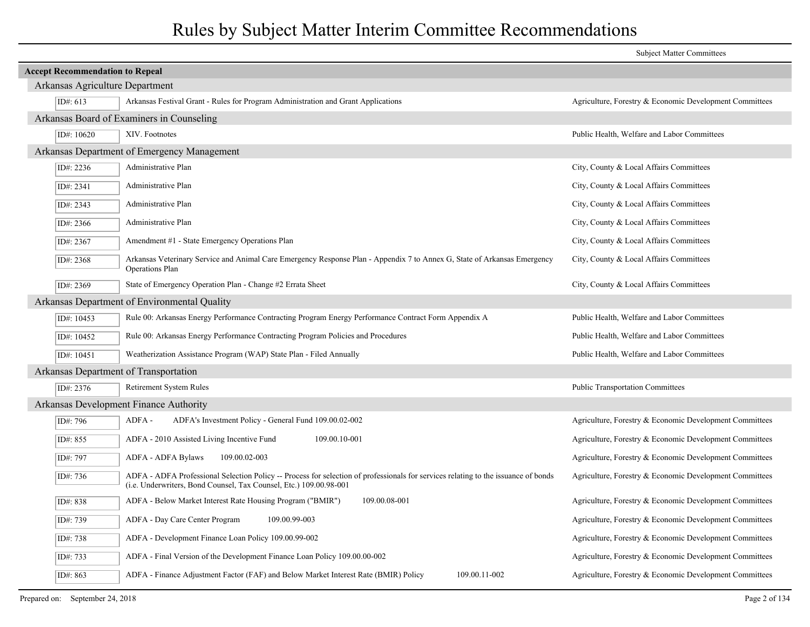|                                        |                                                                                                                                                                                                          | <b>Subject Matter Committees</b>                        |
|----------------------------------------|----------------------------------------------------------------------------------------------------------------------------------------------------------------------------------------------------------|---------------------------------------------------------|
| <b>Accept Recommendation to Repeal</b> |                                                                                                                                                                                                          |                                                         |
| Arkansas Agriculture Department        |                                                                                                                                                                                                          |                                                         |
| ID#: $613$                             | Arkansas Festival Grant - Rules for Program Administration and Grant Applications                                                                                                                        | Agriculture, Forestry & Economic Development Committees |
|                                        | Arkansas Board of Examiners in Counseling                                                                                                                                                                |                                                         |
| ID#: 10620                             | XIV. Footnotes                                                                                                                                                                                           | Public Health, Welfare and Labor Committees             |
|                                        | Arkansas Department of Emergency Management                                                                                                                                                              |                                                         |
| ID#: 2236                              | Administrative Plan                                                                                                                                                                                      | City, County & Local Affairs Committees                 |
| ID#: 2341                              | Administrative Plan                                                                                                                                                                                      | City, County & Local Affairs Committees                 |
| ID#: 2343                              | Administrative Plan                                                                                                                                                                                      | City, County & Local Affairs Committees                 |
| ID#: 2366                              | Administrative Plan                                                                                                                                                                                      | City, County & Local Affairs Committees                 |
| ID#: 2367                              | Amendment #1 - State Emergency Operations Plan                                                                                                                                                           | City, County & Local Affairs Committees                 |
| ID#: 2368                              | Arkansas Veterinary Service and Animal Care Emergency Response Plan - Appendix 7 to Annex G, State of Arkansas Emergency<br>Operations Plan                                                              | City, County & Local Affairs Committees                 |
| ID#: 2369                              | State of Emergency Operation Plan - Change #2 Errata Sheet                                                                                                                                               | City, County & Local Affairs Committees                 |
|                                        | Arkansas Department of Environmental Quality                                                                                                                                                             |                                                         |
| ID#: 10453                             | Rule 00: Arkansas Energy Performance Contracting Program Energy Performance Contract Form Appendix A                                                                                                     | Public Health, Welfare and Labor Committees             |
| ID#: 10452                             | Rule 00: Arkansas Energy Performance Contracting Program Policies and Procedures                                                                                                                         | Public Health, Welfare and Labor Committees             |
| ID#: 10451                             | Weatherization Assistance Program (WAP) State Plan - Filed Annually                                                                                                                                      | Public Health, Welfare and Labor Committees             |
|                                        | Arkansas Department of Transportation                                                                                                                                                                    |                                                         |
| ID#: 2376                              | Retirement System Rules                                                                                                                                                                                  | <b>Public Transportation Committees</b>                 |
|                                        | Arkansas Development Finance Authority                                                                                                                                                                   |                                                         |
| ID#: 796                               | ADFA-<br>ADFA's Investment Policy - General Fund 109.00.02-002                                                                                                                                           | Agriculture, Forestry & Economic Development Committees |
| ID#: 855                               | ADFA - 2010 Assisted Living Incentive Fund<br>109.00.10-001                                                                                                                                              | Agriculture, Forestry & Economic Development Committees |
| ID#: 797                               | <b>ADFA - ADFA Bylaws</b><br>109.00.02-003                                                                                                                                                               | Agriculture, Forestry & Economic Development Committees |
| ID#: 736                               | ADFA - ADFA Professional Selection Policy -- Process for selection of professionals for services relating to the issuance of bonds<br>(i.e. Underwriters, Bond Counsel, Tax Counsel, Etc.) 109.00.98-001 | Agriculture, Forestry & Economic Development Committees |
| ID#: 838                               | ADFA - Below Market Interest Rate Housing Program ("BMIR")<br>109.00.08-001                                                                                                                              | Agriculture, Forestry & Economic Development Committees |
| ID#: 739                               | ADFA - Day Care Center Program<br>109.00.99-003                                                                                                                                                          | Agriculture, Forestry & Economic Development Committees |
| ID#: 738                               | ADFA - Development Finance Loan Policy 109.00.99-002                                                                                                                                                     | Agriculture, Forestry & Economic Development Committees |
| ID#: 733                               | ADFA - Final Version of the Development Finance Loan Policy 109.00.00-002                                                                                                                                | Agriculture, Forestry & Economic Development Committees |
| ID#: 863                               | ADFA - Finance Adjustment Factor (FAF) and Below Market Interest Rate (BMIR) Policy<br>109.00.11-002                                                                                                     | Agriculture, Forestry & Economic Development Committees |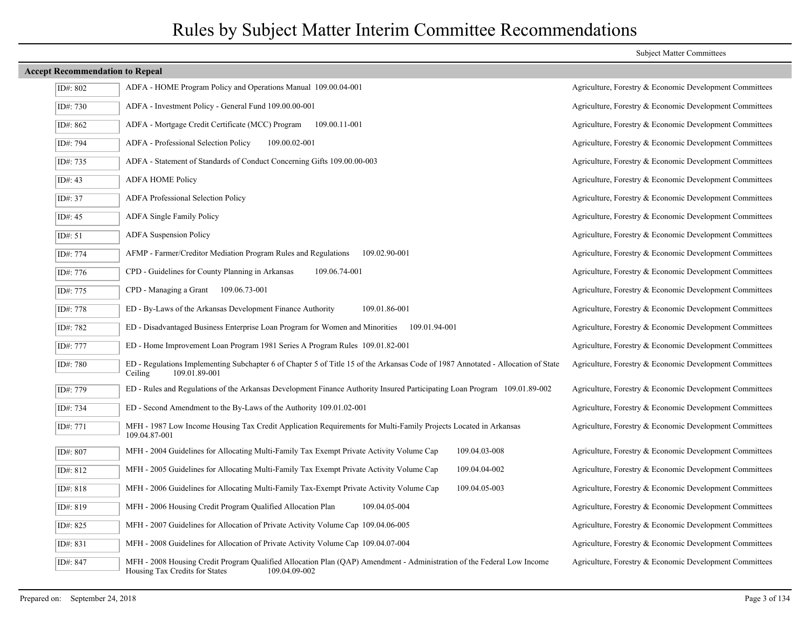|         | <b>Accept Recommendation to Repeal</b> |                                                                                                                                                                           |                                                         |
|---------|----------------------------------------|---------------------------------------------------------------------------------------------------------------------------------------------------------------------------|---------------------------------------------------------|
|         | ID#: 802                               | ADFA - HOME Program Policy and Operations Manual 109.00.04-001                                                                                                            | Agriculture, Forestry & Economic Development Committees |
|         | ID#: 730                               | ADFA - Investment Policy - General Fund 109.00.00-001                                                                                                                     | Agriculture, Forestry & Economic Development Committees |
|         | ID#: 862                               | ADFA - Mortgage Credit Certificate (MCC) Program<br>109.00.11-001                                                                                                         | Agriculture, Forestry & Economic Development Committees |
|         | ID#: 794                               | ADFA - Professional Selection Policy<br>109.00.02-001                                                                                                                     | Agriculture, Forestry & Economic Development Committees |
|         | ID#: 735                               | ADFA - Statement of Standards of Conduct Concerning Gifts 109.00.00-003                                                                                                   | Agriculture, Forestry & Economic Development Committees |
| ID#: 43 |                                        | <b>ADFA HOME Policy</b>                                                                                                                                                   | Agriculture, Forestry & Economic Development Committees |
| ID#: 37 |                                        | ADFA Professional Selection Policy                                                                                                                                        | Agriculture, Forestry & Economic Development Committees |
| ID#: 45 |                                        | <b>ADFA Single Family Policy</b>                                                                                                                                          | Agriculture, Forestry & Economic Development Committees |
| ID#: 51 |                                        | <b>ADFA</b> Suspension Policy                                                                                                                                             | Agriculture, Forestry & Economic Development Committees |
|         | ID#: 774                               | AFMP - Farmer/Creditor Mediation Program Rules and Regulations<br>109.02.90-001                                                                                           | Agriculture, Forestry & Economic Development Committees |
|         | ID#: 776                               | CPD - Guidelines for County Planning in Arkansas<br>109.06.74-001                                                                                                         | Agriculture, Forestry & Economic Development Committees |
|         | ID#: 775                               | $CPD$ - Managing a Grant 109.06.73-001                                                                                                                                    | Agriculture, Forestry & Economic Development Committees |
|         | ID#: 778                               | ED - By-Laws of the Arkansas Development Finance Authority<br>109.01.86-001                                                                                               | Agriculture, Forestry & Economic Development Committees |
|         | ID#: 782                               | ED - Disadvantaged Business Enterprise Loan Program for Women and Minorities 109.01.94-001                                                                                | Agriculture, Forestry & Economic Development Committees |
|         | ID#: 777                               | ED - Home Improvement Loan Program 1981 Series A Program Rules 109.01.82-001                                                                                              | Agriculture, Forestry & Economic Development Committees |
|         | ID#: 780                               | ED - Regulations Implementing Subchapter 6 of Chapter 5 of Title 15 of the Arkansas Code of 1987 Annotated - Allocation of State<br>109.01.89-001<br>Ceiling              | Agriculture, Forestry & Economic Development Committees |
|         | ID#: 779                               | ED - Rules and Regulations of the Arkansas Development Finance Authority Insured Participating Loan Program 109.01.89-002                                                 | Agriculture, Forestry & Economic Development Committees |
|         | ID#: 734                               | ED - Second Amendment to the By-Laws of the Authority 109.01.02-001                                                                                                       | Agriculture, Forestry & Economic Development Committees |
|         | ID#: 771                               | MFH - 1987 Low Income Housing Tax Credit Application Requirements for Multi-Family Projects Located in Arkansas<br>109.04.87-001                                          | Agriculture, Forestry & Economic Development Committees |
|         | ID#: 807                               | 109.04.03-008<br>MFH - 2004 Guidelines for Allocating Multi-Family Tax Exempt Private Activity Volume Cap                                                                 | Agriculture, Forestry & Economic Development Committees |
|         | ID#: 812                               | MFH - 2005 Guidelines for Allocating Multi-Family Tax Exempt Private Activity Volume Cap<br>109.04.04-002                                                                 | Agriculture, Forestry & Economic Development Committees |
|         | ID#: 818                               | 109.04.05-003<br>MFH - 2006 Guidelines for Allocating Multi-Family Tax-Exempt Private Activity Volume Cap                                                                 | Agriculture, Forestry & Economic Development Committees |
|         | ID#: 819                               | MFH - 2006 Housing Credit Program Qualified Allocation Plan<br>109.04.05-004                                                                                              | Agriculture, Forestry & Economic Development Committees |
|         | ID#: 825                               | MFH - 2007 Guidelines for Allocation of Private Activity Volume Cap 109.04.06-005                                                                                         | Agriculture, Forestry & Economic Development Committees |
|         | ID#: 831                               | MFH - 2008 Guidelines for Allocation of Private Activity Volume Cap 109.04.07-004                                                                                         | Agriculture, Forestry & Economic Development Committees |
|         | ID#: 847                               | MFH - 2008 Housing Credit Program Qualified Allocation Plan (QAP) Amendment - Administration of the Federal Low Income<br>Housing Tax Credits for States<br>109.04.09-002 | Agriculture, Forestry & Economic Development Committees |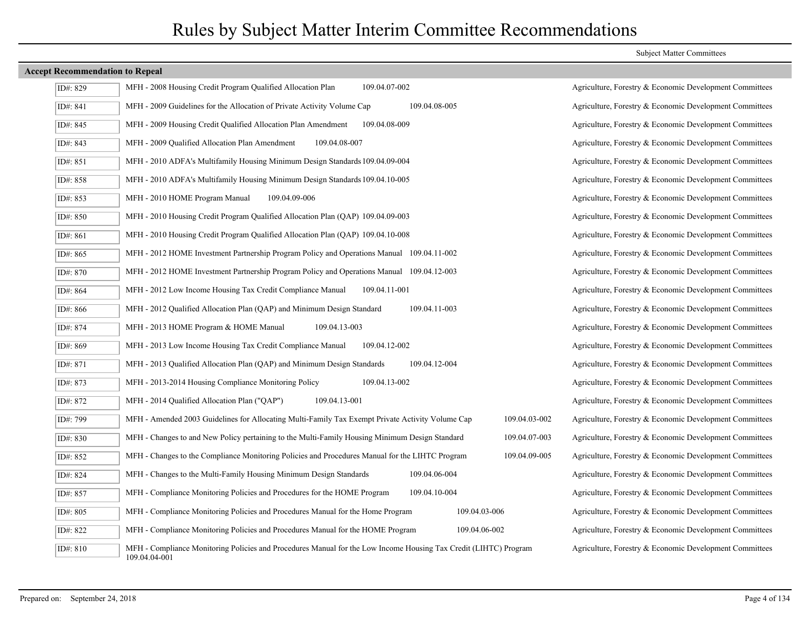| ID#: 829 | MFH - 2008 Housing Credit Program Qualified Allocation Plan<br>109.04.07-002                                                     |        |
|----------|----------------------------------------------------------------------------------------------------------------------------------|--------|
| ID#: 841 | MFH - 2009 Guidelines for the Allocation of Private Activity Volume Cap<br>109.04.08-005                                         |        |
| ID#: 845 | MFH - 2009 Housing Credit Qualified Allocation Plan Amendment<br>109.04.08-009                                                   |        |
| ID#: 843 | MFH - 2009 Qualified Allocation Plan Amendment<br>109.04.08-007                                                                  |        |
| ID#: 851 | MFH - 2010 ADFA's Multifamily Housing Minimum Design Standards 109.04.09-004                                                     |        |
| ID#: 858 | MFH - 2010 ADFA's Multifamily Housing Minimum Design Standards 109.04.10-005                                                     |        |
| ID#: 853 | MFH - 2010 HOME Program Manual<br>109.04.09-006                                                                                  |        |
| ID#: 850 | MFH - 2010 Housing Credit Program Qualified Allocation Plan (QAP) 109.04.09-003                                                  |        |
| ID#: 861 | MFH - 2010 Housing Credit Program Qualified Allocation Plan (QAP) 109.04.10-008                                                  |        |
| ID#: 865 | MFH - 2012 HOME Investment Partnership Program Policy and Operations Manual 109.04.11-002                                        |        |
| ID#: 870 | MFH - 2012 HOME Investment Partnership Program Policy and Operations Manual 109.04.12-003                                        |        |
| ID#: 864 | MFH - 2012 Low Income Housing Tax Credit Compliance Manual<br>109.04.11-001                                                      |        |
| ID#: 866 | 109.04.11-003<br>MFH - 2012 Qualified Allocation Plan (QAP) and Minimum Design Standard                                          |        |
| ID#: 874 | MFH - 2013 HOME Program & HOME Manual<br>109.04.13-003                                                                           |        |
| ID#: 869 | MFH - 2013 Low Income Housing Tax Credit Compliance Manual<br>109.04.12-002                                                      |        |
| ID#: 871 | MFH - 2013 Qualified Allocation Plan (QAP) and Minimum Design Standards<br>109.04.12-004                                         |        |
| ID#: 873 | MFH - 2013-2014 Housing Compliance Monitoring Policy<br>109.04.13-002                                                            |        |
| ID#: 872 | MFH - 2014 Qualified Allocation Plan ("QAP")<br>109.04.13-001                                                                    |        |
| ID#: 799 | MFH - Amended 2003 Guidelines for Allocating Multi-Family Tax Exempt Private Activity Volume Cap                                 | 109.04 |
| ID#: 830 | MFH - Changes to and New Policy pertaining to the Multi-Family Housing Minimum Design Standard                                   | 109.04 |
| ID#: 852 | MFH - Changes to the Compliance Monitoring Policies and Procedures Manual for the LIHTC Program                                  | 109.04 |
| ID#: 824 | MFH - Changes to the Multi-Family Housing Minimum Design Standards<br>109.04.06-004                                              |        |
| ID#: 857 | MFH - Compliance Monitoring Policies and Procedures for the HOME Program<br>109.04.10-004                                        |        |
| ID#: 805 | MFH - Compliance Monitoring Policies and Procedures Manual for the Home Program<br>109.04.03-006                                 |        |
| ID#: 822 | MFH - Compliance Monitoring Policies and Procedures Manual for the HOME Program<br>109.04.06-002                                 |        |
| ID#: 810 | MFH - Compliance Monitoring Policies and Procedures Manual for the Low Income Housing Tax Credit (LIHTC) Progra<br>109.04.04-001 |        |

### Subject Matter Committees

Agriculture, Forestry & Economic Development Committees Agriculture, Forestry & Economic Development Committees Agriculture, Forestry & Economic Development Committees Agriculture, Forestry & Economic Development Committees Agriculture, Forestry & Economic Development Committees Agriculture, Forestry & Economic Development Committees Agriculture, Forestry & Economic Development Committees Agriculture, Forestry & Economic Development Committees Agriculture, Forestry & Economic Development Committees Agriculture, Forestry & Economic Development Committees Agriculture, Forestry & Economic Development Committees Agriculture, Forestry & Economic Development Committees Agriculture, Forestry & Economic Development Committees Agriculture, Forestry & Economic Development Committees Agriculture, Forestry & Economic Development Committees Agriculture, Forestry & Economic Development Committees Agriculture, Forestry & Economic Development Committees Agriculture, Forestry & Economic Development Committees ID#: 799 MFH - Amended 2003 Guidelines for Allocating Multi-Family Tax Exempt Private Activity Volume Cap 109.04.03-002 Agriculture, Forestry & Economic Development Committees ID#: 830 MFH - Changes to and New Policy pertaining to the Multi-Family Housing Minimum Design Standard 109.04.07-003 Agriculture, Forestry & Economic Development Committees ID#: 852 MFH - Changes to the Compliance Monitoring Policies and Procedures Manual for the LIHTC Program 109.04.09-005 Agriculture, Forestry & Economic Development Committees Agriculture, Forestry & Economic Development Committees Agriculture, Forestry & Economic Development Committees Agriculture, Forestry & Economic Development Committees Agriculture, Forestry & Economic Development Committees Afficient Monitoring Policies and Procedures Agriculture, Forestry & Economic Development Committees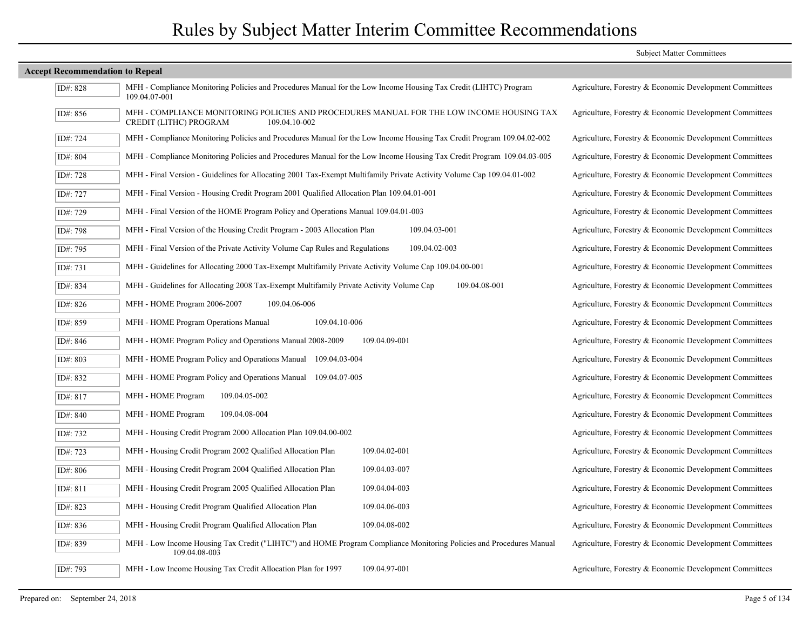|                                        |                                                                                                                                      | <b>Subject Matter Committees</b>                        |
|----------------------------------------|--------------------------------------------------------------------------------------------------------------------------------------|---------------------------------------------------------|
| <b>Accept Recommendation to Repeal</b> |                                                                                                                                      |                                                         |
| ID#: 828                               | MFH - Compliance Monitoring Policies and Procedures Manual for the Low Income Housing Tax Credit (LIHTC) Program<br>109.04.07-001    | Agriculture, Forestry & Economic Development Committees |
| ID#: 856                               | MFH - COMPLIANCE MONITORING POLICIES AND PROCEDURES MANUAL FOR THE LOW INCOME HOUSING TAX<br>CREDIT (LITHC) PROGRAM<br>109.04.10-002 | Agriculture, Forestry & Economic Development Committees |
| ID#: 724                               | MFH - Compliance Monitoring Policies and Procedures Manual for the Low Income Housing Tax Credit Program 109.04.02-002               | Agriculture, Forestry & Economic Development Committees |
| ID#: 804                               | MFH - Compliance Monitoring Policies and Procedures Manual for the Low Income Housing Tax Credit Program 109.04.03-005               | Agriculture, Forestry & Economic Development Committees |
| ID#: 728                               | MFH - Final Version - Guidelines for Allocating 2001 Tax-Exempt Multifamily Private Activity Volume Cap 109.04.01-002                | Agriculture, Forestry & Economic Development Committees |
| ID#: 727                               | MFH - Final Version - Housing Credit Program 2001 Qualified Allocation Plan 109.04.01-001                                            | Agriculture, Forestry & Economic Development Committees |
| ID#: 729                               | MFH - Final Version of the HOME Program Policy and Operations Manual 109.04.01-003                                                   | Agriculture, Forestry & Economic Development Committees |
| ID#: 798                               | 109.04.03-001<br>MFH - Final Version of the Housing Credit Program - 2003 Allocation Plan                                            | Agriculture, Forestry & Economic Development Committees |
| ID#: 795                               | MFH - Final Version of the Private Activity Volume Cap Rules and Regulations<br>109.04.02-003                                        | Agriculture, Forestry & Economic Development Committees |
| ID#: 731                               | MFH - Guidelines for Allocating 2000 Tax-Exempt Multifamily Private Activity Volume Cap 109.04.00-001                                | Agriculture, Forestry & Economic Development Committees |
| ID#: 834                               | MFH - Guidelines for Allocating 2008 Tax-Exempt Multifamily Private Activity Volume Cap<br>109.04.08-001                             | Agriculture, Forestry & Economic Development Committees |
| ID#: 826                               | MFH - HOME Program 2006-2007<br>109.04.06-006                                                                                        | Agriculture, Forestry & Economic Development Committees |
| ID#: 859                               | MFH - HOME Program Operations Manual<br>109.04.10-006                                                                                | Agriculture, Forestry & Economic Development Committees |
| ID#: 846                               | MFH - HOME Program Policy and Operations Manual 2008-2009<br>109.04.09-001                                                           | Agriculture, Forestry & Economic Development Committees |
| ID#: 803                               | MFH - HOME Program Policy and Operations Manual 109.04.03-004                                                                        | Agriculture, Forestry & Economic Development Committees |
| ID#: 832                               | MFH - HOME Program Policy and Operations Manual 109.04.07-005                                                                        | Agriculture, Forestry & Economic Development Committees |
| ID#: 817                               | MFH - HOME Program<br>109.04.05-002                                                                                                  | Agriculture, Forestry & Economic Development Committees |
| ID#: 840                               | MFH - HOME Program<br>109.04.08-004                                                                                                  | Agriculture, Forestry & Economic Development Committees |
| ID#: 732                               | MFH - Housing Credit Program 2000 Allocation Plan 109.04.00-002                                                                      | Agriculture, Forestry & Economic Development Committees |
| ID#: 723                               | MFH - Housing Credit Program 2002 Qualified Allocation Plan<br>109.04.02-001                                                         | Agriculture, Forestry & Economic Development Committees |
| ID#: 806                               | MFH - Housing Credit Program 2004 Qualified Allocation Plan<br>109.04.03-007                                                         | Agriculture, Forestry & Economic Development Committees |
| ID#: 811                               | MFH - Housing Credit Program 2005 Qualified Allocation Plan<br>109.04.04-003                                                         | Agriculture, Forestry & Economic Development Committees |
| ID#: 823                               | MFH - Housing Credit Program Qualified Allocation Plan<br>109.04.06-003                                                              | Agriculture, Forestry & Economic Development Committees |
| ID#: 836                               | MFH - Housing Credit Program Qualified Allocation Plan<br>109.04.08-002                                                              | Agriculture, Forestry & Economic Development Committees |
| ID#: 839                               | MFH - Low Income Housing Tax Credit ("LIHTC") and HOME Program Compliance Monitoring Policies and Procedures Manual<br>109.04.08-003 | Agriculture, Forestry & Economic Development Committees |
| ID#: 793                               | 109.04.97-001<br>MFH - Low Income Housing Tax Credit Allocation Plan for 1997                                                        | Agriculture, Forestry & Economic Development Committees |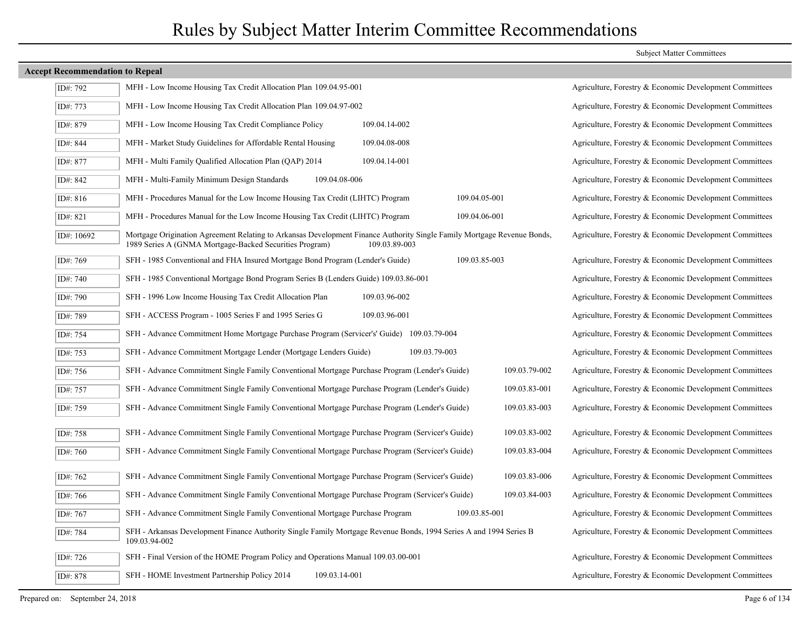| ID#: 792   | MFH - Low Income Housing Tax Credit Allocation Plan 109.04.95-001                                                                                                                  |               |               |               | Agriculture, Forestry & Economic Development Committees |  |
|------------|------------------------------------------------------------------------------------------------------------------------------------------------------------------------------------|---------------|---------------|---------------|---------------------------------------------------------|--|
| ID#: 773   | MFH - Low Income Housing Tax Credit Allocation Plan 109.04.97-002                                                                                                                  |               |               |               | Agriculture, Forestry & Economic Development Committees |  |
| ID#: 879   | MFH - Low Income Housing Tax Credit Compliance Policy                                                                                                                              | 109.04.14-002 |               |               | Agriculture, Forestry & Economic Development Committees |  |
| ID#: 844   | MFH - Market Study Guidelines for Affordable Rental Housing                                                                                                                        | 109.04.08-008 |               |               | Agriculture, Forestry & Economic Development Committees |  |
| ID#: 877   | MFH - Multi Family Qualified Allocation Plan (QAP) 2014                                                                                                                            | 109.04.14-001 |               |               | Agriculture, Forestry & Economic Development Committees |  |
| ID#: 842   | MFH - Multi-Family Minimum Design Standards<br>109.04.08-006                                                                                                                       |               |               |               | Agriculture, Forestry & Economic Development Committees |  |
| ID#: 816   | MFH - Procedures Manual for the Low Income Housing Tax Credit (LIHTC) Program                                                                                                      |               | 109.04.05-001 |               | Agriculture, Forestry & Economic Development Committees |  |
| ID#: 821   | MFH - Procedures Manual for the Low Income Housing Tax Credit (LIHTC) Program                                                                                                      |               | 109.04.06-001 |               | Agriculture, Forestry & Economic Development Committees |  |
| ID#: 10692 | Mortgage Origination Agreement Relating to Arkansas Development Finance Authority Single Family Mortgage Revenue Bonds,<br>1989 Series A (GNMA Mortgage-Backed Securities Program) | 109.03.89-003 |               |               | Agriculture, Forestry & Economic Development Committees |  |
| ID#: 769   | SFH - 1985 Conventional and FHA Insured Mortgage Bond Program (Lender's Guide)                                                                                                     |               | 109.03.85-003 |               | Agriculture, Forestry & Economic Development Committees |  |
| ID#: 740   | SFH - 1985 Conventional Mortgage Bond Program Series B (Lenders Guide) 109.03.86-001                                                                                               |               |               |               | Agriculture, Forestry & Economic Development Committees |  |
| ID#: 790   | SFH - 1996 Low Income Housing Tax Credit Allocation Plan                                                                                                                           | 109.03.96-002 |               |               | Agriculture, Forestry & Economic Development Committees |  |
| ID#: 789   | SFH - ACCESS Program - 1005 Series F and 1995 Series G                                                                                                                             | 109.03.96-001 |               |               | Agriculture, Forestry & Economic Development Committees |  |
| ID#: 754   | SFH - Advance Commitment Home Mortgage Purchase Program (Servicer's' Guide) 109.03.79-004                                                                                          |               |               |               | Agriculture, Forestry & Economic Development Committees |  |
| ID#: 753   | SFH - Advance Commitment Mortgage Lender (Mortgage Lenders Guide)                                                                                                                  | 109.03.79-003 |               |               | Agriculture, Forestry & Economic Development Committees |  |
| ID#: 756   | SFH - Advance Commitment Single Family Conventional Mortgage Purchase Program (Lender's Guide)                                                                                     |               |               | 109.03.79-002 | Agriculture, Forestry & Economic Development Committees |  |
| ID#: 757   | SFH - Advance Commitment Single Family Conventional Mortgage Purchase Program (Lender's Guide)                                                                                     |               |               | 109.03.83-001 | Agriculture, Forestry & Economic Development Committees |  |
| ID#: 759   | SFH - Advance Commitment Single Family Conventional Mortgage Purchase Program (Lender's Guide)                                                                                     |               |               | 109.03.83-003 | Agriculture, Forestry & Economic Development Committees |  |
| ID#: 758   | SFH - Advance Commitment Single Family Conventional Mortgage Purchase Program (Servicer's Guide)                                                                                   |               |               | 109.03.83-002 | Agriculture, Forestry & Economic Development Committees |  |
| ID#: 760   | SFH - Advance Commitment Single Family Conventional Mortgage Purchase Program (Servicer's Guide)                                                                                   |               |               | 109.03.83-004 | Agriculture, Forestry & Economic Development Committees |  |
| ID#: 762   | SFH - Advance Commitment Single Family Conventional Mortgage Purchase Program (Servicer's Guide)                                                                                   |               |               | 109.03.83-006 | Agriculture, Forestry & Economic Development Committees |  |
| ID#: 766   | SFH - Advance Commitment Single Family Conventional Mortgage Purchase Program (Servicer's Guide)                                                                                   |               |               | 109.03.84-003 | Agriculture, Forestry & Economic Development Committees |  |
|            |                                                                                                                                                                                    |               |               |               |                                                         |  |
| ID#: 767   | SFH - Advance Commitment Single Family Conventional Mortgage Purchase Program                                                                                                      |               | 109.03.85-001 |               | Agriculture, Forestry & Economic Development Committees |  |
| ID#: 784   | SFH - Arkansas Development Finance Authority Single Family Mortgage Revenue Bonds, 1994 Series A and 1994 Series B<br>109.03.94-002                                                |               |               |               | Agriculture, Forestry & Economic Development Committees |  |
| ID#: 726   | SFH - Final Version of the HOME Program Policy and Operations Manual 109.03.00-001                                                                                                 |               |               |               | Agriculture, Forestry & Economic Development Committees |  |
| ID#: 878   | SFH - HOME Investment Partnership Policy 2014<br>109.03.14-001                                                                                                                     |               |               |               | Agriculture, Forestry & Economic Development Committees |  |
|            |                                                                                                                                                                                    |               |               |               |                                                         |  |

### Prepared on: September 24, 2018 Page 6 of 134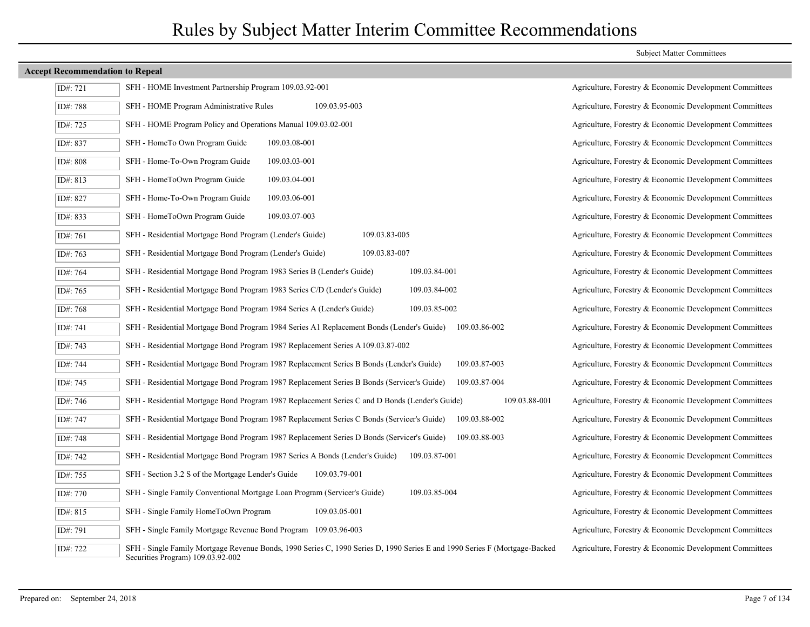| ID#: 721 | SFH - HOME Investment Partnership Program 109.03.92-001                                                                                                         | Agriculture, Forestry & Economic Development Committees |
|----------|-----------------------------------------------------------------------------------------------------------------------------------------------------------------|---------------------------------------------------------|
| ID#: 788 | SFH - HOME Program Administrative Rules<br>109.03.95-003                                                                                                        | Agriculture, Forestry & Economic Development Committees |
| ID#: 725 | SFH - HOME Program Policy and Operations Manual 109.03.02-001                                                                                                   | Agriculture, Forestry & Economic Development Committees |
| ID#: 837 | SFH - HomeTo Own Program Guide<br>109.03.08-001                                                                                                                 | Agriculture, Forestry & Economic Development Committees |
| ID#: 808 | SFH - Home-To-Own Program Guide<br>109.03.03-001                                                                                                                | Agriculture, Forestry & Economic Development Committees |
| ID#: 813 | SFH - HomeToOwn Program Guide<br>109.03.04-001                                                                                                                  | Agriculture, Forestry & Economic Development Committees |
| ID#: 827 | SFH - Home-To-Own Program Guide<br>109.03.06-001                                                                                                                | Agriculture, Forestry & Economic Development Committees |
| ID#: 833 | SFH - HomeToOwn Program Guide<br>109.03.07-003                                                                                                                  | Agriculture, Forestry & Economic Development Committees |
| ID#: 761 | SFH - Residential Mortgage Bond Program (Lender's Guide)<br>109.03.83-005                                                                                       | Agriculture, Forestry & Economic Development Committees |
| ID#: 763 | SFH - Residential Mortgage Bond Program (Lender's Guide)<br>109.03.83-007                                                                                       | Agriculture, Forestry & Economic Development Committees |
| ID#: 764 | SFH - Residential Mortgage Bond Program 1983 Series B (Lender's Guide)<br>109.03.84-001                                                                         | Agriculture, Forestry & Economic Development Committees |
| ID#: 765 | SFH - Residential Mortgage Bond Program 1983 Series C/D (Lender's Guide)<br>109.03.84-002                                                                       | Agriculture, Forestry & Economic Development Committees |
| ID#: 768 | SFH - Residential Mortgage Bond Program 1984 Series A (Lender's Guide)<br>109.03.85-002                                                                         | Agriculture, Forestry & Economic Development Committees |
| ID#: 741 | SFH - Residential Mortgage Bond Program 1984 Series A1 Replacement Bonds (Lender's Guide)<br>109.03.86-002                                                      | Agriculture, Forestry & Economic Development Committees |
| ID#: 743 | SFH - Residential Mortgage Bond Program 1987 Replacement Series A 109.03.87-002                                                                                 | Agriculture, Forestry & Economic Development Committees |
| ID#: 744 | SFH - Residential Mortgage Bond Program 1987 Replacement Series B Bonds (Lender's Guide)<br>109.03.87-003                                                       | Agriculture, Forestry & Economic Development Committees |
| ID#: 745 | SFH - Residential Mortgage Bond Program 1987 Replacement Series B Bonds (Servicer's Guide)<br>109.03.87-004                                                     | Agriculture, Forestry & Economic Development Committees |
| ID#: 746 | SFH - Residential Mortgage Bond Program 1987 Replacement Series C and D Bonds (Lender's Guide)<br>109.03.88-001                                                 | Agriculture, Forestry & Economic Development Committees |
| ID#: 747 | SFH - Residential Mortgage Bond Program 1987 Replacement Series C Bonds (Servicer's Guide)<br>109.03.88-002                                                     | Agriculture, Forestry & Economic Development Committees |
| ID#: 748 | SFH - Residential Mortgage Bond Program 1987 Replacement Series D Bonds (Servicer's Guide)<br>109.03.88-003                                                     | Agriculture, Forestry & Economic Development Committees |
| ID#: 742 | SFH - Residential Mortgage Bond Program 1987 Series A Bonds (Lender's Guide)<br>109.03.87-001                                                                   | Agriculture, Forestry & Economic Development Committees |
| ID#: 755 | SFH - Section 3.2 S of the Mortgage Lender's Guide<br>109.03.79-001                                                                                             | Agriculture, Forestry & Economic Development Committees |
| ID#: 770 | SFH - Single Family Conventional Mortgage Loan Program (Servicer's Guide)<br>109.03.85-004                                                                      | Agriculture, Forestry & Economic Development Committees |
| ID#: 815 | SFH - Single Family HomeToOwn Program<br>109.03.05-001                                                                                                          | Agriculture, Forestry & Economic Development Committees |
| ID#: 791 | SFH - Single Family Mortgage Revenue Bond Program 109.03.96-003                                                                                                 | Agriculture, Forestry & Economic Development Committees |
| ID#: 722 | SFH - Single Family Mortgage Revenue Bonds, 1990 Series C, 1990 Series D, 1990 Series E and 1990 Series F (Mortgage-Backed<br>Securities Program) 109.03.92-002 | Agriculture, Forestry & Economic Development Committees |

### Subject Matter Committees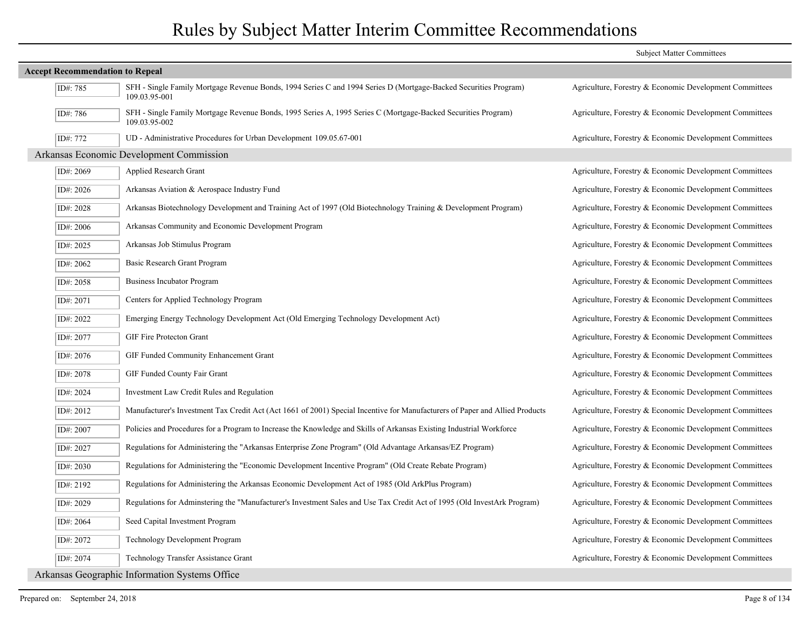|                                        |                                                                                                                                   | <b>Subject Matter Committees</b>                        |
|----------------------------------------|-----------------------------------------------------------------------------------------------------------------------------------|---------------------------------------------------------|
| <b>Accept Recommendation to Repeal</b> |                                                                                                                                   |                                                         |
| ID#: 785                               | SFH - Single Family Mortgage Revenue Bonds, 1994 Series C and 1994 Series D (Mortgage-Backed Securities Program)<br>109.03.95-001 | Agriculture, Forestry & Economic Development Committees |
| ID#: 786                               | SFH - Single Family Mortgage Revenue Bonds, 1995 Series A, 1995 Series C (Mortgage-Backed Securities Program)<br>109.03.95-002    | Agriculture, Forestry & Economic Development Committees |
| ID#: 772                               | UD - Administrative Procedures for Urban Development 109.05.67-001                                                                | Agriculture, Forestry & Economic Development Committees |
|                                        | Arkansas Economic Development Commission                                                                                          |                                                         |
| ID#: 2069                              | Applied Research Grant                                                                                                            | Agriculture, Forestry & Economic Development Committees |
| ID#: 2026                              | Arkansas Aviation & Aerospace Industry Fund                                                                                       | Agriculture, Forestry & Economic Development Committees |
| ID#: 2028                              | Arkansas Biotechnology Development and Training Act of 1997 (Old Biotechnology Training & Development Program)                    | Agriculture, Forestry & Economic Development Committees |
| ID#: 2006                              | Arkansas Community and Economic Development Program                                                                               | Agriculture, Forestry & Economic Development Committees |
| ID#: 2025                              | Arkansas Job Stimulus Program                                                                                                     | Agriculture, Forestry & Economic Development Committees |
| ID#: 2062                              | Basic Research Grant Program                                                                                                      | Agriculture, Forestry & Economic Development Committees |
| ID#: 2058                              | <b>Business Incubator Program</b>                                                                                                 | Agriculture, Forestry & Economic Development Committees |
| ID#: 2071                              | Centers for Applied Technology Program                                                                                            | Agriculture, Forestry & Economic Development Committees |
| ID#: 2022                              | Emerging Energy Technology Development Act (Old Emerging Technology Development Act)                                              | Agriculture, Forestry & Economic Development Committees |
| ID#: 2077                              | GIF Fire Protecton Grant                                                                                                          | Agriculture, Forestry & Economic Development Committees |
| ID#: 2076                              | GIF Funded Community Enhancement Grant                                                                                            | Agriculture, Forestry & Economic Development Committees |
| ID#: 2078                              | GIF Funded County Fair Grant                                                                                                      | Agriculture, Forestry & Economic Development Committees |
| ID#: 2024                              | Investment Law Credit Rules and Regulation                                                                                        | Agriculture, Forestry & Economic Development Committees |
| ID#: 2012                              | Manufacturer's Investment Tax Credit Act (Act 1661 of 2001) Special Incentive for Manufacturers of Paper and Allied Products      | Agriculture, Forestry & Economic Development Committees |
| ID#: 2007                              | Policies and Procedures for a Program to Increase the Knowledge and Skills of Arkansas Existing Industrial Workforce              | Agriculture, Forestry & Economic Development Committees |
| ID#: 2027                              | Regulations for Administering the "Arkansas Enterprise Zone Program" (Old Advantage Arkansas/EZ Program)                          | Agriculture, Forestry & Economic Development Committees |
| ID#: 2030                              | Regulations for Administering the "Economic Development Incentive Program" (Old Create Rebate Program)                            | Agriculture, Forestry & Economic Development Committees |
| ID#: 2192                              | Regulations for Administering the Arkansas Economic Development Act of 1985 (Old ArkPlus Program)                                 | Agriculture, Forestry & Economic Development Committees |
| ID#: 2029                              | Regulations for Adminstering the "Manufacturer's Investment Sales and Use Tax Credit Act of 1995 (Old InvestArk Program)          | Agriculture, Forestry & Economic Development Committees |
| ID#: 2064                              | Seed Capital Investment Program                                                                                                   | Agriculture, Forestry & Economic Development Committees |
| ID#: 2072                              | Technology Development Program                                                                                                    | Agriculture, Forestry & Economic Development Committees |
| ID#: 2074                              | Technology Transfer Assistance Grant                                                                                              | Agriculture, Forestry & Economic Development Committees |
|                                        | Arkansas Geographic Information Systems Office                                                                                    |                                                         |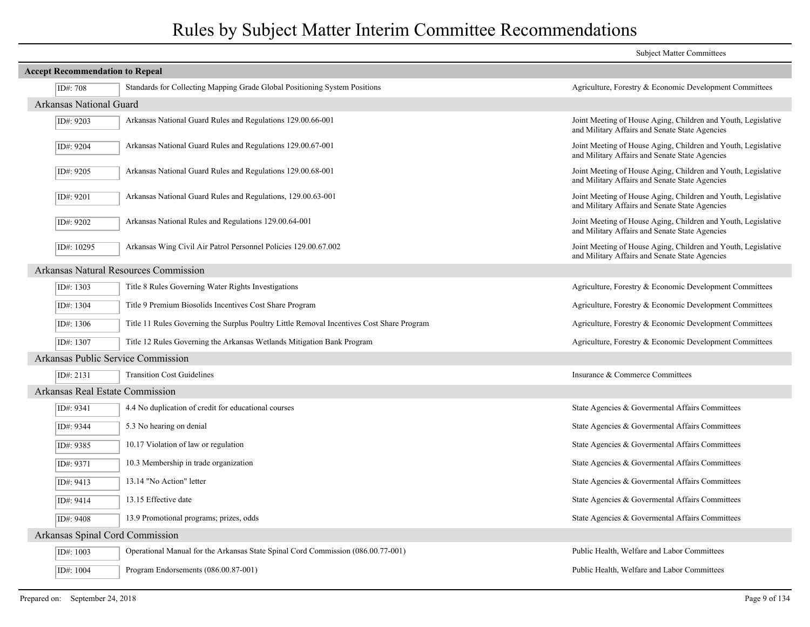|                                        |                                                                                           | <b>Subject Matter Committees</b>                                                                                |  |  |
|----------------------------------------|-------------------------------------------------------------------------------------------|-----------------------------------------------------------------------------------------------------------------|--|--|
| <b>Accept Recommendation to Repeal</b> |                                                                                           |                                                                                                                 |  |  |
| ID#: 708                               | Standards for Collecting Mapping Grade Global Positioning System Positions                | Agriculture, Forestry & Economic Development Committees                                                         |  |  |
| <b>Arkansas National Guard</b>         |                                                                                           |                                                                                                                 |  |  |
| ID#: 9203                              | Arkansas National Guard Rules and Regulations 129.00.66-001                               | Joint Meeting of House Aging, Children and Youth, Legislative<br>and Military Affairs and Senate State Agencies |  |  |
| ID#: 9204                              | Arkansas National Guard Rules and Regulations 129.00.67-001                               | Joint Meeting of House Aging, Children and Youth, Legislative<br>and Military Affairs and Senate State Agencies |  |  |
| ID#: 9205                              | Arkansas National Guard Rules and Regulations 129.00.68-001                               | Joint Meeting of House Aging, Children and Youth, Legislative<br>and Military Affairs and Senate State Agencies |  |  |
| ID#: 9201                              | Arkansas National Guard Rules and Regulations, 129.00.63-001                              | Joint Meeting of House Aging, Children and Youth, Legislative<br>and Military Affairs and Senate State Agencies |  |  |
| ID#: 9202                              | Arkansas National Rules and Regulations 129.00.64-001                                     | Joint Meeting of House Aging, Children and Youth, Legislative<br>and Military Affairs and Senate State Agencies |  |  |
| ID#: 10295                             | Arkansas Wing Civil Air Patrol Personnel Policies 129.00.67.002                           | Joint Meeting of House Aging, Children and Youth, Legislative<br>and Military Affairs and Senate State Agencies |  |  |
|                                        | Arkansas Natural Resources Commission                                                     |                                                                                                                 |  |  |
| ID#: 1303                              | Title 8 Rules Governing Water Rights Investigations                                       | Agriculture, Forestry & Economic Development Committees                                                         |  |  |
| ID#: 1304                              | Title 9 Premium Biosolids Incentives Cost Share Program                                   | Agriculture, Forestry & Economic Development Committees                                                         |  |  |
| ID#: $1306$                            | Title 11 Rules Governing the Surplus Poultry Little Removal Incentives Cost Share Program | Agriculture, Forestry & Economic Development Committees                                                         |  |  |
| ID#: 1307                              | Title 12 Rules Governing the Arkansas Wetlands Mitigation Bank Program                    | Agriculture, Forestry & Economic Development Committees                                                         |  |  |
|                                        | Arkansas Public Service Commission                                                        |                                                                                                                 |  |  |
| ID#: 2131                              | <b>Transition Cost Guidelines</b>                                                         | Insurance & Commerce Committees                                                                                 |  |  |
| Arkansas Real Estate Commission        |                                                                                           |                                                                                                                 |  |  |
| ID#: 9341                              | 4.4 No duplication of credit for educational courses                                      | State Agencies & Governental Affairs Committees                                                                 |  |  |
| ID#: 9344                              | 5.3 No hearing on denial                                                                  | State Agencies & Governental Affairs Committees                                                                 |  |  |
| ID#: 9385                              | 10.17 Violation of law or regulation                                                      | State Agencies & Govermental Affairs Committees                                                                 |  |  |
| ID#: 9371                              | 10.3 Membership in trade organization                                                     | State Agencies & Governental Affairs Committees                                                                 |  |  |
| ID#: 9413                              | 13.14 "No Action" letter                                                                  | State Agencies & Governental Affairs Committees                                                                 |  |  |
| ID#: 9414                              | 13.15 Effective date                                                                      | State Agencies & Govermental Affairs Committees                                                                 |  |  |
| ID#: 9408                              | 13.9 Promotional programs; prizes, odds                                                   | State Agencies & Governental Affairs Committees                                                                 |  |  |
| Arkansas Spinal Cord Commission        |                                                                                           |                                                                                                                 |  |  |
| ID#: 1003                              | Operational Manual for the Arkansas State Spinal Cord Commission (086.00.77-001)          | Public Health, Welfare and Labor Committees                                                                     |  |  |
| ID#: 1004                              | Program Endorsements (086.00.87-001)                                                      | Public Health, Welfare and Labor Committees                                                                     |  |  |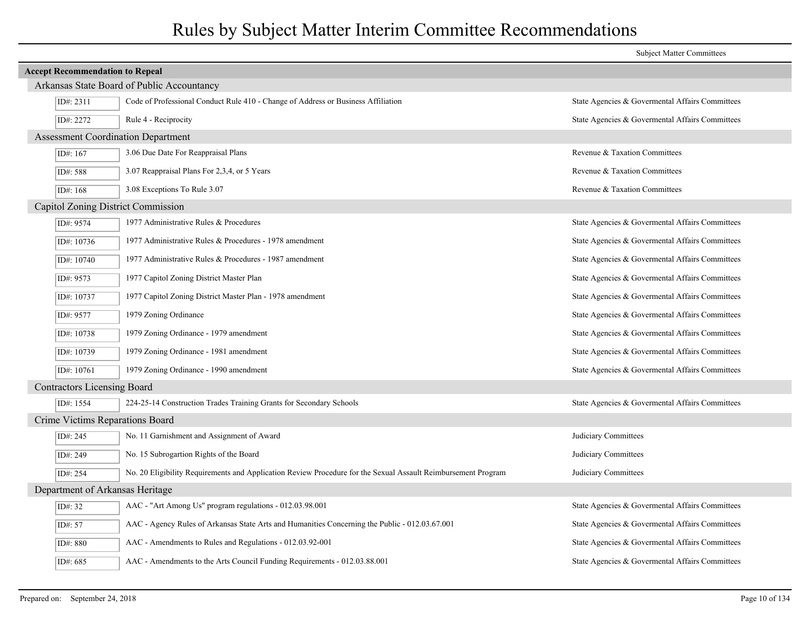|            |                                                                                                               | <b>Subject Matter Committees</b>                |  |  |  |
|------------|---------------------------------------------------------------------------------------------------------------|-------------------------------------------------|--|--|--|
|            | <b>Accept Recommendation to Repeal</b>                                                                        |                                                 |  |  |  |
|            | Arkansas State Board of Public Accountancy                                                                    |                                                 |  |  |  |
| ID#: 2311  | Code of Professional Conduct Rule 410 - Change of Address or Business Affiliation                             | State Agencies & Governental Affairs Committees |  |  |  |
| ID#: 2272  | Rule 4 - Reciprocity                                                                                          | State Agencies & Governental Affairs Committees |  |  |  |
|            | <b>Assessment Coordination Department</b>                                                                     |                                                 |  |  |  |
| ID#: 167   | 3.06 Due Date For Reappraisal Plans                                                                           | Revenue & Taxation Committees                   |  |  |  |
| ID#: 588   | 3.07 Reappraisal Plans For 2,3,4, or 5 Years                                                                  | Revenue & Taxation Committees                   |  |  |  |
| ID#: 168   | 3.08 Exceptions To Rule 3.07                                                                                  | Revenue & Taxation Committees                   |  |  |  |
|            | Capitol Zoning District Commission                                                                            |                                                 |  |  |  |
| ID#: 9574  | 1977 Administrative Rules & Procedures                                                                        | State Agencies & Governental Affairs Committees |  |  |  |
| ID#: 10736 | 1977 Administrative Rules & Procedures - 1978 amendment                                                       | State Agencies & Governental Affairs Committees |  |  |  |
| ID#: 10740 | 1977 Administrative Rules & Procedures - 1987 amendment                                                       | State Agencies & Governental Affairs Committees |  |  |  |
| ID#: 9573  | 1977 Capitol Zoning District Master Plan                                                                      | State Agencies & Governental Affairs Committees |  |  |  |
| ID#: 10737 | 1977 Capitol Zoning District Master Plan - 1978 amendment                                                     | State Agencies & Governental Affairs Committees |  |  |  |
| ID#: 9577  | 1979 Zoning Ordinance                                                                                         | State Agencies & Governental Affairs Committees |  |  |  |
| ID#: 10738 | 1979 Zoning Ordinance - 1979 amendment                                                                        | State Agencies & Governental Affairs Committees |  |  |  |
| ID#: 10739 | 1979 Zoning Ordinance - 1981 amendment                                                                        | State Agencies & Governental Affairs Committees |  |  |  |
| ID#: 10761 | 1979 Zoning Ordinance - 1990 amendment                                                                        | State Agencies & Govermental Affairs Committees |  |  |  |
|            | <b>Contractors Licensing Board</b>                                                                            |                                                 |  |  |  |
| ID#: 1554  | 224-25-14 Construction Trades Training Grants for Secondary Schools                                           | State Agencies & Governental Affairs Committees |  |  |  |
|            | Crime Victims Reparations Board                                                                               |                                                 |  |  |  |
| ID#: 245   | No. 11 Garnishment and Assignment of Award                                                                    | Judiciary Committees                            |  |  |  |
| ID#: 249   | No. 15 Subrogartion Rights of the Board                                                                       | Judiciary Committees                            |  |  |  |
| ID#: 254   | No. 20 Eligibility Requirements and Application Review Procedure for the Sexual Assault Reimbursement Program | Judiciary Committees                            |  |  |  |
|            | Department of Arkansas Heritage                                                                               |                                                 |  |  |  |
| ID#: 32    | AAC - "Art Among Us" program regulations - 012.03.98.001                                                      | State Agencies & Governental Affairs Committees |  |  |  |
| ID#: 57    | AAC - Agency Rules of Arkansas State Arts and Humanities Concerning the Public - 012.03.67.001                | State Agencies & Governental Affairs Committees |  |  |  |
| ID#: 880   | AAC - Amendments to Rules and Regulations - 012.03.92-001                                                     | State Agencies & Governental Affairs Committees |  |  |  |
| ID#: 685   | AAC - Amendments to the Arts Council Funding Requirements - 012.03.88.001                                     | State Agencies & Govermental Affairs Committees |  |  |  |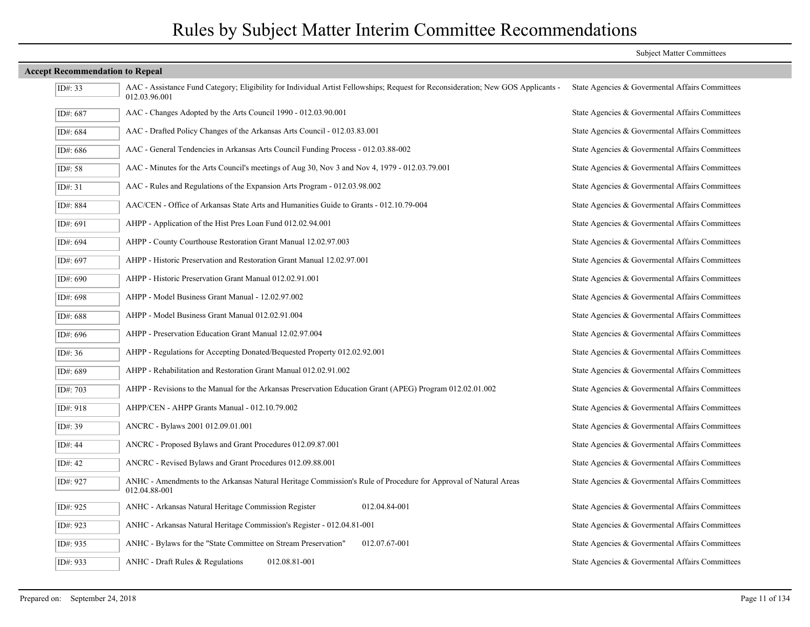| <b>Accept Recommendation to Repeal</b> |                                                                                                                                                   |                                                 |
|----------------------------------------|---------------------------------------------------------------------------------------------------------------------------------------------------|-------------------------------------------------|
| ID#: 33                                | AAC - Assistance Fund Category; Eligibility for Individual Artist Fellowships; Request for Reconsideration; New GOS Applicants -<br>012.03.96.001 | State Agencies & Governental Affairs Committees |
| ID#: 687                               | AAC - Changes Adopted by the Arts Council 1990 - 012.03.90.001                                                                                    | State Agencies & Governental Affairs Committees |
| ID#: 684                               | AAC - Drafted Policy Changes of the Arkansas Arts Council - 012.03.83.001                                                                         | State Agencies & Governental Affairs Committees |
| ID#: 686                               | AAC - General Tendencies in Arkansas Arts Council Funding Process - 012.03.88-002                                                                 | State Agencies & Govermental Affairs Committees |
| ID#: 58                                | AAC - Minutes for the Arts Council's meetings of Aug 30, Nov 3 and Nov 4, 1979 - 012.03.79.001                                                    | State Agencies & Governental Affairs Committees |
| ID#: $31$                              | AAC - Rules and Regulations of the Expansion Arts Program - 012.03.98.002                                                                         | State Agencies & Governental Affairs Committees |
| ID#: 884                               | AAC/CEN - Office of Arkansas State Arts and Humanities Guide to Grants - 012.10.79-004                                                            | State Agencies & Governental Affairs Committees |
| ID#: 691                               | AHPP - Application of the Hist Pres Loan Fund 012.02.94.001                                                                                       | State Agencies & Governental Affairs Committees |
| ID#: 694                               | AHPP - County Courthouse Restoration Grant Manual 12.02.97.003                                                                                    | State Agencies & Governental Affairs Committees |
| ID#: 697                               | AHPP - Historic Preservation and Restoration Grant Manual 12.02.97.001                                                                            | State Agencies & Governental Affairs Committees |
| ID#: 690                               | AHPP - Historic Preservation Grant Manual 012.02.91.001                                                                                           | State Agencies & Governental Affairs Committees |
| ID#: 698                               | AHPP - Model Business Grant Manual - 12.02.97.002                                                                                                 | State Agencies & Govermental Affairs Committees |
| ID#: 688                               | AHPP - Model Business Grant Manual 012.02.91.004                                                                                                  | State Agencies & Governental Affairs Committees |
| ID#: 696                               | AHPP - Preservation Education Grant Manual 12.02.97.004                                                                                           | State Agencies & Governental Affairs Committees |
| ID#: $36$                              | AHPP - Regulations for Accepting Donated/Bequested Property 012.02.92.001                                                                         | State Agencies & Governental Affairs Committees |
| ID#: 689                               | AHPP - Rehabilitation and Restoration Grant Manual 012.02.91.002                                                                                  | State Agencies & Governental Affairs Committees |
| ID#: 703                               | AHPP - Revisions to the Manual for the Arkansas Preservation Education Grant (APEG) Program 012.02.01.002                                         | State Agencies & Govermental Affairs Committees |
| ID#: 918                               | AHPP/CEN - AHPP Grants Manual - 012.10.79.002                                                                                                     | State Agencies & Govermental Affairs Committees |
| ID#: 39                                | ANCRC - Bylaws 2001 012.09.01.001                                                                                                                 | State Agencies & Govermental Affairs Committees |
| ID#: $44$                              | ANCRC - Proposed Bylaws and Grant Procedures 012.09.87.001                                                                                        | State Agencies & Governental Affairs Committees |
| ID#: $42$                              | ANCRC - Revised Bylaws and Grant Procedures 012.09.88.001                                                                                         | State Agencies & Governental Affairs Committees |
| ID#: 927                               | ANHC - Amendments to the Arkansas Natural Heritage Commission's Rule of Procedure for Approval of Natural Areas<br>012.04.88-001                  | State Agencies & Govermental Affairs Committees |
| ID#: 925                               | ANHC - Arkansas Natural Heritage Commission Register<br>012.04.84-001                                                                             | State Agencies & Governental Affairs Committees |
| ID#: 923                               | ANHC - Arkansas Natural Heritage Commission's Register - 012.04.81-001                                                                            | State Agencies & Governental Affairs Committees |
| ID#: 935                               | ANHC - Bylaws for the "State Committee on Stream Preservation"<br>012.07.67-001                                                                   | State Agencies & Governental Affairs Committees |
| ID#: 933                               | 012.08.81-001<br>ANHC - Draft Rules & Regulations                                                                                                 | State Agencies & Governental Affairs Committees |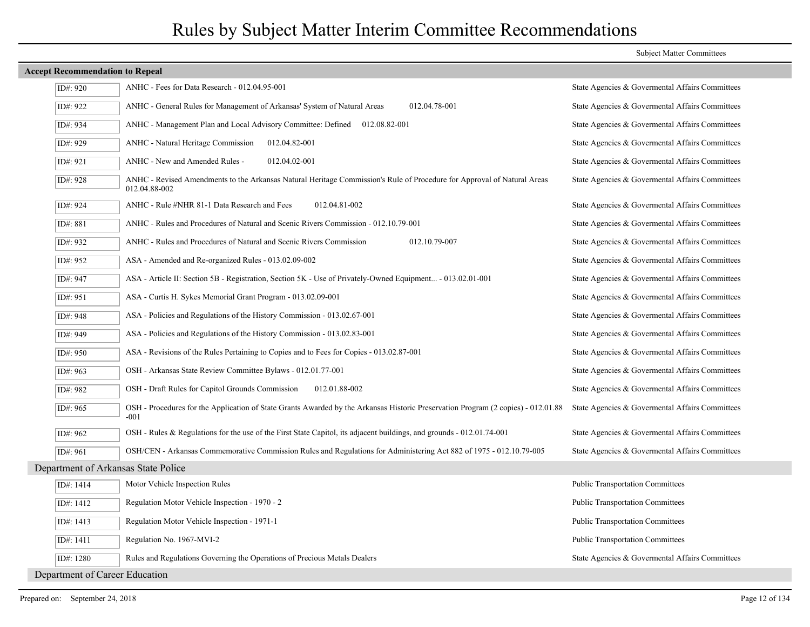| <b>Accept Recommendation to Repeal</b> |                                                                                                                                           |                                                 |
|----------------------------------------|-------------------------------------------------------------------------------------------------------------------------------------------|-------------------------------------------------|
| ID#: 920                               | ANHC - Fees for Data Research - 012.04.95-001                                                                                             | State Agencies & Govermental Affairs Committees |
| ID#: 922                               | ANHC - General Rules for Management of Arkansas' System of Natural Areas<br>012.04.78-001                                                 | State Agencies & Governental Affairs Committees |
| ID#: 934                               | ANHC - Management Plan and Local Advisory Committee: Defined<br>012.08.82-001                                                             | State Agencies & Governental Affairs Committees |
| ID#: 929                               | <b>ANHC</b> - Natural Heritage Commission<br>012.04.82-001                                                                                | State Agencies & Governental Affairs Committees |
| ID#: 921                               | ANHC - New and Amended Rules -<br>012.04.02-001                                                                                           | State Agencies & Governental Affairs Committees |
| ID#: 928                               | ANHC - Revised Amendments to the Arkansas Natural Heritage Commission's Rule of Procedure for Approval of Natural Areas<br>012.04.88-002  | State Agencies & Governental Affairs Committees |
| ID#: 924                               | ANHC - Rule #NHR 81-1 Data Research and Fees<br>012.04.81-002                                                                             | State Agencies & Governental Affairs Committees |
| ID#: 881                               | ANHC - Rules and Procedures of Natural and Scenic Rivers Commission - 012.10.79-001                                                       | State Agencies & Governental Affairs Committees |
| ID#: 932                               | 012.10.79-007<br>ANHC - Rules and Procedures of Natural and Scenic Rivers Commission                                                      | State Agencies & Governental Affairs Committees |
| ID#: 952                               | ASA - Amended and Re-organized Rules - 013.02.09-002                                                                                      | State Agencies & Governental Affairs Committees |
| ID#: 947                               | ASA - Article II: Section 5B - Registration, Section 5K - Use of Privately-Owned Equipment - 013.02.01-001                                | State Agencies & Governental Affairs Committees |
| ID#: 951                               | ASA - Curtis H. Sykes Memorial Grant Program - 013.02.09-001                                                                              | State Agencies & Governental Affairs Committees |
| ID#: 948                               | ASA - Policies and Regulations of the History Commission - 013.02.67-001                                                                  | State Agencies & Governental Affairs Committees |
| ID#: 949                               | ASA - Policies and Regulations of the History Commission - 013.02.83-001                                                                  | State Agencies & Governental Affairs Committees |
| ID#: 950                               | ASA - Revisions of the Rules Pertaining to Copies and to Fees for Copies - 013.02.87-001                                                  | State Agencies & Governental Affairs Committees |
| ID#: 963                               | OSH - Arkansas State Review Committee Bylaws - 012.01.77-001                                                                              | State Agencies & Governental Affairs Committees |
| ID#: 982                               | OSH - Draft Rules for Capitol Grounds Commission<br>012.01.88-002                                                                         | State Agencies & Governental Affairs Committees |
| ID#: 965                               | OSH - Procedures for the Application of State Grants Awarded by the Arkansas Historic Preservation Program (2 copies) - 012.01.88<br>-001 | State Agencies & Governental Affairs Committees |
| ID#: 962                               | OSH - Rules & Regulations for the use of the First State Capitol, its adjacent buildings, and grounds - 012.01.74-001                     | State Agencies & Govermental Affairs Committees |
| ID#: 961                               | OSH/CEN - Arkansas Commemorative Commission Rules and Regulations for Administering Act 882 of 1975 - 012.10.79-005                       | State Agencies & Governental Affairs Committees |
|                                        | Department of Arkansas State Police                                                                                                       |                                                 |
| ID#: 1414                              | Motor Vehicle Inspection Rules                                                                                                            | <b>Public Transportation Committees</b>         |
| ID#: 1412                              | Regulation Motor Vehicle Inspection - 1970 - 2                                                                                            | <b>Public Transportation Committees</b>         |
| ID#: 1413                              | Regulation Motor Vehicle Inspection - 1971-1                                                                                              | <b>Public Transportation Committees</b>         |
| ID#: 1411                              | Regulation No. 1967-MVI-2                                                                                                                 | <b>Public Transportation Committees</b>         |
| ID#: 1280                              | Rules and Regulations Governing the Operations of Precious Metals Dealers                                                                 | State Agencies & Governental Affairs Committees |
| Department of Career Education         |                                                                                                                                           |                                                 |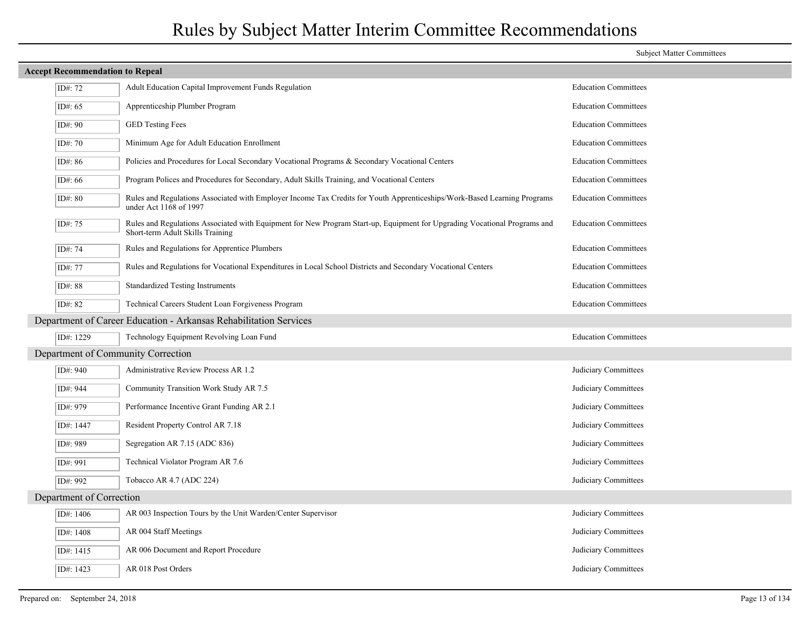|                                                                   | <b>Accept Recommendation to Repeal</b> |                                                                                                                                                               |                             |  |
|-------------------------------------------------------------------|----------------------------------------|---------------------------------------------------------------------------------------------------------------------------------------------------------------|-----------------------------|--|
|                                                                   | ID#: 72                                | Adult Education Capital Improvement Funds Regulation                                                                                                          | <b>Education Committees</b> |  |
|                                                                   | ID#: 65                                | Apprenticeship Plumber Program                                                                                                                                | <b>Education Committees</b> |  |
|                                                                   | ID#: 90                                | <b>GED Testing Fees</b>                                                                                                                                       | <b>Education Committees</b> |  |
|                                                                   | ID#: 70                                | Minimum Age for Adult Education Enrollment                                                                                                                    | <b>Education Committees</b> |  |
|                                                                   | ID#: 86                                | Policies and Procedures for Local Secondary Vocational Programs & Secondary Vocational Centers                                                                | <b>Education Committees</b> |  |
|                                                                   | ID#: 66                                | Program Polices and Procedures for Secondary, Adult Skills Training, and Vocational Centers                                                                   | <b>Education Committees</b> |  |
|                                                                   | ID#: 80                                | Rules and Regulations Associated with Employer Income Tax Credits for Youth Apprenticeships/Work-Based Learning Programs<br>under Act 1168 of 1997            | <b>Education Committees</b> |  |
|                                                                   | ID#: 75                                | Rules and Regulations Associated with Equipment for New Program Start-up, Equipment for Upgrading Vocational Programs and<br>Short-term Adult Skills Training | <b>Education Committees</b> |  |
|                                                                   | ID#: 74                                | Rules and Regulations for Apprentice Plumbers                                                                                                                 | <b>Education Committees</b> |  |
|                                                                   | ID#: 77                                | Rules and Regulations for Vocational Expenditures in Local School Districts and Secondary Vocational Centers                                                  | <b>Education Committees</b> |  |
|                                                                   | ID#: 88                                | <b>Standardized Testing Instruments</b>                                                                                                                       | <b>Education Committees</b> |  |
|                                                                   | ID#: 82                                | Technical Careers Student Loan Forgiveness Program                                                                                                            | <b>Education Committees</b> |  |
| Department of Career Education - Arkansas Rehabilitation Services |                                        |                                                                                                                                                               |                             |  |
|                                                                   | ID#: 1229                              | Technology Equipment Revolving Loan Fund                                                                                                                      | <b>Education Committees</b> |  |
|                                                                   |                                        | Department of Community Correction                                                                                                                            |                             |  |
|                                                                   | ID#: 940                               | Administrative Review Process AR 1.2                                                                                                                          | Judiciary Committees        |  |
|                                                                   | ID#: 944                               | Community Transition Work Study AR 7.5                                                                                                                        | Judiciary Committees        |  |
|                                                                   | ID#: 979                               | Performance Incentive Grant Funding AR 2.1                                                                                                                    | Judiciary Committees        |  |
|                                                                   | ID#: 1447                              | Resident Property Control AR 7.18                                                                                                                             | Judiciary Committees        |  |
|                                                                   | ID#: 989                               | Segregation AR 7.15 (ADC 836)                                                                                                                                 | Judiciary Committees        |  |
|                                                                   | ID#: 991                               | Technical Violator Program AR 7.6                                                                                                                             | Judiciary Committees        |  |
|                                                                   | ID#: 992                               | Tobacco AR 4.7 (ADC 224)                                                                                                                                      | Judiciary Committees        |  |
| Department of Correction                                          |                                        |                                                                                                                                                               |                             |  |
|                                                                   | ID#: 1406                              | AR 003 Inspection Tours by the Unit Warden/Center Supervisor                                                                                                  | Judiciary Committees        |  |
|                                                                   | ID#: 1408                              | AR 004 Staff Meetings                                                                                                                                         | Judiciary Committees        |  |
|                                                                   | ID#: $1415$                            | AR 006 Document and Report Procedure                                                                                                                          | Judiciary Committees        |  |
|                                                                   | ID#: 1423                              | AR 018 Post Orders                                                                                                                                            | Judiciary Committees        |  |
|                                                                   |                                        |                                                                                                                                                               |                             |  |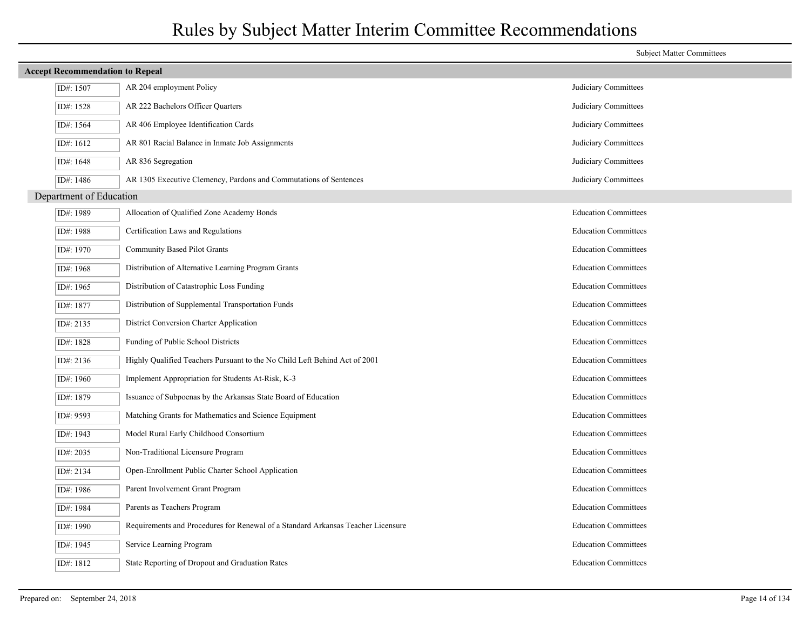|                         | <b>Subject Matter Committees</b>                                                 |                             |  |  |  |
|-------------------------|----------------------------------------------------------------------------------|-----------------------------|--|--|--|
|                         | <b>Accept Recommendation to Repeal</b>                                           |                             |  |  |  |
| ID#: 1507               | AR 204 employment Policy                                                         | Judiciary Committees        |  |  |  |
| ID#: 1528               | AR 222 Bachelors Officer Quarters                                                | Judiciary Committees        |  |  |  |
| ID#: 1564               | AR 406 Employee Identification Cards                                             | Judiciary Committees        |  |  |  |
| ID#: 1612               | AR 801 Racial Balance in Inmate Job Assignments                                  | Judiciary Committees        |  |  |  |
| ID#: 1648               | AR 836 Segregation                                                               | Judiciary Committees        |  |  |  |
| ID#: 1486               | AR 1305 Executive Clemency, Pardons and Commutations of Sentences                | Judiciary Committees        |  |  |  |
| Department of Education |                                                                                  |                             |  |  |  |
| ID#: 1989               | Allocation of Qualified Zone Academy Bonds                                       | <b>Education Committees</b> |  |  |  |
| ID#: 1988               | Certification Laws and Regulations                                               | <b>Education Committees</b> |  |  |  |
| ID#: 1970               | Community Based Pilot Grants                                                     | <b>Education Committees</b> |  |  |  |
| ID#: 1968               | Distribution of Alternative Learning Program Grants                              | <b>Education Committees</b> |  |  |  |
| ID#: 1965               | Distribution of Catastrophic Loss Funding                                        | <b>Education Committees</b> |  |  |  |
| ID#: 1877               | Distribution of Supplemental Transportation Funds                                | <b>Education Committees</b> |  |  |  |
| ID#: 2135               | District Conversion Charter Application                                          | <b>Education Committees</b> |  |  |  |
| ID#: 1828               | Funding of Public School Districts                                               | <b>Education Committees</b> |  |  |  |
| ID#: 2136               | Highly Qualified Teachers Pursuant to the No Child Left Behind Act of 2001       | <b>Education Committees</b> |  |  |  |
| ID#: 1960               | Implement Appropriation for Students At-Risk, K-3                                | <b>Education Committees</b> |  |  |  |
| ID#: 1879               | Issuance of Subpoenas by the Arkansas State Board of Education                   | <b>Education Committees</b> |  |  |  |
| ID#: 9593               | Matching Grants for Mathematics and Science Equipment                            | <b>Education Committees</b> |  |  |  |
| ID#: 1943               | Model Rural Early Childhood Consortium                                           | <b>Education Committees</b> |  |  |  |
| ID#: 2035               | Non-Traditional Licensure Program                                                | <b>Education Committees</b> |  |  |  |
| ID#: 2134               | Open-Enrollment Public Charter School Application                                | <b>Education Committees</b> |  |  |  |
| ID#: 1986               | Parent Involvement Grant Program                                                 | <b>Education Committees</b> |  |  |  |
| ID#: 1984               | Parents as Teachers Program                                                      | <b>Education Committees</b> |  |  |  |
| ID#: 1990               | Requirements and Procedures for Renewal of a Standard Arkansas Teacher Licensure | <b>Education Committees</b> |  |  |  |
| ID#: 1945               | Service Learning Program                                                         | <b>Education Committees</b> |  |  |  |
| ID#: 1812               | State Reporting of Dropout and Graduation Rates                                  | <b>Education Committees</b> |  |  |  |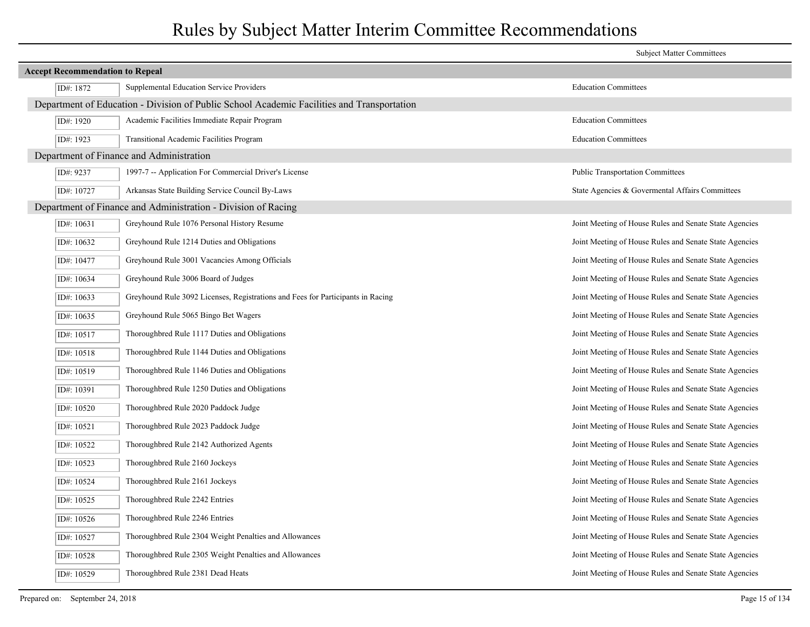|            |                                                                                            | <b>Subject Matter Committees</b>                       |  |  |  |
|------------|--------------------------------------------------------------------------------------------|--------------------------------------------------------|--|--|--|
|            | <b>Accept Recommendation to Repeal</b>                                                     |                                                        |  |  |  |
| ID#: 1872  | Supplemental Education Service Providers                                                   | <b>Education Committees</b>                            |  |  |  |
|            | Department of Education - Division of Public School Academic Facilities and Transportation |                                                        |  |  |  |
| ID#: 1920  | Academic Facilities Immediate Repair Program                                               | <b>Education Committees</b>                            |  |  |  |
| ID#: 1923  | Transitional Academic Facilities Program                                                   | <b>Education Committees</b>                            |  |  |  |
|            | Department of Finance and Administration                                                   |                                                        |  |  |  |
| ID#: 9237  | 1997-7 -- Application For Commercial Driver's License                                      | <b>Public Transportation Committees</b>                |  |  |  |
| ID#: 10727 | Arkansas State Building Service Council By-Laws                                            | State Agencies & Governental Affairs Committees        |  |  |  |
|            | Department of Finance and Administration - Division of Racing                              |                                                        |  |  |  |
| ID#: 10631 | Greyhound Rule 1076 Personal History Resume                                                | Joint Meeting of House Rules and Senate State Agencies |  |  |  |
| ID#: 10632 | Greyhound Rule 1214 Duties and Obligations                                                 | Joint Meeting of House Rules and Senate State Agencies |  |  |  |
| ID#: 10477 | Greyhound Rule 3001 Vacancies Among Officials                                              | Joint Meeting of House Rules and Senate State Agencies |  |  |  |
| ID#: 10634 | Greyhound Rule 3006 Board of Judges                                                        | Joint Meeting of House Rules and Senate State Agencies |  |  |  |
| ID#: 10633 | Greyhound Rule 3092 Licenses, Registrations and Fees for Participants in Racing            | Joint Meeting of House Rules and Senate State Agencies |  |  |  |
| ID#: 10635 | Greyhound Rule 5065 Bingo Bet Wagers                                                       | Joint Meeting of House Rules and Senate State Agencies |  |  |  |
| ID#: 10517 | Thoroughbred Rule 1117 Duties and Obligations                                              | Joint Meeting of House Rules and Senate State Agencies |  |  |  |
| ID#: 10518 | Thoroughbred Rule 1144 Duties and Obligations                                              | Joint Meeting of House Rules and Senate State Agencies |  |  |  |
| ID#: 10519 | Thoroughbred Rule 1146 Duties and Obligations                                              | Joint Meeting of House Rules and Senate State Agencies |  |  |  |
| ID#: 10391 | Thoroughbred Rule 1250 Duties and Obligations                                              | Joint Meeting of House Rules and Senate State Agencies |  |  |  |
| ID#: 10520 | Thoroughbred Rule 2020 Paddock Judge                                                       | Joint Meeting of House Rules and Senate State Agencies |  |  |  |
| ID#: 10521 | Thoroughbred Rule 2023 Paddock Judge                                                       | Joint Meeting of House Rules and Senate State Agencies |  |  |  |
| ID#: 10522 | Thoroughbred Rule 2142 Authorized Agents                                                   | Joint Meeting of House Rules and Senate State Agencies |  |  |  |
| ID#: 10523 | Thoroughbred Rule 2160 Jockeys                                                             | Joint Meeting of House Rules and Senate State Agencies |  |  |  |
| ID#: 10524 | Thoroughbred Rule 2161 Jockeys                                                             | Joint Meeting of House Rules and Senate State Agencies |  |  |  |
| ID#: 10525 | Thoroughbred Rule 2242 Entries                                                             | Joint Meeting of House Rules and Senate State Agencies |  |  |  |
| ID#: 10526 | Thoroughbred Rule 2246 Entries                                                             | Joint Meeting of House Rules and Senate State Agencies |  |  |  |
| ID#: 10527 | Thoroughbred Rule 2304 Weight Penalties and Allowances                                     | Joint Meeting of House Rules and Senate State Agencies |  |  |  |
| ID#: 10528 | Thoroughbred Rule 2305 Weight Penalties and Allowances                                     | Joint Meeting of House Rules and Senate State Agencies |  |  |  |
| ID#: 10529 | Thoroughbred Rule 2381 Dead Heats                                                          | Joint Meeting of House Rules and Senate State Agencies |  |  |  |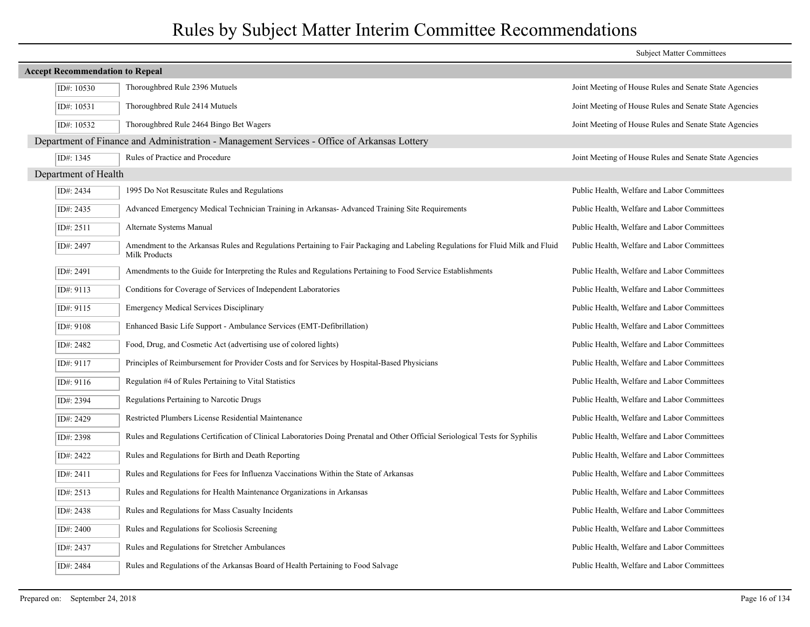|                                        |                                                                                                                                                 | <b>Subject Matter Committees</b>                       |
|----------------------------------------|-------------------------------------------------------------------------------------------------------------------------------------------------|--------------------------------------------------------|
| <b>Accept Recommendation to Repeal</b> |                                                                                                                                                 |                                                        |
| ID#: 10530                             | Thoroughbred Rule 2396 Mutuels                                                                                                                  | Joint Meeting of House Rules and Senate State Agencies |
| ID#: 10531                             | Thoroughbred Rule 2414 Mutuels                                                                                                                  | Joint Meeting of House Rules and Senate State Agencies |
| ID#: 10532                             | Thoroughbred Rule 2464 Bingo Bet Wagers                                                                                                         | Joint Meeting of House Rules and Senate State Agencies |
|                                        | Department of Finance and Administration - Management Services - Office of Arkansas Lottery                                                     |                                                        |
| ID#: 1345                              | Rules of Practice and Procedure                                                                                                                 | Joint Meeting of House Rules and Senate State Agencies |
| Department of Health                   |                                                                                                                                                 |                                                        |
| ID#: 2434                              | 1995 Do Not Resuscitate Rules and Regulations                                                                                                   | Public Health, Welfare and Labor Committees            |
| ID#: 2435                              | Advanced Emergency Medical Technician Training in Arkansas-Advanced Training Site Requirements                                                  | Public Health, Welfare and Labor Committees            |
| ID#: 2511                              | Alternate Systems Manual                                                                                                                        | Public Health, Welfare and Labor Committees            |
| ID#: 2497                              | Amendment to the Arkansas Rules and Regulations Pertaining to Fair Packaging and Labeling Regulations for Fluid Milk and Fluid<br>Milk Products | Public Health, Welfare and Labor Committees            |
| ID#: 2491                              | Amendments to the Guide for Interpreting the Rules and Regulations Pertaining to Food Service Establishments                                    | Public Health, Welfare and Labor Committees            |
| ID#: 9113                              | Conditions for Coverage of Services of Independent Laboratories                                                                                 | Public Health, Welfare and Labor Committees            |
| ID#: 9115                              | <b>Emergency Medical Services Disciplinary</b>                                                                                                  | Public Health, Welfare and Labor Committees            |
| ID#: 9108                              | Enhanced Basic Life Support - Ambulance Services (EMT-Defibrillation)                                                                           | Public Health, Welfare and Labor Committees            |
| ID#: 2482                              | Food, Drug, and Cosmetic Act (advertising use of colored lights)                                                                                | Public Health, Welfare and Labor Committees            |
| ID#: 9117                              | Principles of Reimbursement for Provider Costs and for Services by Hospital-Based Physicians                                                    | Public Health, Welfare and Labor Committees            |
| ID#: 9116                              | Regulation #4 of Rules Pertaining to Vital Statistics                                                                                           | Public Health, Welfare and Labor Committees            |
| ID#: 2394                              | Regulations Pertaining to Narcotic Drugs                                                                                                        | Public Health, Welfare and Labor Committees            |
| ID#: 2429                              | Restricted Plumbers License Residential Maintenance                                                                                             | Public Health, Welfare and Labor Committees            |
| ID#: 2398                              | Rules and Regulations Certification of Clinical Laboratories Doing Prenatal and Other Official Seriological Tests for Syphilis                  | Public Health, Welfare and Labor Committees            |
| ID#: 2422                              | Rules and Regulations for Birth and Death Reporting                                                                                             | Public Health, Welfare and Labor Committees            |
| ID#: 2411                              | Rules and Regulations for Fees for Influenza Vaccinations Within the State of Arkansas                                                          | Public Health, Welfare and Labor Committees            |
| ID#: 2513                              | Rules and Regulations for Health Maintenance Organizations in Arkansas                                                                          | Public Health, Welfare and Labor Committees            |
| ID#: 2438                              | Rules and Regulations for Mass Casualty Incidents                                                                                               | Public Health, Welfare and Labor Committees            |
| ID#: 2400                              | Rules and Regulations for Scoliosis Screening                                                                                                   | Public Health, Welfare and Labor Committees            |
| ID#: 2437                              | Rules and Regulations for Stretcher Ambulances                                                                                                  | Public Health, Welfare and Labor Committees            |
| ID#: 2484                              | Rules and Regulations of the Arkansas Board of Health Pertaining to Food Salvage                                                                | Public Health, Welfare and Labor Committees            |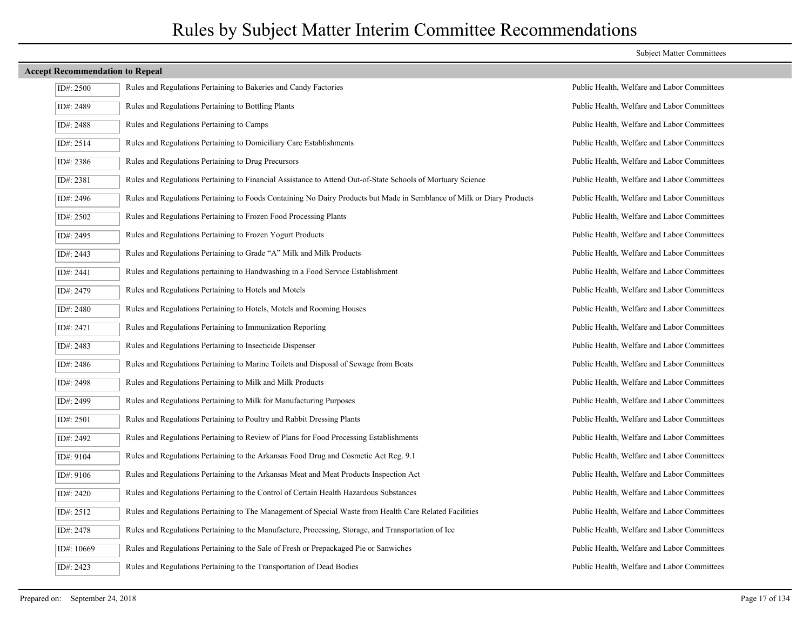| ID#: $2500$ | Rules and Regulations Pertaining to Bakeries and Candy Factories                                                       | Public Health, Welfare and Labor Committees |
|-------------|------------------------------------------------------------------------------------------------------------------------|---------------------------------------------|
| ID#: 2489   | Rules and Regulations Pertaining to Bottling Plants                                                                    | Public Health, Welfare and Labor Committees |
| ID#: 2488   | Rules and Regulations Pertaining to Camps                                                                              | Public Health, Welfare and Labor Committees |
| ID#: 2514   | Rules and Regulations Pertaining to Domiciliary Care Establishments                                                    | Public Health, Welfare and Labor Committees |
| ID#: 2386   | Rules and Regulations Pertaining to Drug Precursors                                                                    | Public Health, Welfare and Labor Committees |
| ID#: 2381   | Rules and Regulations Pertaining to Financial Assistance to Attend Out-of-State Schools of Mortuary Science            | Public Health, Welfare and Labor Committees |
| ID#: 2496   | Rules and Regulations Pertaining to Foods Containing No Dairy Products but Made in Semblance of Milk or Diary Products | Public Health, Welfare and Labor Committees |
| ID#: 2502   | Rules and Regulations Pertaining to Frozen Food Processing Plants                                                      | Public Health, Welfare and Labor Committees |
| ID#: 2495   | Rules and Regulations Pertaining to Frozen Yogurt Products                                                             | Public Health, Welfare and Labor Committees |
| ID#: 2443   | Rules and Regulations Pertaining to Grade "A" Milk and Milk Products                                                   | Public Health, Welfare and Labor Committees |
| ID#: 2441   | Rules and Regulations pertaining to Handwashing in a Food Service Establishment                                        | Public Health, Welfare and Labor Committees |
| ID#: 2479   | Rules and Regulations Pertaining to Hotels and Motels                                                                  | Public Health, Welfare and Labor Committees |
| ID#: 2480   | Rules and Regulations Pertaining to Hotels, Motels and Rooming Houses                                                  | Public Health, Welfare and Labor Committees |
| ID#: 2471   | Rules and Regulations Pertaining to Immunization Reporting                                                             | Public Health, Welfare and Labor Committees |
| ID#: 2483   | Rules and Regulations Pertaining to Insecticide Dispenser                                                              | Public Health, Welfare and Labor Committees |
| ID#: 2486   | Rules and Regulations Pertaining to Marine Toilets and Disposal of Sewage from Boats                                   | Public Health, Welfare and Labor Committees |
| ID#: 2498   | Rules and Regulations Pertaining to Milk and Milk Products                                                             | Public Health, Welfare and Labor Committees |
| ID#: 2499   | Rules and Regulations Pertaining to Milk for Manufacturing Purposes                                                    | Public Health, Welfare and Labor Committees |
| ID#: 2501   | Rules and Regulations Pertaining to Poultry and Rabbit Dressing Plants                                                 | Public Health, Welfare and Labor Committees |
| ID#: 2492   | Rules and Regulations Pertaining to Review of Plans for Food Processing Establishments                                 | Public Health, Welfare and Labor Committees |
| ID#: 9104   | Rules and Regulations Pertaining to the Arkansas Food Drug and Cosmetic Act Reg. 9.1                                   | Public Health, Welfare and Labor Committees |
| ID#: 9106   | Rules and Regulations Pertaining to the Arkansas Meat and Meat Products Inspection Act                                 | Public Health, Welfare and Labor Committees |
| ID#: 2420   | Rules and Regulations Pertaining to the Control of Certain Health Hazardous Substances                                 | Public Health, Welfare and Labor Committees |
| ID#: 2512   | Rules and Regulations Pertaining to The Management of Special Waste from Health Care Related Facilities                | Public Health, Welfare and Labor Committees |
| ID#: 2478   | Rules and Regulations Pertaining to the Manufacture, Processing, Storage, and Transportation of Ice                    | Public Health, Welfare and Labor Committees |
| ID#: 10669  | Rules and Regulations Pertaining to the Sale of Fresh or Prepackaged Pie or Sanwiches                                  | Public Health, Welfare and Labor Committees |
| ID#: 2423   | Rules and Regulations Pertaining to the Transportation of Dead Bodies                                                  | Public Health, Welfare and Labor Committees |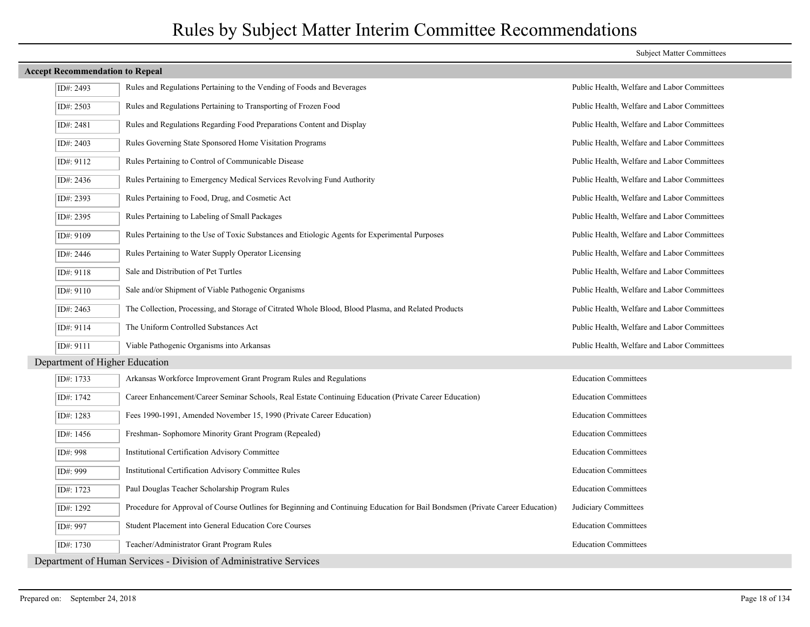# **Accept Recommendation to Repeal** ID#: 2493 Rules and Regulations Pertaining to the Vending of Foods and Beverages Public Health, Welfare and Labor Committees ID#: 2503 Rules and Regulations Pertaining to Transporting of Frozen Food Public Health, Welfare and Labor Committees ID#: 2481 Rules and Regulations Regarding Food Preparations Content and Display Public Health, Welfare and Labor Committees ID#: 2403 Rules Governing State Sponsored Home Visitation Programs Public Health, Welfare and Labor Committees ID#: 9112 Rules Pertaining to Control of Communicable Disease Public Health, Welfare and Labor Committees ID#: 2436 Rules Pertaining to Emergency Medical Services Revolving Fund Authority Public Health, Welfare and Labor Committees ID#: 2393 Rules Pertaining to Food, Drug, and Cosmetic Act Public Health, Welfare and Labor Committees ID#: 2395 Rules Pertaining to Labeling of Small Packages Public Health, Welfare and Labor Committees ID#: 9109 Rules Pertaining to the Use of Toxic Substances and Etiologic Agents for Experimental Purposes Public Health, Welfare and Labor Committees ID#: 2446 Rules Pertaining to Water Supply Operator Licensing Public Health, Welfare and Labor Committees ID#: 9118 Sale and Distribution of Pet Turtles Public Health, Welfare and Labor Committees ID#: 9110 Sale and/or Shipment of Viable Pathogenic Organisms Public Health, Welfare and Labor Committees ID#: 2463 The Collection, Processing, and Storage of Citrated Whole Blood, Blood Plasma, and Related Products Public Health, Welfare and Labor Committees ID#: 9114 The Uniform Controlled Substances Act Public Health, Welfare and Labor Committees ID#: 9111 Viable Pathogenic Organisms into Arkansas Public Health, Welfare and Labor Committees Department of Higher Education ID#: 1733 Arkansas Workforce Improvement Grant Program Rules and Regulations Education Committees ID#: 1742 Career Enhancement/Career Seminar Schools, Real Estate Continuing Education (Private Career Education) Education Committees ID#: 1283 Fees 1990-1991, Amended November 15, 1990 (Private Career Education) Education Committees ID#: 1456 Freshman- Sophomore Minority Grant Program (Repealed) Education Committees ID#: 998 Institutional Certification Advisory Committee Education Committees ID#: 999 Institutional Certification Advisory Committee Rules Education Committees ID#: 1723 Paul Douglas Teacher Scholarship Program Rules Education Committees ID#: 1292 Procedure for Approval of Course Outlines for Beginning and Continuing Education for Bail Bondsmen (Private Career Education) Judiciary Committees ID#: 997 Student Placement into General Education Core Courses Education Committees ID#: 1730 Teacher/Administrator Grant Program Rules Education Committees

Department of Human Services - Division of Administrative Services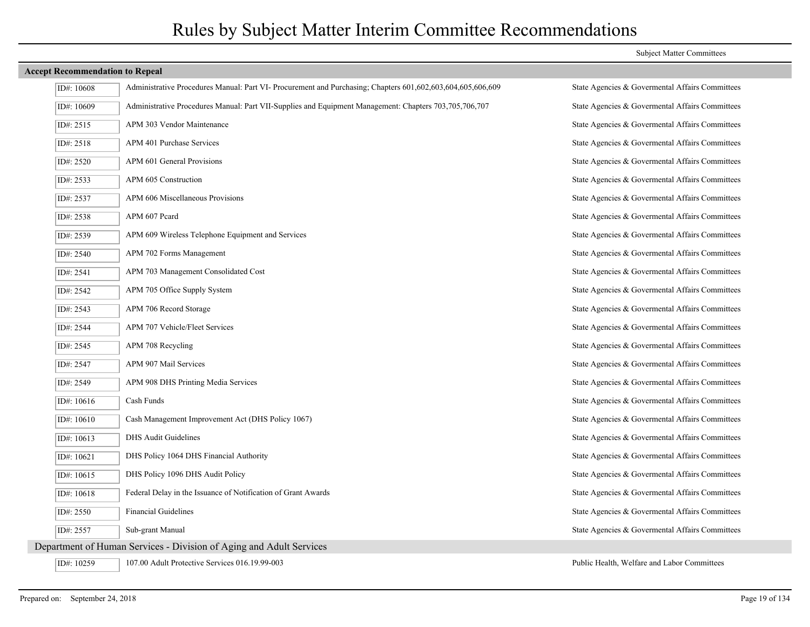| ID#: 10608   | Administrative Procedures Manual: Part VI- Procurement and Purchasing; Chapters 601,602,603,604,605,606,609 | State Agencies & Govermental Affairs Committees |
|--------------|-------------------------------------------------------------------------------------------------------------|-------------------------------------------------|
| ID#: 10609   | Administrative Procedures Manual: Part VII-Supplies and Equipment Management: Chapters 703,705,706,707      | State Agencies & Governental Affairs Committees |
| ID#: 2515    | APM 303 Vendor Maintenance                                                                                  | State Agencies & Govermental Affairs Committees |
| ID#: 2518    | APM 401 Purchase Services                                                                                   | State Agencies & Govermental Affairs Committees |
| ID#: 2520    | APM 601 General Provisions                                                                                  | State Agencies & Govermental Affairs Committees |
| ID#: 2533    | APM 605 Construction                                                                                        | State Agencies & Govermental Affairs Committees |
| ID#: 2537    | APM 606 Miscellaneous Provisions                                                                            | State Agencies & Govermental Affairs Committees |
| ID#: 2538    | APM 607 Peard                                                                                               | State Agencies & Governental Affairs Committees |
| ID#: 2539    | APM 609 Wireless Telephone Equipment and Services                                                           | State Agencies & Govermental Affairs Committees |
| ID#: 2540    | APM 702 Forms Management                                                                                    | State Agencies & Governental Affairs Committees |
| ID#: 2541    | APM 703 Management Consolidated Cost                                                                        | State Agencies & Govermental Affairs Committees |
| ID#: 2542    | APM 705 Office Supply System                                                                                | State Agencies & Governental Affairs Committees |
| ID#: 2543    | APM 706 Record Storage                                                                                      | State Agencies & Govermental Affairs Committees |
| ID#: 2544    | APM 707 Vehicle/Fleet Services                                                                              | State Agencies & Governental Affairs Committees |
| ID#: 2545    | APM 708 Recycling                                                                                           | State Agencies & Govermental Affairs Committees |
| ID#: 2547    | APM 907 Mail Services                                                                                       | State Agencies & Governental Affairs Committees |
| ID#: 2549    | APM 908 DHS Printing Media Services                                                                         | State Agencies & Govermental Affairs Committees |
| ID#: 10616   | Cash Funds                                                                                                  | State Agencies & Govermental Affairs Committees |
| ID#: 10610   | Cash Management Improvement Act (DHS Policy 1067)                                                           | State Agencies & Govermental Affairs Committees |
| ID#: 10613   | DHS Audit Guidelines                                                                                        | State Agencies & Governental Affairs Committees |
| ID#: 10621   | DHS Policy 1064 DHS Financial Authority                                                                     | State Agencies & Govermental Affairs Committees |
| ID#: $10615$ | DHS Policy 1096 DHS Audit Policy                                                                            | State Agencies & Govermental Affairs Committees |
| ID#: 10618   | Federal Delay in the Issuance of Notification of Grant Awards                                               | State Agencies & Govermental Affairs Committees |
| ID#: 2550    | <b>Financial Guidelines</b>                                                                                 | State Agencies & Governental Affairs Committees |
| ID#: 2557    | Sub-grant Manual                                                                                            | State Agencies & Govermental Affairs Committees |
|              | Department of Human Services - Division of Aging and Adult Services                                         |                                                 |
| ID#: 10259   | 107.00 Adult Protective Services 016.19.99-003                                                              | Public Health, Welfare and Labor Committees     |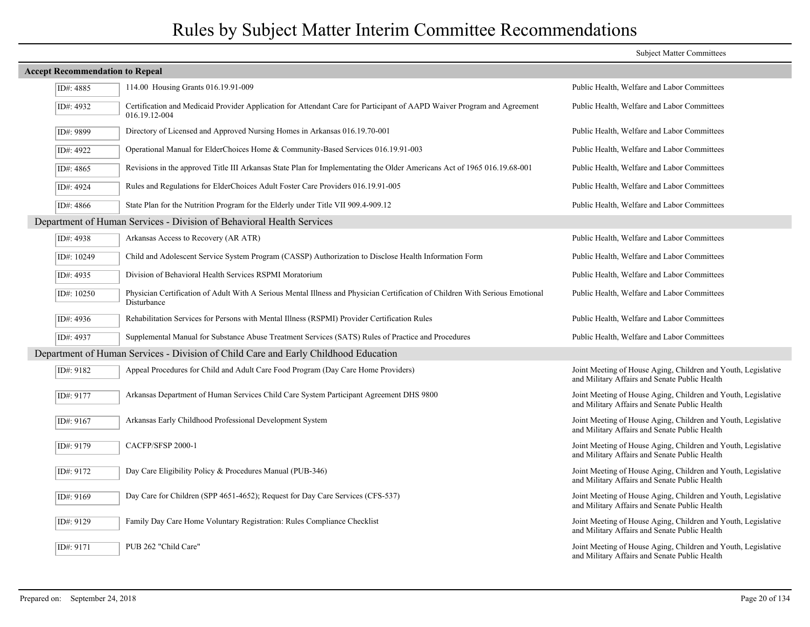|                                                                                     |                                                                                                                                              | <b>Subject Matter Committees</b>                                                                               |  |  |
|-------------------------------------------------------------------------------------|----------------------------------------------------------------------------------------------------------------------------------------------|----------------------------------------------------------------------------------------------------------------|--|--|
| <b>Accept Recommendation to Repeal</b>                                              |                                                                                                                                              |                                                                                                                |  |  |
| ID#: 4885                                                                           | 114.00 Housing Grants 016.19.91-009                                                                                                          | Public Health, Welfare and Labor Committees                                                                    |  |  |
| ID#: 4932                                                                           | Certification and Medicaid Provider Application for Attendant Care for Participant of AAPD Waiver Program and Agreement<br>016.19.12-004     | Public Health, Welfare and Labor Committees                                                                    |  |  |
| ID#: 9899                                                                           | Directory of Licensed and Approved Nursing Homes in Arkansas 016.19.70-001                                                                   | Public Health, Welfare and Labor Committees                                                                    |  |  |
| ID#: 4922                                                                           | Operational Manual for ElderChoices Home & Community-Based Services 016.19.91-003                                                            | Public Health, Welfare and Labor Committees                                                                    |  |  |
| ID#: 4865                                                                           | Revisions in the approved Title III Arkansas State Plan for Implementating the Older Americans Act of 1965 016.19.68-001                     | Public Health, Welfare and Labor Committees                                                                    |  |  |
| ID#: 4924                                                                           | Rules and Regulations for ElderChoices Adult Foster Care Providers 016.19.91-005                                                             | Public Health, Welfare and Labor Committees                                                                    |  |  |
| ID#: 4866                                                                           | State Plan for the Nutrition Program for the Elderly under Title VII 909.4-909.12                                                            | Public Health, Welfare and Labor Committees                                                                    |  |  |
|                                                                                     | Department of Human Services - Division of Behavioral Health Services                                                                        |                                                                                                                |  |  |
| ID#: 4938                                                                           | Arkansas Access to Recovery (AR ATR)                                                                                                         | Public Health, Welfare and Labor Committees                                                                    |  |  |
| ID#: 10249                                                                          | Child and Adolescent Service System Program (CASSP) Authorization to Disclose Health Information Form                                        | Public Health, Welfare and Labor Committees                                                                    |  |  |
| ID#: 4935                                                                           | Division of Behavioral Health Services RSPMI Moratorium                                                                                      | Public Health, Welfare and Labor Committees                                                                    |  |  |
| ID#: 10250                                                                          | Physician Certification of Adult With A Serious Mental Illness and Physician Certification of Children With Serious Emotional<br>Disturbance | Public Health, Welfare and Labor Committees                                                                    |  |  |
| ID#: 4936                                                                           | Rehabilitation Services for Persons with Mental Illness (RSPMI) Provider Certification Rules                                                 | Public Health, Welfare and Labor Committees                                                                    |  |  |
| ID#: 4937                                                                           | Supplemental Manual for Substance Abuse Treatment Services (SATS) Rules of Practice and Procedures                                           | Public Health, Welfare and Labor Committees                                                                    |  |  |
| Department of Human Services - Division of Child Care and Early Childhood Education |                                                                                                                                              |                                                                                                                |  |  |
| ID#: 9182                                                                           | Appeal Procedures for Child and Adult Care Food Program (Day Care Home Providers)                                                            | Joint Meeting of House Aging, Children and Youth, Legislative<br>and Military Affairs and Senate Public Health |  |  |
| ID#: 9177                                                                           | Arkansas Department of Human Services Child Care System Participant Agreement DHS 9800                                                       | Joint Meeting of House Aging, Children and Youth, Legislative<br>and Military Affairs and Senate Public Health |  |  |
| ID#: 9167                                                                           | Arkansas Early Childhood Professional Development System                                                                                     | Joint Meeting of House Aging, Children and Youth, Legislative<br>and Military Affairs and Senate Public Health |  |  |
| ID#: 9179                                                                           | CACFP/SFSP 2000-1                                                                                                                            | Joint Meeting of House Aging, Children and Youth, Legislative<br>and Military Affairs and Senate Public Health |  |  |
| ID#: 9172                                                                           | Day Care Eligibility Policy & Procedures Manual (PUB-346)                                                                                    | Joint Meeting of House Aging, Children and Youth, Legislative<br>and Military Affairs and Senate Public Health |  |  |
| ID#: 9169                                                                           | Day Care for Children (SPP 4651-4652); Request for Day Care Services (CFS-537)                                                               | Joint Meeting of House Aging, Children and Youth, Legislative<br>and Military Affairs and Senate Public Health |  |  |
| ID#: 9129                                                                           | Family Day Care Home Voluntary Registration: Rules Compliance Checklist                                                                      | Joint Meeting of House Aging, Children and Youth, Legislative<br>and Military Affairs and Senate Public Health |  |  |
| ID#: 9171                                                                           | PUB 262 "Child Care"                                                                                                                         | Joint Meeting of House Aging, Children and Youth, Legislative<br>and Military Affairs and Senate Public Health |  |  |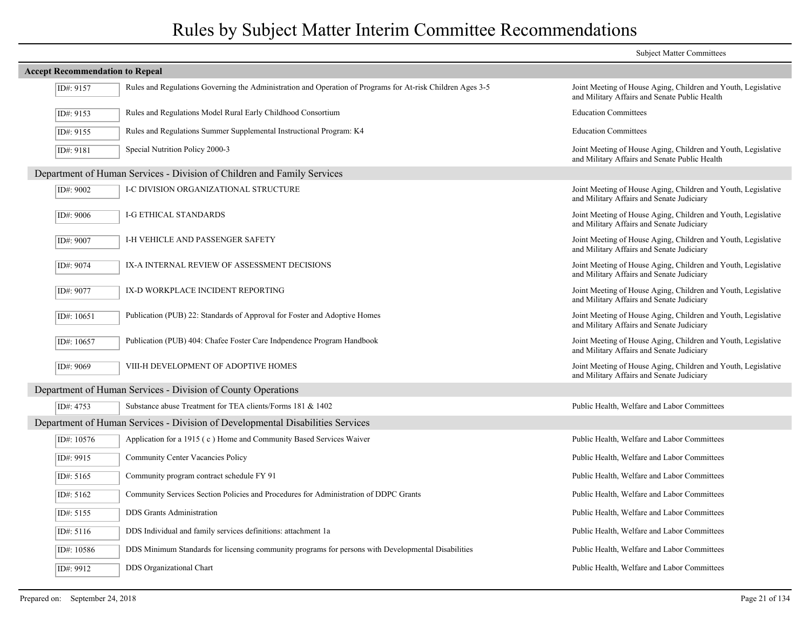|                                        |                                                                                                            | <b>Subject Matter Committees</b>                                                                               |
|----------------------------------------|------------------------------------------------------------------------------------------------------------|----------------------------------------------------------------------------------------------------------------|
| <b>Accept Recommendation to Repeal</b> |                                                                                                            |                                                                                                                |
| ID#: 9157                              | Rules and Regulations Governing the Administration and Operation of Programs for At-risk Children Ages 3-5 | Joint Meeting of House Aging, Children and Youth, Legislative<br>and Military Affairs and Senate Public Health |
| ID#: 9153                              | Rules and Regulations Model Rural Early Childhood Consortium                                               | <b>Education Committees</b>                                                                                    |
| ID#: 9155                              | Rules and Regulations Summer Supplemental Instructional Program: K4                                        | <b>Education Committees</b>                                                                                    |
| ID#: 9181                              | Special Nutrition Policy 2000-3                                                                            | Joint Meeting of House Aging, Children and Youth, Legislative<br>and Military Affairs and Senate Public Health |
|                                        | Department of Human Services - Division of Children and Family Services                                    |                                                                                                                |
| ID#: 9002                              | I-C DIVISION ORGANIZATIONAL STRUCTURE                                                                      | Joint Meeting of House Aging, Children and Youth, Legislative<br>and Military Affairs and Senate Judiciary     |
| ID#: 9006                              | I-G ETHICAL STANDARDS                                                                                      | Joint Meeting of House Aging, Children and Youth, Legislative<br>and Military Affairs and Senate Judiciary     |
| ID#: 9007                              | I-H VEHICLE AND PASSENGER SAFETY                                                                           | Joint Meeting of House Aging, Children and Youth, Legislative<br>and Military Affairs and Senate Judiciary     |
| ID#: 9074                              | IX-A INTERNAL REVIEW OF ASSESSMENT DECISIONS                                                               | Joint Meeting of House Aging, Children and Youth, Legislative<br>and Military Affairs and Senate Judiciary     |
| ID#: 9077                              | IX-D WORKPLACE INCIDENT REPORTING                                                                          | Joint Meeting of House Aging, Children and Youth, Legislative<br>and Military Affairs and Senate Judiciary     |
| ID#: $10651$                           | Publication (PUB) 22: Standards of Approval for Foster and Adoptive Homes                                  | Joint Meeting of House Aging, Children and Youth, Legislative<br>and Military Affairs and Senate Judiciary     |
| ID#: 10657                             | Publication (PUB) 404: Chafee Foster Care Indpendence Program Handbook                                     | Joint Meeting of House Aging, Children and Youth, Legislative<br>and Military Affairs and Senate Judiciary     |
| ID#: 9069                              | VIII-H DEVELOPMENT OF ADOPTIVE HOMES                                                                       | Joint Meeting of House Aging, Children and Youth, Legislative<br>and Military Affairs and Senate Judiciary     |
|                                        | Department of Human Services - Division of County Operations                                               |                                                                                                                |
| ID#: 4753                              | Substance abuse Treatment for TEA clients/Forms 181 & 1402                                                 | Public Health, Welfare and Labor Committees                                                                    |
|                                        | Department of Human Services - Division of Developmental Disabilities Services                             |                                                                                                                |
| ID#: 10576                             | Application for a 1915 (c) Home and Community Based Services Waiver                                        | Public Health, Welfare and Labor Committees                                                                    |
| ID#: 9915                              | Community Center Vacancies Policy                                                                          | Public Health, Welfare and Labor Committees                                                                    |
| ID#: 5165                              | Community program contract schedule FY 91                                                                  | Public Health, Welfare and Labor Committees                                                                    |
| ID#: 5162                              | Community Services Section Policies and Procedures for Administration of DDPC Grants                       | Public Health, Welfare and Labor Committees                                                                    |
| ID#: 5155                              | <b>DDS</b> Grants Administration                                                                           | Public Health, Welfare and Labor Committees                                                                    |
| ID#: 5116                              | DDS Individual and family services definitions: attachment 1a                                              | Public Health, Welfare and Labor Committees                                                                    |
| ID#: 10586                             | DDS Minimum Standards for licensing community programs for persons with Developmental Disabilities         | Public Health, Welfare and Labor Committees                                                                    |
| ID#: 9912                              | DDS Organizational Chart                                                                                   | Public Health, Welfare and Labor Committees                                                                    |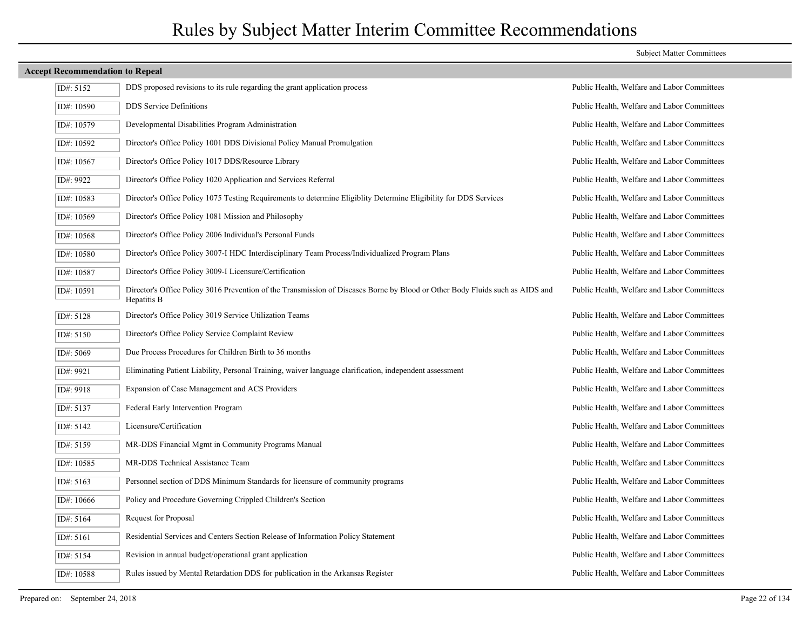# ID#: 5152 DDS proposed revisions to its rule regarding the grant application process Public Health, Welfare and Labor Committees ID#: 10590 DDS Service Definitions Public Health, Welfare and Labor Committees ID#: 10579 Developmental Disabilities Program Administration Public Health, Welfare and Labor Committees ID#: 10592 Director's Office Policy 1001 DDS Divisional Policy Manual Promulgation Public Health, Welfare and Labor Committees ID#: 10567 | Director's Office Policy 1017 DDS/Resource Library Public Health, Welfare and Labor Committees ID#: 9922 Director's Office Policy 1020 Application and Services Referral Public Health, Welfare and Labor Committees ID#: 10583 Director's Office Policy 1075 Testing Requirements to determine Eligiblity Determine Eligibility for DDS Services Public Health, Welfare and Labor Committees ID#: 10569 Director's Office Policy 1081 Mission and Philosophy Public Health, Welfare and Labor Committees ID#: 10568 Director's Office Policy 2006 Individual's Personal Funds Public Health, Welfare and Labor Committees ID#: 10580 Director's Office Policy 3007-I HDC Interdisciplinary Team Process/Individualized Program Plans Public Health, Welfare and Labor Committees ID#: 10587 Director's Office Policy 3009-I Licensure/Certification Public Health, Welfare and Labor Committees Director's Office Policy 3016 Prevention of the Transmission of Diseases Borne by Blood or Other Body Fluids such as AIDS and Public Health, Welfare and Labor Committees Hepatitis B ID#: 10591 ID#: 5128 Director's Office Policy 3019 Service Utilization Teams Public Health, Welfare and Labor Committees ID#: 5150 Director's Office Policy Service Complaint Review Public Health, Welfare and Labor Committees ID#: 5069 Due Process Procedures for Children Birth to 36 months Public Health, Welfare and Labor Committees ID#: 9921 Eliminating Patient Liability, Personal Training, waiver language clarification, independent assessment Public Health, Welfare and Labor Committees ID#: 9918 Expansion of Case Management and ACS Providers Public Health, Welfare and Labor Committees ID#: 5137 Federal Early Intervention Program Public Health, Welfare and Labor Committees ID#: 5142 Licensure/Certification Public Health, Welfare and Labor Committees ID#: 5159 MR-DDS Financial Mgmt in Community Programs Manual Public Health, Welfare and Labor Committees ID#: 10585 MR-DDS Technical Assistance Team Public Health, Welfare and Labor Committees ID#: 5163 Personnel section of DDS Minimum Standards for licensure of community programs Public Health, Welfare and Labor Committees ID#: 10666 Policy and Procedure Governing Crippled Children's Section Public Health, Welfare and Labor Committees ID#: 5164 Request for Proposal Public Health, Welfare and Labor Committees ID#: 5161 Residential Services and Centers Section Release of Information Policy Statement Public Health, Welfare and Labor Committees ID#: 5154 Revision in annual budget/operational grant application Public Health, Welfare and Labor Committees ID#: 10588 Rules issued by Mental Retardation DDS for publication in the Arkansas Register Public Health, Welfare and Labor Committees

**Accept Recommendation to Repeal**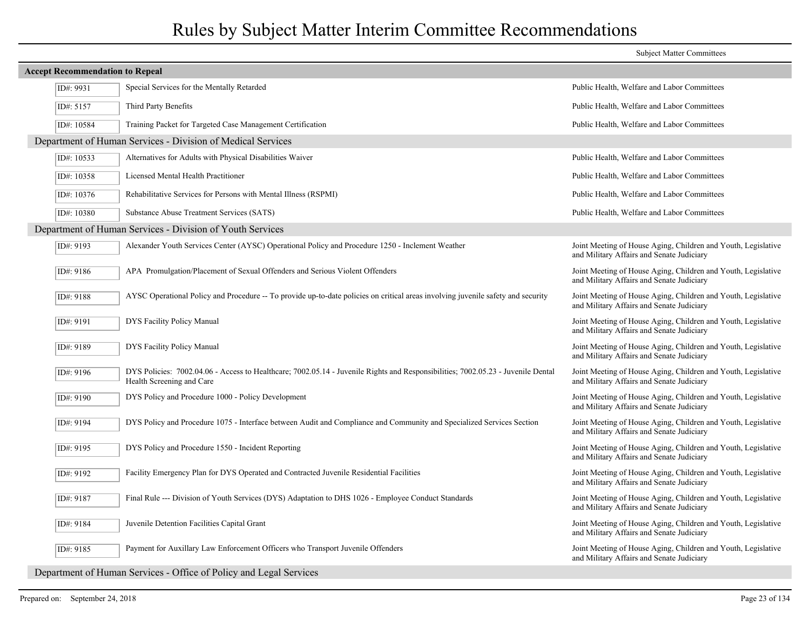|                                        |                                                                                                                                                               | <b>Subject Matter Committees</b>                                                                           |
|----------------------------------------|---------------------------------------------------------------------------------------------------------------------------------------------------------------|------------------------------------------------------------------------------------------------------------|
| <b>Accept Recommendation to Repeal</b> |                                                                                                                                                               |                                                                                                            |
| ID#: 9931                              | Special Services for the Mentally Retarded                                                                                                                    | Public Health, Welfare and Labor Committees                                                                |
| ID#: 5157                              | Third Party Benefits                                                                                                                                          | Public Health, Welfare and Labor Committees                                                                |
| ID#: 10584                             | Training Packet for Targeted Case Management Certification                                                                                                    | Public Health, Welfare and Labor Committees                                                                |
|                                        | Department of Human Services - Division of Medical Services                                                                                                   |                                                                                                            |
| ID#: 10533                             | Alternatives for Adults with Physical Disabilities Waiver                                                                                                     | Public Health, Welfare and Labor Committees                                                                |
| ID#: 10358                             | Licensed Mental Health Practitioner                                                                                                                           | Public Health, Welfare and Labor Committees                                                                |
| ID#: $10376$                           | Rehabilitative Services for Persons with Mental Illness (RSPMI)                                                                                               | Public Health, Welfare and Labor Committees                                                                |
| ID#: 10380                             | Substance Abuse Treatment Services (SATS)                                                                                                                     | Public Health, Welfare and Labor Committees                                                                |
|                                        | Department of Human Services - Division of Youth Services                                                                                                     |                                                                                                            |
| ID#: 9193                              | Alexander Youth Services Center (AYSC) Operational Policy and Procedure 1250 - Inclement Weather                                                              | Joint Meeting of House Aging, Children and Youth, Legislative<br>and Military Affairs and Senate Judiciary |
| ID#: 9186                              | APA Promulgation/Placement of Sexual Offenders and Serious Violent Offenders                                                                                  | Joint Meeting of House Aging, Children and Youth, Legislative<br>and Military Affairs and Senate Judiciary |
| ID#: 9188                              | AYSC Operational Policy and Procedure -- To provide up-to-date policies on critical areas involving juvenile safety and security                              | Joint Meeting of House Aging, Children and Youth, Legislative<br>and Military Affairs and Senate Judiciary |
| ID#: 9191                              | <b>DYS Facility Policy Manual</b>                                                                                                                             | Joint Meeting of House Aging, Children and Youth, Legislative<br>and Military Affairs and Senate Judiciary |
| ID#: 9189                              | DYS Facility Policy Manual                                                                                                                                    | Joint Meeting of House Aging, Children and Youth, Legislative<br>and Military Affairs and Senate Judiciary |
| ID#: 9196                              | DYS Policies: 7002.04.06 - Access to Healthcare; 7002.05.14 - Juvenile Rights and Responsibilities; 7002.05.23 - Juvenile Dental<br>Health Screening and Care | Joint Meeting of House Aging, Children and Youth, Legislative<br>and Military Affairs and Senate Judiciary |
| ID#: 9190                              | DYS Policy and Procedure 1000 - Policy Development                                                                                                            | Joint Meeting of House Aging, Children and Youth, Legislative<br>and Military Affairs and Senate Judiciary |
| ID#: 9194                              | DYS Policy and Procedure 1075 - Interface between Audit and Compliance and Community and Specialized Services Section                                         | Joint Meeting of House Aging, Children and Youth, Legislative<br>and Military Affairs and Senate Judiciary |
| ID#: 9195                              | DYS Policy and Procedure 1550 - Incident Reporting                                                                                                            | Joint Meeting of House Aging, Children and Youth, Legislative<br>and Military Affairs and Senate Judiciary |
| ID#: 9192                              | Facility Emergency Plan for DYS Operated and Contracted Juvenile Residential Facilities                                                                       | Joint Meeting of House Aging, Children and Youth, Legislative<br>and Military Affairs and Senate Judiciary |
| ID#: 9187                              | Final Rule --- Division of Youth Services (DYS) Adaptation to DHS 1026 - Employee Conduct Standards                                                           | Joint Meeting of House Aging, Children and Youth, Legislative<br>and Military Affairs and Senate Judiciary |
| ID#: 9184                              | Juvenile Detention Facilities Capital Grant                                                                                                                   | Joint Meeting of House Aging, Children and Youth, Legislative<br>and Military Affairs and Senate Judiciary |
| ID#: 9185                              | Payment for Auxillary Law Enforcement Officers who Transport Juvenile Offenders                                                                               | Joint Meeting of House Aging, Children and Youth, Legislative<br>and Military Affairs and Senate Judiciary |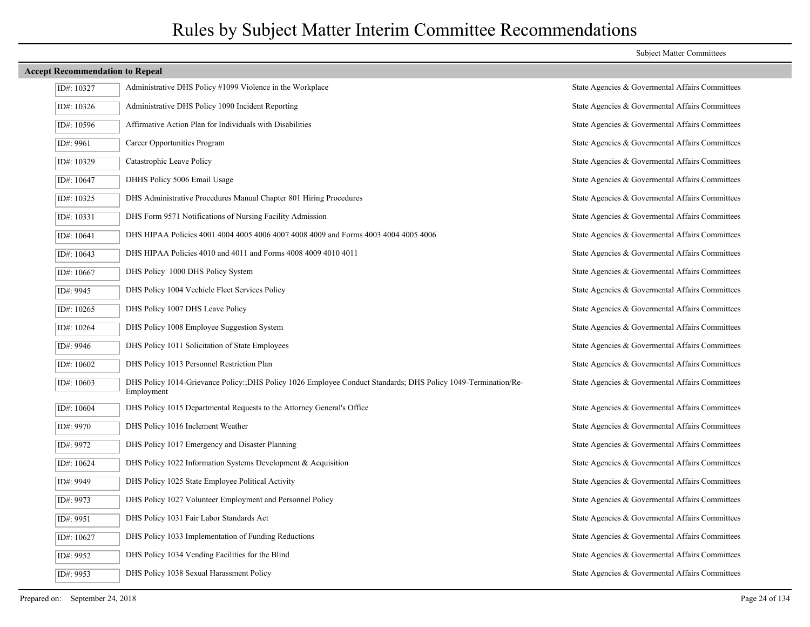| ID#: 10327 | Administrative DHS Policy #1099 Violence in the Workplace                                                                   | State Agencies & Govermental Affairs Committees |
|------------|-----------------------------------------------------------------------------------------------------------------------------|-------------------------------------------------|
| ID#: 10326 | Administrative DHS Policy 1090 Incident Reporting                                                                           | State Agencies & Govermental Affairs Committees |
| ID#: 10596 | Affirmative Action Plan for Individuals with Disabilities                                                                   | State Agencies & Govermental Affairs Committees |
| ID#: 9961  | Career Opportunities Program                                                                                                | State Agencies & Govermental Affairs Committees |
| ID#: 10329 | Catastrophic Leave Policy                                                                                                   | State Agencies & Govermental Affairs Committees |
| ID#: 10647 | DHHS Policy 5006 Email Usage                                                                                                | State Agencies & Govermental Affairs Committees |
| ID#: 10325 | DHS Administrative Procedures Manual Chapter 801 Hiring Procedures                                                          | State Agencies & Govermental Affairs Committees |
| ID#: 10331 | DHS Form 9571 Notifications of Nursing Facility Admission                                                                   | State Agencies & Govermental Affairs Committees |
| ID#: 10641 | DHS HIPAA Policies 4001 4004 4005 4006 4007 4008 4009 and Forms 4003 4004 4005 4006                                         | State Agencies & Govermental Affairs Committees |
| ID#: 10643 | DHS HIPAA Policies 4010 and 4011 and Forms 4008 4009 4010 4011                                                              | State Agencies & Govermental Affairs Committees |
| ID#: 10667 | DHS Policy 1000 DHS Policy System                                                                                           | State Agencies & Govermental Affairs Committees |
| ID#: 9945  | DHS Policy 1004 Vechicle Fleet Services Policy                                                                              | State Agencies & Govermental Affairs Committees |
| ID#: 10265 | DHS Policy 1007 DHS Leave Policy                                                                                            | State Agencies & Govermental Affairs Committees |
| ID#: 10264 | DHS Policy 1008 Employee Suggestion System                                                                                  | State Agencies & Govermental Affairs Committees |
| ID#: 9946  | DHS Policy 1011 Solicitation of State Employees                                                                             | State Agencies & Govermental Affairs Committees |
| ID#: 10602 | DHS Policy 1013 Personnel Restriction Plan                                                                                  | State Agencies & Govermental Affairs Committees |
| ID#: 10603 | DHS Policy 1014-Grievance Policy: DHS Policy 1026 Employee Conduct Standards; DHS Policy 1049-Termination/Re-<br>Employment | State Agencies & Governental Affairs Committees |
| ID#: 10604 | DHS Policy 1015 Departmental Requests to the Attorney General's Office                                                      | State Agencies & Govermental Affairs Committees |
| ID#: 9970  | DHS Policy 1016 Inclement Weather                                                                                           | State Agencies & Govermental Affairs Committees |
| ID#: 9972  | DHS Policy 1017 Emergency and Disaster Planning                                                                             | State Agencies & Govermental Affairs Committees |
| ID#: 10624 | DHS Policy 1022 Information Systems Development & Acquisition                                                               | State Agencies & Govermental Affairs Committees |
| ID#: 9949  | DHS Policy 1025 State Employee Political Activity                                                                           | State Agencies & Govermental Affairs Committees |
| ID#: 9973  | DHS Policy 1027 Volunteer Employment and Personnel Policy                                                                   | State Agencies & Govermental Affairs Committees |
| ID#: 9951  | DHS Policy 1031 Fair Labor Standards Act                                                                                    | State Agencies & Govermental Affairs Committees |
| ID#: 10627 | DHS Policy 1033 Implementation of Funding Reductions                                                                        | State Agencies & Governental Affairs Committees |
| ID#: 9952  | DHS Policy 1034 Vending Facilities for the Blind                                                                            | State Agencies & Govermental Affairs Committees |
| ID#: 9953  | DHS Policy 1038 Sexual Harassment Policy                                                                                    | State Agencies & Govermental Affairs Committees |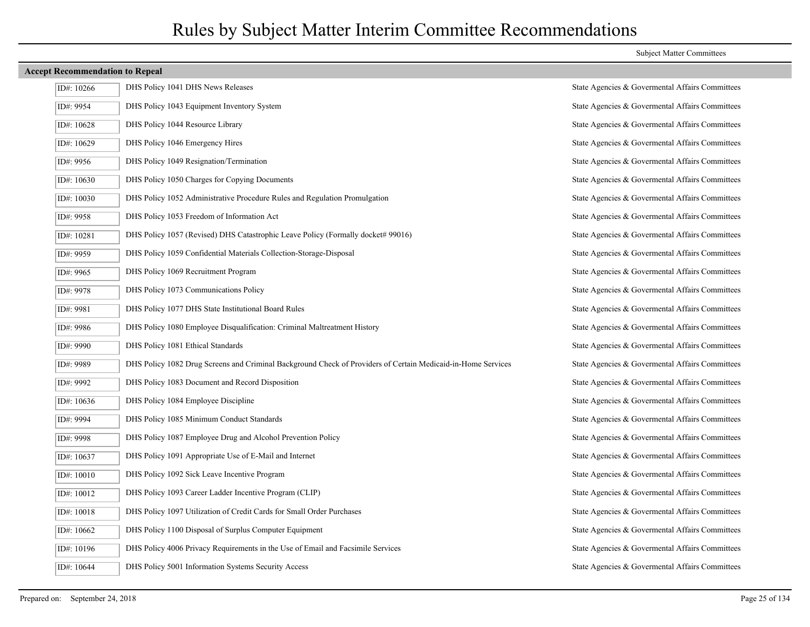| ID#: 10266 | DHS Policy 1041 DHS News Releases                                                                            | State Agencies & Govermental Affairs Committees |
|------------|--------------------------------------------------------------------------------------------------------------|-------------------------------------------------|
| ID#: 9954  | DHS Policy 1043 Equipment Inventory System                                                                   | State Agencies & Govermental Affairs Committees |
| ID#: 10628 | DHS Policy 1044 Resource Library                                                                             | State Agencies & Govermental Affairs Committees |
| ID#: 10629 | DHS Policy 1046 Emergency Hires                                                                              | State Agencies & Govermental Affairs Committees |
| ID#: 9956  | DHS Policy 1049 Resignation/Termination                                                                      | State Agencies & Govermental Affairs Committees |
| ID#: 10630 | DHS Policy 1050 Charges for Copying Documents                                                                | State Agencies & Govermental Affairs Committees |
| ID#: 10030 | DHS Policy 1052 Administrative Procedure Rules and Regulation Promulgation                                   | State Agencies & Govermental Affairs Committees |
| ID#: 9958  | DHS Policy 1053 Freedom of Information Act                                                                   | State Agencies & Govermental Affairs Committees |
| ID#: 10281 | DHS Policy 1057 (Revised) DHS Catastrophic Leave Policy (Formally docket# 99016)                             | State Agencies & Govermental Affairs Committees |
| ID#: 9959  | DHS Policy 1059 Confidential Materials Collection-Storage-Disposal                                           | State Agencies & Govermental Affairs Committees |
| ID#: 9965  | DHS Policy 1069 Recruitment Program                                                                          | State Agencies & Govermental Affairs Committees |
| ID#: 9978  | DHS Policy 1073 Communications Policy                                                                        | State Agencies & Govermental Affairs Committees |
| ID#: 9981  | DHS Policy 1077 DHS State Institutional Board Rules                                                          | State Agencies & Govermental Affairs Committees |
| ID#: 9986  | DHS Policy 1080 Employee Disqualification: Criminal Maltreatment History                                     | State Agencies & Govermental Affairs Committees |
| ID#: 9990  | DHS Policy 1081 Ethical Standards                                                                            | State Agencies & Govermental Affairs Committees |
| ID#: 9989  | DHS Policy 1082 Drug Screens and Criminal Background Check of Providers of Certain Medicaid-in-Home Services | State Agencies & Govermental Affairs Committees |
| ID#: 9992  | DHS Policy 1083 Document and Record Disposition                                                              | State Agencies & Govermental Affairs Committees |
| ID#: 10636 | DHS Policy 1084 Employee Discipline                                                                          | State Agencies & Govermental Affairs Committees |
| ID#: 9994  | DHS Policy 1085 Minimum Conduct Standards                                                                    | State Agencies & Govermental Affairs Committees |
| ID#: 9998  | DHS Policy 1087 Employee Drug and Alcohol Prevention Policy                                                  | State Agencies & Govermental Affairs Committees |
| ID#: 10637 | DHS Policy 1091 Appropriate Use of E-Mail and Internet                                                       | State Agencies & Govermental Affairs Committees |
| ID#: 10010 | DHS Policy 1092 Sick Leave Incentive Program                                                                 | State Agencies & Govermental Affairs Committees |
| ID#: 10012 | DHS Policy 1093 Career Ladder Incentive Program (CLIP)                                                       | State Agencies & Govermental Affairs Committees |
| ID#: 10018 | DHS Policy 1097 Utilization of Credit Cards for Small Order Purchases                                        | State Agencies & Govermental Affairs Committees |
| ID#: 10662 | DHS Policy 1100 Disposal of Surplus Computer Equipment                                                       | State Agencies & Govermental Affairs Committees |
| ID#: 10196 | DHS Policy 4006 Privacy Requirements in the Use of Email and Facsimile Services                              | State Agencies & Govermental Affairs Committees |
| ID#: 10644 | DHS Policy 5001 Information Systems Security Access                                                          | State Agencies & Govermental Affairs Committees |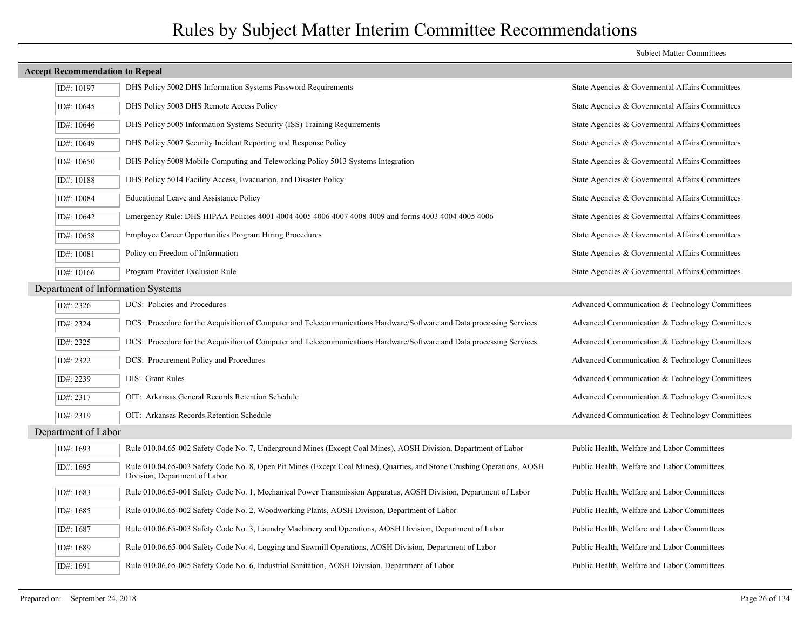| <b>Accept Recommendation to Repeal</b> |                                                                                                                                                          |                                                 |  |
|----------------------------------------|----------------------------------------------------------------------------------------------------------------------------------------------------------|-------------------------------------------------|--|
| ID#: 10197                             | DHS Policy 5002 DHS Information Systems Password Requirements                                                                                            | State Agencies & Governental Affairs Committees |  |
| ID#: $10645$                           | DHS Policy 5003 DHS Remote Access Policy                                                                                                                 | State Agencies & Governental Affairs Committees |  |
| ID#: $10646$                           | DHS Policy 5005 Information Systems Security (ISS) Training Requirements                                                                                 | State Agencies & Governental Affairs Committees |  |
| ID#: 10649                             | DHS Policy 5007 Security Incident Reporting and Response Policy                                                                                          | State Agencies & Governental Affairs Committees |  |
| ID#: $10650$                           | DHS Policy 5008 Mobile Computing and Teleworking Policy 5013 Systems Integration                                                                         | State Agencies & Governental Affairs Committees |  |
| ID#: 10188                             | DHS Policy 5014 Facility Access, Evacuation, and Disaster Policy                                                                                         | State Agencies & Governental Affairs Committees |  |
| ID#: 10084                             | Educational Leave and Assistance Policy                                                                                                                  | State Agencies & Governental Affairs Committees |  |
| ID#: 10642                             | Emergency Rule: DHS HIPAA Policies 4001 4004 4005 4006 4007 4008 4009 and forms 4003 4004 4005 4006                                                      | State Agencies & Govermental Affairs Committees |  |
| ID#: 10658                             | Employee Career Opportunities Program Hiring Procedures                                                                                                  | State Agencies & Governental Affairs Committees |  |
| ID#: 10081                             | Policy on Freedom of Information                                                                                                                         | State Agencies & Governental Affairs Committees |  |
| ID#: 10166                             | Program Provider Exclusion Rule                                                                                                                          | State Agencies & Governental Affairs Committees |  |
| Department of Information Systems      |                                                                                                                                                          |                                                 |  |
| ID#: 2326                              | DCS: Policies and Procedures                                                                                                                             | Advanced Communication & Technology Committees  |  |
| ID#: 2324                              | DCS: Procedure for the Acquisition of Computer and Telecommunications Hardware/Software and Data processing Services                                     | Advanced Communication & Technology Committees  |  |
| ID#: 2325                              | DCS: Procedure for the Acquisition of Computer and Telecommunications Hardware/Software and Data processing Services                                     | Advanced Communication & Technology Committees  |  |
| ID#: 2322                              | DCS: Procurement Policy and Procedures                                                                                                                   | Advanced Communication & Technology Committees  |  |
| ID#: 2239                              | DIS: Grant Rules                                                                                                                                         | Advanced Communication & Technology Committees  |  |
| ID#: 2317                              | OIT: Arkansas General Records Retention Schedule                                                                                                         | Advanced Communication & Technology Committees  |  |
| ID#: 2319                              | OIT: Arkansas Records Retention Schedule                                                                                                                 | Advanced Communication & Technology Committees  |  |
| Department of Labor                    |                                                                                                                                                          |                                                 |  |
| ID#: 1693                              | Rule 010.04.65-002 Safety Code No. 7, Underground Mines (Except Coal Mines), AOSH Division, Department of Labor                                          | Public Health, Welfare and Labor Committees     |  |
| ID#: 1695                              | Rule 010.04.65-003 Safety Code No. 8, Open Pit Mines (Except Coal Mines), Quarries, and Stone Crushing Operations, AOSH<br>Division, Department of Labor | Public Health, Welfare and Labor Committees     |  |
| ID#: 1683                              | Rule 010.06.65-001 Safety Code No. 1, Mechanical Power Transmission Apparatus, AOSH Division, Department of Labor                                        | Public Health, Welfare and Labor Committees     |  |
| ID#: 1685                              | Rule 010.06.65-002 Safety Code No. 2, Woodworking Plants, AOSH Division, Department of Labor                                                             | Public Health, Welfare and Labor Committees     |  |
| ID#: 1687                              | Rule 010.06.65-003 Safety Code No. 3, Laundry Machinery and Operations, AOSH Division, Department of Labor                                               | Public Health, Welfare and Labor Committees     |  |
| ID#: 1689                              | Rule 010.06.65-004 Safety Code No. 4, Logging and Sawmill Operations, AOSH Division, Department of Labor                                                 | Public Health, Welfare and Labor Committees     |  |
| ID#: 1691                              | Rule 010.06.65-005 Safety Code No. 6, Industrial Sanitation, AOSH Division, Department of Labor                                                          | Public Health, Welfare and Labor Committees     |  |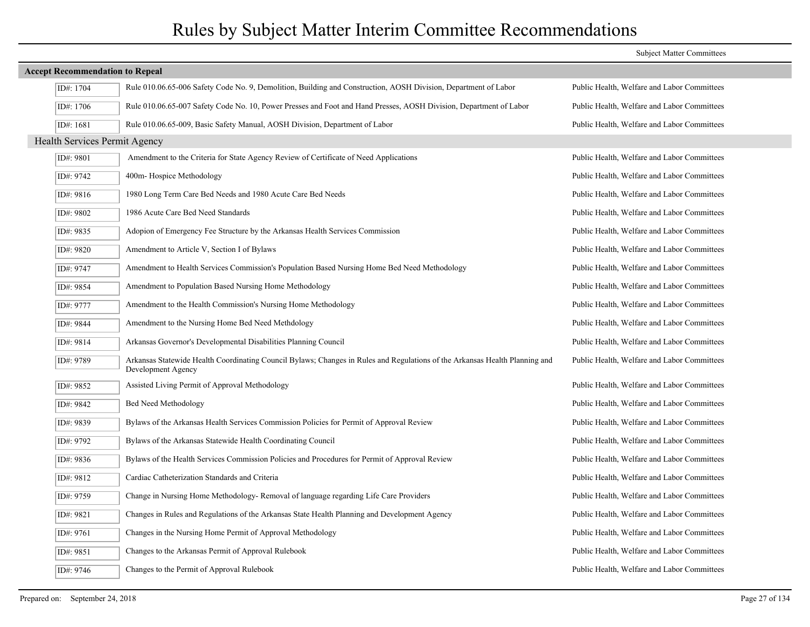| <b>Accept Recommendation to Repeal</b> |                                                                                                                                                   |                                             |  |  |
|----------------------------------------|---------------------------------------------------------------------------------------------------------------------------------------------------|---------------------------------------------|--|--|
| ID#: 1704                              | Rule 010.06.65-006 Safety Code No. 9, Demolition, Building and Construction, AOSH Division, Department of Labor                                   | Public Health, Welfare and Labor Committees |  |  |
| ID#: 1706                              | Rule 010.06.65-007 Safety Code No. 10, Power Presses and Foot and Hand Presses, AOSH Division, Department of Labor                                | Public Health, Welfare and Labor Committees |  |  |
| ID#: 1681                              | Rule 010.06.65-009, Basic Safety Manual, AOSH Division, Department of Labor                                                                       | Public Health, Welfare and Labor Committees |  |  |
| Health Services Permit Agency          |                                                                                                                                                   |                                             |  |  |
| ID#: 9801                              | Amendment to the Criteria for State Agency Review of Certificate of Need Applications                                                             | Public Health, Welfare and Labor Committees |  |  |
| ID#: 9742                              | 400m-Hospice Methodology                                                                                                                          | Public Health, Welfare and Labor Committees |  |  |
| ID#: 9816                              | 1980 Long Term Care Bed Needs and 1980 Acute Care Bed Needs                                                                                       | Public Health, Welfare and Labor Committees |  |  |
| ID#: 9802                              | 1986 Acute Care Bed Need Standards                                                                                                                | Public Health, Welfare and Labor Committees |  |  |
| ID#: 9835                              | Adopion of Emergency Fee Structure by the Arkansas Health Services Commission                                                                     | Public Health, Welfare and Labor Committees |  |  |
| ID#: 9820                              | Amendment to Article V, Section I of Bylaws                                                                                                       | Public Health, Welfare and Labor Committees |  |  |
| ID#: 9747                              | Amendment to Health Services Commission's Population Based Nursing Home Bed Need Methodology                                                      | Public Health, Welfare and Labor Committees |  |  |
| ID#: 9854                              | Amendment to Population Based Nursing Home Methodology                                                                                            | Public Health, Welfare and Labor Committees |  |  |
| ID#: 9777                              | Amendment to the Health Commission's Nursing Home Methodology                                                                                     | Public Health, Welfare and Labor Committees |  |  |
| ID#: 9844                              | Amendment to the Nursing Home Bed Need Methdology                                                                                                 | Public Health, Welfare and Labor Committees |  |  |
| ID#: 9814                              | Arkansas Governor's Developmental Disabilities Planning Council                                                                                   | Public Health, Welfare and Labor Committees |  |  |
| ID#: 9789                              | Arkansas Statewide Health Coordinating Council Bylaws; Changes in Rules and Regulations of the Arkansas Health Planning and<br>Development Agency | Public Health, Welfare and Labor Committees |  |  |
| ID#: 9852                              | Assisted Living Permit of Approval Methodology                                                                                                    | Public Health, Welfare and Labor Committees |  |  |
| ID#: 9842                              | Bed Need Methodology                                                                                                                              | Public Health, Welfare and Labor Committees |  |  |
| ID#: 9839                              | Bylaws of the Arkansas Health Services Commission Policies for Permit of Approval Review                                                          | Public Health, Welfare and Labor Committees |  |  |
| ID#: 9792                              | Bylaws of the Arkansas Statewide Health Coordinating Council                                                                                      | Public Health, Welfare and Labor Committees |  |  |
| ID#: 9836                              | Bylaws of the Health Services Commission Policies and Procedures for Permit of Approval Review                                                    | Public Health, Welfare and Labor Committees |  |  |
| ID#: 9812                              | Cardiac Catheterization Standards and Criteria                                                                                                    | Public Health, Welfare and Labor Committees |  |  |
| ID#: 9759                              | Change in Nursing Home Methodology-Removal of language regarding Life Care Providers                                                              | Public Health, Welfare and Labor Committees |  |  |
| ID#: 9821                              | Changes in Rules and Regulations of the Arkansas State Health Planning and Development Agency                                                     | Public Health, Welfare and Labor Committees |  |  |
| ID#: 9761                              | Changes in the Nursing Home Permit of Approval Methodology                                                                                        | Public Health, Welfare and Labor Committees |  |  |
| ID#: 9851                              | Changes to the Arkansas Permit of Approval Rulebook                                                                                               | Public Health, Welfare and Labor Committees |  |  |
| ID#: 9746                              | Changes to the Permit of Approval Rulebook                                                                                                        | Public Health, Welfare and Labor Committees |  |  |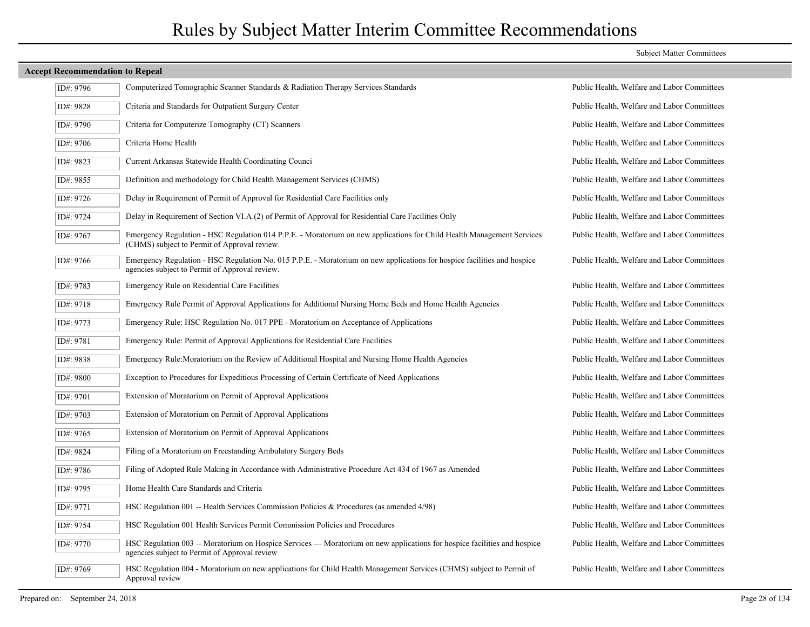|  | <b>Subject Matter Committees</b> |
|--|----------------------------------|
|  |                                  |

| ID#: 9796 | Computerized Tomographic Scanner Standards & Radiation Therapy Services Standards                                                                                           | Public Health, Welfare and Labor Committees |
|-----------|-----------------------------------------------------------------------------------------------------------------------------------------------------------------------------|---------------------------------------------|
| ID#: 9828 | Criteria and Standards for Outpatient Surgery Center                                                                                                                        | Public Health, Welfare and Labor Committees |
| ID#: 9790 | Criteria for Computerize Tomography (CT) Scanners                                                                                                                           | Public Health, Welfare and Labor Committees |
| ID#: 9706 | Criteria Home Health                                                                                                                                                        | Public Health, Welfare and Labor Committees |
| ID#: 9823 | Current Arkansas Statewide Health Coordinating Counci                                                                                                                       | Public Health, Welfare and Labor Committees |
| ID#: 9855 | Definition and methodology for Child Health Management Services (CHMS)                                                                                                      | Public Health, Welfare and Labor Committees |
| ID#: 9726 | Delay in Requirement of Permit of Approval for Residential Care Facilities only                                                                                             | Public Health, Welfare and Labor Committees |
| ID#: 9724 | Delay in Requirement of Section VI.A.(2) of Permit of Approval for Residential Care Facilities Only                                                                         | Public Health, Welfare and Labor Committees |
| ID#: 9767 | Emergency Regulation - HSC Regulation 014 P.P.E. - Moratorium on new applications for Child Health Management Services<br>(CHMS) subject to Permit of Approval review.      | Public Health, Welfare and Labor Committees |
| ID#: 9766 | Emergency Regulation - HSC Regulation No. 015 P.P.E. - Moratorium on new applications for hospice facilities and hospice<br>agencies subject to Permit of Approval review.  | Public Health, Welfare and Labor Committees |
| ID#: 9783 | Emergency Rule on Residential Care Facilities                                                                                                                               | Public Health, Welfare and Labor Committees |
| ID#: 9718 | Emergency Rule Permit of Approval Applications for Additional Nursing Home Beds and Home Health Agencies                                                                    | Public Health, Welfare and Labor Committees |
| ID#: 9773 | Emergency Rule: HSC Regulation No. 017 PPE - Moratorium on Acceptance of Applications                                                                                       | Public Health, Welfare and Labor Committees |
| ID#: 9781 | Emergency Rule: Permit of Approval Applications for Residential Care Facilities                                                                                             | Public Health, Welfare and Labor Committees |
| ID#: 9838 | Emergency Rule: Moratorium on the Review of Additional Hospital and Nursing Home Health Agencies                                                                            | Public Health, Welfare and Labor Committees |
| ID#: 9800 | Exception to Procedures for Expeditious Processing of Certain Certificate of Need Applications                                                                              | Public Health, Welfare and Labor Committees |
| ID#: 9701 | Extension of Moratorium on Permit of Approval Applications                                                                                                                  | Public Health, Welfare and Labor Committees |
| ID#: 9703 | Extension of Moratorium on Permit of Approval Applications                                                                                                                  | Public Health, Welfare and Labor Committees |
| ID#: 9765 | Extension of Moratorium on Permit of Approval Applications                                                                                                                  | Public Health, Welfare and Labor Committees |
| ID#: 9824 | Filing of a Moratorium on Freestanding Ambulatory Surgery Beds                                                                                                              | Public Health, Welfare and Labor Committees |
| ID#: 9786 | Filing of Adopted Rule Making in Accordance with Administrative Procedure Act 434 of 1967 as Amended                                                                        | Public Health, Welfare and Labor Committees |
| ID#: 9795 | Home Health Care Standards and Criteria                                                                                                                                     | Public Health, Welfare and Labor Committees |
| ID#: 9771 | HSC Regulation 001 -- Health Services Commission Policies & Procedures (as amended $4/98$ )                                                                                 | Public Health, Welfare and Labor Committees |
| ID#: 9754 | HSC Regulation 001 Health Services Permit Commission Policies and Procedures                                                                                                | Public Health, Welfare and Labor Committees |
| ID#: 9770 | HSC Regulation 003 -- Moratorium on Hospice Services --- Moratorium on new applications for hospice facilities and hospice<br>agencies subject to Permit of Approval review | Public Health, Welfare and Labor Committees |
| ID#: 9769 | HSC Regulation 004 - Moratorium on new applications for Child Health Management Services (CHMS) subject to Permit of<br>Approval review                                     | Public Health, Welfare and Labor Committees |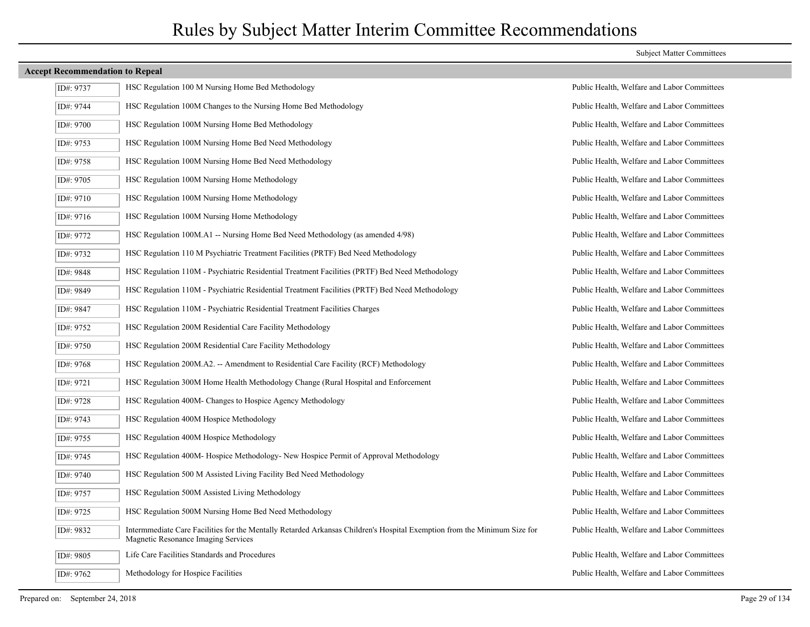| ID#: 9737 | HSC Regulation 100 M Nursing Home Bed Methodology                                                                                                               | Public Health, Welfare and Labor Committees |
|-----------|-----------------------------------------------------------------------------------------------------------------------------------------------------------------|---------------------------------------------|
| ID#: 9744 | HSC Regulation 100M Changes to the Nursing Home Bed Methodology                                                                                                 | Public Health, Welfare and Labor Committees |
| ID#: 9700 | HSC Regulation 100M Nursing Home Bed Methodology                                                                                                                | Public Health, Welfare and Labor Committees |
| ID#: 9753 | HSC Regulation 100M Nursing Home Bed Need Methodology                                                                                                           | Public Health, Welfare and Labor Committees |
| ID#: 9758 | HSC Regulation 100M Nursing Home Bed Need Methodology                                                                                                           | Public Health, Welfare and Labor Committees |
| ID#: 9705 | HSC Regulation 100M Nursing Home Methodology                                                                                                                    | Public Health, Welfare and Labor Committees |
| ID#: 9710 | HSC Regulation 100M Nursing Home Methodology                                                                                                                    | Public Health, Welfare and Labor Committees |
| ID#: 9716 | HSC Regulation 100M Nursing Home Methodology                                                                                                                    | Public Health, Welfare and Labor Committees |
| ID#: 9772 | HSC Regulation 100M.A1 -- Nursing Home Bed Need Methodology (as amended 4/98)                                                                                   | Public Health, Welfare and Labor Committees |
| ID#: 9732 | HSC Regulation 110 M Psychiatric Treatment Facilities (PRTF) Bed Need Methodology                                                                               | Public Health, Welfare and Labor Committees |
| ID#: 9848 | HSC Regulation 110M - Psychiatric Residential Treatment Facilities (PRTF) Bed Need Methodology                                                                  | Public Health, Welfare and Labor Committees |
| ID#: 9849 | HSC Regulation 110M - Psychiatric Residential Treatment Facilities (PRTF) Bed Need Methodology                                                                  | Public Health, Welfare and Labor Committees |
| ID#: 9847 | HSC Regulation 110M - Psychiatric Residential Treatment Facilities Charges                                                                                      | Public Health, Welfare and Labor Committees |
| ID#: 9752 | HSC Regulation 200M Residential Care Facility Methodology                                                                                                       | Public Health, Welfare and Labor Committees |
| ID#: 9750 | HSC Regulation 200M Residential Care Facility Methodology                                                                                                       | Public Health, Welfare and Labor Committees |
| ID#: 9768 | HSC Regulation 200M.A2. -- Amendment to Residential Care Facility (RCF) Methodology                                                                             | Public Health, Welfare and Labor Committees |
| ID#: 9721 | HSC Regulation 300M Home Health Methodology Change (Rural Hospital and Enforcement                                                                              | Public Health, Welfare and Labor Committees |
| ID#: 9728 | HSC Regulation 400M- Changes to Hospice Agency Methodology                                                                                                      | Public Health, Welfare and Labor Committees |
| ID#: 9743 | HSC Regulation 400M Hospice Methodology                                                                                                                         | Public Health, Welfare and Labor Committees |
| ID#: 9755 | HSC Regulation 400M Hospice Methodology                                                                                                                         | Public Health, Welfare and Labor Committees |
| ID#: 9745 | HSC Regulation 400M- Hospice Methodology- New Hospice Permit of Approval Methodology                                                                            | Public Health, Welfare and Labor Committees |
| ID#: 9740 | HSC Regulation 500 M Assisted Living Facility Bed Need Methodology                                                                                              | Public Health, Welfare and Labor Committees |
| ID#: 9757 | HSC Regulation 500M Assisted Living Methodology                                                                                                                 | Public Health, Welfare and Labor Committees |
| ID#: 9725 | HSC Regulation 500M Nursing Home Bed Need Methodology                                                                                                           | Public Health, Welfare and Labor Committees |
| ID#: 9832 | Intermmediate Care Facilities for the Mentally Retarded Arkansas Children's Hospital Exemption from the Minimum Size for<br>Magnetic Resonance Imaging Services | Public Health, Welfare and Labor Committees |
| ID#: 9805 | Life Care Facilities Standards and Procedures                                                                                                                   | Public Health, Welfare and Labor Committees |
| ID#: 9762 | Methodology for Hospice Facilities                                                                                                                              | Public Health, Welfare and Labor Committees |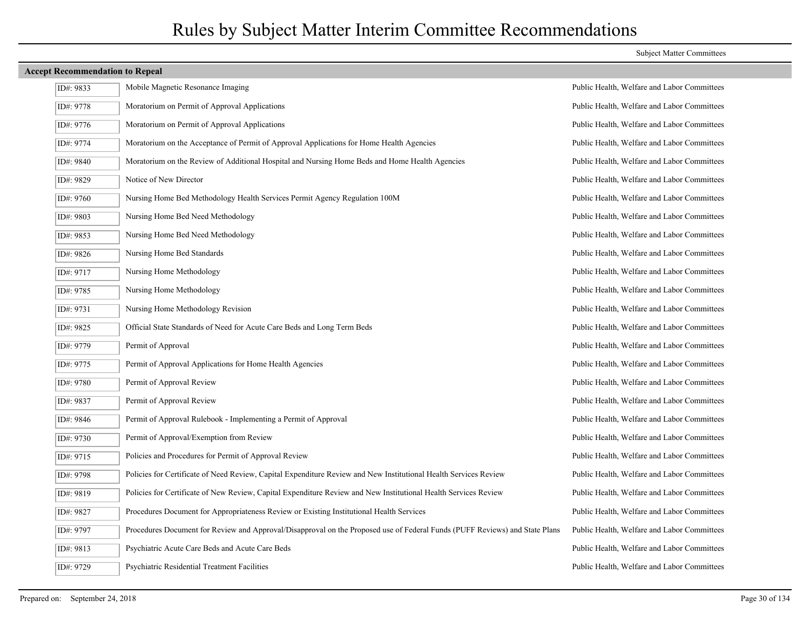| ID#: 9833 | Mobile Magnetic Resonance Imaging                                                                                           | Public Health, Welfare and Labor Committees |
|-----------|-----------------------------------------------------------------------------------------------------------------------------|---------------------------------------------|
| ID#: 9778 | Moratorium on Permit of Approval Applications                                                                               | Public Health, Welfare and Labor Committees |
| ID#: 9776 | Moratorium on Permit of Approval Applications                                                                               | Public Health, Welfare and Labor Committees |
| ID#: 9774 | Moratorium on the Acceptance of Permit of Approval Applications for Home Health Agencies                                    | Public Health, Welfare and Labor Committees |
| ID#: 9840 | Moratorium on the Review of Additional Hospital and Nursing Home Beds and Home Health Agencies                              | Public Health, Welfare and Labor Committees |
| ID#: 9829 | Notice of New Director                                                                                                      | Public Health, Welfare and Labor Committees |
| ID#: 9760 | Nursing Home Bed Methodology Health Services Permit Agency Regulation 100M                                                  | Public Health, Welfare and Labor Committees |
| ID#: 9803 | Nursing Home Bed Need Methodology                                                                                           | Public Health, Welfare and Labor Committees |
| ID#: 9853 | Nursing Home Bed Need Methodology                                                                                           | Public Health, Welfare and Labor Committees |
| ID#: 9826 | Nursing Home Bed Standards                                                                                                  | Public Health, Welfare and Labor Committees |
| ID#: 9717 | Nursing Home Methodology                                                                                                    | Public Health, Welfare and Labor Committees |
| ID#: 9785 | Nursing Home Methodology                                                                                                    | Public Health, Welfare and Labor Committees |
| ID#: 9731 | Nursing Home Methodology Revision                                                                                           | Public Health, Welfare and Labor Committees |
| ID#: 9825 | Official State Standards of Need for Acute Care Beds and Long Term Beds                                                     | Public Health, Welfare and Labor Committees |
| ID#: 9779 | Permit of Approval                                                                                                          | Public Health, Welfare and Labor Committees |
| ID#: 9775 | Permit of Approval Applications for Home Health Agencies                                                                    | Public Health, Welfare and Labor Committees |
| ID#: 9780 | Permit of Approval Review                                                                                                   | Public Health, Welfare and Labor Committees |
| ID#: 9837 | Permit of Approval Review                                                                                                   | Public Health, Welfare and Labor Committees |
| ID#: 9846 | Permit of Approval Rulebook - Implementing a Permit of Approval                                                             | Public Health, Welfare and Labor Committees |
| ID#: 9730 | Permit of Approval/Exemption from Review                                                                                    | Public Health, Welfare and Labor Committees |
| ID#: 9715 | Policies and Procedures for Permit of Approval Review                                                                       | Public Health, Welfare and Labor Committees |
| ID#: 9798 | Policies for Certificate of Need Review, Capital Expenditure Review and New Institutional Health Services Review            | Public Health, Welfare and Labor Committees |
| ID#: 9819 | Policies for Certificate of New Review, Capital Expenditure Review and New Institutional Health Services Review             | Public Health, Welfare and Labor Committees |
| ID#: 9827 | Procedures Document for Appropriateness Review or Existing Institutional Health Services                                    | Public Health, Welfare and Labor Committees |
| ID#: 9797 | Procedures Document for Review and Approval/Disapproval on the Proposed use of Federal Funds (PUFF Reviews) and State Plans | Public Health, Welfare and Labor Committees |
| ID#: 9813 | Psychiatric Acute Care Beds and Acute Care Beds                                                                             | Public Health, Welfare and Labor Committees |
| ID#: 9729 | Psychiatric Residential Treatment Facilities                                                                                | Public Health, Welfare and Labor Committees |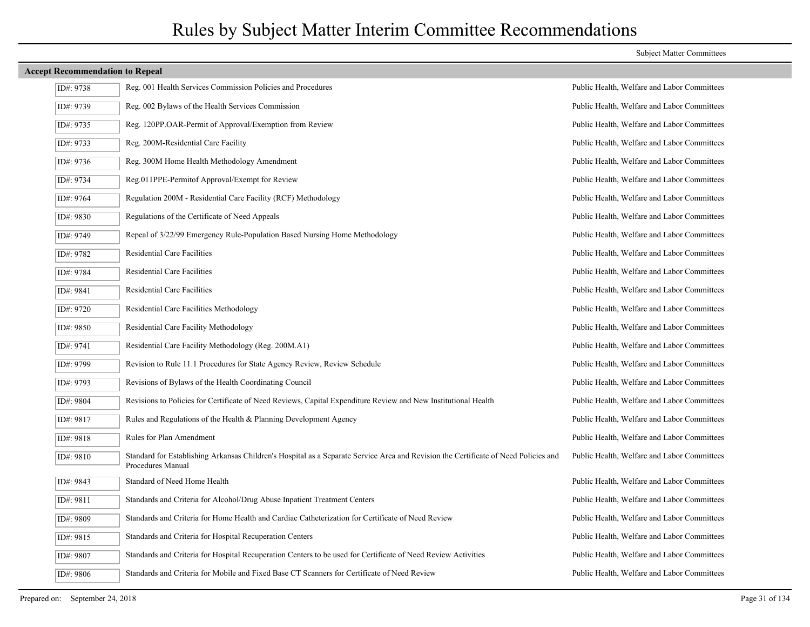| ID#: 9738 | Reg. 001 Health Services Commission Policies and Procedures                                                                                              | Public Health, Welfare and Labor Committees |
|-----------|----------------------------------------------------------------------------------------------------------------------------------------------------------|---------------------------------------------|
| ID#: 9739 | Reg. 002 Bylaws of the Health Services Commission                                                                                                        | Public Health, Welfare and Labor Committees |
| ID#: 9735 | Reg. 120PP.OAR-Permit of Approval/Exemption from Review                                                                                                  | Public Health, Welfare and Labor Committees |
| ID#: 9733 | Reg. 200M-Residential Care Facility                                                                                                                      | Public Health, Welfare and Labor Committees |
| ID#: 9736 | Reg. 300M Home Health Methodology Amendment                                                                                                              | Public Health, Welfare and Labor Committees |
| ID#: 9734 | Reg.011PPE-Permitof Approval/Exempt for Review                                                                                                           | Public Health, Welfare and Labor Committees |
| ID#: 9764 | Regulation 200M - Residential Care Facility (RCF) Methodology                                                                                            | Public Health, Welfare and Labor Committees |
| ID#: 9830 | Regulations of the Certificate of Need Appeals                                                                                                           | Public Health, Welfare and Labor Committees |
| ID#: 9749 | Repeal of 3/22/99 Emergency Rule-Population Based Nursing Home Methodology                                                                               | Public Health, Welfare and Labor Committees |
| ID#: 9782 | Residential Care Facilities                                                                                                                              | Public Health, Welfare and Labor Committees |
| ID#: 9784 | Residential Care Facilities                                                                                                                              | Public Health, Welfare and Labor Committees |
| ID#: 9841 | <b>Residential Care Facilities</b>                                                                                                                       | Public Health, Welfare and Labor Committees |
| ID#: 9720 | Residential Care Facilities Methodology                                                                                                                  | Public Health, Welfare and Labor Committees |
| ID#: 9850 | Residential Care Facility Methodology                                                                                                                    | Public Health, Welfare and Labor Committees |
| ID#: 9741 | Residential Care Facility Methodology (Reg. 200M.A1)                                                                                                     | Public Health, Welfare and Labor Committees |
| ID#: 9799 | Revision to Rule 11.1 Procedures for State Agency Review, Review Schedule                                                                                | Public Health, Welfare and Labor Committees |
| ID#: 9793 | Revisions of Bylaws of the Health Coordinating Council                                                                                                   | Public Health, Welfare and Labor Committees |
| ID#: 9804 | Revisions to Policies for Certificate of Need Reviews, Capital Expenditure Review and New Institutional Health                                           | Public Health, Welfare and Labor Committees |
| ID#: 9817 | Rules and Regulations of the Health & Planning Development Agency                                                                                        | Public Health, Welfare and Labor Committees |
| ID#: 9818 | Rules for Plan Amendment                                                                                                                                 | Public Health, Welfare and Labor Committees |
| ID#: 9810 | Standard for Establishing Arkansas Children's Hospital as a Separate Service Area and Revision the Certificate of Need Policies and<br>Procedures Manual | Public Health, Welfare and Labor Committees |
| ID#: 9843 | Standard of Need Home Health                                                                                                                             | Public Health, Welfare and Labor Committees |
| ID#: 9811 | Standards and Criteria for Alcohol/Drug Abuse Inpatient Treatment Centers                                                                                | Public Health, Welfare and Labor Committees |
| ID#: 9809 | Standards and Criteria for Home Health and Cardiac Catheterization for Certificate of Need Review                                                        | Public Health, Welfare and Labor Committees |
| ID#: 9815 | Standards and Criteria for Hospital Recuperation Centers                                                                                                 | Public Health, Welfare and Labor Committees |
| ID#: 9807 | Standards and Criteria for Hospital Recuperation Centers to be used for Certificate of Need Review Activities                                            | Public Health, Welfare and Labor Committees |
| ID#: 9806 | Standards and Criteria for Mobile and Fixed Base CT Scanners for Certificate of Need Review                                                              | Public Health, Welfare and Labor Committees |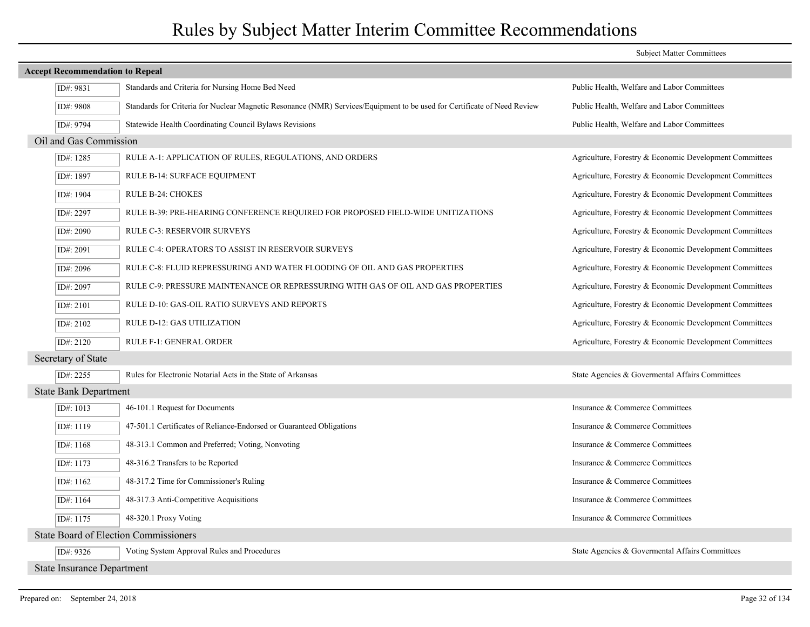|                                   |                                                                                                                          | <b>Subject Matter Committees</b>                        |  |  |  |  |
|-----------------------------------|--------------------------------------------------------------------------------------------------------------------------|---------------------------------------------------------|--|--|--|--|
|                                   | <b>Accept Recommendation to Repeal</b>                                                                                   |                                                         |  |  |  |  |
| ID#: 9831                         | Standards and Criteria for Nursing Home Bed Need                                                                         | Public Health, Welfare and Labor Committees             |  |  |  |  |
| ID#: 9808                         | Standards for Criteria for Nuclear Magnetic Resonance (NMR) Services/Equipment to be used for Certificate of Need Review | Public Health, Welfare and Labor Committees             |  |  |  |  |
| ID#: 9794                         | Statewide Health Coordinating Council Bylaws Revisions                                                                   | Public Health, Welfare and Labor Committees             |  |  |  |  |
| Oil and Gas Commission            |                                                                                                                          |                                                         |  |  |  |  |
| ID#: 1285                         | RULE A-1: APPLICATION OF RULES, REGULATIONS, AND ORDERS                                                                  | Agriculture, Forestry & Economic Development Committees |  |  |  |  |
| ID#: 1897                         | RULE B-14: SURFACE EQUIPMENT                                                                                             | Agriculture, Forestry & Economic Development Committees |  |  |  |  |
| ID#: 1904                         | RULE B-24: CHOKES                                                                                                        | Agriculture, Forestry & Economic Development Committees |  |  |  |  |
| ID#: 2297                         | RULE B-39: PRE-HEARING CONFERENCE REQUIRED FOR PROPOSED FIELD-WIDE UNITIZATIONS                                          | Agriculture, Forestry & Economic Development Committees |  |  |  |  |
| ID#: 2090                         | <b>RULE C-3: RESERVOIR SURVEYS</b>                                                                                       | Agriculture, Forestry & Economic Development Committees |  |  |  |  |
| ID#: 2091                         | RULE C-4: OPERATORS TO ASSIST IN RESERVOIR SURVEYS                                                                       | Agriculture, Forestry & Economic Development Committees |  |  |  |  |
| ID#: 2096                         | RULE C-8: FLUID REPRESSURING AND WATER FLOODING OF OIL AND GAS PROPERTIES                                                | Agriculture, Forestry & Economic Development Committees |  |  |  |  |
| ID#: 2097                         | RULE C-9: PRESSURE MAINTENANCE OR REPRESSURING WITH GAS OF OIL AND GAS PROPERTIES                                        | Agriculture, Forestry & Economic Development Committees |  |  |  |  |
| ID#: 2101                         | RULE D-10: GAS-OIL RATIO SURVEYS AND REPORTS                                                                             | Agriculture, Forestry & Economic Development Committees |  |  |  |  |
| ID#: 2102                         | RULE D-12: GAS UTILIZATION                                                                                               | Agriculture, Forestry & Economic Development Committees |  |  |  |  |
| ID#: 2120                         | RULE F-1: GENERAL ORDER                                                                                                  | Agriculture, Forestry & Economic Development Committees |  |  |  |  |
| Secretary of State                |                                                                                                                          |                                                         |  |  |  |  |
| ID#: 2255                         | Rules for Electronic Notarial Acts in the State of Arkansas                                                              | State Agencies & Governental Affairs Committees         |  |  |  |  |
| <b>State Bank Department</b>      |                                                                                                                          |                                                         |  |  |  |  |
| ID#: 1013                         | 46-101.1 Request for Documents                                                                                           | Insurance & Commerce Committees                         |  |  |  |  |
| ID#: 1119                         | 47-501.1 Certificates of Reliance-Endorsed or Guaranteed Obligations                                                     | Insurance & Commerce Committees                         |  |  |  |  |
| ID#: 1168                         | 48-313.1 Common and Preferred; Voting, Nonvoting                                                                         | Insurance & Commerce Committees                         |  |  |  |  |
| ID#: 1173                         | 48-316.2 Transfers to be Reported                                                                                        | Insurance & Commerce Committees                         |  |  |  |  |
| ID#: 1162                         | 48-317.2 Time for Commissioner's Ruling                                                                                  | Insurance & Commerce Committees                         |  |  |  |  |
| ID#: 1164                         | 48-317.3 Anti-Competitive Acquisitions                                                                                   | Insurance & Commerce Committees                         |  |  |  |  |
| ID#: 1175                         | 48-320.1 Proxy Voting                                                                                                    | Insurance & Commerce Committees                         |  |  |  |  |
|                                   | <b>State Board of Election Commissioners</b>                                                                             |                                                         |  |  |  |  |
| ID#: 9326                         | Voting System Approval Rules and Procedures                                                                              | State Agencies & Governental Affairs Committees         |  |  |  |  |
| <b>State Insurance Department</b> |                                                                                                                          |                                                         |  |  |  |  |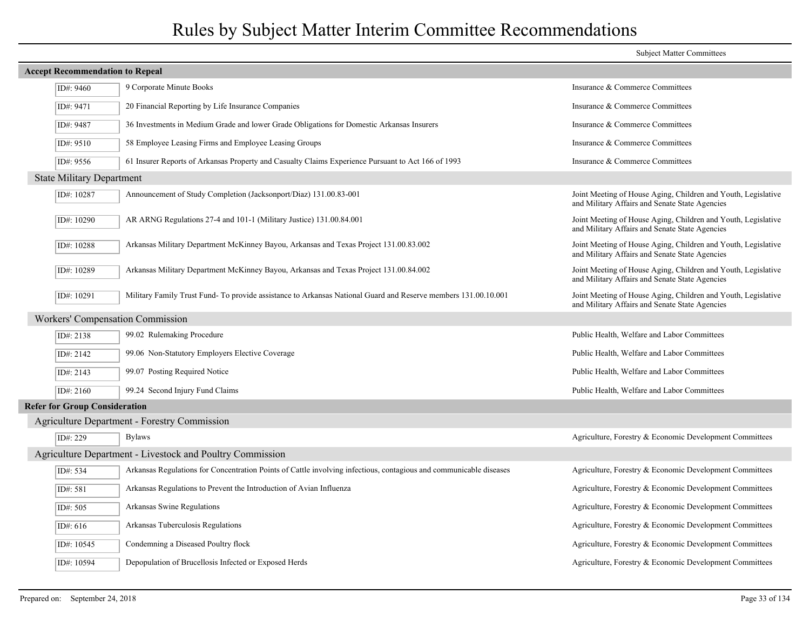|             |                                                                                                                    | <b>Subject Matter Committees</b>                                                                                |  |  |  |  |
|-------------|--------------------------------------------------------------------------------------------------------------------|-----------------------------------------------------------------------------------------------------------------|--|--|--|--|
|             | <b>Accept Recommendation to Repeal</b>                                                                             |                                                                                                                 |  |  |  |  |
| ID#: 9460   | 9 Corporate Minute Books                                                                                           | Insurance & Commerce Committees                                                                                 |  |  |  |  |
| ID#: 9471   | 20 Financial Reporting by Life Insurance Companies                                                                 | Insurance & Commerce Committees                                                                                 |  |  |  |  |
| ID#: 9487   | 36 Investments in Medium Grade and lower Grade Obligations for Domestic Arkansas Insurers                          | Insurance & Commerce Committees                                                                                 |  |  |  |  |
| ID#: 9510   | 58 Employee Leasing Firms and Employee Leasing Groups                                                              | Insurance & Commerce Committees                                                                                 |  |  |  |  |
| ID#: 9556   | 61 Insurer Reports of Arkansas Property and Casualty Claims Experience Pursuant to Act 166 of 1993                 | Insurance & Commerce Committees                                                                                 |  |  |  |  |
|             | <b>State Military Department</b>                                                                                   |                                                                                                                 |  |  |  |  |
| ID#: 10287  | Announcement of Study Completion (Jacksonport/Diaz) 131.00.83-001                                                  | Joint Meeting of House Aging, Children and Youth, Legislative<br>and Military Affairs and Senate State Agencies |  |  |  |  |
| ID#: 10290  | AR ARNG Regulations 27-4 and 101-1 (Military Justice) 131.00.84.001                                                | Joint Meeting of House Aging, Children and Youth, Legislative<br>and Military Affairs and Senate State Agencies |  |  |  |  |
| ID#: 10288  | Arkansas Military Department McKinney Bayou, Arkansas and Texas Project 131.00.83.002                              | Joint Meeting of House Aging, Children and Youth, Legislative<br>and Military Affairs and Senate State Agencies |  |  |  |  |
| ID#: 10289  | Arkansas Military Department McKinney Bayou, Arkansas and Texas Project 131.00.84.002                              | Joint Meeting of House Aging, Children and Youth, Legislative<br>and Military Affairs and Senate State Agencies |  |  |  |  |
| ID#: 10291  | Military Family Trust Fund-To provide assistance to Arkansas National Guard and Reserve members 131.00.10.001      | Joint Meeting of House Aging, Children and Youth, Legislative<br>and Military Affairs and Senate State Agencies |  |  |  |  |
|             | Workers' Compensation Commission                                                                                   |                                                                                                                 |  |  |  |  |
| ID#: 2138   | 99.02 Rulemaking Procedure                                                                                         | Public Health, Welfare and Labor Committees                                                                     |  |  |  |  |
| ID#: $2142$ | 99.06 Non-Statutory Employers Elective Coverage                                                                    | Public Health, Welfare and Labor Committees                                                                     |  |  |  |  |
| ID#: 2143   | 99.07 Posting Required Notice                                                                                      | Public Health, Welfare and Labor Committees                                                                     |  |  |  |  |
| ID#: 2160   | 99.24 Second Injury Fund Claims                                                                                    | Public Health, Welfare and Labor Committees                                                                     |  |  |  |  |
|             | <b>Refer for Group Consideration</b>                                                                               |                                                                                                                 |  |  |  |  |
|             | <b>Agriculture Department - Forestry Commission</b>                                                                |                                                                                                                 |  |  |  |  |
| ID#: 229    | <b>Bylaws</b>                                                                                                      | Agriculture, Forestry & Economic Development Committees                                                         |  |  |  |  |
|             | Agriculture Department - Livestock and Poultry Commission                                                          |                                                                                                                 |  |  |  |  |
| ID#: 534    | Arkansas Regulations for Concentration Points of Cattle involving infectious, contagious and communicable diseases | Agriculture, Forestry & Economic Development Committees                                                         |  |  |  |  |
| ID#: 581    | Arkansas Regulations to Prevent the Introduction of Avian Influenza                                                | Agriculture, Forestry & Economic Development Committees                                                         |  |  |  |  |
| ID#: 505    | Arkansas Swine Regulations                                                                                         | Agriculture, Forestry & Economic Development Committees                                                         |  |  |  |  |
| ID#: $616$  | Arkansas Tuberculosis Regulations                                                                                  | Agriculture, Forestry & Economic Development Committees                                                         |  |  |  |  |
| ID#: 10545  | Condemning a Diseased Poultry flock                                                                                | Agriculture, Forestry & Economic Development Committees                                                         |  |  |  |  |
| ID#: 10594  | Depopulation of Brucellosis Infected or Exposed Herds                                                              | Agriculture, Forestry & Economic Development Committees                                                         |  |  |  |  |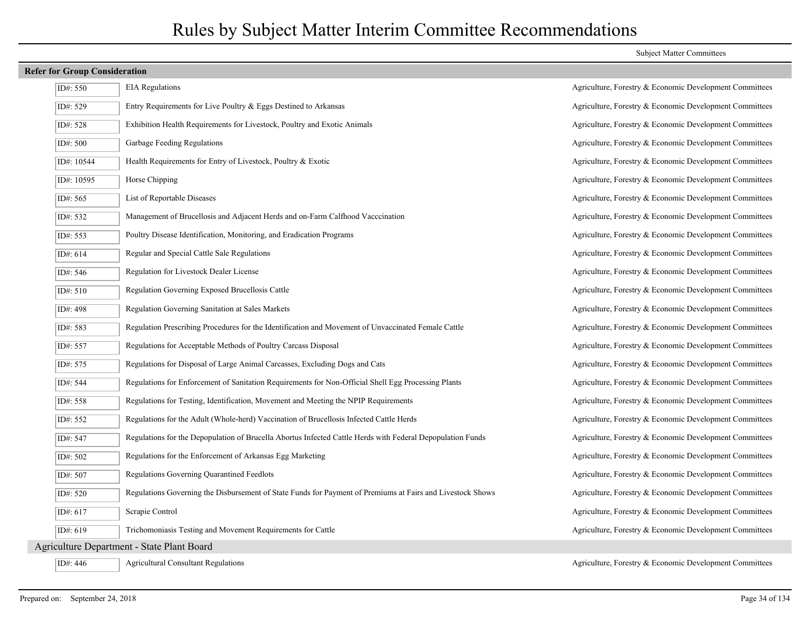### **Refer for Group Consideration**

| ID#: 550   | <b>EIA</b> Regulations                                                                                     |
|------------|------------------------------------------------------------------------------------------------------------|
| ID#: 529   | Entry Requirements for Live Poultry & Eggs Destined to Arkansas                                            |
| ID#: 528   | Exhibition Health Requirements for Livestock, Poultry and Exotic Animals                                   |
| ID#: 500   | Garbage Feeding Regulations                                                                                |
| ID#: 10544 | Health Requirements for Entry of Livestock, Poultry & Exotic                                               |
| ID#: 10595 | Horse Chipping                                                                                             |
| ID#: 565   | List of Reportable Diseases                                                                                |
| ID#: 532   | Management of Brucellosis and Adjacent Herds and on-Farm Calfhood Vacccination                             |
| ID#: 553   | Poultry Disease Identification, Monitoring, and Eradication Programs                                       |
| ID#: 614   | Regular and Special Cattle Sale Regulations                                                                |
| ID#: 546   | Regulation for Livestock Dealer License                                                                    |
| ID#: 510   | Regulation Governing Exposed Brucellosis Cattle                                                            |
| ID#: 498   | Regulation Governing Sanitation at Sales Markets                                                           |
| ID#: 583   | Regulation Prescribing Procedures for the Identification and Movement of Unvaccinated Female Cattle        |
| ID#: 557   | Regulations for Acceptable Methods of Poultry Carcass Disposal                                             |
| ID#: 575   | Regulations for Disposal of Large Animal Carcasses, Excluding Dogs and Cats                                |
| ID#: 544   | Regulations for Enforcement of Sanitation Requirements for Non-Official Shell Egg Processing Plants        |
| ID#: 558   | Regulations for Testing, Identification, Movement and Meeting the NPIP Requirements                        |
| ID#: 552   | Regulations for the Adult (Whole-herd) Vaccination of Brucellosis Infected Cattle Herds                    |
| ID#: 547   | Regulations for the Depopulation of Brucella Abortus Infected Cattle Herds with Federal Depopulation Funds |
| ID#: 502   | Regulations for the Enforcement of Arkansas Egg Marketing                                                  |
| ID#: 507   | Regulations Governing Quarantined Feedlots                                                                 |
| ID#: 520   | Regulations Governing the Disbursement of State Funds for Payment of Premiums at Fairs and Livestock Shows |
| ID#: 617   | Scrapie Control                                                                                            |
| ID#: 619   | Trichomoniasis Testing and Movement Requirements for Cattle                                                |
|            | <b>Agriculture Department - State Plant Board</b>                                                          |
|            |                                                                                                            |

### Subject Matter Committees

Agriculture, Forestry & Economic Development Committees Agriculture, Forestry & Economic Development Committees Agriculture, Forestry & Economic Development Committees Agriculture, Forestry & Economic Development Committees Agriculture, Forestry & Economic Development Committees Agriculture, Forestry & Economic Development Committees Agriculture, Forestry & Economic Development Committees Agriculture, Forestry & Economic Development Committees Agriculture, Forestry & Economic Development Committees Agriculture, Forestry & Economic Development Committees Agriculture, Forestry & Economic Development Committees Agriculture, Forestry & Economic Development Committees Agriculture, Forestry & Economic Development Committees Agriculture, Forestry & Economic Development Committees Agriculture, Forestry & Economic Development Committees Agriculture, Forestry & Economic Development Committees Agriculture, Forestry & Economic Development Committees Agriculture, Forestry & Economic Development Committees Agriculture, Forestry & Economic Development Committees Agriculture, Forestry & Economic Development Committees Agriculture, Forestry & Economic Development Committees Agriculture, Forestry & Economic Development Committees Agriculture, Forestry & Economic Development Committees Agriculture, Forestry & Economic Development Committees Agriculture, Forestry & Economic Development Committees

ID#: 446 Agricultural Consultant Regulations Agriculture, Forestry & Economic Development Committees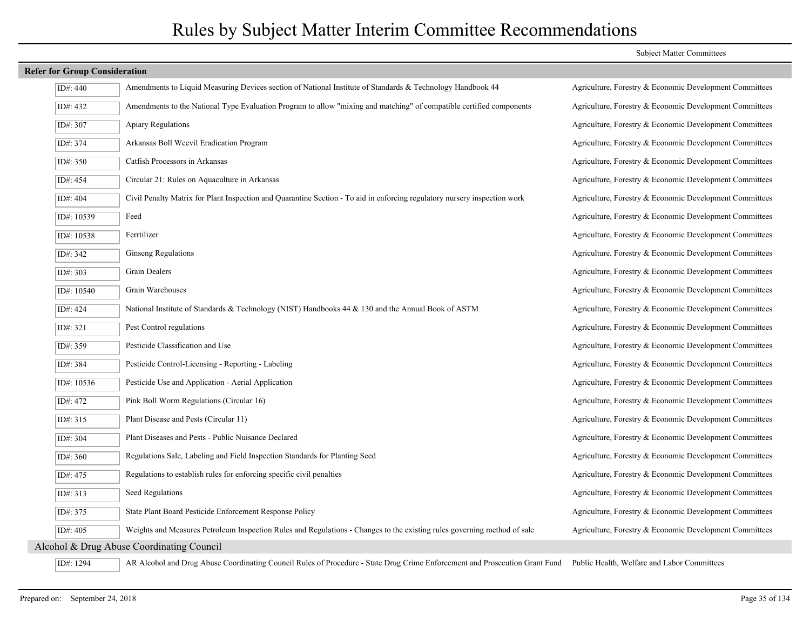### **Refer for Group Consideration**

| ID#: 440                                  | Amendments to Liquid Measuring Devices section of National Institute of Standards & Technology Handbook 44                  | Agriculture, Forestry & Economic Development Committees |  |  |
|-------------------------------------------|-----------------------------------------------------------------------------------------------------------------------------|---------------------------------------------------------|--|--|
| ID#: 432                                  | Amendments to the National Type Evaluation Program to allow "mixing and matching" of compatible certified components        | Agriculture, Forestry & Economic Development Committees |  |  |
| ID#: 307                                  | Apiary Regulations                                                                                                          | Agriculture, Forestry & Economic Development Committees |  |  |
| ID#: 374                                  | Arkansas Boll Weevil Eradication Program                                                                                    | Agriculture, Forestry & Economic Development Committees |  |  |
| ID#: 350                                  | Catfish Processors in Arkansas                                                                                              | Agriculture, Forestry & Economic Development Committees |  |  |
| ID#: 454                                  | Circular 21: Rules on Aquaculture in Arkansas                                                                               | Agriculture, Forestry & Economic Development Committees |  |  |
| ID#: 404                                  | Civil Penalty Matrix for Plant Inspection and Quarantine Section - To aid in enforcing regulatory nursery inspection work   | Agriculture, Forestry & Economic Development Committees |  |  |
| ID#: 10539                                | Feed                                                                                                                        | Agriculture, Forestry & Economic Development Committees |  |  |
| ID#: 10538                                | Ferrtilizer                                                                                                                 | Agriculture, Forestry & Economic Development Committees |  |  |
| ID#: 342                                  | Ginseng Regulations                                                                                                         | Agriculture, Forestry & Economic Development Committees |  |  |
| ID#: 303                                  | Grain Dealers                                                                                                               | Agriculture, Forestry & Economic Development Committees |  |  |
| ID#: 10540                                | Grain Warehouses                                                                                                            | Agriculture, Forestry & Economic Development Committees |  |  |
| ID#: 424                                  | National Institute of Standards & Technology (NIST) Handbooks 44 & 130 and the Annual Book of ASTM                          | Agriculture, Forestry & Economic Development Committees |  |  |
| ID#: 321                                  | Pest Control regulations                                                                                                    | Agriculture, Forestry & Economic Development Committees |  |  |
| ID#: 359                                  | Pesticide Classification and Use                                                                                            | Agriculture, Forestry & Economic Development Committees |  |  |
| ID#: 384                                  | Pesticide Control-Licensing - Reporting - Labeling                                                                          | Agriculture, Forestry & Economic Development Committees |  |  |
| ID#: 10536                                | Pesticide Use and Application - Aerial Application                                                                          | Agriculture, Forestry & Economic Development Committees |  |  |
| ID#: 472                                  | Pink Boll Worm Regulations (Circular 16)                                                                                    | Agriculture, Forestry & Economic Development Committees |  |  |
| ID#: 315                                  | Plant Disease and Pests (Circular 11)                                                                                       | Agriculture, Forestry & Economic Development Committees |  |  |
| ID#: 304                                  | Plant Diseases and Pests - Public Nuisance Declared                                                                         | Agriculture, Forestry & Economic Development Committees |  |  |
| ID#: 360                                  | Regulations Sale, Labeling and Field Inspection Standards for Planting Seed                                                 | Agriculture, Forestry & Economic Development Committees |  |  |
| ID#: 475                                  | Regulations to establish rules for enforcing specific civil penalties                                                       | Agriculture, Forestry & Economic Development Committees |  |  |
| ID#: 313                                  | Seed Regulations                                                                                                            | Agriculture, Forestry & Economic Development Committees |  |  |
| ID#: 375                                  | State Plant Board Pesticide Enforcement Response Policy                                                                     | Agriculture, Forestry & Economic Development Committees |  |  |
| ID#: 405                                  | Weights and Measures Petroleum Inspection Rules and Regulations - Changes to the existing rules governing method of sale    | Agriculture, Forestry & Economic Development Committees |  |  |
| Alcohol & Drug Abuse Coordinating Council |                                                                                                                             |                                                         |  |  |
| ID#: 1294                                 | AR Alcohol and Drug Abuse Coordinating Council Rules of Procedure - State Drug Crime Enforcement and Prosecution Grant Fund | Public Health, Welfare and Labor Committees             |  |  |

### Subject Matter Committees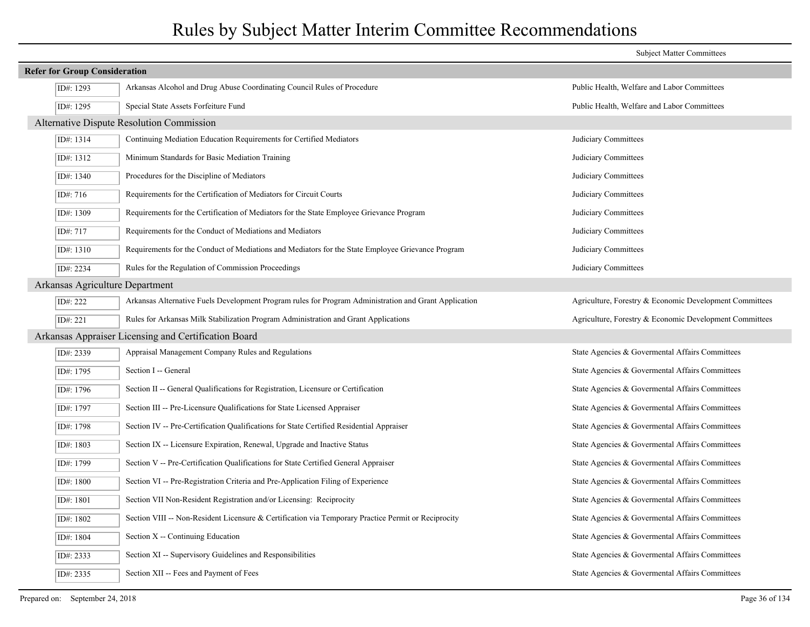|                                      |                                                                                                       | <b>Subject Matter Committees</b>                        |  |  |
|--------------------------------------|-------------------------------------------------------------------------------------------------------|---------------------------------------------------------|--|--|
| <b>Refer for Group Consideration</b> |                                                                                                       |                                                         |  |  |
| ID#: 1293                            | Arkansas Alcohol and Drug Abuse Coordinating Council Rules of Procedure                               | Public Health, Welfare and Labor Committees             |  |  |
| ID#: 1295                            | Special State Assets Forfeiture Fund                                                                  | Public Health, Welfare and Labor Committees             |  |  |
|                                      | Alternative Dispute Resolution Commission                                                             |                                                         |  |  |
| ID#: 1314                            | Continuing Mediation Education Requirements for Certified Mediators                                   | Judiciary Committees                                    |  |  |
| ID#: 1312                            | Minimum Standards for Basic Mediation Training                                                        | Judiciary Committees                                    |  |  |
| ID#: 1340                            | Procedures for the Discipline of Mediators                                                            | Judiciary Committees                                    |  |  |
| ID#: 716                             | Requirements for the Certification of Mediators for Circuit Courts                                    | Judiciary Committees                                    |  |  |
| ID#: 1309                            | Requirements for the Certification of Mediators for the State Employee Grievance Program              | Judiciary Committees                                    |  |  |
| ID#: 717                             | Requirements for the Conduct of Mediations and Mediators                                              | Judiciary Committees                                    |  |  |
| ID#: 1310                            | Requirements for the Conduct of Mediations and Mediators for the State Employee Grievance Program     | Judiciary Committees                                    |  |  |
| ID#: 2234                            | Rules for the Regulation of Commission Proceedings                                                    | Judiciary Committees                                    |  |  |
| Arkansas Agriculture Department      |                                                                                                       |                                                         |  |  |
| ID#: 222                             | Arkansas Alternative Fuels Development Program rules for Program Administration and Grant Application | Agriculture, Forestry & Economic Development Committees |  |  |
| ID#: 221                             | Rules for Arkansas Milk Stabilization Program Administration and Grant Applications                   | Agriculture, Forestry & Economic Development Committees |  |  |
|                                      | Arkansas Appraiser Licensing and Certification Board                                                  |                                                         |  |  |
| ID#: 2339                            | Appraisal Management Company Rules and Regulations                                                    | State Agencies & Governental Affairs Committees         |  |  |
| ID#: 1795                            | Section I -- General                                                                                  | State Agencies & Governental Affairs Committees         |  |  |
| ID#: 1796                            | Section II -- General Qualifications for Registration, Licensure or Certification                     | State Agencies & Governental Affairs Committees         |  |  |
| ID#: 1797                            | Section III -- Pre-Licensure Qualifications for State Licensed Appraiser                              | State Agencies & Governental Affairs Committees         |  |  |
| ID#: 1798                            | Section IV -- Pre-Certification Qualifications for State Certified Residential Appraiser              | State Agencies & Governental Affairs Committees         |  |  |
| ID#: 1803                            | Section IX -- Licensure Expiration, Renewal, Upgrade and Inactive Status                              | State Agencies & Governental Affairs Committees         |  |  |
| ID#: 1799                            | Section V -- Pre-Certification Qualifications for State Certified General Appraiser                   | State Agencies & Governental Affairs Committees         |  |  |
| ID#: 1800                            | Section VI -- Pre-Registration Criteria and Pre-Application Filing of Experience                      | State Agencies & Governental Affairs Committees         |  |  |
| ID#: 1801                            | Section VII Non-Resident Registration and/or Licensing: Reciprocity                                   | State Agencies & Governental Affairs Committees         |  |  |
| ID#: 1802                            | Section VIII -- Non-Resident Licensure & Certification via Temporary Practice Permit or Reciprocity   | State Agencies & Governental Affairs Committees         |  |  |
| ID#: 1804                            | Section X -- Continuing Education                                                                     | State Agencies & Governental Affairs Committees         |  |  |
| ID#: 2333                            | Section XI -- Supervisory Guidelines and Responsibilities                                             | State Agencies & Governental Affairs Committees         |  |  |
| ID#: 2335                            | Section XII -- Fees and Payment of Fees                                                               | State Agencies & Governental Affairs Committees         |  |  |
|                                      |                                                                                                       |                                                         |  |  |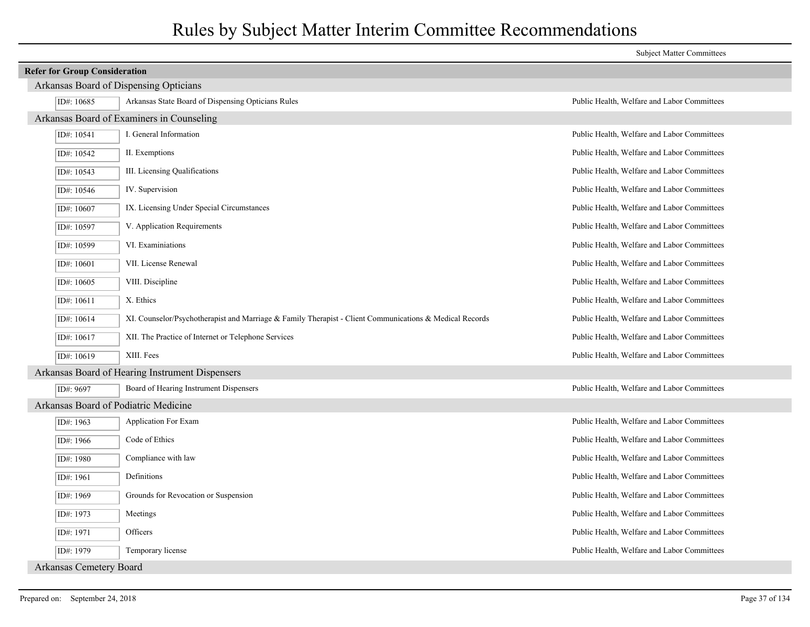|                                      |                                                                                                               | <b>Subject Matter Committees</b>            |
|--------------------------------------|---------------------------------------------------------------------------------------------------------------|---------------------------------------------|
| <b>Refer for Group Consideration</b> |                                                                                                               |                                             |
|                                      | Arkansas Board of Dispensing Opticians                                                                        |                                             |
| ID#: 10685                           | Arkansas State Board of Dispensing Opticians Rules                                                            | Public Health, Welfare and Labor Committees |
|                                      | Arkansas Board of Examiners in Counseling                                                                     |                                             |
| ID#: 10541                           | I. General Information                                                                                        | Public Health, Welfare and Labor Committees |
| ID#: 10542                           | II. Exemptions                                                                                                | Public Health, Welfare and Labor Committees |
| ID#: 10543                           | III. Licensing Qualifications                                                                                 | Public Health, Welfare and Labor Committees |
| ID#: 10546                           | IV. Supervision                                                                                               | Public Health, Welfare and Labor Committees |
| ID#: 10607                           | IX. Licensing Under Special Circumstances                                                                     | Public Health, Welfare and Labor Committees |
| ID#: 10597                           | V. Application Requirements                                                                                   | Public Health, Welfare and Labor Committees |
| ID#: 10599                           | VI. Examiniations                                                                                             | Public Health, Welfare and Labor Committees |
| ID#: 10601                           | VII. License Renewal                                                                                          | Public Health, Welfare and Labor Committees |
| ID#: 10605                           | VIII. Discipline                                                                                              | Public Health, Welfare and Labor Committees |
| ID#: 10611                           | X. Ethics                                                                                                     | Public Health, Welfare and Labor Committees |
| ID#: 10614                           | XI. Counselor/Psychotherapist and Marriage $\&$ Family Therapist - Client Communications $\&$ Medical Records | Public Health, Welfare and Labor Committees |
| ID#: 10617                           | XII. The Practice of Internet or Telephone Services                                                           | Public Health, Welfare and Labor Committees |
| ID#: 10619                           | XIII. Fees                                                                                                    | Public Health, Welfare and Labor Committees |
|                                      | Arkansas Board of Hearing Instrument Dispensers                                                               |                                             |
| ID#: 9697                            | Board of Hearing Instrument Dispensers                                                                        | Public Health, Welfare and Labor Committees |
|                                      | Arkansas Board of Podiatric Medicine                                                                          |                                             |
| ID#: 1963                            | Application For Exam                                                                                          | Public Health, Welfare and Labor Committees |
| ID#: 1966                            | Code of Ethics                                                                                                | Public Health, Welfare and Labor Committees |
| ID#: 1980                            | Compliance with law                                                                                           | Public Health, Welfare and Labor Committees |
| ID#: 1961                            | Definitions                                                                                                   | Public Health, Welfare and Labor Committees |
| ID#: 1969                            | Grounds for Revocation or Suspension                                                                          | Public Health, Welfare and Labor Committees |
| ID#: 1973                            | Meetings                                                                                                      | Public Health, Welfare and Labor Committees |
| ID#: 1971                            | Officers                                                                                                      | Public Health, Welfare and Labor Committees |
| ID#: 1979                            | Temporary license                                                                                             | Public Health, Welfare and Labor Committees |
| <b>Arkansas Cemetery Board</b>       |                                                                                                               |                                             |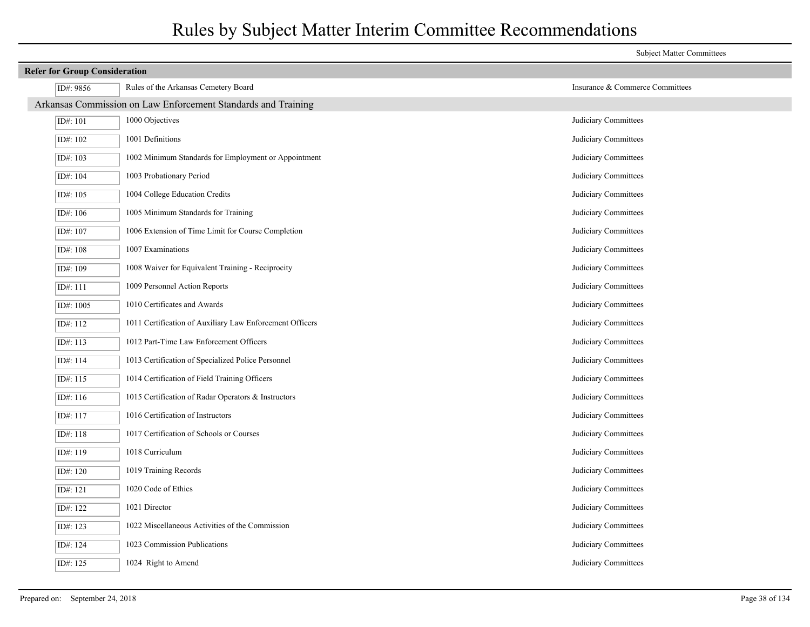|                                                               |                                                          | <b>Subject Matter Committees</b> |  |
|---------------------------------------------------------------|----------------------------------------------------------|----------------------------------|--|
|                                                               | <b>Refer for Group Consideration</b>                     |                                  |  |
| ID#: 9856                                                     | Rules of the Arkansas Cemetery Board                     | Insurance & Commerce Committees  |  |
| Arkansas Commission on Law Enforcement Standards and Training |                                                          |                                  |  |
| ID#: 101                                                      | 1000 Objectives                                          | Judiciary Committees             |  |
| ID#: 102                                                      | 1001 Definitions                                         | Judiciary Committees             |  |
| ID#: 103                                                      | 1002 Minimum Standards for Employment or Appointment     | Judiciary Committees             |  |
| ID#: 104                                                      | 1003 Probationary Period                                 | Judiciary Committees             |  |
| ID#: 105                                                      | 1004 College Education Credits                           | Judiciary Committees             |  |
| ID#: 106                                                      | 1005 Minimum Standards for Training                      | Judiciary Committees             |  |
| ID#: 107                                                      | 1006 Extension of Time Limit for Course Completion       | Judiciary Committees             |  |
| ID#: 108                                                      | 1007 Examinations                                        | Judiciary Committees             |  |
| ID#: 109                                                      | 1008 Waiver for Equivalent Training - Reciprocity        | Judiciary Committees             |  |
| ID#: 111                                                      | 1009 Personnel Action Reports                            | Judiciary Committees             |  |
| ID#: 1005                                                     | 1010 Certificates and Awards                             | Judiciary Committees             |  |
| ID#: 112                                                      | 1011 Certification of Auxiliary Law Enforcement Officers | Judiciary Committees             |  |
| ID#: 113                                                      | 1012 Part-Time Law Enforcement Officers                  | Judiciary Committees             |  |
| ID#: 114                                                      | 1013 Certification of Specialized Police Personnel       | Judiciary Committees             |  |
| ID#: 115                                                      | 1014 Certification of Field Training Officers            | Judiciary Committees             |  |
| ID#: 116                                                      | 1015 Certification of Radar Operators & Instructors      | Judiciary Committees             |  |
| ID#: 117                                                      | 1016 Certification of Instructors                        | Judiciary Committees             |  |
| ID#: 118                                                      | 1017 Certification of Schools or Courses                 | Judiciary Committees             |  |
| ID#: 119                                                      | 1018 Curriculum                                          | Judiciary Committees             |  |
| ID#: 120                                                      | 1019 Training Records                                    | Judiciary Committees             |  |
| ID#: 121                                                      | 1020 Code of Ethics                                      | Judiciary Committees             |  |
| ID#: 122                                                      | 1021 Director                                            | Judiciary Committees             |  |
| ID#: 123                                                      | 1022 Miscellaneous Activities of the Commission          | Judiciary Committees             |  |
| ID#: 124                                                      | 1023 Commission Publications                             | Judiciary Committees             |  |
| ID#: 125                                                      | 1024 Right to Amend                                      | Judiciary Committees             |  |
|                                                               |                                                          |                                  |  |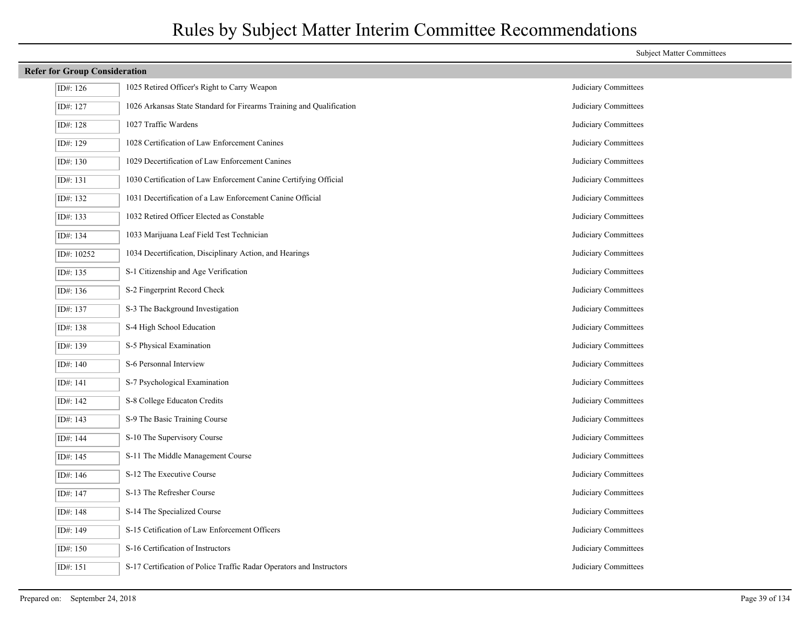| <b>Refer for Group Consideration</b> |                                                                      |                      |
|--------------------------------------|----------------------------------------------------------------------|----------------------|
| ID#: 126                             | 1025 Retired Officer's Right to Carry Weapon                         | Judiciary Committees |
| ID#: 127                             | 1026 Arkansas State Standard for Firearms Training and Qualification | Judiciary Committees |
| ID#: 128                             | 1027 Traffic Wardens                                                 | Judiciary Committees |
| ID#: 129                             | 1028 Certification of Law Enforcement Canines                        | Judiciary Committees |
| ID#: 130                             | 1029 Decertification of Law Enforcement Canines                      | Judiciary Committees |
| ID#: 131                             | 1030 Certification of Law Enforcement Canine Certifying Official     | Judiciary Committees |
| ID#: 132                             | 1031 Decertification of a Law Enforcement Canine Official            | Judiciary Committees |
| ID#: 133                             | 1032 Retired Officer Elected as Constable                            | Judiciary Committees |
| ID#: 134                             | 1033 Marijuana Leaf Field Test Technician                            | Judiciary Committees |
| ID#: 10252                           | 1034 Decertification, Disciplinary Action, and Hearings              | Judiciary Committees |
| ID#: 135                             | S-1 Citizenship and Age Verification                                 | Judiciary Committees |
| ID#: 136                             | S-2 Fingerprint Record Check                                         | Judiciary Committees |
| ID#: 137                             | S-3 The Background Investigation                                     | Judiciary Committees |
| ID#: 138                             | S-4 High School Education                                            | Judiciary Committees |
| ID#: 139                             | S-5 Physical Examination                                             | Judiciary Committees |
| ID#: 140                             | S-6 Personnal Interview                                              | Judiciary Committees |
| ID#: 141                             | S-7 Psychological Examination                                        | Judiciary Committees |
| ID#: 142                             | S-8 College Educaton Credits                                         | Judiciary Committees |
| ID#: 143                             | S-9 The Basic Training Course                                        | Judiciary Committees |
| ID#: 144                             | S-10 The Supervisory Course                                          | Judiciary Committees |
| ID#: 145                             | S-11 The Middle Management Course                                    | Judiciary Committees |
| ID#: 146                             | S-12 The Executive Course                                            | Judiciary Committees |
| ID#: 147                             | S-13 The Refresher Course                                            | Judiciary Committees |
| ID#: 148                             | S-14 The Specialized Course                                          | Judiciary Committees |
| ID#: 149                             | S-15 Cetification of Law Enforcement Officers                        | Judiciary Committees |
| ID#: 150                             | S-16 Certification of Instructors                                    | Judiciary Committees |
| ID#: 151                             | S-17 Certification of Police Traffic Radar Operators and Instructors | Judiciary Committees |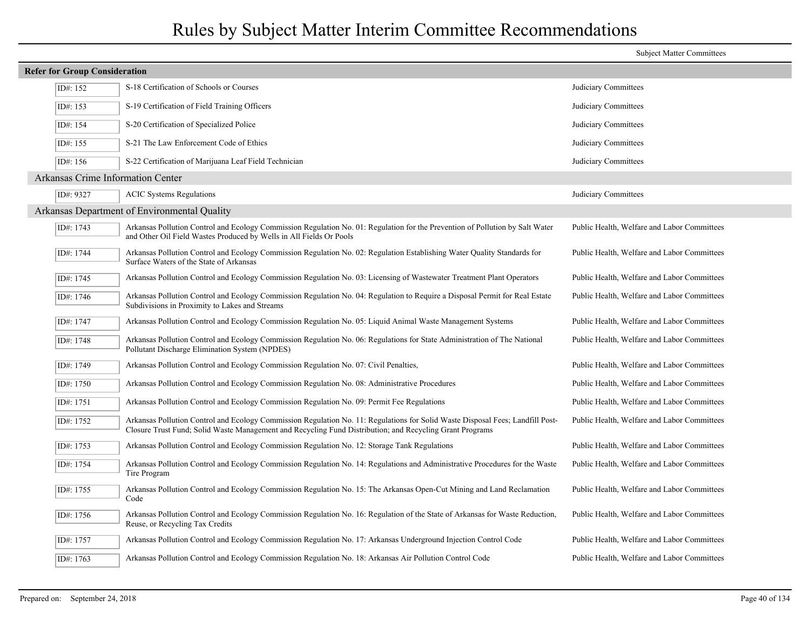|                                      |                                                                                                                                                                                                                                            | <b>Subject Matter Committees</b>            |
|--------------------------------------|--------------------------------------------------------------------------------------------------------------------------------------------------------------------------------------------------------------------------------------------|---------------------------------------------|
| <b>Refer for Group Consideration</b> |                                                                                                                                                                                                                                            |                                             |
| ID#: 152                             | S-18 Certification of Schools or Courses                                                                                                                                                                                                   | Judiciary Committees                        |
| ID#: 153                             | S-19 Certification of Field Training Officers                                                                                                                                                                                              | Judiciary Committees                        |
| ID#: 154                             | S-20 Certification of Specialized Police                                                                                                                                                                                                   | Judiciary Committees                        |
| ID#: 155                             | S-21 The Law Enforcement Code of Ethics                                                                                                                                                                                                    | Judiciary Committees                        |
| ID#: 156                             | S-22 Certification of Marijuana Leaf Field Technician                                                                                                                                                                                      | Judiciary Committees                        |
| Arkansas Crime Information Center    |                                                                                                                                                                                                                                            |                                             |
| ID#: 9327                            | <b>ACIC</b> Systems Regulations                                                                                                                                                                                                            | Judiciary Committees                        |
|                                      | Arkansas Department of Environmental Quality                                                                                                                                                                                               |                                             |
| ID#: 1743                            | Arkansas Pollution Control and Ecology Commission Regulation No. 01: Regulation for the Prevention of Pollution by Salt Water<br>and Other Oil Field Wastes Produced by Wells in All Fields Or Pools                                       | Public Health, Welfare and Labor Committees |
| ID#: 1744                            | Arkansas Pollution Control and Ecology Commission Regulation No. 02: Regulation Establishing Water Quality Standards for<br>Surface Waters of the State of Arkansas                                                                        | Public Health, Welfare and Labor Committees |
| ID#: 1745                            | Arkansas Pollution Control and Ecology Commission Regulation No. 03: Licensing of Wastewater Treatment Plant Operators                                                                                                                     | Public Health, Welfare and Labor Committees |
| ID#: 1746                            | Arkansas Pollution Control and Ecology Commission Regulation No. 04: Regulation to Require a Disposal Permit for Real Estate<br>Subdivisions in Proximity to Lakes and Streams                                                             | Public Health, Welfare and Labor Committees |
| ID#: 1747                            | Arkansas Pollution Control and Ecology Commission Regulation No. 05: Liquid Animal Waste Management Systems                                                                                                                                | Public Health, Welfare and Labor Committees |
| ID#: 1748                            | Arkansas Pollution Control and Ecology Commission Regulation No. 06: Regulations for State Administration of The National<br>Pollutant Discharge Elimination System (NPDES)                                                                | Public Health, Welfare and Labor Committees |
| ID#: 1749                            | Arkansas Pollution Control and Ecology Commission Regulation No. 07: Civil Penalties,                                                                                                                                                      | Public Health, Welfare and Labor Committees |
| ID#: 1750                            | Arkansas Pollution Control and Ecology Commission Regulation No. 08: Administrative Procedures                                                                                                                                             | Public Health, Welfare and Labor Committees |
| ID#: 1751                            | Arkansas Pollution Control and Ecology Commission Regulation No. 09: Permit Fee Regulations                                                                                                                                                | Public Health, Welfare and Labor Committees |
| ID#: 1752                            | Arkansas Pollution Control and Ecology Commission Regulation No. 11: Regulations for Solid Waste Disposal Fees; Landfill Post-<br>Closure Trust Fund; Solid Waste Management and Recycling Fund Distribution; and Recycling Grant Programs | Public Health, Welfare and Labor Committees |
| ID#: 1753                            | Arkansas Pollution Control and Ecology Commission Regulation No. 12: Storage Tank Regulations                                                                                                                                              | Public Health, Welfare and Labor Committees |
| ID#: 1754                            | Arkansas Pollution Control and Ecology Commission Regulation No. 14: Regulations and Administrative Procedures for the Waste<br>Tire Program                                                                                               | Public Health, Welfare and Labor Committees |
| ID#: 1755                            | Arkansas Pollution Control and Ecology Commission Regulation No. 15: The Arkansas Open-Cut Mining and Land Reclamation<br>Code                                                                                                             | Public Health, Welfare and Labor Committees |
| ID#: 1756                            | Arkansas Pollution Control and Ecology Commission Regulation No. 16: Regulation of the State of Arkansas for Waste Reduction,<br>Reuse, or Recycling Tax Credits                                                                           | Public Health, Welfare and Labor Committees |
| ID#: 1757                            | Arkansas Pollution Control and Ecology Commission Regulation No. 17: Arkansas Underground Injection Control Code                                                                                                                           | Public Health, Welfare and Labor Committees |
| ID#: 1763                            | Arkansas Pollution Control and Ecology Commission Regulation No. 18: Arkansas Air Pollution Control Code                                                                                                                                   | Public Health, Welfare and Labor Committees |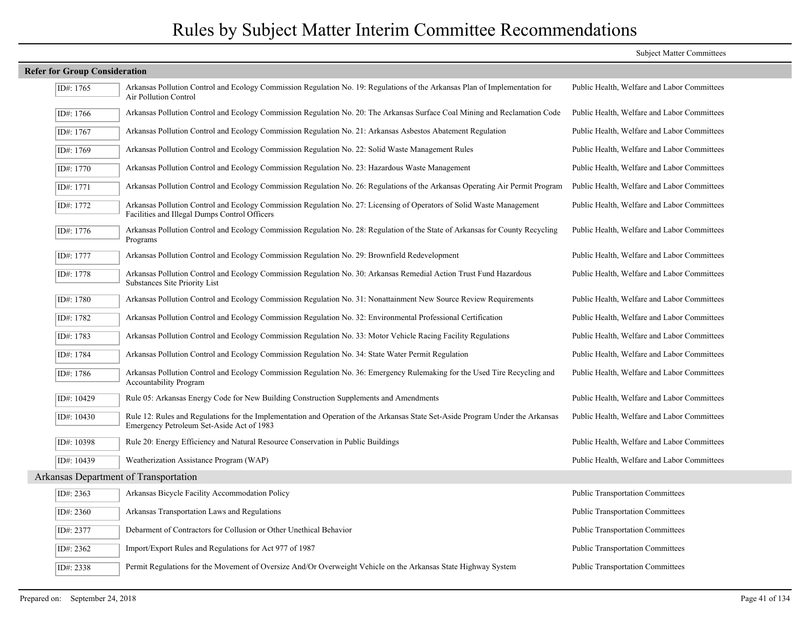|                                      |                                                                                                                                                                             | <b>Subject Matter Committees</b>            |
|--------------------------------------|-----------------------------------------------------------------------------------------------------------------------------------------------------------------------------|---------------------------------------------|
| <b>Refer for Group Consideration</b> |                                                                                                                                                                             |                                             |
| ID#: 1765                            | Arkansas Pollution Control and Ecology Commission Regulation No. 19: Regulations of the Arkansas Plan of Implementation for<br>Air Pollution Control                        | Public Health, Welfare and Labor Committees |
| ID#: 1766                            | Arkansas Pollution Control and Ecology Commission Regulation No. 20: The Arkansas Surface Coal Mining and Reclamation Code                                                  | Public Health, Welfare and Labor Committees |
| ID#: 1767                            | Arkansas Pollution Control and Ecology Commission Regulation No. 21: Arkansas Asbestos Abatement Regulation                                                                 | Public Health, Welfare and Labor Committees |
| ID#: 1769                            | Arkansas Pollution Control and Ecology Commission Regulation No. 22: Solid Waste Management Rules                                                                           | Public Health, Welfare and Labor Committees |
| ID#: 1770                            | Arkansas Pollution Control and Ecology Commission Regulation No. 23: Hazardous Waste Management                                                                             | Public Health, Welfare and Labor Committees |
| ID#: 1771                            | Arkansas Pollution Control and Ecology Commission Regulation No. 26: Regulations of the Arkansas Operating Air Permit Program                                               | Public Health, Welfare and Labor Committees |
| ID#: 1772                            | Arkansas Pollution Control and Ecology Commission Regulation No. 27: Licensing of Operators of Solid Waste Management<br>Facilities and Illegal Dumps Control Officers      | Public Health, Welfare and Labor Committees |
| ID#: 1776                            | Arkansas Pollution Control and Ecology Commission Regulation No. 28: Regulation of the State of Arkansas for County Recycling<br>Programs                                   | Public Health, Welfare and Labor Committees |
| ID#: 1777                            | Arkansas Pollution Control and Ecology Commission Regulation No. 29: Brownfield Redevelopment                                                                               | Public Health, Welfare and Labor Committees |
| ID#: 1778                            | Arkansas Pollution Control and Ecology Commission Regulation No. 30: Arkansas Remedial Action Trust Fund Hazardous<br>Substances Site Priority List                         | Public Health, Welfare and Labor Committees |
| ID#: 1780                            | Arkansas Pollution Control and Ecology Commission Regulation No. 31: Nonattainment New Source Review Requirements                                                           | Public Health, Welfare and Labor Committees |
| ID#: 1782                            | Arkansas Pollution Control and Ecology Commission Regulation No. 32: Environmental Professional Certification                                                               | Public Health, Welfare and Labor Committees |
| ID#: 1783                            | Arkansas Pollution Control and Ecology Commission Regulation No. 33: Motor Vehicle Racing Facility Regulations                                                              | Public Health, Welfare and Labor Committees |
| ID#: 1784                            | Arkansas Pollution Control and Ecology Commission Regulation No. 34: State Water Permit Regulation                                                                          | Public Health, Welfare and Labor Committees |
| ID#: 1786                            | Arkansas Pollution Control and Ecology Commission Regulation No. 36: Emergency Rulemaking for the Used Tire Recycling and<br><b>Accountability Program</b>                  | Public Health, Welfare and Labor Committees |
| ID#: 10429                           | Rule 05: Arkansas Energy Code for New Building Construction Supplements and Amendments                                                                                      | Public Health, Welfare and Labor Committees |
| ID#: 10430                           | Rule 12: Rules and Regulations for the Implementation and Operation of the Arkansas State Set-Aside Program Under the Arkansas<br>Emergency Petroleum Set-Aside Act of 1983 | Public Health, Welfare and Labor Committees |
| ID#: 10398                           | Rule 20: Energy Efficiency and Natural Resource Conservation in Public Buildings                                                                                            | Public Health, Welfare and Labor Committees |
| ID#: 10439                           | Weatherization Assistance Program (WAP)                                                                                                                                     | Public Health, Welfare and Labor Committees |
|                                      | Arkansas Department of Transportation                                                                                                                                       |                                             |
| ID#: 2363                            | Arkansas Bicycle Facility Accommodation Policy                                                                                                                              | <b>Public Transportation Committees</b>     |
| ID#: 2360                            | Arkansas Transportation Laws and Regulations                                                                                                                                | <b>Public Transportation Committees</b>     |
| ID#: 2377                            | Debarment of Contractors for Collusion or Other Unethical Behavior                                                                                                          | <b>Public Transportation Committees</b>     |
| ID#: 2362                            | Import/Export Rules and Regulations for Act 977 of 1987                                                                                                                     | <b>Public Transportation Committees</b>     |
| ID#: 2338                            | Permit Regulations for the Movement of Oversize And/Or Overweight Vehicle on the Arkansas State Highway System                                                              | <b>Public Transportation Committees</b>     |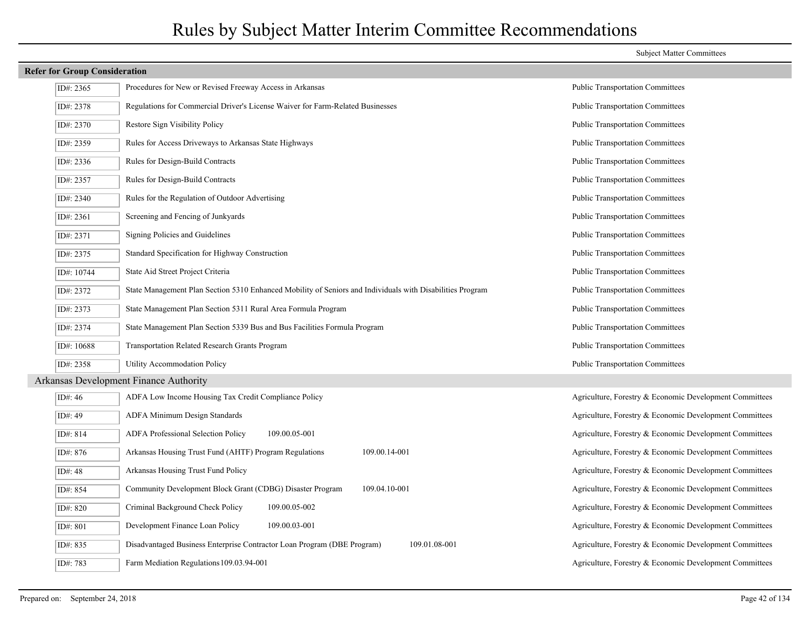| <b>Refer for Group Consideration</b> |                                                                                                           |                                                         |
|--------------------------------------|-----------------------------------------------------------------------------------------------------------|---------------------------------------------------------|
| ID#: 2365                            | Procedures for New or Revised Freeway Access in Arkansas                                                  | <b>Public Transportation Committees</b>                 |
| ID#: 2378                            | Regulations for Commercial Driver's License Waiver for Farm-Related Businesses                            | <b>Public Transportation Committees</b>                 |
| ID#: 2370                            | Restore Sign Visibility Policy                                                                            | <b>Public Transportation Committees</b>                 |
| ID#: 2359                            | Rules for Access Driveways to Arkansas State Highways                                                     | <b>Public Transportation Committees</b>                 |
| ID#: 2336                            | Rules for Design-Build Contracts                                                                          | <b>Public Transportation Committees</b>                 |
| ID#: 2357                            | Rules for Design-Build Contracts                                                                          | <b>Public Transportation Committees</b>                 |
| ID#: 2340                            | Rules for the Regulation of Outdoor Advertising                                                           | <b>Public Transportation Committees</b>                 |
| ID#: 2361                            | Screening and Fencing of Junkyards                                                                        | <b>Public Transportation Committees</b>                 |
| ID#: 2371                            | Signing Policies and Guidelines                                                                           | <b>Public Transportation Committees</b>                 |
| ID#: 2375                            | Standard Specification for Highway Construction                                                           | <b>Public Transportation Committees</b>                 |
| ID#: 10744                           | State Aid Street Project Criteria                                                                         | <b>Public Transportation Committees</b>                 |
| ID#: 2372                            | State Management Plan Section 5310 Enhanced Mobility of Seniors and Individuals with Disabilities Program | <b>Public Transportation Committees</b>                 |
| ID#: 2373                            | State Management Plan Section 5311 Rural Area Formula Program                                             | <b>Public Transportation Committees</b>                 |
| ID#: 2374                            | State Management Plan Section 5339 Bus and Bus Facilities Formula Program                                 | <b>Public Transportation Committees</b>                 |
| ID#: 10688                           | Transportation Related Research Grants Program                                                            | <b>Public Transportation Committees</b>                 |
| ID#: 2358                            | Utility Accommodation Policy                                                                              | <b>Public Transportation Committees</b>                 |
|                                      | Arkansas Development Finance Authority                                                                    |                                                         |
| ID#: 46                              | ADFA Low Income Housing Tax Credit Compliance Policy                                                      | Agriculture, Forestry & Economic Development Committees |
| ID#: 49                              | ADFA Minimum Design Standards                                                                             | Agriculture, Forestry & Economic Development Committees |
| ID#: 814                             | 109.00.05-001<br><b>ADFA Professional Selection Policy</b>                                                | Agriculture, Forestry & Economic Development Committees |
| ID#: 876                             | Arkansas Housing Trust Fund (AHTF) Program Regulations<br>109.00.14-001                                   | Agriculture, Forestry & Economic Development Committees |
| ID#: 48                              | Arkansas Housing Trust Fund Policy                                                                        | Agriculture, Forestry & Economic Development Committees |
| ID#: 854                             | 109.04.10-001<br>Community Development Block Grant (CDBG) Disaster Program                                | Agriculture, Forestry & Economic Development Committees |
| ID#: 820                             | Criminal Background Check Policy<br>109.00.05-002                                                         | Agriculture, Forestry & Economic Development Committees |
| ID#: 801                             | Development Finance Loan Policy<br>109.00.03-001                                                          | Agriculture, Forestry & Economic Development Committees |
| ID#: 835                             | 109.01.08-001<br>Disadvantaged Business Enterprise Contractor Loan Program (DBE Program)                  | Agriculture, Forestry & Economic Development Committees |
| ID#: 783                             | Farm Mediation Regulations 109.03.94-001                                                                  | Agriculture, Forestry & Economic Development Committees |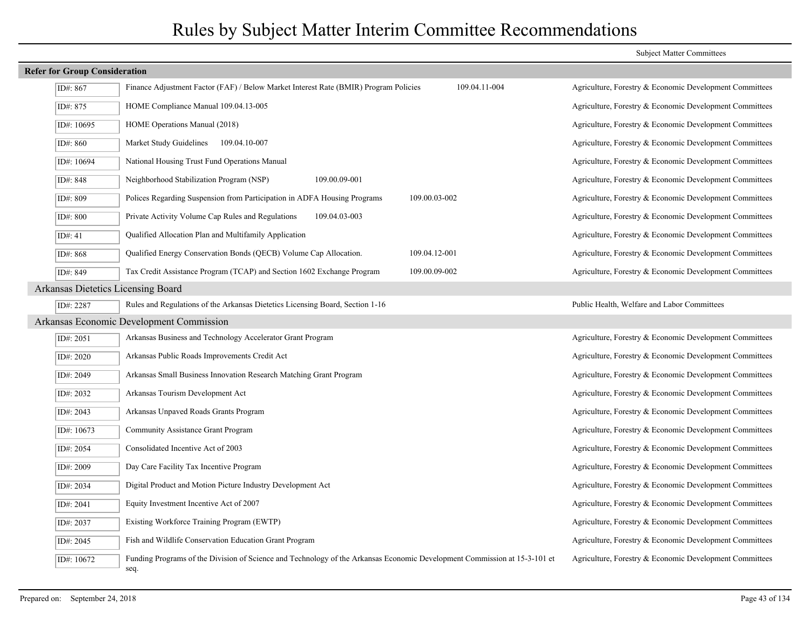|                                    | <b>Refer for Group Consideration</b>                                                                                              |                                                         |  |
|------------------------------------|-----------------------------------------------------------------------------------------------------------------------------------|---------------------------------------------------------|--|
| ID#: 867                           | 109.04.11-004<br>Finance Adjustment Factor (FAF) / Below Market Interest Rate (BMIR) Program Policies                             | Agriculture, Forestry & Economic Development Committees |  |
| ID#: 875                           | HOME Compliance Manual 109.04.13-005                                                                                              | Agriculture, Forestry & Economic Development Committees |  |
| ID#: 10695                         | HOME Operations Manual (2018)                                                                                                     | Agriculture, Forestry & Economic Development Committees |  |
| ID#: 860                           | Market Study Guidelines<br>109.04.10-007                                                                                          | Agriculture, Forestry & Economic Development Committees |  |
| ID#: 10694                         | National Housing Trust Fund Operations Manual                                                                                     | Agriculture, Forestry & Economic Development Committees |  |
| ID#: 848                           | Neighborhood Stabilization Program (NSP)<br>109.00.09-001                                                                         | Agriculture, Forestry & Economic Development Committees |  |
| ID#: 809                           | 109.00.03-002<br>Polices Regarding Suspension from Participation in ADFA Housing Programs                                         | Agriculture, Forestry & Economic Development Committees |  |
| ID#: 800                           | Private Activity Volume Cap Rules and Regulations<br>109.04.03-003                                                                | Agriculture, Forestry & Economic Development Committees |  |
| ID#: 41                            | Qualified Allocation Plan and Multifamily Application                                                                             | Agriculture, Forestry & Economic Development Committees |  |
| ID#: 868                           | Qualified Energy Conservation Bonds (QECB) Volume Cap Allocation.<br>109.04.12-001                                                | Agriculture, Forestry & Economic Development Committees |  |
| ID#: 849                           | Tax Credit Assistance Program (TCAP) and Section 1602 Exchange Program<br>109.00.09-002                                           | Agriculture, Forestry & Economic Development Committees |  |
| Arkansas Dietetics Licensing Board |                                                                                                                                   |                                                         |  |
| ID#: 2287                          | Rules and Regulations of the Arkansas Dietetics Licensing Board, Section 1-16                                                     | Public Health, Welfare and Labor Committees             |  |
|                                    | Arkansas Economic Development Commission                                                                                          |                                                         |  |
| ID#: 2051                          | Arkansas Business and Technology Accelerator Grant Program                                                                        | Agriculture, Forestry & Economic Development Committees |  |
| ID#: 2020                          | Arkansas Public Roads Improvements Credit Act                                                                                     | Agriculture, Forestry & Economic Development Committees |  |
| ID#: 2049                          | Arkansas Small Business Innovation Research Matching Grant Program                                                                | Agriculture, Forestry & Economic Development Committees |  |
| ID#: 2032                          | Arkansas Tourism Development Act                                                                                                  | Agriculture, Forestry & Economic Development Committees |  |
| ID#: 2043                          | Arkansas Unpaved Roads Grants Program                                                                                             | Agriculture, Forestry & Economic Development Committees |  |
| ID#: 10673                         | Community Assistance Grant Program                                                                                                | Agriculture, Forestry & Economic Development Committees |  |
| ID#: 2054                          | Consolidated Incentive Act of 2003                                                                                                | Agriculture, Forestry & Economic Development Committees |  |
| ID#: 2009                          | Day Care Facility Tax Incentive Program                                                                                           | Agriculture, Forestry & Economic Development Committees |  |
| ID#: 2034                          | Digital Product and Motion Picture Industry Development Act                                                                       | Agriculture, Forestry & Economic Development Committees |  |
| ID#: 2041                          | Equity Investment Incentive Act of 2007                                                                                           | Agriculture, Forestry & Economic Development Committees |  |
| ID#: 2037                          | Existing Workforce Training Program (EWTP)                                                                                        | Agriculture, Forestry & Economic Development Committees |  |
| ID#: 2045                          | Fish and Wildlife Conservation Education Grant Program                                                                            | Agriculture, Forestry & Economic Development Committees |  |
| ID#: 10672                         | Funding Programs of the Division of Science and Technology of the Arkansas Economic Development Commission at 15-3-101 et<br>seq. | Agriculture, Forestry & Economic Development Committees |  |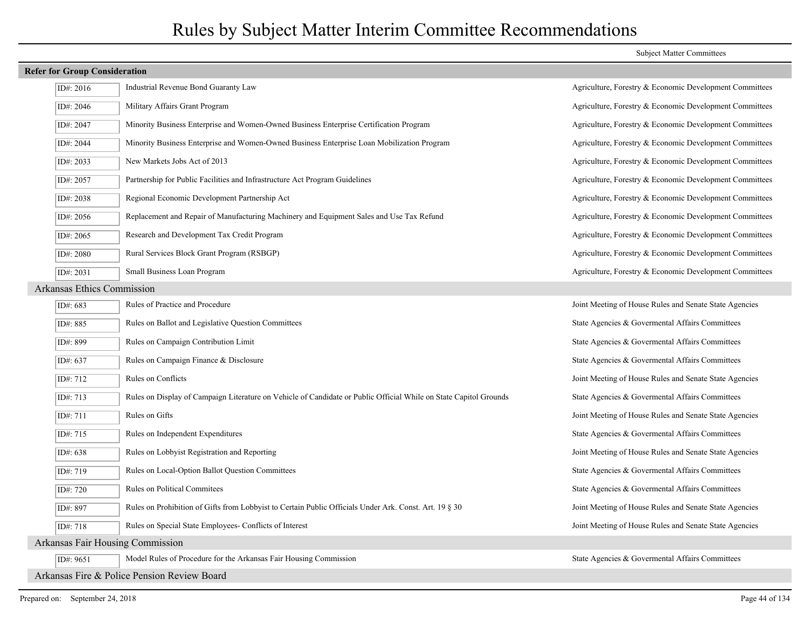## ID#: 2016 Industrial Revenue Bond Guaranty Law Agriculture, Forestry & Economic Development Committees ID#: 2046 Military Affairs Grant Program Agriculture, Forestry & Economic Development Committees ID#: 2047 Minority Business Enterprise and Women-Owned Business Enterprise Certification Program Agriculture, Forestry & Economic Development Committees ID#: 2044 Minority Business Enterprise and Women-Owned Business Enterprise Loan Mobilization Program Agriculture, Forestry & Economic Development Committees ID#: 2033 New Markets Jobs Act of 2013 Agriculture, Forestry & Economic Development Committees ID#: 2057 Partnership for Public Facilities and Infrastructure Act Program Guidelines Agriculture, Forestry & Economic Development Committees ID#: 2038 Regional Economic Development Partnership Act Agriculture, Forestry & Economic Development Committees ID#: 2056 Replacement and Repair of Manufacturing Machinery and Equipment Sales and Use Tax Refund Agriculture, Forestry & Economic Development Committees ID#: 2065 Research and Development Tax Credit Program Agriculture, Forestry & Economic Development Committees ID#: 2080 Rural Services Block Grant Program (RSBGP) Agriculture, Forestry & Economic Development Committees ID#: 2031 Small Business Loan Program Agriculture, Forestry & Economic Development Committees Arkansas Ethics Commission ID#: 683 Rules of Practice and Procedure Agencies Agencies Joint Meeting of House Rules and Senate State Agencies ID#: 885 Rules on Ballot and Legislative Question Committees State Agencies & Govermental Affairs Committees  $\overline{ID#}$ : 899 Rules on Campaign Contribution Limit State Agencies & Governmental Affairs Committees  $ID# 637$  Rules on Campaign Finance & Disclosure State Agencies & Governmental Affairs Committees ID#: 712 Rules on Conflicts Joint Meeting of House Rules and Senate State Agencies ID#: 713 Rules on Display of Campaign Literature on Vehicle of Candidate or Public Official While on State Capitol Grounds State Agencies & Govermental Affairs Committees ID#: 711 Rules on Gifts Rules and Senate State Agencies Joint Meeting of House Rules and Senate State Agencies ID#: 715 Rules on Independent Expenditures State Agencies & Govermental Affairs Committees ID#: 638 Rules on Lobbyist Registration and Reporting Joint Meeting of House Rules and Senate State Agencies  $ID# 719$  Rules on Local-Option Ballot Question Committees State Agencies & Governmental Affairs Committees ID#: 720 Rules on Political Commitees State Agencies & Govermental Affairs Committees ID#: 897 Rules on Prohibition of Gifts from Lobbyist to Certain Public Officials Under Ark. Const. Art. 19 § 30 Joint Meeting of House Rules and Senate State Agencies ID#: 718 Rules on Special State Employees- Conflicts of Interest Joint Meeting of House Rules and Senate State Agencies Arkansas Fair Housing Commission ID#: 9651 Model Rules of Procedure for the Arkansas Fair Housing Commission State Agencies & Govermental Affairs Committees Arkansas Fire & Police Pension Review Board

**Refer for Group Consideration**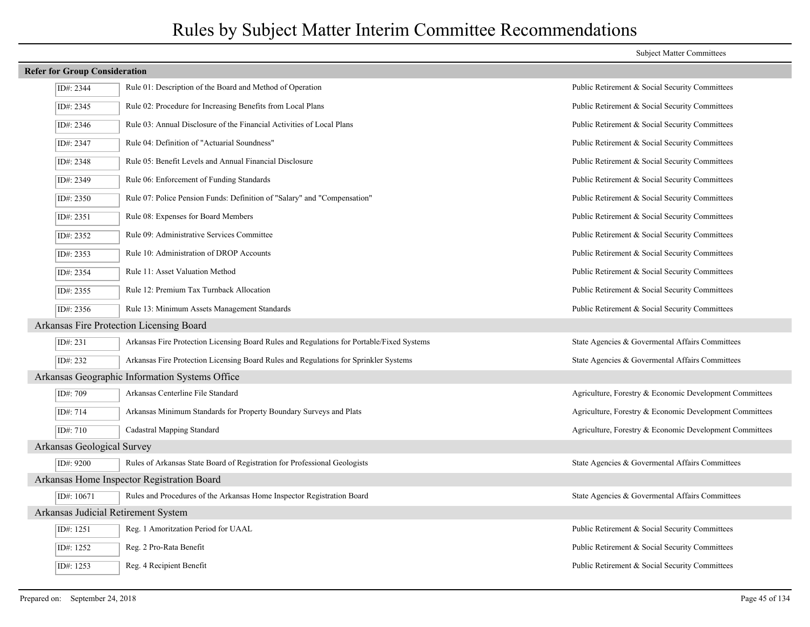## **Refer for Group Consideration** ID#: 2344 Rule 01: Description of the Board and Method of Operation Public Retirement & Social Security Committees ID#: 2345 Rule 02: Procedure for Increasing Benefits from Local Plans Public Retirement & Social Security Committees ID#: 2346 Rule 03: Annual Disclosure of the Financial Activities of Local Plans Public Retirement & Social Security Committees ID#: 2347 Rule 04: Definition of "Actuarial Soundness" Public Retirement & Social Security Committees ID#: 2348 Rule 05: Benefit Levels and Annual Financial Disclosure **Public Retirement & Social Security Committees** ID#: 2349 Rule 06: Enforcement of Funding Standards Public Retirement & Social Security Committees ID#: 2350 Rule 07: Police Pension Funds: Definition of "Salary" and "Compensation" Public Retirement & Social Security Committees ID#: 2351 Rule 08: Expenses for Board Members Public Retirement & Social Security Committees ID#: 2352 Rule 09: Administrative Services Committee Public Retirement & Social Security Committees ID#: 2353 Rule 10: Administration of DROP Accounts Public Retirement & Social Security Committees ID#: 2354 Rule 11: Asset Valuation Method Public Retirement & Social Security Committees ID#: 2355 Rule 12: Premium Tax Turnback Allocation Public Retirement & Social Security Committees ID#: 2356 Rule 13: Minimum Assets Management Standards Public Retirement & Social Security Committees Arkansas Fire Protection Licensing Board ID#: 231 Arkansas Fire Protection Licensing Board Rules and Regulations for Portable/Fixed Systems State Agencies & Govermental Affairs Committees  $ID#232$  Arkansas Fire Protection Licensing Board Rules and Regulations for Sprinkler Systems State Agencies & Governmental Affairs Committees Arkansas Geographic Information Systems Office ID#: 709 Arkansas Centerline File Standard Agriculture, Forestry & Economic Development Committees ID#: 714 Arkansas Minimum Standards for Property Boundary Surveys and Plats Agriculture, Forestry & Economic Development Committees ID#: 710 Cadastral Mapping Standard Committees Cadastral Mapping Standard Committees Arkansas Geological Survey  $ID#9200$  Rules of Arkansas State Board of Registration for Professional Geologists State Agencies & Governmental Affairs Committees Arkansas Home Inspector Registration Board ID#: 10671 Rules and Procedures of the Arkansas Home Inspector Registration Board State Agencies & Govermental Affairs Committees Arkansas Judicial Retirement System ID#: 1251 Reg. 1 Amoritzation Period for UAAL Public Retirement & Social Security Committees ID#: 1252 Reg. 2 Pro-Rata Benefit Public Retirement & Social Security Committees ID#: 1253 Reg. 4 Recipient Benefit Public Retirement & Social Security Committees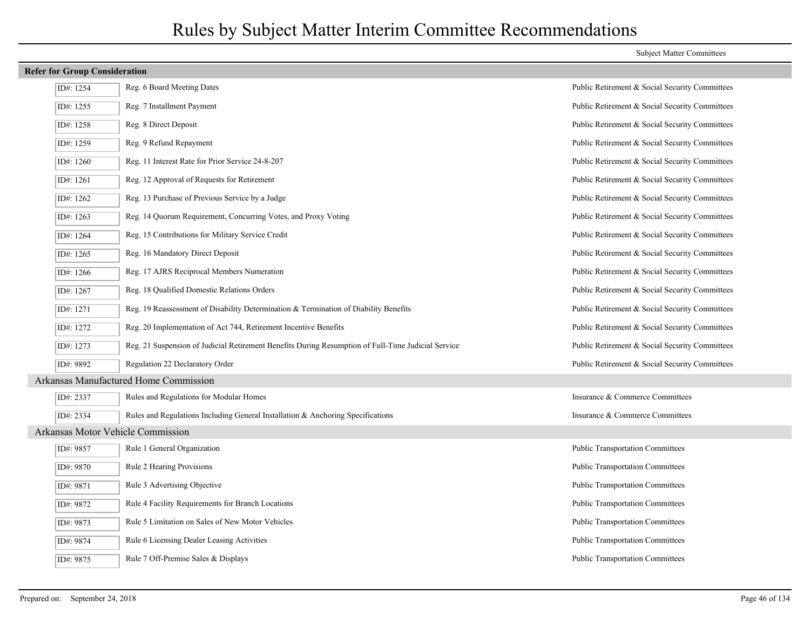| <b>Refer for Group Consideration</b> |                                                                                                    |                                                |
|--------------------------------------|----------------------------------------------------------------------------------------------------|------------------------------------------------|
| ID#: 1254                            | Reg. 6 Board Meeting Dates                                                                         | Public Retirement & Social Security Committees |
| ID#: 1255                            | Reg. 7 Installment Payment                                                                         | Public Retirement & Social Security Committees |
| ID#: 1258                            | Reg. 8 Direct Deposit                                                                              | Public Retirement & Social Security Committees |
| ID#: 1259                            | Reg. 9 Refund Repayment                                                                            | Public Retirement & Social Security Committees |
| ID#: $1260$                          | Reg. 11 Interest Rate for Prior Service 24-8-207                                                   | Public Retirement & Social Security Committees |
| ID#: 1261                            | Reg. 12 Approval of Requests for Retirement                                                        | Public Retirement & Social Security Committees |
| ID#: 1262                            | Reg. 13 Purchase of Previous Service by a Judge                                                    | Public Retirement & Social Security Committees |
| ID#: 1263                            | Reg. 14 Quorum Requirement, Concurring Votes, and Proxy Voting                                     | Public Retirement & Social Security Committees |
| ID#: 1264                            | Reg. 15 Contributions for Military Service Credit                                                  | Public Retirement & Social Security Committees |
| ID#: 1265                            | Reg. 16 Mandatory Direct Deposit                                                                   | Public Retirement & Social Security Committees |
| ID#: 1266                            | Reg. 17 AJRS Reciprocal Members Numeration                                                         | Public Retirement & Social Security Committees |
| ID#: 1267                            | Reg. 18 Qualified Domestic Relations Orders                                                        | Public Retirement & Social Security Committees |
| ID#: 1271                            | Reg. 19 Reassessment of Disability Determination & Termination of Diability Benefits               | Public Retirement & Social Security Committees |
| ID#: 1272                            | Reg. 20 Implementation of Act 744, Retirement Incentive Benefits                                   | Public Retirement & Social Security Committees |
| ID#: 1273                            | Reg. 21 Suspension of Judicial Retirement Benefits During Resumption of Full-Time Judicial Service | Public Retirement & Social Security Committees |
| ID#: 9892                            | Regulation 22 Declaratory Order                                                                    | Public Retirement & Social Security Committees |
|                                      | Arkansas Manufactured Home Commission                                                              |                                                |
| ID#: 2337                            | Rules and Regulations for Modular Homes                                                            | Insurance & Commerce Committees                |
| ID#: 2334                            | Rules and Regulations Including General Installation & Anchoring Specifications                    | Insurance & Commerce Committees                |
| Arkansas Motor Vehicle Commission    |                                                                                                    |                                                |
| ID#: 9857                            | Rule 1 General Organization                                                                        | <b>Public Transportation Committees</b>        |
| ID#: 9870                            | Rule 2 Hearing Provisions                                                                          | <b>Public Transportation Committees</b>        |
| ID#: 9871                            | Rule 3 Advertising Objective                                                                       | <b>Public Transportation Committees</b>        |
| ID#: 9872                            | Rule 4 Facility Requirements for Branch Locations                                                  | <b>Public Transportation Committees</b>        |
| ID#: 9873                            | Rule 5 Limitation on Sales of New Motor Vehicles                                                   | <b>Public Transportation Committees</b>        |
| ID#: 9874                            | Rule 6 Licensing Dealer Leasing Activities                                                         | <b>Public Transportation Committees</b>        |
| ID#: 9875                            | Rule 7 Off-Premise Sales & Displays                                                                | <b>Public Transportation Committees</b>        |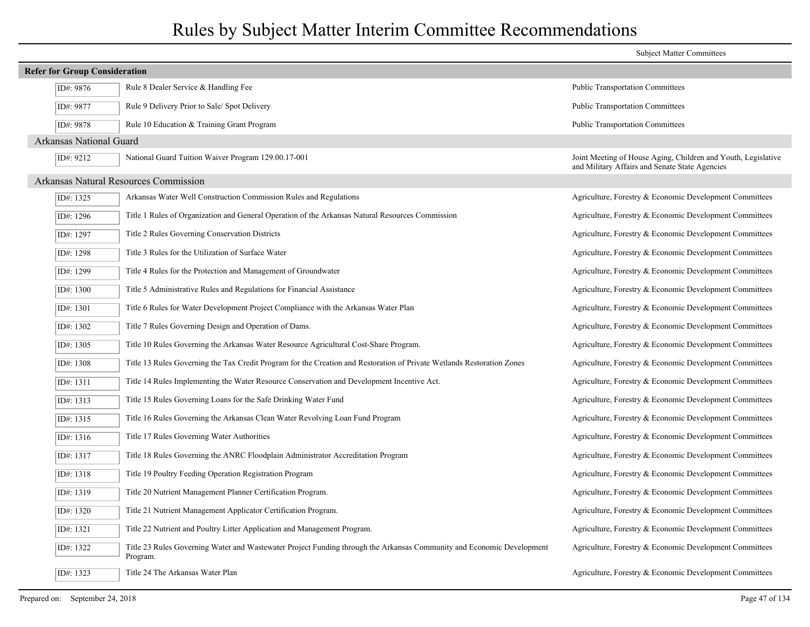|                                      |                                                                                                                                   | <b>Subject Matter Committees</b>                                                                                |
|--------------------------------------|-----------------------------------------------------------------------------------------------------------------------------------|-----------------------------------------------------------------------------------------------------------------|
| <b>Refer for Group Consideration</b> |                                                                                                                                   |                                                                                                                 |
| ID#: 9876                            | Rule 8 Dealer Service & Handling Fee                                                                                              | Public Transportation Committees                                                                                |
| ID#: 9877                            | Rule 9 Delivery Prior to Sale/ Spot Delivery                                                                                      | <b>Public Transportation Committees</b>                                                                         |
| ID#: 9878                            | Rule 10 Education & Training Grant Program                                                                                        | <b>Public Transportation Committees</b>                                                                         |
| Arkansas National Guard              |                                                                                                                                   |                                                                                                                 |
| ID#: 9212                            | National Guard Tuition Waiver Program 129.00.17-001                                                                               | Joint Meeting of House Aging, Children and Youth, Legislative<br>and Military Affairs and Senate State Agencies |
|                                      | Arkansas Natural Resources Commission                                                                                             |                                                                                                                 |
| ID#: 1325                            | Arkansas Water Well Construction Commission Rules and Regulations                                                                 | Agriculture, Forestry & Economic Development Committees                                                         |
| ID#: 1296                            | Title 1 Rules of Organization and General Operation of the Arkansas Natural Resources Commission                                  | Agriculture, Forestry & Economic Development Committees                                                         |
| ID#: 1297                            | Title 2 Rules Governing Conservation Districts                                                                                    | Agriculture, Forestry & Economic Development Committees                                                         |
| ID#: 1298                            | Title 3 Rules for the Utilization of Surface Water                                                                                | Agriculture, Forestry & Economic Development Committees                                                         |
| ID#: 1299                            | Title 4 Rules for the Protection and Management of Groundwater                                                                    | Agriculture, Forestry & Economic Development Committees                                                         |
| ID#: 1300                            | Title 5 Administrative Rules and Regulations for Financial Assistance                                                             | Agriculture, Forestry & Economic Development Committees                                                         |
| ID#: 1301                            | Title 6 Rules for Water Development Project Compliance with the Arkansas Water Plan                                               | Agriculture, Forestry & Economic Development Committees                                                         |
| ID#: 1302                            | Title 7 Rules Governing Design and Operation of Dams.                                                                             | Agriculture, Forestry & Economic Development Committees                                                         |
| ID#: 1305                            | Title 10 Rules Governing the Arkansas Water Resource Agricultural Cost-Share Program.                                             | Agriculture, Forestry & Economic Development Committees                                                         |
| ID#: 1308                            | Title 13 Rules Governing the Tax Credit Program for the Creation and Restoration of Private Wetlands Restoration Zones            | Agriculture, Forestry & Economic Development Committees                                                         |
| ID#: 1311                            | Title 14 Rules Implementing the Water Resource Conservation and Development Incentive Act.                                        | Agriculture, Forestry & Economic Development Committees                                                         |
| ID#: 1313                            | Title 15 Rules Governing Loans for the Safe Drinking Water Fund                                                                   | Agriculture, Forestry & Economic Development Committees                                                         |
| ID#: 1315                            | Title 16 Rules Governing the Arkansas Clean Water Revolving Loan Fund Program                                                     | Agriculture, Forestry & Economic Development Committees                                                         |
| ID#: 1316                            | Title 17 Rules Governing Water Authorities                                                                                        | Agriculture, Forestry & Economic Development Committees                                                         |
| ID#: 1317                            | Title 18 Rules Governing the ANRC Floodplain Administrator Accreditation Program                                                  | Agriculture, Forestry & Economic Development Committees                                                         |
| ID#: 1318                            | Title 19 Poultry Feeding Operation Registration Program                                                                           | Agriculture, Forestry & Economic Development Committees                                                         |
| ID#: 1319                            | Title 20 Nutrient Management Planner Certification Program.                                                                       | Agriculture, Forestry & Economic Development Committees                                                         |
| ID#: 1320                            | Title 21 Nutrient Management Applicator Certification Program.                                                                    | Agriculture, Forestry & Economic Development Committees                                                         |
| ID#: 1321                            | Title 22 Nutrient and Poultry Litter Application and Management Program.                                                          | Agriculture, Forestry & Economic Development Committees                                                         |
| ID#: 1322                            | Title 23 Rules Governing Water and Wastewater Project Funding through the Arkansas Community and Economic Development<br>Program. | Agriculture, Forestry & Economic Development Committees                                                         |
| ID#: 1323                            | Title 24 The Arkansas Water Plan                                                                                                  | Agriculture, Forestry & Economic Development Committees                                                         |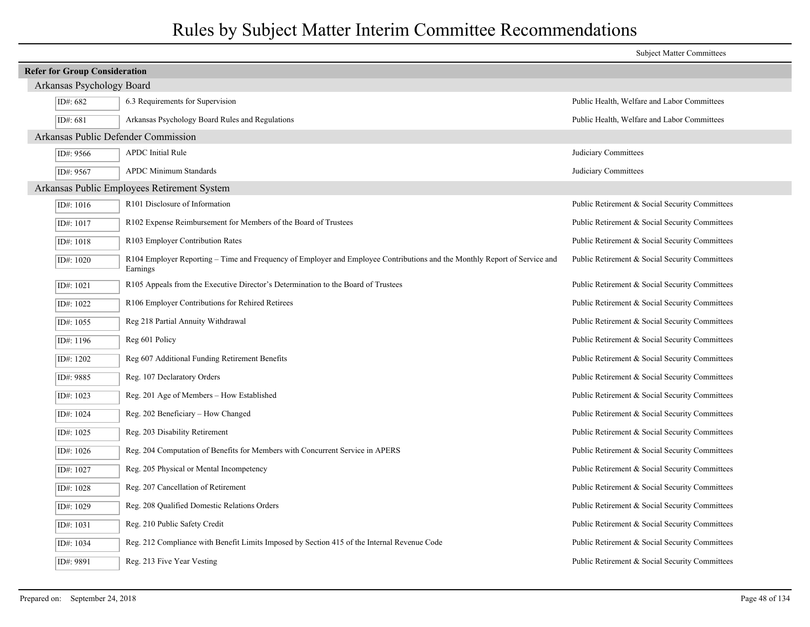|                                      |                                                                                                                                       | <b>Subject Matter Committees</b>               |
|--------------------------------------|---------------------------------------------------------------------------------------------------------------------------------------|------------------------------------------------|
| <b>Refer for Group Consideration</b> |                                                                                                                                       |                                                |
| Arkansas Psychology Board            |                                                                                                                                       |                                                |
| ID#: 682                             | 6.3 Requirements for Supervision                                                                                                      | Public Health, Welfare and Labor Committees    |
| ID#: 681                             | Arkansas Psychology Board Rules and Regulations                                                                                       | Public Health, Welfare and Labor Committees    |
| Arkansas Public Defender Commission  |                                                                                                                                       |                                                |
| ID#: 9566                            | <b>APDC</b> Initial Rule                                                                                                              | Judiciary Committees                           |
| ID#: 9567                            | <b>APDC Minimum Standards</b>                                                                                                         | Judiciary Committees                           |
|                                      | Arkansas Public Employees Retirement System                                                                                           |                                                |
| ID#: 1016                            | R101 Disclosure of Information                                                                                                        | Public Retirement & Social Security Committees |
| ID#: 1017                            | R102 Expense Reimbursement for Members of the Board of Trustees                                                                       | Public Retirement & Social Security Committees |
| ID#: 1018                            | R103 Employer Contribution Rates                                                                                                      | Public Retirement & Social Security Committees |
| ID#: 1020                            | R104 Employer Reporting – Time and Frequency of Employer and Employee Contributions and the Monthly Report of Service and<br>Earnings | Public Retirement & Social Security Committees |
| ID#: 1021                            | R105 Appeals from the Executive Director's Determination to the Board of Trustees                                                     | Public Retirement & Social Security Committees |
| ID#: 1022                            | R106 Employer Contributions for Rehired Retirees                                                                                      | Public Retirement & Social Security Committees |
| ID#: $1055$                          | Reg 218 Partial Annuity Withdrawal                                                                                                    | Public Retirement & Social Security Committees |
| ID#: $1196$                          | Reg 601 Policy                                                                                                                        | Public Retirement & Social Security Committees |
| ID#: 1202                            | Reg 607 Additional Funding Retirement Benefits                                                                                        | Public Retirement & Social Security Committees |
| ID#: 9885                            | Reg. 107 Declaratory Orders                                                                                                           | Public Retirement & Social Security Committees |
| ID#: $1023$                          | Reg. 201 Age of Members - How Established                                                                                             | Public Retirement & Social Security Committees |
| ID#: 1024                            | Reg. 202 Beneficiary - How Changed                                                                                                    | Public Retirement & Social Security Committees |
| ID#: $1025$                          | Reg. 203 Disability Retirement                                                                                                        | Public Retirement & Social Security Committees |
| ID#: $1026$                          | Reg. 204 Computation of Benefits for Members with Concurrent Service in APERS                                                         | Public Retirement & Social Security Committees |
| ID#: 1027                            | Reg. 205 Physical or Mental Incompetency                                                                                              | Public Retirement & Social Security Committees |
| ID#: 1028                            | Reg. 207 Cancellation of Retirement                                                                                                   | Public Retirement & Social Security Committees |
| ID#: 1029                            | Reg. 208 Qualified Domestic Relations Orders                                                                                          | Public Retirement & Social Security Committees |
| ID#: 1031                            | Reg. 210 Public Safety Credit                                                                                                         | Public Retirement & Social Security Committees |
| ID#: 1034                            | Reg. 212 Compliance with Benefit Limits Imposed by Section 415 of the Internal Revenue Code                                           | Public Retirement & Social Security Committees |
| ID#: 9891                            | Reg. 213 Five Year Vesting                                                                                                            | Public Retirement & Social Security Committees |
|                                      |                                                                                                                                       |                                                |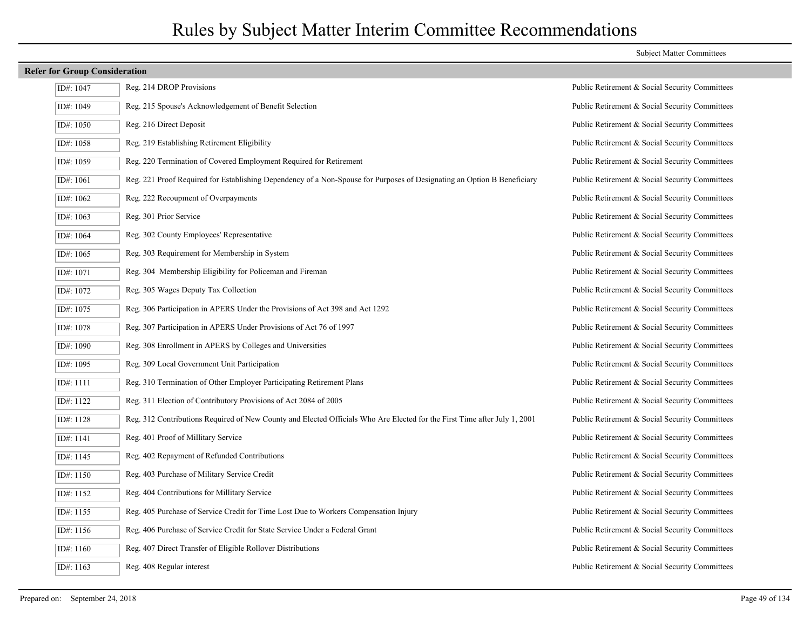| ID#: 1047 | Reg. 214 DROP Provisions                                                                                                  | Public Retirement & Social Security Committees |
|-----------|---------------------------------------------------------------------------------------------------------------------------|------------------------------------------------|
| ID#: 1049 | Reg. 215 Spouse's Acknowledgement of Benefit Selection                                                                    | Public Retirement & Social Security Committees |
| ID#: 1050 | Reg. 216 Direct Deposit                                                                                                   | Public Retirement & Social Security Committees |
| ID#: 1058 | Reg. 219 Establishing Retirement Eligibility                                                                              | Public Retirement & Social Security Committees |
| ID#: 1059 | Reg. 220 Termination of Covered Employment Required for Retirement                                                        | Public Retirement & Social Security Committees |
| ID#: 1061 | Reg. 221 Proof Required for Establishing Dependency of a Non-Spouse for Purposes of Designating an Option B Beneficiary   | Public Retirement & Social Security Committees |
| ID#: 1062 | Reg. 222 Recoupment of Overpayments                                                                                       | Public Retirement & Social Security Committees |
| ID#: 1063 | Reg. 301 Prior Service                                                                                                    | Public Retirement & Social Security Committees |
| ID#: 1064 | Reg. 302 County Employees' Representative                                                                                 | Public Retirement & Social Security Committees |
| ID#: 1065 | Reg. 303 Requirement for Membership in System                                                                             | Public Retirement & Social Security Committees |
| ID#: 1071 | Reg. 304 Membership Eligibility for Policeman and Fireman                                                                 | Public Retirement & Social Security Committees |
| ID#: 1072 | Reg. 305 Wages Deputy Tax Collection                                                                                      | Public Retirement & Social Security Committees |
| ID#: 1075 | Reg. 306 Participation in APERS Under the Provisions of Act 398 and Act 1292                                              | Public Retirement & Social Security Committees |
| ID#: 1078 | Reg. 307 Participation in APERS Under Provisions of Act 76 of 1997                                                        | Public Retirement & Social Security Committees |
| ID#: 1090 | Reg. 308 Enrollment in APERS by Colleges and Universities                                                                 | Public Retirement & Social Security Committees |
| ID#: 1095 | Reg. 309 Local Government Unit Participation                                                                              | Public Retirement & Social Security Committees |
| ID#: 1111 | Reg. 310 Termination of Other Employer Participating Retirement Plans                                                     | Public Retirement & Social Security Committees |
| ID#: 1122 | Reg. 311 Election of Contributory Provisions of Act 2084 of 2005                                                          | Public Retirement & Social Security Committees |
| ID#: 1128 | Reg. 312 Contributions Required of New County and Elected Officials Who Are Elected for the First Time after July 1, 2001 | Public Retirement & Social Security Committees |
| ID#: 1141 | Reg. 401 Proof of Millitary Service                                                                                       | Public Retirement & Social Security Committees |
| ID#: 1145 | Reg. 402 Repayment of Refunded Contributions                                                                              | Public Retirement & Social Security Committees |
| ID#: 1150 | Reg. 403 Purchase of Military Service Credit                                                                              | Public Retirement & Social Security Committees |
| ID#: 1152 | Reg. 404 Contributions for Millitary Service                                                                              | Public Retirement & Social Security Committees |
| ID#: 1155 | Reg. 405 Purchase of Service Credit for Time Lost Due to Workers Compensation Injury                                      | Public Retirement & Social Security Committees |
| ID#: 1156 | Reg. 406 Purchase of Service Credit for State Service Under a Federal Grant                                               | Public Retirement & Social Security Committees |
| ID#: 1160 | Reg. 407 Direct Transfer of Eligible Rollover Distributions                                                               | Public Retirement & Social Security Committees |
| ID#: 1163 | Reg. 408 Regular interest                                                                                                 | Public Retirement & Social Security Committees |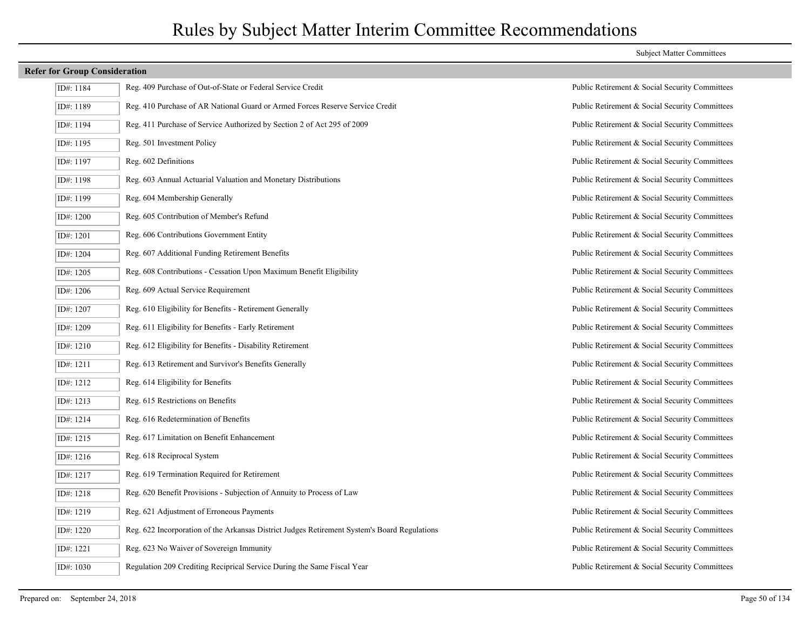| ID#: 1184 | Reg. 409 Purchase of Out-of-State or Federal Service Credit                                  |
|-----------|----------------------------------------------------------------------------------------------|
| ID#: 1189 | Reg. 410 Purchase of AR National Guard or Armed Forces Reserve Service Credit                |
| ID#: 1194 | Reg. 411 Purchase of Service Authorized by Section 2 of Act 295 of 2009                      |
| ID#: 1195 | Reg. 501 Investment Policy                                                                   |
| ID#: 1197 | Reg. 602 Definitions                                                                         |
| ID#: 1198 | Reg. 603 Annual Actuarial Valuation and Monetary Distributions                               |
| ID#: 1199 | Reg. 604 Membership Generally                                                                |
| ID#: 1200 | Reg. 605 Contribution of Member's Refund                                                     |
| ID#: 1201 | Reg. 606 Contributions Government Entity                                                     |
| ID#: 1204 | Reg. 607 Additional Funding Retirement Benefits                                              |
| ID#: 1205 | Reg. 608 Contributions - Cessation Upon Maximum Benefit Eligibility                          |
| ID#: 1206 | Reg. 609 Actual Service Requirement                                                          |
| ID#: 1207 | Reg. 610 Eligibility for Benefits - Retirement Generally                                     |
| ID#: 1209 | Reg. 611 Eligibility for Benefits - Early Retirement                                         |
| ID#: 1210 | Reg. 612 Eligibility for Benefits - Disability Retirement                                    |
| ID#: 1211 | Reg. 613 Retirement and Survivor's Benefits Generally                                        |
| ID#: 1212 | Reg. 614 Eligibility for Benefits                                                            |
| ID#: 1213 | Reg. 615 Restrictions on Benefits                                                            |
| ID#: 1214 | Reg. 616 Redetermination of Benefits                                                         |
| ID#: 1215 | Reg. 617 Limitation on Benefit Enhancement                                                   |
| ID#: 1216 | Reg. 618 Reciprocal System                                                                   |
| ID#: 1217 | Reg. 619 Termination Required for Retirement                                                 |
| ID#: 1218 | Reg. 620 Benefit Provisions - Subjection of Annuity to Process of Law                        |
| ID#: 1219 | Reg. 621 Adjustment of Erroneous Payments                                                    |
| ID#: 1220 | Reg. 622 Incorporation of the Arkansas District Judges Retirement System's Board Regulations |
| ID#: 1221 | Reg. 623 No Waiver of Sovereign Immunity                                                     |
| ID#: 1030 | Regulation 209 Crediting Reciprical Service During the Same Fiscal Year                      |

#### Subject Matter Committees

Public Retirement & Social Security Committees Public Retirement & Social Security Committees Public Retirement & Social Security Committees Public Retirement & Social Security Committees Public Retirement & Social Security Committees Public Retirement & Social Security Committees Public Retirement & Social Security Committees Public Retirement & Social Security Committees Public Retirement & Social Security Committees Public Retirement & Social Security Committees Public Retirement & Social Security Committees Public Retirement & Social Security Committees Public Retirement & Social Security Committees Public Retirement & Social Security Committees Public Retirement & Social Security Committees Public Retirement & Social Security Committees Public Retirement & Social Security Committees Public Retirement & Social Security Committees Public Retirement & Social Security Committees Public Retirement & Social Security Committees Public Retirement & Social Security Committees Public Retirement & Social Security Committees Public Retirement & Social Security Committees Public Retirement & Social Security Committees Public Retirement & Social Security Committees Public Retirement & Social Security Committees Public Retirement & Social Security Committees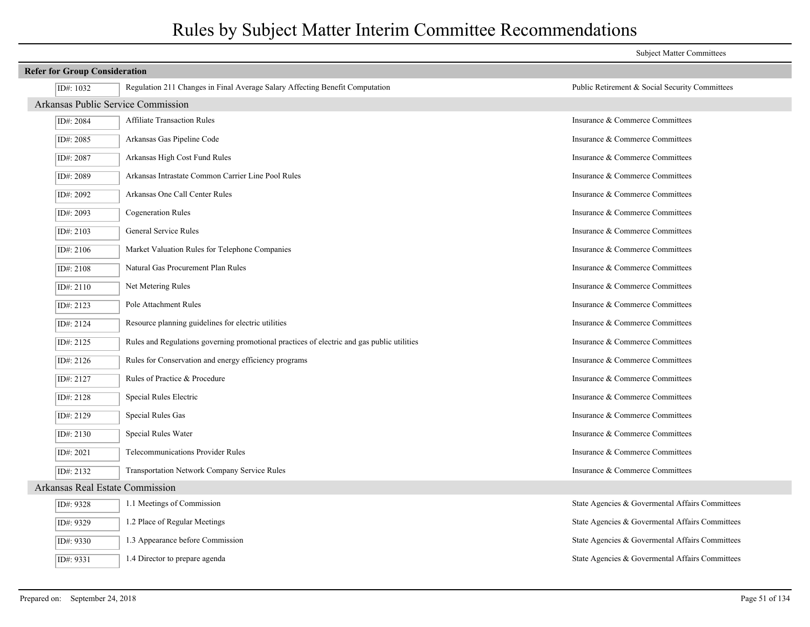|                                    |                                                                                            | <b>Subject Matter Committees</b>                |  |  |
|------------------------------------|--------------------------------------------------------------------------------------------|-------------------------------------------------|--|--|
|                                    | <b>Refer for Group Consideration</b>                                                       |                                                 |  |  |
| ID#: 1032                          | Regulation 211 Changes in Final Average Salary Affecting Benefit Computation               | Public Retirement & Social Security Committees  |  |  |
| Arkansas Public Service Commission |                                                                                            |                                                 |  |  |
| ID#: 2084                          | <b>Affiliate Transaction Rules</b>                                                         | Insurance & Commerce Committees                 |  |  |
| ID#: 2085                          | Arkansas Gas Pipeline Code                                                                 | Insurance & Commerce Committees                 |  |  |
| ID#: 2087                          | Arkansas High Cost Fund Rules                                                              | Insurance & Commerce Committees                 |  |  |
| ID#: 2089                          | Arkansas Intrastate Common Carrier Line Pool Rules                                         | Insurance & Commerce Committees                 |  |  |
| ID#: 2092                          | Arkansas One Call Center Rules                                                             | Insurance & Commerce Committees                 |  |  |
| ID#: 2093                          | <b>Cogeneration Rules</b>                                                                  | Insurance & Commerce Committees                 |  |  |
| ID#: 2103                          | General Service Rules                                                                      | Insurance & Commerce Committees                 |  |  |
| ID#: 2106                          | Market Valuation Rules for Telephone Companies                                             | Insurance & Commerce Committees                 |  |  |
| ID#: 2108                          | Natural Gas Procurement Plan Rules                                                         | Insurance & Commerce Committees                 |  |  |
| ID#: 2110                          | Net Metering Rules                                                                         | Insurance & Commerce Committees                 |  |  |
| ID#: 2123                          | Pole Attachment Rules                                                                      | Insurance & Commerce Committees                 |  |  |
| ID#: 2124                          | Resource planning guidelines for electric utilities                                        | Insurance & Commerce Committees                 |  |  |
| ID#: 2125                          | Rules and Regulations governing promotional practices of electric and gas public utilities | Insurance & Commerce Committees                 |  |  |
| ID#: 2126                          | Rules for Conservation and energy efficiency programs                                      | Insurance & Commerce Committees                 |  |  |
| ID#: 2127                          | Rules of Practice & Procedure                                                              | Insurance & Commerce Committees                 |  |  |
| ID#: 2128                          | Special Rules Electric                                                                     | Insurance & Commerce Committees                 |  |  |
| ID#: 2129                          | Special Rules Gas                                                                          | Insurance & Commerce Committees                 |  |  |
| ID#: 2130                          | Special Rules Water                                                                        | Insurance & Commerce Committees                 |  |  |
| ID#: 2021                          | <b>Telecommunications Provider Rules</b>                                                   | Insurance & Commerce Committees                 |  |  |
| ID#: 2132                          | Transportation Network Company Service Rules                                               | Insurance & Commerce Committees                 |  |  |
| Arkansas Real Estate Commission    |                                                                                            |                                                 |  |  |
| ID#: 9328                          | 1.1 Meetings of Commission                                                                 | State Agencies & Governental Affairs Committees |  |  |
| ID#: 9329                          | 1.2 Place of Regular Meetings                                                              | State Agencies & Governental Affairs Committees |  |  |
| ID#: 9330                          | 1.3 Appearance before Commission                                                           | State Agencies & Governental Affairs Committees |  |  |
| ID#: 9331                          | 1.4 Director to prepare agenda                                                             | State Agencies & Governental Affairs Committees |  |  |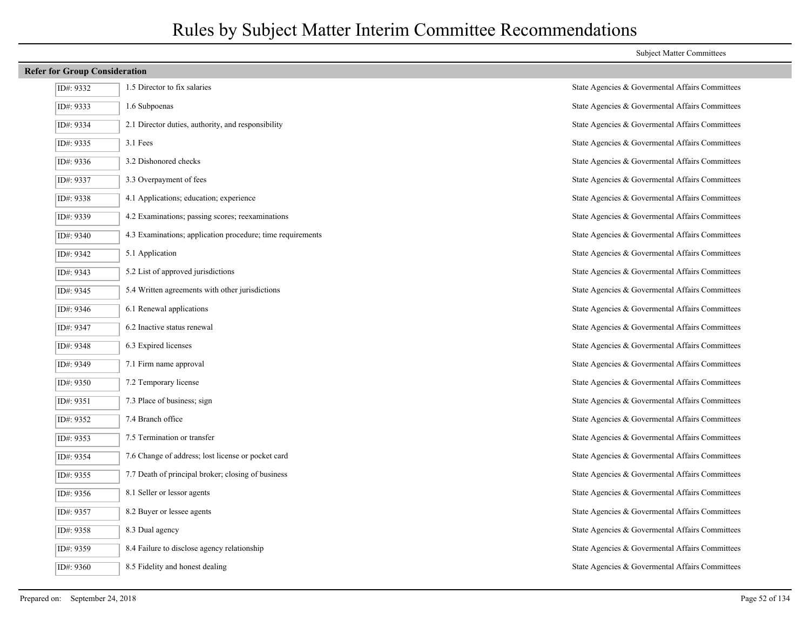| ID#: 9332   | 1.5 Director to fix salaries                       |
|-------------|----------------------------------------------------|
| ID#: 9333   | 1.6 Subpoenas                                      |
| ID#: 9334   | 2.1 Director duties, authority, and responsibility |
| ID#: 9335   | 3.1 Fees                                           |
| ID#: $9336$ | 3.2 Dishonored checks                              |
| ID#: 9337   | 3.3 Overpayment of fees                            |
| ID#: 9338   | 4.1 Applications; education; experience            |
| ID#: 9339   | 4.2 Examinations; passing scores; reexaminations   |
| ID#: 9340   | 4.3 Examinations; application procedure; time req  |
| ID#: 9342   | 5.1 Application                                    |
| ID#: 9343   | 5.2 List of approved jurisdictions                 |
| ID#: 9345   | 5.4 Written agreements with other jurisdictions    |
| ID#: 9346   | 6.1 Renewal applications                           |
| ID#: 9347   | 6.2 Inactive status renewal                        |
| ID#: 9348   | 6.3 Expired licenses                               |
| ID#: 9349   | 7.1 Firm name approval                             |
| ID#: 9350   | 7.2 Temporary license                              |
| ID#: 9351   | 7.3 Place of business; sign                        |
| ID#: 9352   | 7.4 Branch office                                  |
| ID#: 9353   | 7.5 Termination or transfer                        |
| ID#: 9354   | 7.6 Change of address; lost license or pocket card |
| ID#: 9355   | 7.7 Death of principal broker; closing of business |
| ID#: 9356   | 8.1 Seller or lessor agents                        |
| ID#: 9357   | 8.2 Buyer or lessee agents                         |
| ID#: 9358   | 8.3 Dual agency                                    |
| ID#: 9359   | 8.4 Failure to disclose agency relationship        |
| ID#·9360    | 8.5 Fidelity and honest dealing                    |

State Agencies & Govermental Affairs Committees State Agencies & Govermental Affairs Committees State Agencies & Govermental Affairs Committees State Agencies & Govermental Affairs Committees State Agencies & Govermental Affairs Committees State Agencies & Govermental Affairs Committees State Agencies & Govermental Affairs Committees State Agencies & Govermental Affairs Committees ID: 9340 9.3 State Agencies & Governental Affairs Committees State Agencies & Govermental Affairs Committees State Agencies & Govermental Affairs Committees State Agencies & Govermental Affairs Committees State Agencies & Govermental Affairs Committees State Agencies & Govermental Affairs Committees State Agencies & Govermental Affairs Committees State Agencies & Govermental Affairs Committees State Agencies & Govermental Affairs Committees State Agencies & Govermental Affairs Committees State Agencies & Govermental Affairs Committees State Agencies & Govermental Affairs Committees State Agencies & Govermental Affairs Committees State Agencies & Govermental Affairs Committees State Agencies & Govermental Affairs Committees State Agencies & Govermental Affairs Committees State Agencies & Govermental Affairs Committees State Agencies & Govermental Affairs Committees State Agencies & Govermental Affairs Committees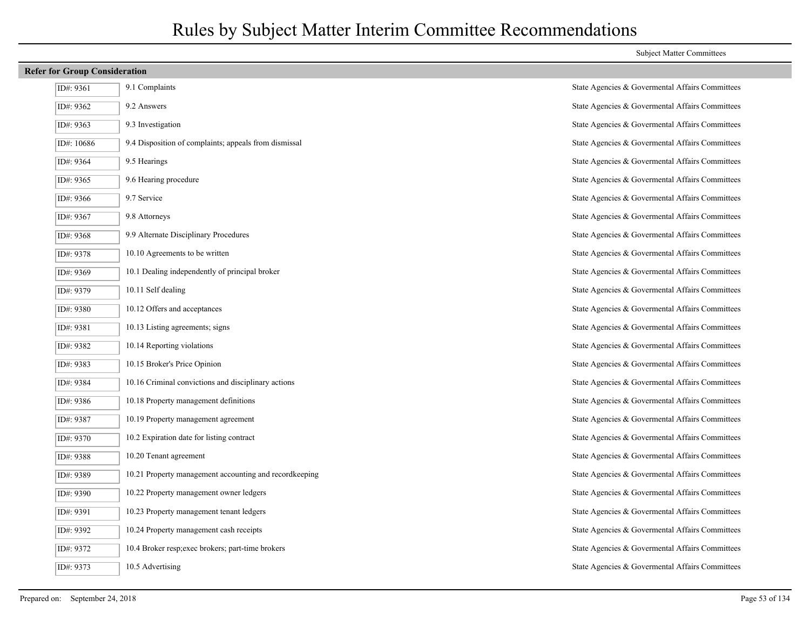## **Refer for Group Consideration**  $I = \begin{bmatrix} 9.1 \end{bmatrix}$  Complaints  $\begin{bmatrix} 9.1 \end{bmatrix}$  Complaints Committees  $I$ D#: 9362 9.2 Answers 9.2 Answers State Agencies & Governmental Affairs Committees ID#: 9363 9.3 Investigation State Agencies & Govermental Affairs Committees ID#: 10686 9.4 Disposition of complaints; appeals from dismissal State Agencies & Govermental Affairs Committees ID#: 9364 9.5 Hearings State Agencies & Govermental Affairs Committees ID#: 9365 9.6 Hearing procedure State Agencies & Govermental Affairs Committees ID#: 9366 9.7 Service 9.7 Service State Agencies & Governmental Affairs Committees ID#: 9367 9.8 Attorneys State Agencies & Govermental Affairs Committees ID#: 9368 9.9 Alternate Disciplinary Procedures State Agencies & Govermental Affairs Committees ID#: 9378 10.10 Agreements to be written State Agencies & Governmental Affairs Committees ID#: 9369 10.1 Dealing independently of principal broker State Agencies & Govermental Affairs Committees ID#: 9379 10.11 Self dealing and state Agencies & Governmental Affairs Committees ID#: 9380 10.12 Offers and acceptances State Agencies & Governmental Affairs Committees ID#: 9381 10.13 Listing agreements; signs State Agencies & Govermental Affairs Committees ID#: 9382 10.14 Reporting violations State Agencies & Govermental Affairs Committees ID#: 9383 10.15 Broker's Price Opinion State Agencies & Govermental Affairs Committees ID#: 9384 10.16 Criminal convictions and disciplinary actions State Agencies & Govermental Affairs Committees ID#: 9386 10.18 Property management definitions State Agencies & Govermental Affairs Committees ID#: 9387 10.19 Property management agreement State Agencies & Govermental Affairs Committees ID#: 9370 10.2 Expiration date for listing contract State Agencies & Governmental Affairs Committees ID#: 9388 10.20 Tenant agreement State Agencies & Govermental Affairs Committees ID#: 9389 10.21 Property management accounting and recordkeeping State Agencies & Governmental Affairs Committees ID#: 9390 10.22 Property management owner ledgers State Agencies & Govermental Affairs Committees ID#: 9391 10.23 Property management tenant ledgers State Agencies & Govermental Affairs Committees ID#: 9392 10.24 Property management cash receipts State Agencies & Govermental Affairs Committees ID#: 9372 10.4 Broker resp;exec brokers; part-time brokers State Agencies & Governmental Affairs Committees

ID#: 9373 10.5 Advertising State Agencies & Govermental Affairs Committees

#### Subject Matter Committees

Prepared on: September 24, 2018 Page 53 of 134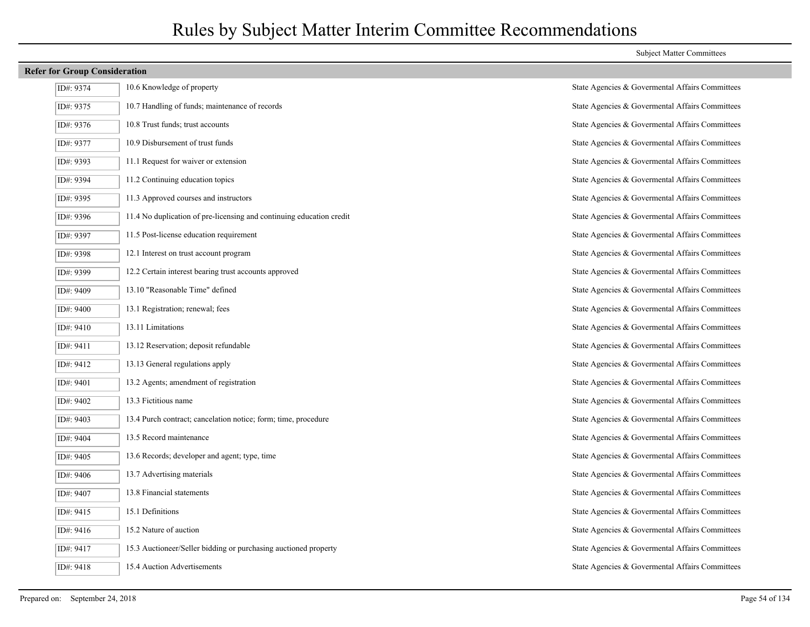| ID#: 9374 | 10.6 Knowledge of property                                           | State Agencies & Governental Affairs Committees |
|-----------|----------------------------------------------------------------------|-------------------------------------------------|
| ID#: 9375 | 10.7 Handling of funds; maintenance of records                       | State Agencies & Governental Affairs Committees |
| ID#: 9376 | 10.8 Trust funds; trust accounts                                     | State Agencies & Govermental Affairs Committees |
| ID#: 9377 | 10.9 Disbursement of trust funds                                     | State Agencies & Govermental Affairs Committees |
| ID#: 9393 | 11.1 Request for waiver or extension                                 | State Agencies & Governental Affairs Committees |
| ID#: 9394 | 11.2 Continuing education topics                                     | State Agencies & Governental Affairs Committees |
| ID#: 9395 | 11.3 Approved courses and instructors                                | State Agencies & Govermental Affairs Committees |
| ID#: 9396 | 11.4 No duplication of pre-licensing and continuing education credit | State Agencies & Govermental Affairs Committees |
| ID#: 9397 | 11.5 Post-license education requirement                              | State Agencies & Governental Affairs Committees |
| ID#: 9398 | 12.1 Interest on trust account program                               | State Agencies & Govermental Affairs Committees |
| ID#: 9399 | 12.2 Certain interest bearing trust accounts approved                | State Agencies & Governental Affairs Committees |
| ID#: 9409 | 13.10 "Reasonable Time" defined                                      | State Agencies & Governental Affairs Committees |
| ID#: 9400 | 13.1 Registration; renewal; fees                                     | State Agencies & Governental Affairs Committees |
| ID#: 9410 | 13.11 Limitations                                                    | State Agencies & Govermental Affairs Committees |
| ID#: 9411 | 13.12 Reservation; deposit refundable                                | State Agencies & Governental Affairs Committees |
| ID#: 9412 | 13.13 General regulations apply                                      | State Agencies & Governental Affairs Committees |
| ID#: 9401 | 13.2 Agents; amendment of registration                               | State Agencies & Govermental Affairs Committees |
| ID#: 9402 | 13.3 Fictitious name                                                 | State Agencies & Governental Affairs Committees |
| ID#: 9403 | 13.4 Purch contract; cancelation notice; form; time, procedure       | State Agencies & Governental Affairs Committees |
| ID#: 9404 | 13.5 Record maintenance                                              | State Agencies & Govermental Affairs Committees |
| ID#: 9405 | 13.6 Records; developer and agent; type, time                        | State Agencies & Governental Affairs Committees |
| ID#: 9406 | 13.7 Advertising materials                                           | State Agencies & Govermental Affairs Committees |
| ID#: 9407 | 13.8 Financial statements                                            | State Agencies & Govermental Affairs Committees |
| ID#: 9415 | 15.1 Definitions                                                     | State Agencies & Governental Affairs Committees |
| ID#: 9416 | 15.2 Nature of auction                                               | State Agencies & Governental Affairs Committees |
| ID#: 9417 | 15.3 Auctioneer/Seller bidding or purchasing auctioned property      | State Agencies & Govermental Affairs Committees |
| ID#: 9418 | 15.4 Auction Advertisements                                          | State Agencies & Governental Affairs Committees |

| State Agencies & Govermental Affairs Committees |
|-------------------------------------------------|
| State Agencies & Govermental Affairs Committees |
| State Agencies & Govermental Affairs Committees |
| State Agencies & Govermental Affairs Committees |
| State Agencies & Govermental Affairs Committees |
| State Agencies & Govermental Affairs Committees |
| State Agencies & Govermental Affairs Committees |
| State Agencies & Govermental Affairs Committees |
| State Agencies & Govermental Affairs Committees |
| State Agencies & Govermental Affairs Committees |
| State Agencies & Govermental Affairs Committees |
| State Agencies & Govermental Affairs Committees |
| State Agencies & Govermental Affairs Committees |
| State Agencies & Govermental Affairs Committees |
| State Agencies & Govermental Affairs Committees |
| State Agencies & Govermental Affairs Committees |
| State Agencies & Govermental Affairs Committees |
| State Agencies & Govermental Affairs Committees |
| State Agencies & Govermental Affairs Committees |
| State Agencies & Govermental Affairs Committees |
| State Agencies & Govermental Affairs Committees |
| State Agencies & Govermental Affairs Committees |
| State Agencies & Govermental Affairs Committees |
| State Agencies & Govermental Affairs Committees |
| State Agencies & Govermental Affairs Committees |
| State Agencies & Govermental Affairs Committees |
| State Agencies & Govermental Affairs Committees |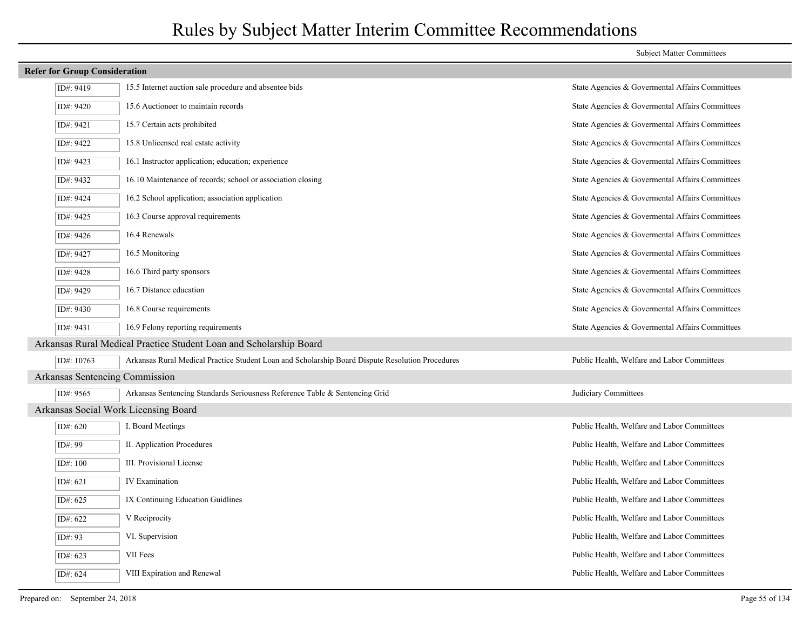## ID#: 9419 15.5 Internet auction sale procedure and absentee bids State Agencies & Govermental Affairs Committees ID#: 9420 15.6 Auctioneer to maintain records State Agencies & Govermental Affairs Committees ID#: 9421 15.7 Certain acts prohibited State Agencies & Governmental Affairs Committees ID#: 9422 15.8 Unlicensed real estate activity State Agencies & Govermental Affairs Committees ID#: 9423 16.1 Instructor application; education; experience State Agencies & Govermental Affairs Committees ID#: 9432 16.10 Maintenance of records; school or association closing State Agencies & Govermental Affairs Committees ID#: 9424 16.2 School application; association application State Agencies & Governmental Affairs Committees ID#: 9425 16.3 Course approval requirements State Agencies & Govermental Affairs Committees ID#: 9426 16.4 Renewals State Agencies & Govermental Affairs Committees ID#: 9427 16.5 Monitoring 10.5 Monitoring State Agencies & Governmental Affairs Committees ID#: 9428 16.6 Third party sponsors State Agencies & Govermental Affairs Committees ID#: 9429 16.7 Distance education State Agencies & Govermental Affairs Committees ID#: 9430 16.8 Course requirements State Agencies & Govermental Affairs Committees ID#: 9431 16.9 Felony reporting requirements State Agencies & Govermental Affairs Committees Arkansas Rural Medical Practice Student Loan and Scholarship Board ID#: 10763 Arkansas Rural Medical Practice Student Loan and Scholarship Board Dispute Resolution Procedures Public Health, Welfare and Labor Committees Arkansas Sentencing Commission ID#: 9565 Arkansas Sentencing Standards Seriousness Reference Table & Sentencing Grid Judiciary Committees Arkansas Social Work Licensing Board  $\overline{ID# 620}$  I. Board Meetings I. Board Meetings **Public Health, Welfare and Labor Committees** ID#: 99 II. Application Procedures Public Health, Welfare and Labor Committees ID#: 100 III. Provisional License Public Health, Welfare and Labor Committees  $\overline{ID# 621}$  IV Examination IV Examination  $\overline{ID}$  Public Health, Welfare and Labor Committees ID#: 625 IX Continuing Education Guidlines Public Health, Welfare and Labor Committees ID#: 622 V Reciprocity Public Health, Welfare and Labor Committees ID#: 93 VI. Supervision Public Health, Welfare and Labor Committees ID#: 623 VII Fees Public Health, Welfare and Labor Committees ID#: 624 VIII Expiration and Renewal Public Health, Welfare and Labor Committees

**Refer for Group Consideration**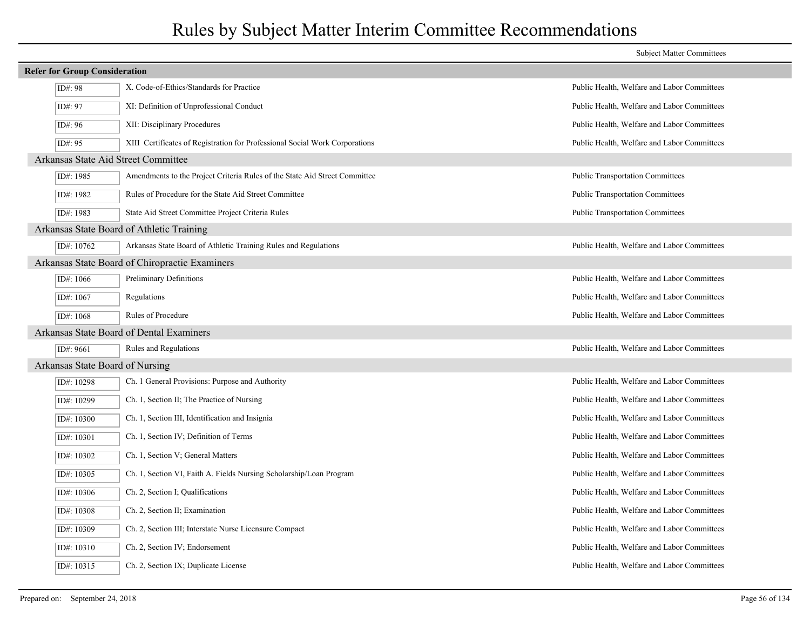|                                      |                                                                             | <b>Subject Matter Committees</b>            |  |  |
|--------------------------------------|-----------------------------------------------------------------------------|---------------------------------------------|--|--|
| <b>Refer for Group Consideration</b> |                                                                             |                                             |  |  |
| ID#: 98                              | X. Code-of-Ethics/Standards for Practice                                    | Public Health, Welfare and Labor Committees |  |  |
| ID#: 97                              | XI: Definition of Unprofessional Conduct                                    | Public Health, Welfare and Labor Committees |  |  |
| ID#: 96                              | XII: Disciplinary Procedures                                                | Public Health, Welfare and Labor Committees |  |  |
| ID#: 95                              | XIII Certificates of Registration for Professional Social Work Corporations | Public Health, Welfare and Labor Committees |  |  |
| Arkansas State Aid Street Committee  |                                                                             |                                             |  |  |
| ID#: 1985                            | Amendments to the Project Criteria Rules of the State Aid Street Committee  | Public Transportation Committees            |  |  |
| ID#: 1982                            | Rules of Procedure for the State Aid Street Committee                       | <b>Public Transportation Committees</b>     |  |  |
| ID#: 1983                            | State Aid Street Committee Project Criteria Rules                           | Public Transportation Committees            |  |  |
|                                      | Arkansas State Board of Athletic Training                                   |                                             |  |  |
| ID#: 10762                           | Arkansas State Board of Athletic Training Rules and Regulations             | Public Health, Welfare and Labor Committees |  |  |
|                                      | Arkansas State Board of Chiropractic Examiners                              |                                             |  |  |
| ID#: 1066                            | Preliminary Definitions                                                     | Public Health, Welfare and Labor Committees |  |  |
| ID#: 1067                            | Regulations                                                                 | Public Health, Welfare and Labor Committees |  |  |
| ID#: 1068                            | Rules of Procedure                                                          | Public Health, Welfare and Labor Committees |  |  |
|                                      | Arkansas State Board of Dental Examiners                                    |                                             |  |  |
| ID#: 9661                            | Rules and Regulations                                                       | Public Health, Welfare and Labor Committees |  |  |
| Arkansas State Board of Nursing      |                                                                             |                                             |  |  |
| ID#: 10298                           | Ch. 1 General Provisions: Purpose and Authority                             | Public Health, Welfare and Labor Committees |  |  |
| ID#: 10299                           | Ch. 1, Section II; The Practice of Nursing                                  | Public Health, Welfare and Labor Committees |  |  |
| ID#: 10300                           | Ch. 1, Section III, Identification and Insignia                             | Public Health, Welfare and Labor Committees |  |  |
| ID#: 10301                           | Ch. 1, Section IV; Definition of Terms                                      | Public Health, Welfare and Labor Committees |  |  |
| ID#: 10302                           | Ch. 1, Section V; General Matters                                           | Public Health, Welfare and Labor Committees |  |  |
| ID#: 10305                           | Ch. 1, Section VI, Faith A. Fields Nursing Scholarship/Loan Program         | Public Health, Welfare and Labor Committees |  |  |
| ID#: 10306                           | Ch. 2, Section I; Qualifications                                            | Public Health, Welfare and Labor Committees |  |  |
| ID#: 10308                           | Ch. 2, Section II; Examination                                              | Public Health, Welfare and Labor Committees |  |  |
| ID#: 10309                           | Ch. 2, Section III; Interstate Nurse Licensure Compact                      | Public Health, Welfare and Labor Committees |  |  |
| ID#: 10310                           | Ch. 2, Section IV; Endorsement                                              | Public Health, Welfare and Labor Committees |  |  |
| ID#: 10315                           | Ch. 2, Section IX; Duplicate License                                        | Public Health, Welfare and Labor Committees |  |  |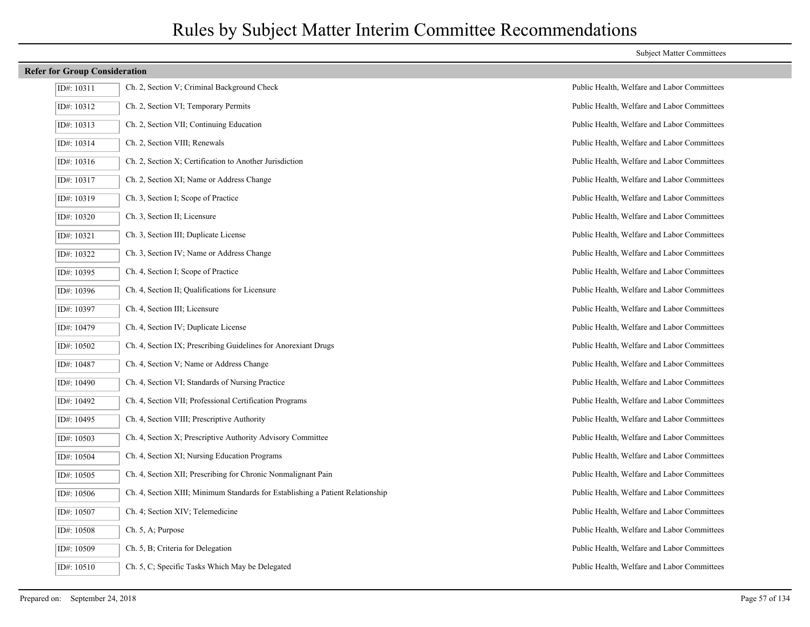| ID#: 10311 | Ch. 2, Section V; Criminal Background Check                                |
|------------|----------------------------------------------------------------------------|
| ID#: 10312 | Ch. 2, Section VI; Temporary Permits                                       |
| ID#: 10313 | Ch. 2, Section VII; Continuing Education                                   |
| ID#: 10314 | Ch. 2, Section VIII; Renewals                                              |
| ID#: 10316 | Ch. 2, Section X; Certification to Another Jurisdiction                    |
| ID#: 10317 | Ch. 2, Section XI; Name or Address Change                                  |
| ID#: 10319 | Ch. 3, Section I; Scope of Practice                                        |
| ID#: 10320 | Ch. 3, Section II; Licensure                                               |
| ID#: 10321 | Ch. 3, Section III; Duplicate License                                      |
| ID#: 10322 | Ch. 3, Section IV; Name or Address Change                                  |
| ID#: 10395 | Ch. 4, Section I; Scope of Practice                                        |
| ID#: 10396 | Ch. 4, Section II; Qualifications for Licensure                            |
| ID#: 10397 | Ch. 4, Section III; Licensure                                              |
| ID#: 10479 | Ch. 4, Section IV; Duplicate License                                       |
| ID#: 10502 | Ch. 4, Section IX; Prescribing Guidelines for Anorexiant Drugs             |
| ID#: 10487 | Ch. 4, Section V; Name or Address Change                                   |
| ID#: 10490 | Ch. 4, Section VI; Standards of Nursing Practice                           |
| ID#: 10492 | Ch. 4, Section VII; Professional Certification Programs                    |
| ID#: 10495 | Ch. 4, Section VIII; Prescriptive Authority                                |
| ID#: 10503 | Ch. 4, Section X; Prescriptive Authority Advisory Committee                |
| ID#: 10504 | Ch. 4, Section XI; Nursing Education Programs                              |
| ID#: 10505 | Ch. 4, Section XII; Prescribing for Chronic Nonmalignant Pain              |
| ID#: 10506 | Ch. 4, Section XIII; Minimum Standards for Establishing a Patient Relation |
| ID#: 10507 | Ch. 4; Section XIV; Telemedicine                                           |
| ID#: 10508 | Ch. 5, A; Purpose                                                          |
| ID#: 10509 | Ch. 5, B; Criteria for Delegation                                          |
| ID#: 10510 | Ch. 5, C; Specific Tasks Which May be Delegated                            |

## Public Health, Welfare and Labor Committees Public Health, Welfare and Labor Committees Public Health, Welfare and Labor Committees Public Health, Welfare and Labor Committees Public Health, Welfare and Labor Committees Public Health, Welfare and Labor Committees Public Health, Welfare and Labor Committees Public Health, Welfare and Labor Committees Public Health, Welfare and Labor Committees Public Health, Welfare and Labor Committees Public Health, Welfare and Labor Committees Public Health, Welfare and Labor Committees Public Health, Welfare and Labor Committees Public Health, Welfare and Labor Committees Public Health, Welfare and Labor Committees Public Health, Welfare and Labor Committees Public Health, Welfare and Labor Committees Public Health, Welfare and Labor Committees Public Health, Welfare and Labor Committees Public Health, Welfare and Labor Committees Public Health, Welfare and Labor Committees Public Health, Welfare and Labor Committees onship The Standards for Establishing Public Health, Welfare and Labor Committees Public Health, Welfare and Labor Committees Public Health, Welfare and Labor Committees Public Health, Welfare and Labor Committees Public Health, Welfare and Labor Committees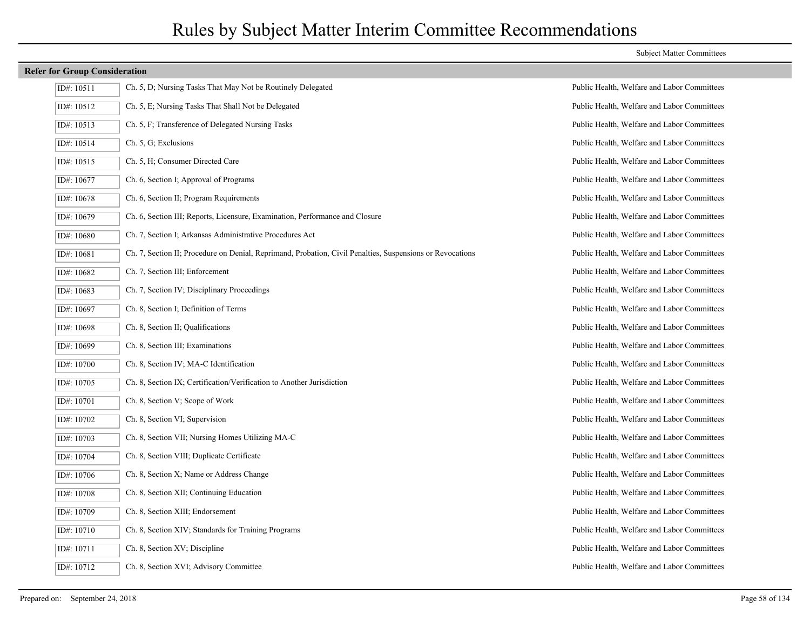#### Subject Matter Committees

| ID#: 10511 | Ch. 5, D; Nursing Tasks That May Not be Routinely Delegated                                               |
|------------|-----------------------------------------------------------------------------------------------------------|
| ID#: 10512 | Ch. 5, E; Nursing Tasks That Shall Not be Delegated                                                       |
| ID#: 10513 | Ch. 5, F; Transference of Delegated Nursing Tasks                                                         |
| ID#: 10514 | Ch. 5, G; Exclusions                                                                                      |
| ID#: 10515 | Ch. 5, H; Consumer Directed Care                                                                          |
| ID#: 10677 | Ch. 6, Section I; Approval of Programs                                                                    |
| ID#: 10678 | Ch. 6, Section II; Program Requirements                                                                   |
| ID#: 10679 | Ch. 6, Section III; Reports, Licensure, Examination, Performance and Closure                              |
| ID#: 10680 | Ch. 7, Section I; Arkansas Administrative Procedures Act                                                  |
| ID#: 10681 | Ch. 7, Section II; Procedure on Denial, Reprimand, Probation, Civil Penalties, Suspensions or Revocations |
| ID#: 10682 | Ch. 7, Section III; Enforcement                                                                           |
| ID#: 10683 | Ch. 7, Section IV; Disciplinary Proceedings                                                               |
| ID#: 10697 | Ch. 8, Section I; Definition of Terms                                                                     |
| ID#: 10698 | Ch. 8, Section II; Qualifications                                                                         |
| ID#: 10699 | Ch. 8, Section III; Examinations                                                                          |
| ID#: 10700 | Ch. 8, Section IV; MA-C Identification                                                                    |
| ID#: 10705 | Ch. 8, Section IX; Certification/Verification to Another Jurisdiction                                     |
| ID#: 10701 | Ch. 8, Section V; Scope of Work                                                                           |
| ID#: 10702 | Ch. 8, Section VI; Supervision                                                                            |
| ID#: 10703 | Ch. 8, Section VII; Nursing Homes Utilizing MA-C                                                          |
| ID#: 10704 | Ch. 8, Section VIII; Duplicate Certificate                                                                |
| ID#: 10706 | Ch. 8, Section X; Name or Address Change                                                                  |
| ID#: 10708 | Ch. 8, Section XII; Continuing Education                                                                  |
| ID#: 10709 | Ch. 8, Section XIII; Endorsement                                                                          |
| ID#: 10710 | Ch. 8, Section XIV; Standards for Training Programs                                                       |
| ID#: 10711 | Ch. 8, Section XV; Discipline                                                                             |
| ID#: 10712 | Ch. 8, Section XVI; Advisory Committee                                                                    |

Public Health, Welfare and Labor Committees Public Health, Welfare and Labor Committees Public Health, Welfare and Labor Committees Public Health, Welfare and Labor Committees Public Health, Welfare and Labor Committees Public Health, Welfare and Labor Committees Public Health, Welfare and Labor Committees Public Health, Welfare and Labor Committees Public Health, Welfare and Labor Committees Public Health, Welfare and Labor Committees Public Health, Welfare and Labor Committees Public Health, Welfare and Labor Committees Public Health, Welfare and Labor Committees Public Health, Welfare and Labor Committees Public Health, Welfare and Labor Committees Public Health, Welfare and Labor Committees Public Health, Welfare and Labor Committees Public Health, Welfare and Labor Committees Public Health, Welfare and Labor Committees Public Health, Welfare and Labor Committees Public Health, Welfare and Labor Committees Public Health, Welfare and Labor Committees Public Health, Welfare and Labor Committees Public Health, Welfare and Labor Committees Public Health, Welfare and Labor Committees Public Health, Welfare and Labor Committees Public Health, Welfare and Labor Committees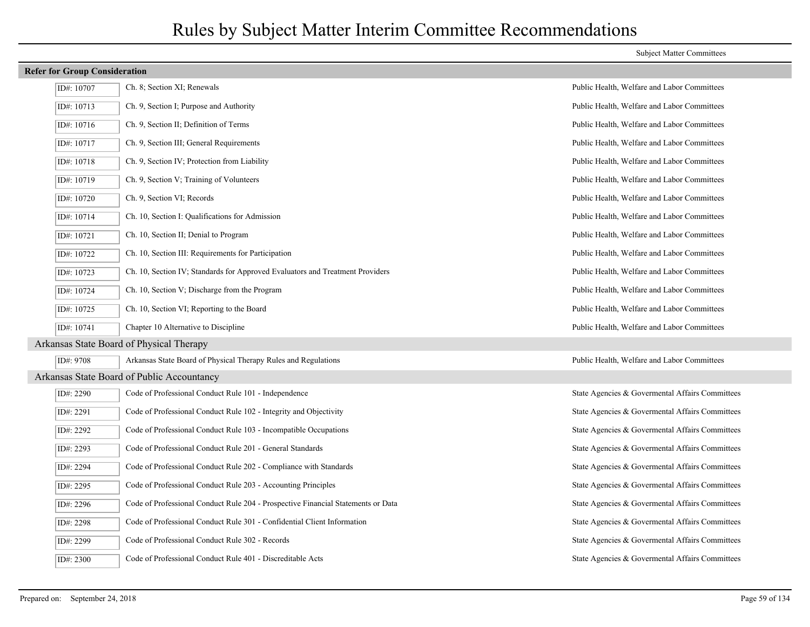| <b>Refer for Group Consideration</b>       |            |                                                                                  |                                                 |
|--------------------------------------------|------------|----------------------------------------------------------------------------------|-------------------------------------------------|
|                                            | ID#: 10707 | Ch. 8; Section XI; Renewals                                                      | Public Health, Welfare and Labor Committees     |
|                                            | ID#: 10713 | Ch. 9, Section I; Purpose and Authority                                          | Public Health, Welfare and Labor Committees     |
|                                            | ID#: 10716 | Ch. 9, Section II; Definition of Terms                                           | Public Health, Welfare and Labor Committees     |
|                                            | ID#: 10717 | Ch. 9, Section III; General Requirements                                         | Public Health, Welfare and Labor Committees     |
|                                            | ID#: 10718 | Ch. 9, Section IV; Protection from Liability                                     | Public Health, Welfare and Labor Committees     |
|                                            | ID#: 10719 | Ch. 9, Section V; Training of Volunteers                                         | Public Health, Welfare and Labor Committees     |
|                                            | ID#: 10720 | Ch. 9, Section VI; Records                                                       | Public Health, Welfare and Labor Committees     |
|                                            | ID#: 10714 | Ch. 10, Section I: Qualifications for Admission                                  | Public Health, Welfare and Labor Committees     |
|                                            | ID#: 10721 | Ch. 10, Section II; Denial to Program                                            | Public Health, Welfare and Labor Committees     |
|                                            | ID#: 10722 | Ch. 10, Section III: Requirements for Participation                              | Public Health, Welfare and Labor Committees     |
|                                            | ID#: 10723 | Ch. 10, Section IV; Standards for Approved Evaluators and Treatment Providers    | Public Health, Welfare and Labor Committees     |
|                                            | ID#: 10724 | Ch. 10, Section V; Discharge from the Program                                    | Public Health, Welfare and Labor Committees     |
|                                            | ID#: 10725 | Ch. 10, Section VI; Reporting to the Board                                       | Public Health, Welfare and Labor Committees     |
|                                            | ID#: 10741 | Chapter 10 Alternative to Discipline                                             | Public Health, Welfare and Labor Committees     |
|                                            |            | Arkansas State Board of Physical Therapy                                         |                                                 |
|                                            | ID#: 9708  | Arkansas State Board of Physical Therapy Rules and Regulations                   | Public Health, Welfare and Labor Committees     |
| Arkansas State Board of Public Accountancy |            |                                                                                  |                                                 |
|                                            | ID#: 2290  | Code of Professional Conduct Rule 101 - Independence                             | State Agencies & Govermental Affairs Committees |
|                                            | ID#: 2291  | Code of Professional Conduct Rule 102 - Integrity and Objectivity                | State Agencies & Govermental Affairs Committees |
|                                            | ID#: 2292  | Code of Professional Conduct Rule 103 - Incompatible Occupations                 | State Agencies & Govermental Affairs Committees |
|                                            | ID#: 2293  | Code of Professional Conduct Rule 201 - General Standards                        | State Agencies & Governental Affairs Committees |
|                                            | ID#: 2294  | Code of Professional Conduct Rule 202 - Compliance with Standards                | State Agencies & Govermental Affairs Committees |
|                                            | ID#: 2295  | Code of Professional Conduct Rule 203 - Accounting Principles                    | State Agencies & Govermental Affairs Committees |
|                                            | ID#: 2296  | Code of Professional Conduct Rule 204 - Prospective Financial Statements or Data | State Agencies & Govermental Affairs Committees |
|                                            | ID#: 2298  | Code of Professional Conduct Rule 301 - Confidential Client Information          | State Agencies & Govermental Affairs Committees |
|                                            | ID#: 2299  | Code of Professional Conduct Rule 302 - Records                                  | State Agencies & Govermental Affairs Committees |
|                                            | ID#: 2300  | Code of Professional Conduct Rule 401 - Discreditable Acts                       | State Agencies & Govermental Affairs Committees |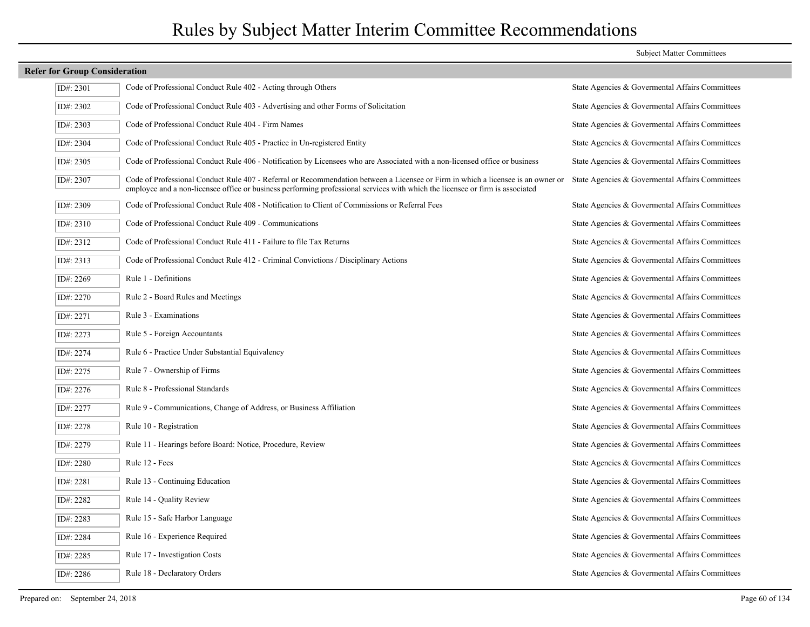### **Refer for Group Consideration** ID#: 2301 Code of Professional Conduct Rule 402 - Acting through Others State Agencies & Governmental Affairs Committees ID#: 2302 Code of Professional Conduct Rule 403 - Advertising and other Forms of Solicitation State Agencies & Govermental Affairs Committees ID#: 2303 Code of Professional Conduct Rule 404 - Firm Names State Agencies & Govermental Affairs Committees ID#: 2304 Code of Professional Conduct Rule 405 - Practice in Un-registered Entity State Agencies & Govermental Affairs Committees ID#: 2305 Code of Professional Conduct Rule 406 - Notification by Licensees who are Associated with a non-licensed office or business State Agencies & Govermental Affairs Committees Code of Professional Conduct Rule 407 - Referral or Recommendation between a Licensee or Firm in which a licensee is an owner or State Agencies & Govermental Affairs Committees employee and a non-licensee office or business performing professional services with which the licensee or firm is associated ID#: 2307 ID#: 2309 Code of Professional Conduct Rule 408 - Notification to Client of Commissions or Referral Fees State Agencies & Govermental Affairs Committees ID#: 2310 Code of Professional Conduct Rule 409 - Communications State Agencies & Govermental Affairs Committees ID#: 2312 Code of Professional Conduct Rule 411 - Failure to file Tax Returns State Agencies & Govermental Affairs Committees ID#: 2313 Code of Professional Conduct Rule 412 - Criminal Convictions / Disciplinary Actions State Agencies & Govermental Affairs Committees ID#: 2269 Rule 1 - Definitions State Agencies & Govermental Affairs Committees ID#: 2270 Rule 2 - Board Rules and Meetings State Agencies & Govermental Affairs Committees ID#: 2271 Rule 3 - Examinations State Agencies & Govermental Affairs Committees ID#: 2273 Rule 5 - Foreign Accountants State Agencies & Govermental Affairs Committees ID#: 2274 Rule 6 - Practice Under Substantial Equivalency State Agencies & Govermental Affairs Committees ID#: 2275 Rule 7 - Ownership of Firms State Agencies & Govermental Affairs Committees  $ID#2276$  Rule 8 - Professional Standards State Agencies & Governmental Affairs Committees ID#: 2277 Rule 9 - Communications, Change of Address, or Business Affiliation State Agencies & Governmental Affairs Committees  $I$ D#: 2278 Rule 10 - Registration State Agencies & Governmental Affairs Committees ID#: 2279 Rule 11 - Hearings before Board: Notice, Procedure, Review State Agencies & Govermental Affairs Committees  $I$ D#: 2280 Rule 12 - Fees State Agencies & Governmental Affairs Committees ID#: 2281 Rule 13 - Continuing Education State Agencies & Govermental Affairs Committees ID#: 2282 Rule 14 - Quality Review State Agencies & Govermental Affairs Committees ID#: 2283 Rule 15 - Safe Harbor Language State Agencies & Govermental Affairs Committees ID#: 2284 Rule 16 - Experience Required State Agencies & Govermental Affairs Committees ID#: 2285 Rule 17 - Investigation Costs State Agencies & Govermental Affairs Committees ID#: 2286 Rule 18 - Declaratory Orders State Agencies & Govermental Affairs Committees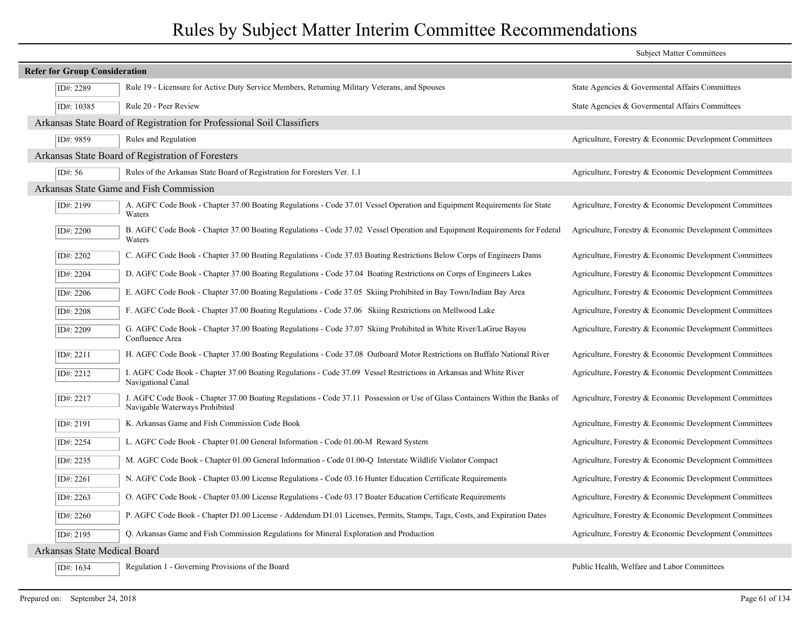|                              |                                      |                                                                                                                                                                | <b>Subject Matter Committees</b>                        |
|------------------------------|--------------------------------------|----------------------------------------------------------------------------------------------------------------------------------------------------------------|---------------------------------------------------------|
|                              | <b>Refer for Group Consideration</b> |                                                                                                                                                                |                                                         |
|                              | ID#: 2289                            | Rule 19 - Licensure for Active Duty Service Members, Returning Military Veterans, and Spouses                                                                  | State Agencies & Governental Affairs Committees         |
|                              | ID#: 10385                           | Rule 20 - Peer Review                                                                                                                                          | State Agencies & Governental Affairs Committees         |
|                              |                                      | Arkansas State Board of Registration for Professional Soil Classifiers                                                                                         |                                                         |
|                              | ID#: 9859                            | Rules and Regulation                                                                                                                                           | Agriculture, Forestry & Economic Development Committees |
|                              |                                      | Arkansas State Board of Registration of Foresters                                                                                                              |                                                         |
|                              | ID#: 56                              | Rules of the Arkansas State Board of Registration for Foresters Ver. 1.1                                                                                       | Agriculture, Forestry & Economic Development Committees |
|                              |                                      | Arkansas State Game and Fish Commission                                                                                                                        |                                                         |
|                              | ID#: 2199                            | A. AGFC Code Book - Chapter 37.00 Boating Regulations - Code 37.01 Vessel Operation and Equipment Requirements for State<br>Waters                             | Agriculture, Forestry & Economic Development Committees |
|                              | ID#: 2200                            | B. AGFC Code Book - Chapter 37.00 Boating Regulations - Code 37.02 Vessel Operation and Equipment Requirements for Federal<br>Waters                           | Agriculture, Forestry & Economic Development Committees |
|                              | ID#: 2202                            | C. AGFC Code Book - Chapter 37.00 Boating Regulations - Code 37.03 Boating Restrictions Below Corps of Engineers Dams                                          | Agriculture, Forestry & Economic Development Committees |
|                              | ID#: 2204                            | D. AGFC Code Book - Chapter 37.00 Boating Regulations - Code 37.04 Boating Restrictions on Corps of Engineers Lakes                                            | Agriculture, Forestry & Economic Development Committees |
|                              | ID#: 2206                            | E. AGFC Code Book - Chapter 37.00 Boating Regulations - Code 37.05 Skiing Prohibited in Bay Town/Indian Bay Area                                               | Agriculture, Forestry & Economic Development Committees |
|                              | ID#: 2208                            | F. AGFC Code Book - Chapter 37.00 Boating Regulations - Code 37.06 Skiing Restrictions on Mellwood Lake                                                        | Agriculture, Forestry & Economic Development Committees |
|                              | ID#: 2209                            | G. AGFC Code Book - Chapter 37.00 Boating Regulations - Code 37.07 Skiing Prohibited in White River/LaGrue Bayou<br>Confluence Area                            | Agriculture, Forestry & Economic Development Committees |
|                              | ID#: 2211                            | H. AGFC Code Book - Chapter 37.00 Boating Regulations - Code 37.08 Outboard Motor Restrictions on Buffalo National River                                       | Agriculture, Forestry & Economic Development Committees |
|                              | ID#: 2212                            | I. AGFC Code Book - Chapter 37.00 Boating Regulations - Code 37.09 Vessel Restrictions in Arkansas and White River<br>Navigational Canal                       | Agriculture, Forestry & Economic Development Committees |
|                              | ID#: 2217                            | J. AGFC Code Book - Chapter 37.00 Boating Regulations - Code 37.11 Possession or Use of Glass Containers Within the Banks of<br>Navigable Waterways Prohibited | Agriculture, Forestry & Economic Development Committees |
|                              | ID#: 2191                            | K. Arkansas Game and Fish Commission Code Book                                                                                                                 | Agriculture, Forestry & Economic Development Committees |
|                              | ID#: 2254                            | L. AGFC Code Book - Chapter 01.00 General Information - Code 01.00-M Reward System                                                                             | Agriculture, Forestry & Economic Development Committees |
|                              | ID#: 2235                            | M. AGFC Code Book - Chapter 01.00 General Information - Code 01.00-Q Interstate Wildlife Violator Compact                                                      | Agriculture, Forestry & Economic Development Committees |
|                              | ID#: 2261                            | N. AGFC Code Book - Chapter 03.00 License Regulations - Code 03.16 Hunter Education Certificate Requirements                                                   | Agriculture, Forestry & Economic Development Committees |
|                              | ID#: 2263                            | O. AGFC Code Book - Chapter 03.00 License Regulations - Code 03.17 Boater Education Certificate Requirements                                                   | Agriculture, Forestry & Economic Development Committees |
|                              | ID#: $2260$                          | P. AGFC Code Book - Chapter D1.00 License - Addendum D1.01 Licenses, Permits, Stamps, Tags, Costs, and Expiration Dates                                        | Agriculture, Forestry & Economic Development Committees |
|                              | ID#: 2195                            | Q. Arkansas Game and Fish Commission Regulations for Mineral Exploration and Production                                                                        | Agriculture, Forestry & Economic Development Committees |
| Arkansas State Medical Board |                                      |                                                                                                                                                                |                                                         |
|                              | ID#: 1634                            | Regulation 1 - Governing Provisions of the Board                                                                                                               | Public Health, Welfare and Labor Committees             |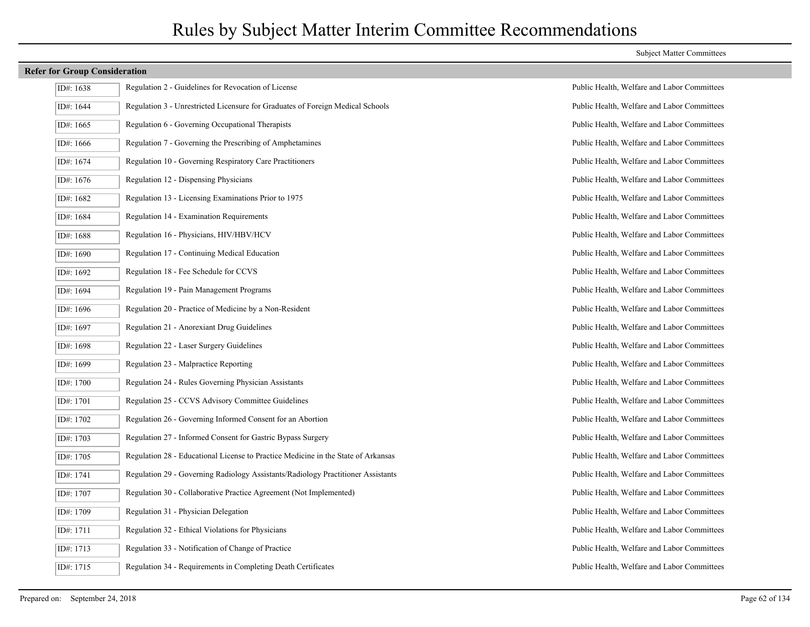| ID#: 1638 | Regulation 2 - Guidelines for Revocation of License                               |
|-----------|-----------------------------------------------------------------------------------|
| ID#: 1644 | Regulation 3 - Unrestricted Licensure for Graduates of Foreign Medical Schools    |
| ID#: 1665 | Regulation 6 - Governing Occupational Therapists                                  |
| ID#: 1666 | Regulation 7 - Governing the Prescribing of Amphetamines                          |
| ID#: 1674 | Regulation 10 - Governing Respiratory Care Practitioners                          |
| ID#: 1676 | Regulation 12 - Dispensing Physicians                                             |
| ID#: 1682 | Regulation 13 - Licensing Examinations Prior to 1975                              |
| ID#: 1684 | Regulation 14 - Examination Requirements                                          |
| ID#: 1688 | Regulation 16 - Physicians, HIV/HBV/HCV                                           |
| ID#: 1690 | Regulation 17 - Continuing Medical Education                                      |
| ID#: 1692 | Regulation 18 - Fee Schedule for CCVS                                             |
| ID#: 1694 | Regulation 19 - Pain Management Programs                                          |
| ID#: 1696 | Regulation 20 - Practice of Medicine by a Non-Resident                            |
| ID#: 1697 | Regulation 21 - Anorexiant Drug Guidelines                                        |
| ID#: 1698 | Regulation 22 - Laser Surgery Guidelines                                          |
| ID#: 1699 | Regulation 23 - Malpractice Reporting                                             |
| ID#: 1700 | Regulation 24 - Rules Governing Physician Assistants                              |
| ID#: 1701 | Regulation 25 - CCVS Advisory Committee Guidelines                                |
| ID#: 1702 | Regulation 26 - Governing Informed Consent for an Abortion                        |
| ID#: 1703 | Regulation 27 - Informed Consent for Gastric Bypass Surgery                       |
| ID#: 1705 | Regulation 28 - Educational License to Practice Medicine in the State of Arkansas |
| ID#: 1741 | Regulation 29 - Governing Radiology Assistants/Radiology Practitioner Assistants  |
| ID#: 1707 | Regulation 30 - Collaborative Practice Agreement (Not Implemented)                |
| ID#: 1709 | Regulation 31 - Physician Delegation                                              |
| ID#: 1711 | Regulation 32 - Ethical Violations for Physicians                                 |
| ID#: 1713 | Regulation 33 - Notification of Change of Practice                                |
| ID#: 1715 | Regulation 34 - Requirements in Completing Death Certificates                     |

#### Subject Matter Committees

Public Health, Welfare and Labor Committees Public Health, Welfare and Labor Committees Public Health, Welfare and Labor Committees Public Health, Welfare and Labor Committees Public Health, Welfare and Labor Committees Public Health, Welfare and Labor Committees Public Health, Welfare and Labor Committees Public Health, Welfare and Labor Committees Public Health, Welfare and Labor Committees Public Health, Welfare and Labor Committees Public Health, Welfare and Labor Committees Public Health, Welfare and Labor Committees Public Health, Welfare and Labor Committees Public Health, Welfare and Labor Committees Public Health, Welfare and Labor Committees Public Health, Welfare and Labor Committees Public Health, Welfare and Labor Committees Public Health, Welfare and Labor Committees Public Health, Welfare and Labor Committees Public Health, Welfare and Labor Committees Public Health, Welfare and Labor Committees Public Health, Welfare and Labor Committees Public Health, Welfare and Labor Committees Public Health, Welfare and Labor Committees Public Health, Welfare and Labor Committees Public Health, Welfare and Labor Committees Public Health, Welfare and Labor Committees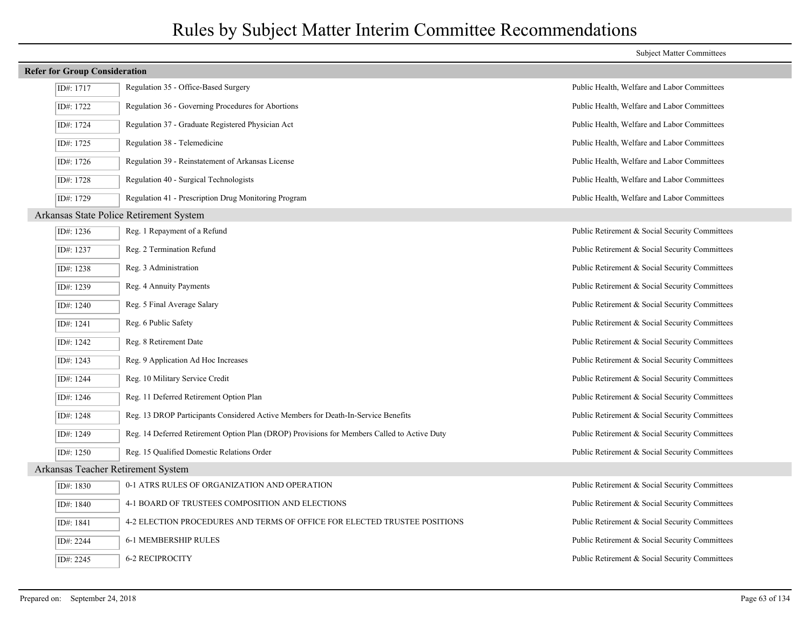| <b>Refer for Group Consideration</b> |                                                                                             |                                                |
|--------------------------------------|---------------------------------------------------------------------------------------------|------------------------------------------------|
| ID#: 1717                            | Regulation 35 - Office-Based Surgery                                                        | Public Health, Welfare and Labor Committees    |
| ID#: 1722                            | Regulation 36 - Governing Procedures for Abortions                                          | Public Health, Welfare and Labor Committees    |
| ID#: 1724                            | Regulation 37 - Graduate Registered Physician Act                                           | Public Health, Welfare and Labor Committees    |
| ID#: 1725                            | Regulation 38 - Telemedicine                                                                | Public Health, Welfare and Labor Committees    |
| ID#: 1726                            | Regulation 39 - Reinstatement of Arkansas License                                           | Public Health, Welfare and Labor Committees    |
| ID#: 1728                            | Regulation 40 - Surgical Technologists                                                      | Public Health, Welfare and Labor Committees    |
| ID#: 1729                            | Regulation 41 - Prescription Drug Monitoring Program                                        | Public Health, Welfare and Labor Committees    |
|                                      | Arkansas State Police Retirement System                                                     |                                                |
| ID#: 1236                            | Reg. 1 Repayment of a Refund                                                                | Public Retirement & Social Security Committees |
| ID#: 1237                            | Reg. 2 Termination Refund                                                                   | Public Retirement & Social Security Committees |
| ID#: 1238                            | Reg. 3 Administration                                                                       | Public Retirement & Social Security Committees |
| ID#: 1239                            | Reg. 4 Annuity Payments                                                                     | Public Retirement & Social Security Committees |
| ID#: 1240                            | Reg. 5 Final Average Salary                                                                 | Public Retirement & Social Security Committees |
| ID#: 1241                            | Reg. 6 Public Safety                                                                        | Public Retirement & Social Security Committees |
| ID#: 1242                            | Reg. 8 Retirement Date                                                                      | Public Retirement & Social Security Committees |
| ID#: 1243                            | Reg. 9 Application Ad Hoc Increases                                                         | Public Retirement & Social Security Committees |
| ID#: 1244                            | Reg. 10 Military Service Credit                                                             | Public Retirement & Social Security Committees |
| ID#: 1246                            | Reg. 11 Deferred Retirement Option Plan                                                     | Public Retirement & Social Security Committees |
| ID#: 1248                            | Reg. 13 DROP Participants Considered Active Members for Death-In-Service Benefits           | Public Retirement & Social Security Committees |
| ID#: 1249                            | Reg. 14 Deferred Retirement Option Plan (DROP) Provisions for Members Called to Active Duty | Public Retirement & Social Security Committees |
| ID#: 1250                            | Reg. 15 Qualified Domestic Relations Order                                                  | Public Retirement & Social Security Committees |
| Arkansas Teacher Retirement System   |                                                                                             |                                                |
| ID#: 1830                            | 0-1 ATRS RULES OF ORGANIZATION AND OPERATION                                                | Public Retirement & Social Security Committees |
| ID#: 1840                            | 4-1 BOARD OF TRUSTEES COMPOSITION AND ELECTIONS                                             | Public Retirement & Social Security Committees |
| ID#: 1841                            | 4-2 ELECTION PROCEDURES AND TERMS OF OFFICE FOR ELECTED TRUSTEE POSITIONS                   | Public Retirement & Social Security Committees |
| ID#: 2244                            | 6-1 MEMBERSHIP RULES                                                                        | Public Retirement & Social Security Committees |
| ID#: 2245                            | <b>6-2 RECIPROCITY</b>                                                                      | Public Retirement & Social Security Committees |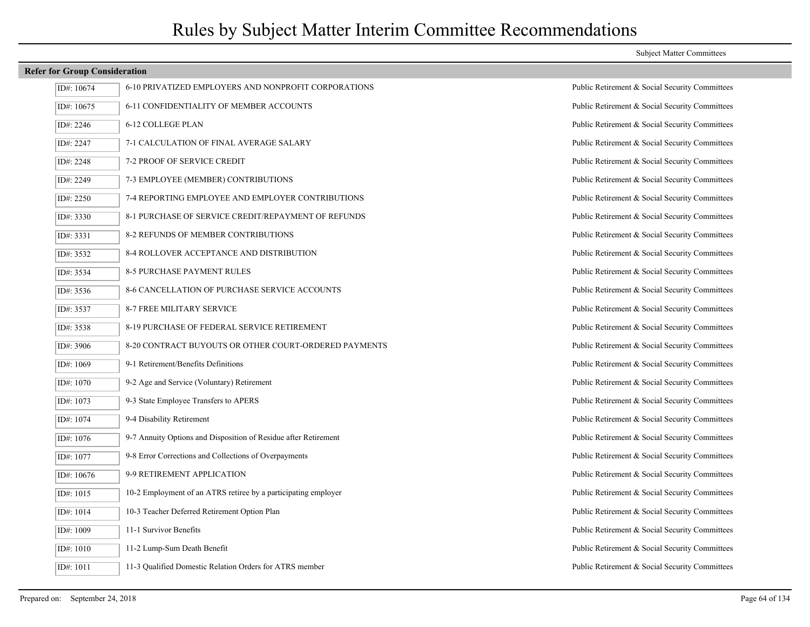| ID#: 10674 | 6-10 PRIVATIZED EMPLOYERS AND NONPROFIT CORPORATIONS            |
|------------|-----------------------------------------------------------------|
| ID#: 10675 | 6-11 CONFIDENTIALITY OF MEMBER ACCOUNTS                         |
| ID#: 2246  | <b>6-12 COLLEGE PLAN</b>                                        |
| ID#: 2247  | 7-1 CALCULATION OF FINAL AVERAGE SALARY                         |
| ID#: 2248  | 7-2 PROOF OF SERVICE CREDIT                                     |
| ID#: 2249  | 7-3 EMPLOYEE (MEMBER) CONTRIBUTIONS                             |
| ID#: 2250  | 7-4 REPORTING EMPLOYEE AND EMPLOYER CONTRIBUTIONS               |
| ID#: 3330  | 8-1 PURCHASE OF SERVICE CREDIT/REPAYMENT OF REFUNDS             |
| ID#: 3331  | <b>8-2 REFUNDS OF MEMBER CONTRIBUTIONS</b>                      |
| ID#: 3532  | <b>8-4 ROLLOVER ACCEPTANCE AND DISTRIBUTION</b>                 |
| ID#: 3534  | <b>8-5 PURCHASE PAYMENT RULES</b>                               |
| ID#: 3536  | <b>8-6 CANCELLATION OF PURCHASE SERVICE ACCOUNTS</b>            |
| ID#: 3537  | <b>8-7 FREE MILITARY SERVICE</b>                                |
| ID#: 3538  | 8-19 PURCHASE OF FEDERAL SERVICE RETIREMENT                     |
| ID#: 3906  | 8-20 CONTRACT BUYOUTS OR OTHER COURT-ORDERED PAYMEN             |
| ID#: 1069  | 9-1 Retirement/Benefits Definitions                             |
| ID#: 1070  | 9-2 Age and Service (Voluntary) Retirement                      |
| ID#: 1073  | 9-3 State Employee Transfers to APERS                           |
| ID#: 1074  | 9-4 Disability Retirement                                       |
| ID#: 1076  | 9-7 Annuity Options and Disposition of Residue after Retirement |
| ID#: 1077  | 9-8 Error Corrections and Collections of Overpayments           |
| ID#: 10676 | 9-9 RETIREMENT APPLICATION                                      |
| ID#: 1015  | 10-2 Employment of an ATRS retiree by a participating employer  |
| ID#: 1014  | 10-3 Teacher Deferred Retirement Option Plan                    |
| ID#: 1009  | 11-1 Survivor Benefits                                          |
| ID#: 1010  | 11-2 Lump-Sum Death Benefit                                     |
| ID#: 1011  | 11-3 Qualified Domestic Relation Orders for ATRS member         |

#### Subject Matter Committees

Public Retirement & Social Security Committees Public Retirement & Social Security Committees Public Retirement & Social Security Committees Public Retirement & Social Security Committees Public Retirement & Social Security Committees Public Retirement & Social Security Committees Public Retirement & Social Security Committees Public Retirement & Social Security Committees Public Retirement & Social Security Committees Public Retirement & Social Security Committees Public Retirement & Social Security Committees Public Retirement & Social Security Committees Public Retirement & Social Security Committees Public Retirement & Social Security Committees IS: 3906 3-3006 8-20 Public Retirement & Social Security Committees Public Retirement & Social Security Committees Public Retirement & Social Security Committees Public Retirement & Social Security Committees Public Retirement & Social Security Committees Public Retirement & Social Security Committees Public Retirement & Social Security Committees Public Retirement & Social Security Committees Public Retirement & Social Security Committees Public Retirement & Social Security Committees Public Retirement & Social Security Committees Public Retirement & Social Security Committees Public Retirement & Social Security Committees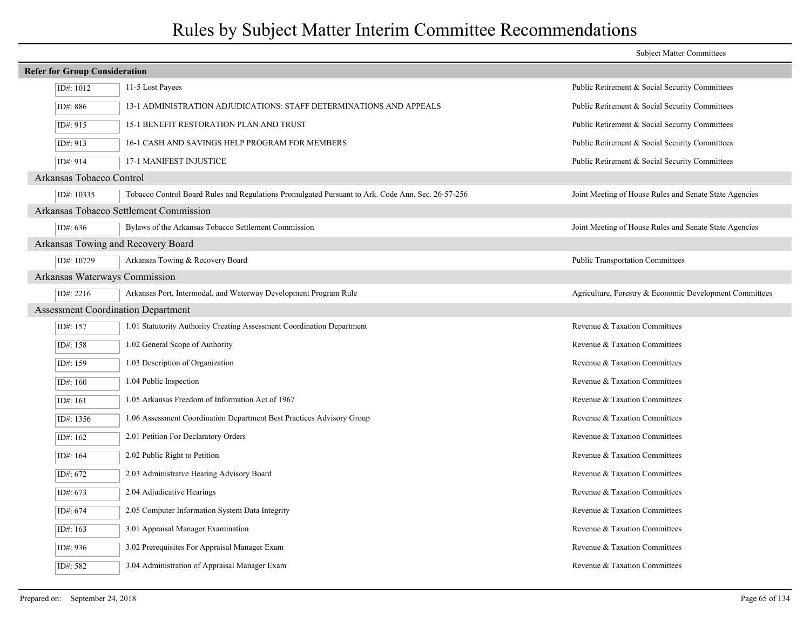|                                           |                                                                                                   | <b>Subject Matter Committees</b>                        |
|-------------------------------------------|---------------------------------------------------------------------------------------------------|---------------------------------------------------------|
| <b>Refer for Group Consideration</b>      |                                                                                                   |                                                         |
| ID#: 1012                                 | 11-5 Lost Payees                                                                                  | Public Retirement & Social Security Committees          |
| ID#: 886                                  | 13-1 ADMINISTRATION ADJUDICATIONS: STAFF DETERMINATIONS AND APPEALS                               | Public Retirement & Social Security Committees          |
| ID#: 915                                  | 15-1 BENEFIT RESTORATION PLAN AND TRUST                                                           | Public Retirement & Social Security Committees          |
| ID#: 913                                  | 16-1 CASH AND SAVINGS HELP PROGRAM FOR MEMBERS                                                    | Public Retirement & Social Security Committees          |
| ID#: 914                                  | <b>17-1 MANIFEST INJUSTICE</b>                                                                    | Public Retirement & Social Security Committees          |
| Arkansas Tobacco Control                  |                                                                                                   |                                                         |
| ID#: 10335                                | Tobacco Control Board Rules and Regulations Promulgated Pursuant to Ark. Code Ann. Sec. 26-57-256 | Joint Meeting of House Rules and Senate State Agencies  |
|                                           | Arkansas Tobacco Settlement Commission                                                            |                                                         |
| ID#: 636                                  | Bylaws of the Arkansas Tobacco Settlement Commission                                              | Joint Meeting of House Rules and Senate State Agencies  |
| Arkansas Towing and Recovery Board        |                                                                                                   |                                                         |
| ID#: 10729                                | Arkansas Towing & Recovery Board                                                                  | <b>Public Transportation Committees</b>                 |
| Arkansas Waterways Commission             |                                                                                                   |                                                         |
| ID#: 2216                                 | Arkansas Port, Intermodal, and Waterway Development Program Rule                                  | Agriculture, Forestry & Economic Development Committees |
| <b>Assessment Coordination Department</b> |                                                                                                   |                                                         |
| ID#: 157                                  | 1.01 Statutority Authority Creating Assessment Coordination Department                            | Revenue & Taxation Committees                           |
| ID#: 158                                  | 1.02 General Scope of Authority                                                                   | Revenue & Taxation Committees                           |
| ID#: 159                                  | 1.03 Description of Organization                                                                  | Revenue & Taxation Committees                           |
| ID#: 160                                  | 1.04 Public Inspection                                                                            | Revenue & Taxation Committees                           |
| ID#: 161                                  | 1.05 Arkansas Freedom of Information Act of 1967                                                  | Revenue & Taxation Committees                           |
| ID#: 1356                                 | 1.06 Assessment Coordination Department Best Practices Advisory Group                             | Revenue & Taxation Committees                           |
| ID#: 162                                  | 2.01 Petition For Declaratory Orders                                                              | Revenue & Taxation Committees                           |
| ID#: 164                                  | 2.02 Public Right to Petition                                                                     | Revenue & Taxation Committees                           |
| ID#: 672                                  | 2.03 Administratve Hearing Advisory Board                                                         | Revenue & Taxation Committees                           |
| ID#: 673                                  | 2.04 Adjudicative Hearings                                                                        | Revenue & Taxation Committees                           |
| ID#: 674                                  | 2.05 Computer Information System Data Integrity                                                   | Revenue & Taxation Committees                           |
| ID#: 163                                  | 3.01 Appraisal Manager Examination                                                                | Revenue & Taxation Committees                           |
| ID#: 936                                  | 3.02 Prerequisites For Appraisal Manager Exam                                                     | Revenue & Taxation Committees                           |
| ID#: 582                                  | 3.04 Administration of Appraisal Manager Exam                                                     | Revenue & Taxation Committees                           |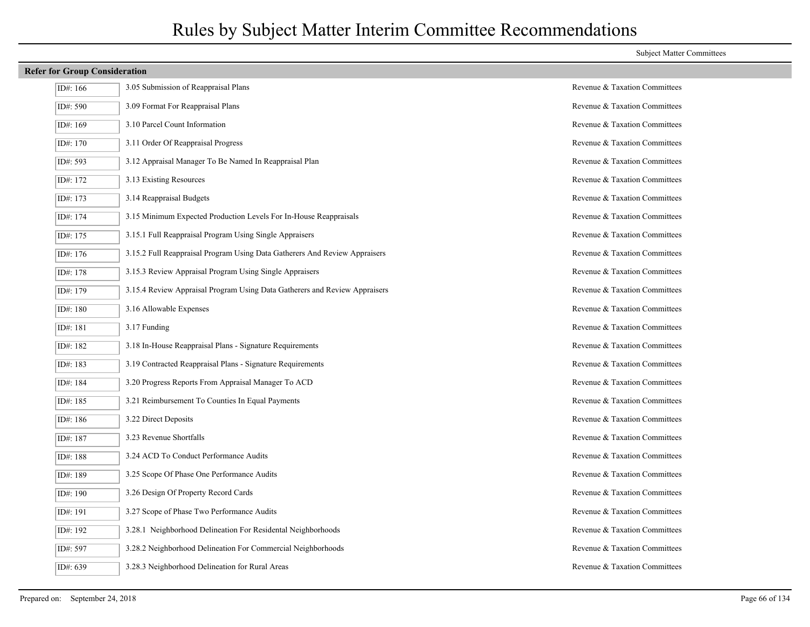| ID#: $166$ | 3.05 Submission of Reappraisal Plans                                       | Revenue & Taxation Committees |
|------------|----------------------------------------------------------------------------|-------------------------------|
| ID#: 590   | 3.09 Format For Reappraisal Plans                                          | Revenue & Taxation Committees |
| ID#: 169   | 3.10 Parcel Count Information                                              | Revenue & Taxation Committees |
| ID#: 170   | 3.11 Order Of Reappraisal Progress                                         | Revenue & Taxation Committees |
| ID#: 593   | 3.12 Appraisal Manager To Be Named In Reappraisal Plan                     | Revenue & Taxation Committees |
| ID#: 172   | 3.13 Existing Resources                                                    | Revenue & Taxation Committees |
| ID#: 173   | 3.14 Reappraisal Budgets                                                   | Revenue & Taxation Committees |
| ID#: 174   | 3.15 Minimum Expected Production Levels For In-House Reappraisals          | Revenue & Taxation Committees |
| ID#: 175   | 3.15.1 Full Reappraisal Program Using Single Appraisers                    | Revenue & Taxation Committees |
| ID#: 176   | 3.15.2 Full Reappraisal Program Using Data Gatherers And Review Appraisers | Revenue & Taxation Committees |
| ID#: 178   | 3.15.3 Review Appraisal Program Using Single Appraisers                    | Revenue & Taxation Committees |
| ID#: 179   | 3.15.4 Review Appraisal Program Using Data Gatherers and Review Appraisers | Revenue & Taxation Committees |
| ID#: 180   | 3.16 Allowable Expenses                                                    | Revenue & Taxation Committees |
| ID#: 181   | 3.17 Funding                                                               | Revenue & Taxation Committees |
| ID#: 182   | 3.18 In-House Reappraisal Plans - Signature Requirements                   | Revenue & Taxation Committees |
| ID#: 183   | 3.19 Contracted Reappraisal Plans - Signature Requirements                 | Revenue & Taxation Committees |
| ID#: 184   | 3.20 Progress Reports From Appraisal Manager To ACD                        | Revenue & Taxation Committees |
| ID#: 185   | 3.21 Reimbursement To Counties In Equal Payments                           | Revenue & Taxation Committees |
| ID#: 186   | 3.22 Direct Deposits                                                       | Revenue & Taxation Committees |
| ID#: 187   | 3.23 Revenue Shortfalls                                                    | Revenue & Taxation Committees |
| ID#: 188   | 3.24 ACD To Conduct Performance Audits                                     | Revenue & Taxation Committees |
| ID#: 189   | 3.25 Scope Of Phase One Performance Audits                                 | Revenue & Taxation Committees |
| ID#: 190   | 3.26 Design Of Property Record Cards                                       | Revenue & Taxation Committees |
| ID#: 191   | 3.27 Scope of Phase Two Performance Audits                                 | Revenue & Taxation Committees |
| ID#: 192   | 3.28.1 Neighborhood Delineation For Residental Neighborhoods               | Revenue & Taxation Committees |
| ID#: 597   | 3.28.2 Neighborhood Delineation For Commercial Neighborhoods               | Revenue & Taxation Committees |
| ID#: 639   | 3.28.3 Neighborhood Delineation for Rural Areas                            | Revenue & Taxation Committees |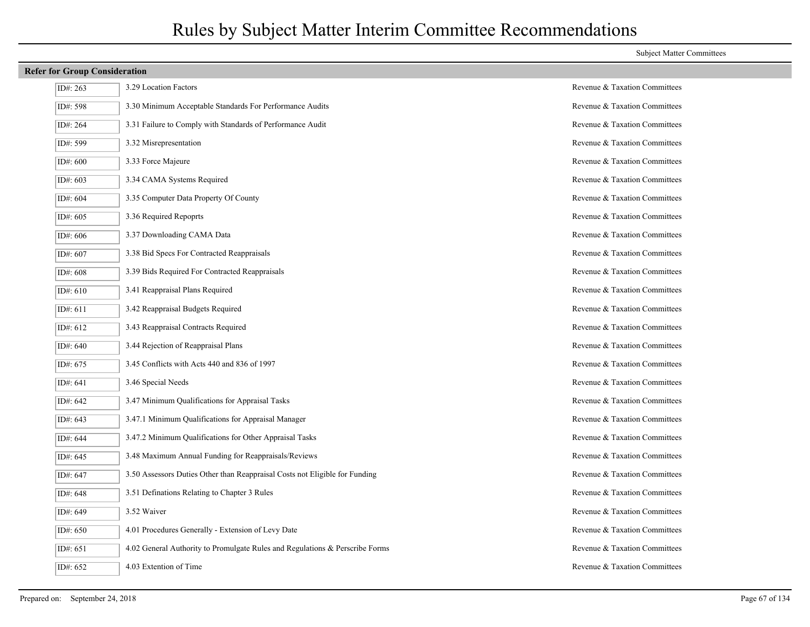## ID#: 263 3.29 Location Factors Revenue & Taxation Committees ID#: 598 3.30 Minimum Acceptable Standards For Performance Audits Revenue & Taxation Committees ID#: 264 3.31 Failure to Comply with Standards of Performance Audit Revenue & Taxation Committees ID#: 599 3.32 Misrepresentation Revenue & Taxation Committees ID#: 600 3.33 Force Majeure Revenue & Taxation Committees ID#: 603 3.34 CAMA Systems Required Revenue & Taxation Committees ID#: 604 3.35 Computer Data Property Of County Revenue & Taxation Committees ID#: 605 3.36 Required Repoprts Revenue & Taxation Committees ID#: 606 3.37 Downloading CAMA Data Revenue & Taxation Committees ID#: 607 3.38 Bid Specs For Contracted Reappraisals Revenue & Taxation Committees ID#: 608 3.39 Bids Required For Contracted Reappraisals Revenue & Taxation Committees ID#: 610 3.41 Reappraisal Plans Required Revenue & Taxation Committees ID#: 611 3.42 Reappraisal Budgets Required Revenue & Taxation Committees ID#: 612 3.43 Reappraisal Contracts Required Revenue & Taxation Committees ID#: 640 3.44 Rejection of Reappraisal Plans Revenue & Taxation Committees ID#: 675 3.45 Conflicts with Acts 440 and 836 of 1997 Revenue & Taxation Committees ID#: 641 3.46 Special Needs Revenue & Taxation Committees ID#: 642 3.47 Minimum Qualifications for Appraisal Tasks Revenue & Taxation Committees ID#: 643  $\vert$  3.47.1 Minimum Qualifications for Appraisal Manager Revenue & Taxation Committees ID#: 644  $\vert$  3.47.2 Minimum Qualifications for Other Appraisal Tasks Revenue & Taxation Committees ID#: 645 3.48 Maximum Annual Funding for Reappraisals/Reviews Revenue & Taxation Committees ID#: 647 3.50 Assessors Duties Other than Reappraisal Costs not Eligible for Funding Revenue & Taxation Committees ID#: 648 3.51 Definations Relating to Chapter 3 Rules Revenue & Taxation Committees ID#: 649 3.52 Waiver Revenue & Taxation Committees ID#: 650 4.01 Procedures Generally - Extension of Levy Date Revenue & Taxation Committees ID#: 651 4.02 General Authority to Promulgate Rules and Regulations & Perscribe Forms Revenue & Taxation Committees ID#: 652 4.03 Extention of Time Revenue & Taxation Committees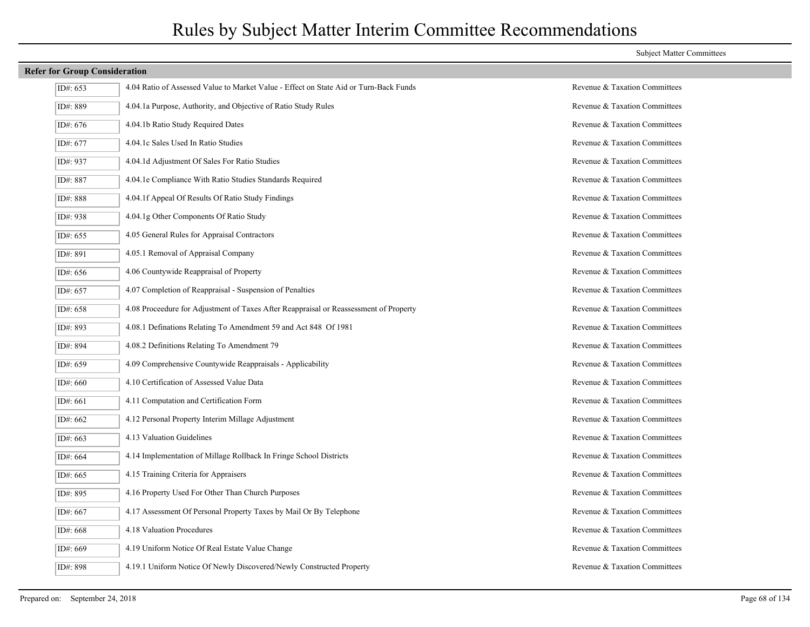| ID#: 653   | 4.04 Ratio of Assessed Value to Market Value - Effect on State Aid or Turn-Back Funds | Revenue & Taxation Committees |
|------------|---------------------------------------------------------------------------------------|-------------------------------|
| ID#: 889   | 4.04.1a Purpose, Authority, and Objective of Ratio Study Rules                        | Revenue & Taxation Committees |
| ID#: 676   | 4.04.1b Ratio Study Required Dates                                                    | Revenue & Taxation Committees |
| ID#: 677   | 4.04.1c Sales Used In Ratio Studies                                                   | Revenue & Taxation Committees |
| ID#: 937   | 4.04.1d Adjustment Of Sales For Ratio Studies                                         | Revenue & Taxation Committees |
| ID#: 887   | 4.04.1e Compliance With Ratio Studies Standards Required                              | Revenue & Taxation Committees |
| ID#: 888   | 4.04.1f Appeal Of Results Of Ratio Study Findings                                     | Revenue & Taxation Committees |
| ID#: 938   | 4.04.1g Other Components Of Ratio Study                                               | Revenue & Taxation Committees |
| ID#: 655   | 4.05 General Rules for Appraisal Contractors                                          | Revenue & Taxation Committees |
| ID#: 891   | 4.05.1 Removal of Appraisal Company                                                   | Revenue & Taxation Committees |
| ID#: $656$ | 4.06 Countywide Reappraisal of Property                                               | Revenue & Taxation Committees |
| ID#: 657   | 4.07 Completion of Reappraisal - Suspension of Penalties                              | Revenue & Taxation Committees |
| ID#: 658   | 4.08 Proceedure for Adjustment of Taxes After Reappraisal or Reassessment of Property | Revenue & Taxation Committees |
| ID#: 893   | 4.08.1 Definations Relating To Amendment 59 and Act 848 Of 1981                       | Revenue & Taxation Committees |
| ID#: 894   | 4.08.2 Definitions Relating To Amendment 79                                           | Revenue & Taxation Committees |
| ID#: 659   | 4.09 Comprehensive Countywide Reappraisals - Applicability                            | Revenue & Taxation Committees |
| ID#: 660   | 4.10 Certification of Assessed Value Data                                             | Revenue & Taxation Committees |
| ID#: 661   | 4.11 Computation and Certification Form                                               | Revenue & Taxation Committees |
| ID#: 662   | 4.12 Personal Property Interim Millage Adjustment                                     | Revenue & Taxation Committees |
| ID#: 663   | 4.13 Valuation Guidelines                                                             | Revenue & Taxation Committees |
| ID#: 664   | 4.14 Implementation of Millage Rollback In Fringe School Districts                    | Revenue & Taxation Committees |
| ID#: 665   | 4.15 Training Criteria for Appraisers                                                 | Revenue & Taxation Committees |
| ID#: 895   | 4.16 Property Used For Other Than Church Purposes                                     | Revenue & Taxation Committees |
| ID#: 667   | 4.17 Assessment Of Personal Property Taxes by Mail Or By Telephone                    | Revenue & Taxation Committees |
| ID#: 668   | 4.18 Valuation Procedures                                                             | Revenue & Taxation Committees |
| ID#: 669   | 4.19 Uniform Notice Of Real Estate Value Change                                       | Revenue & Taxation Committees |
| ID#: 898   | 4.19.1 Uniform Notice Of Newly Discovered/Newly Constructed Property                  | Revenue & Taxation Committees |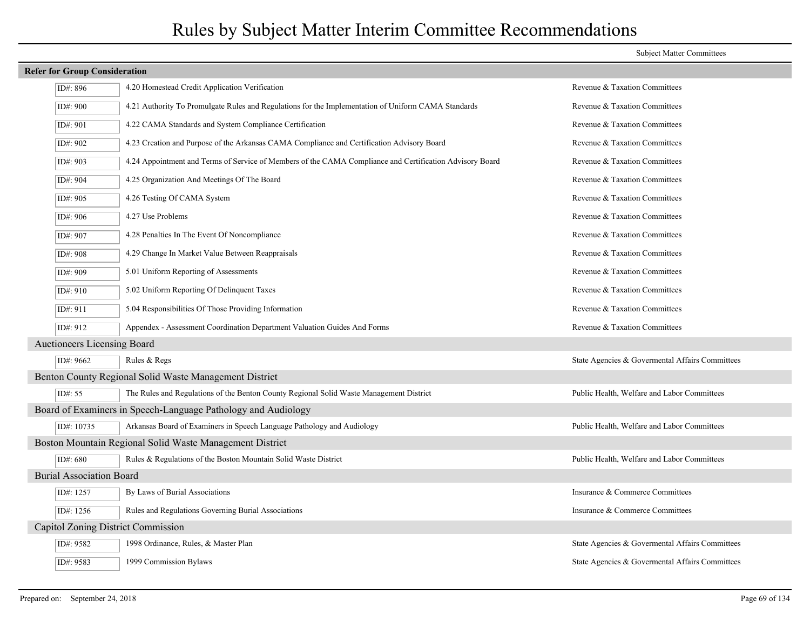### **Refer for Group Consideration** ID#: 896 4.20 Homestead Credit Application Verification Revenue & Taxation Committees ID#: 900 4.21 Authority To Promulgate Rules and Regulations for the Implementation of Uniform CAMA Standards Revenue & Taxation Committees ID#: 901 4.22 CAMA Standards and System Compliance Certification Revenue & Taxation Committees ID#: 902 4.23 Creation and Purpose of the Arkansas CAMA Compliance and Certification Advisory Board Revenue & Taxation Committees ID#: 903 4.24 Appointment and Terms of Service of Members of the CAMA Compliance and Certification Advisory Board Revenue & Taxation Committees ID#: 904 4.25 Organization And Meetings Of The Board Revenue & Taxation Committees ID#: 905 4.26 Testing Of CAMA System Revenue & Taxation Committees ID#: 906 4.27 Use Problems Revenue & Taxation Committees ID#: 907 4.28 Penalties In The Event Of Noncompliance Revenue & Taxation Committees ID#: 908 4.29 Change In Market Value Between Reappraisals Revenue & Taxation Committees ID#: 909 5.01 Uniform Reporting of Assessments Revenue & Taxation Committees ID#: 910 5.02 Uniform Reporting Of Delinquent Taxes Revenue & Taxation Committees ID#: 911 5.04 Responsibilities Of Those Providing Information Revenue & Taxation Committees ID#: 912 Appendex - Assessment Coordination Department Valuation Guides And Forms Revenue & Taxation Committees Auctioneers Licensing Board  $\frac{1}{100}$  Rules & Regs Rules & Regs Rules & Regs  $\frac{1}{100}$  Rules & Regs 8. State Agencies & Governmental Affairs Committees Benton County Regional Solid Waste Management District ID#: 55 The Rules and Regulations of the Benton County Regional Solid Waste Management District Public Health, Welfare and Labor Committees Board of Examiners in Speech-Language Pathology and Audiology ID#: 10735 Arkansas Board of Examiners in Speech Language Pathology and Audiology Public Health, Welfare and Labor Committees Boston Mountain Regional Solid Waste Management District ID#: 680 Rules & Regulations of the Boston Mountain Solid Waste District Public Health, Welfare and Labor Committees Burial Association Board  $\overline{IDH}$ : 1257 By Laws of Burial Associations **Insurance & Commerce Committees**  $\overline{ID#}$ : 1256 Rules and Regulations Governing Burial Associations Insurance  $\&$  Commerce Committees Capitol Zoning District Commission ID#: 9582 1998 Ordinance, Rules, & Master Plan State Agencies & Govermental Affairs Committees ID#: 9583 1999 Commission Bylaws State Agencies & Govermental Affairs Committees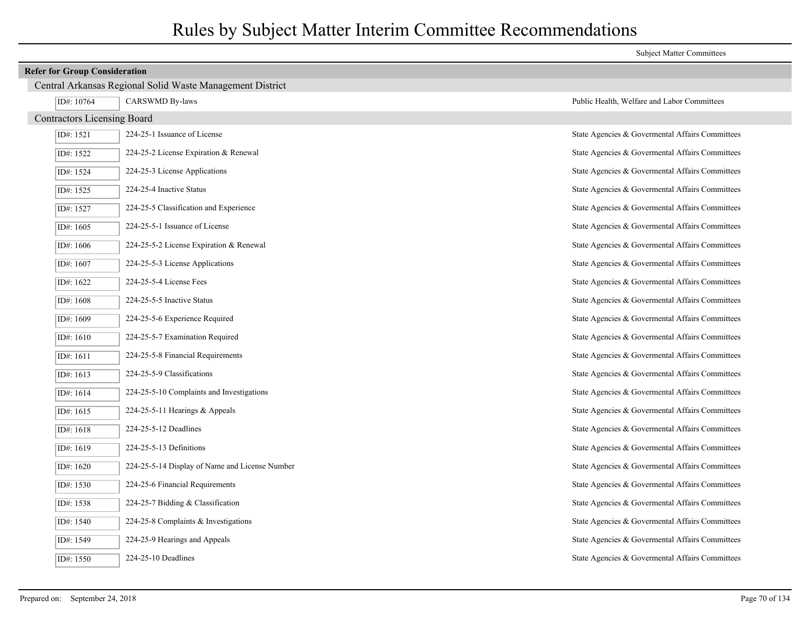|                                    |                                                           | <b>Subject Matter Committees</b>                |  |  |
|------------------------------------|-----------------------------------------------------------|-------------------------------------------------|--|--|
|                                    | <b>Refer for Group Consideration</b>                      |                                                 |  |  |
|                                    | Central Arkansas Regional Solid Waste Management District |                                                 |  |  |
| ID#: 10764                         | <b>CARSWMD By-laws</b>                                    | Public Health, Welfare and Labor Committees     |  |  |
| <b>Contractors Licensing Board</b> |                                                           |                                                 |  |  |
| ID#: 1521                          | 224-25-1 Issuance of License                              | State Agencies & Governental Affairs Committees |  |  |
| ID#: 1522                          | 224-25-2 License Expiration & Renewal                     | State Agencies & Governental Affairs Committees |  |  |
| ID#: 1524                          | 224-25-3 License Applications                             | State Agencies & Governental Affairs Committees |  |  |
| ID#: 1525                          | 224-25-4 Inactive Status                                  | State Agencies & Governental Affairs Committees |  |  |
| ID#: 1527                          | 224-25-5 Classification and Experience                    | State Agencies & Governental Affairs Committees |  |  |
| ID#: $1605$                        | 224-25-5-1 Issuance of License                            | State Agencies & Governental Affairs Committees |  |  |
| ID#: $1606$                        | 224-25-5-2 License Expiration & Renewal                   | State Agencies & Governental Affairs Committees |  |  |
| ID#: 1607                          | 224-25-5-3 License Applications                           | State Agencies & Governental Affairs Committees |  |  |
| ID#: $1622$                        | 224-25-5-4 License Fees                                   | State Agencies & Governental Affairs Committees |  |  |
| ID#: 1608                          | 224-25-5-5 Inactive Status                                | State Agencies & Governental Affairs Committees |  |  |
| ID#: 1609                          | 224-25-5-6 Experience Required                            | State Agencies & Governental Affairs Committees |  |  |
| ID#: 1610                          | 224-25-5-7 Examination Required                           | State Agencies & Governental Affairs Committees |  |  |
| ID#: 1611                          | 224-25-5-8 Financial Requirements                         | State Agencies & Governental Affairs Committees |  |  |
| ID#: 1613                          | 224-25-5-9 Classifications                                | State Agencies & Governental Affairs Committees |  |  |
| ID#: 1614                          | 224-25-5-10 Complaints and Investigations                 | State Agencies & Governental Affairs Committees |  |  |
| ID#: $1615$                        | 224-25-5-11 Hearings & Appeals                            | State Agencies & Governental Affairs Committees |  |  |
| ID#: $1618$                        | 224-25-5-12 Deadlines                                     | State Agencies & Governental Affairs Committees |  |  |
| ID#: 1619                          | 224-25-5-13 Definitions                                   | State Agencies & Governental Affairs Committees |  |  |
| ID#: 1620                          | 224-25-5-14 Display of Name and License Number            | State Agencies & Governental Affairs Committees |  |  |
| ID#: 1530                          | 224-25-6 Financial Requirements                           | State Agencies & Governental Affairs Committees |  |  |
| ID#: 1538                          | 224-25-7 Bidding & Classification                         | State Agencies & Governental Affairs Committees |  |  |
| ID#: 1540                          | 224-25-8 Complaints & Investigations                      | State Agencies & Governental Affairs Committees |  |  |
| ID#: 1549                          | 224-25-9 Hearings and Appeals                             | State Agencies & Governental Affairs Committees |  |  |
| ID#: $1550$                        | 224-25-10 Deadlines                                       | State Agencies & Governental Affairs Committees |  |  |

E.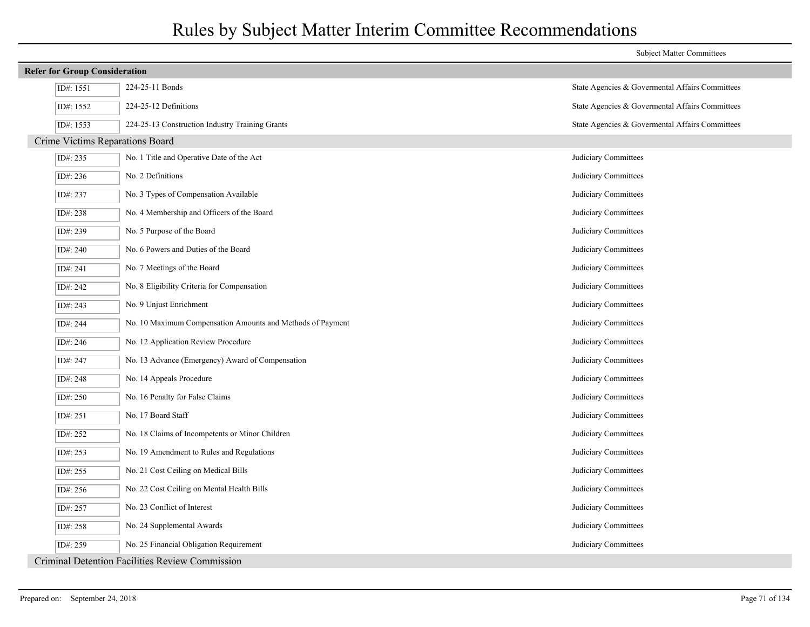|                                      |                                                            | <b>Subject Matter Committees</b>                |
|--------------------------------------|------------------------------------------------------------|-------------------------------------------------|
| <b>Refer for Group Consideration</b> |                                                            |                                                 |
| ID#: 1551                            | 224-25-11 Bonds                                            | State Agencies & Governental Affairs Committees |
| ID#: 1552                            | 224-25-12 Definitions                                      | State Agencies & Governental Affairs Committees |
| ID#: 1553                            | 224-25-13 Construction Industry Training Grants            | State Agencies & Governental Affairs Committees |
| Crime Victims Reparations Board      |                                                            |                                                 |
| ID#: 235                             | No. 1 Title and Operative Date of the Act                  | Judiciary Committees                            |
| ID#: 236                             | No. 2 Definitions                                          | Judiciary Committees                            |
| ID#: 237                             | No. 3 Types of Compensation Available                      | Judiciary Committees                            |
| ID#: 238                             | No. 4 Membership and Officers of the Board                 | Judiciary Committees                            |
| ID#: 239                             | No. 5 Purpose of the Board                                 | Judiciary Committees                            |
| ID#: 240                             | No. 6 Powers and Duties of the Board                       | Judiciary Committees                            |
| ID#: 241                             | No. 7 Meetings of the Board                                | Judiciary Committees                            |
| ID#: 242                             | No. 8 Eligibility Criteria for Compensation                | Judiciary Committees                            |
| ID#: 243                             | No. 9 Unjust Enrichment                                    | Judiciary Committees                            |
| ID#: 244                             | No. 10 Maximum Compensation Amounts and Methods of Payment | Judiciary Committees                            |
| ID#: 246                             | No. 12 Application Review Procedure                        | Judiciary Committees                            |
| ID#: 247                             | No. 13 Advance (Emergency) Award of Compensation           | Judiciary Committees                            |
| ID#: 248                             | No. 14 Appeals Procedure                                   | Judiciary Committees                            |
| ID#: 250                             | No. 16 Penalty for False Claims                            | Judiciary Committees                            |
| ID#: 251                             | No. 17 Board Staff                                         | Judiciary Committees                            |
| ID#: 252                             | No. 18 Claims of Incompetents or Minor Children            | Judiciary Committees                            |
| ID#: 253                             | No. 19 Amendment to Rules and Regulations                  | Judiciary Committees                            |
| ID#: 255                             | No. 21 Cost Ceiling on Medical Bills                       | Judiciary Committees                            |
| ID#: 256                             | No. 22 Cost Ceiling on Mental Health Bills                 | Judiciary Committees                            |
| ID#: 257                             | No. 23 Conflict of Interest                                | Judiciary Committees                            |
| ID#: 258                             | No. 24 Supplemental Awards                                 | Judiciary Committees                            |
| ID#: 259                             | No. 25 Financial Obligation Requirement                    | Judiciary Committees                            |
|                                      | Criminal Detention Facilities Review Commission            |                                                 |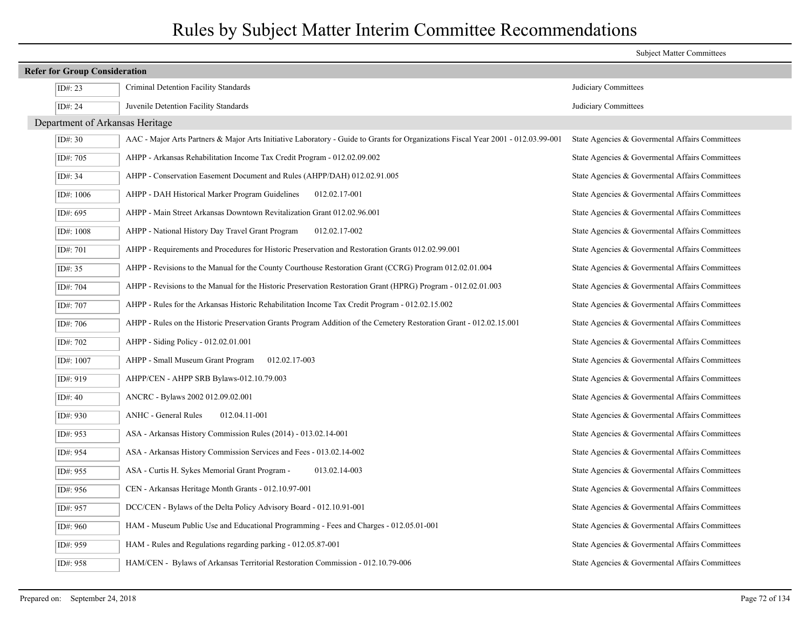|                                      |                                 |                                                                                                                                   | <b>Subject Matter Committees</b>                |
|--------------------------------------|---------------------------------|-----------------------------------------------------------------------------------------------------------------------------------|-------------------------------------------------|
| <b>Refer for Group Consideration</b> |                                 |                                                                                                                                   |                                                 |
|                                      | ID#: 23                         | Criminal Detention Facility Standards                                                                                             | Judiciary Committees                            |
|                                      | ID#: 24                         | Juvenile Detention Facility Standards                                                                                             | Judiciary Committees                            |
|                                      | Department of Arkansas Heritage |                                                                                                                                   |                                                 |
|                                      | ID#: $30$                       | AAC - Major Arts Partners & Major Arts Initiative Laboratory - Guide to Grants for Organizations Fiscal Year 2001 - 012.03.99-001 | State Agencies & Govermental Affairs Committees |
|                                      | ID#: 705                        | AHPP - Arkansas Rehabilitation Income Tax Credit Program - 012.02.09.002                                                          | State Agencies & Governental Affairs Committees |
|                                      | ID#: $34$                       | AHPP - Conservation Easement Document and Rules (AHPP/DAH) 012.02.91.005                                                          | State Agencies & Govermental Affairs Committees |
|                                      | ID#: 1006                       | AHPP - DAH Historical Marker Program Guidelines<br>012.02.17-001                                                                  | State Agencies & Governental Affairs Committees |
|                                      | ID#: 695                        | AHPP - Main Street Arkansas Downtown Revitalization Grant 012.02.96.001                                                           | State Agencies & Governental Affairs Committees |
|                                      | ID#: 1008                       | AHPP - National History Day Travel Grant Program<br>012.02.17-002                                                                 | State Agencies & Governental Affairs Committees |
|                                      | ID#: 701                        | AHPP - Requirements and Procedures for Historic Preservation and Restoration Grants 012.02.99.001                                 | State Agencies & Governental Affairs Committees |
|                                      | ID#: 35                         | AHPP - Revisions to the Manual for the County Courthouse Restoration Grant (CCRG) Program 012.02.01.004                           | State Agencies & Governental Affairs Committees |
|                                      | ID#: 704                        | AHPP - Revisions to the Manual for the Historic Preservation Restoration Grant (HPRG) Program - 012.02.01.003                     | State Agencies & Governental Affairs Committees |
|                                      | ID#: 707                        | AHPP - Rules for the Arkansas Historic Rehabilitation Income Tax Credit Program - 012.02.15.002                                   | State Agencies & Governental Affairs Committees |
|                                      | ID#: 706                        | AHPP - Rules on the Historic Preservation Grants Program Addition of the Cemetery Restoration Grant - 012.02.15.001               | State Agencies & Governental Affairs Committees |
|                                      | ID#: 702                        | AHPP - Siding Policy - 012.02.01.001                                                                                              | State Agencies & Governental Affairs Committees |
|                                      | ID#: 1007                       | AHPP - Small Museum Grant Program<br>012.02.17-003                                                                                | State Agencies & Governental Affairs Committees |
|                                      | ID#: 919                        | AHPP/CEN - AHPP SRB Bylaws-012.10.79.003                                                                                          | State Agencies & Governental Affairs Committees |
|                                      | ID#: $40$                       | ANCRC - Bylaws 2002 012.09.02.001                                                                                                 | State Agencies & Governental Affairs Committees |
|                                      | ID#: 930                        | <b>ANHC</b> - General Rules<br>012.04.11-001                                                                                      | State Agencies & Governental Affairs Committees |
|                                      | ID#: 953                        | ASA - Arkansas History Commission Rules (2014) - 013.02.14-001                                                                    | State Agencies & Governental Affairs Committees |
|                                      | ID#: 954                        | ASA - Arkansas History Commission Services and Fees - 013.02.14-002                                                               | State Agencies & Govermental Affairs Committees |
|                                      | ID#: 955                        | 013.02.14-003<br>ASA - Curtis H. Sykes Memorial Grant Program -                                                                   | State Agencies & Governental Affairs Committees |
|                                      | ID#: 956                        | CEN - Arkansas Heritage Month Grants - 012.10.97-001                                                                              | State Agencies & Governental Affairs Committees |
|                                      | ID#: 957                        | DCC/CEN - Bylaws of the Delta Policy Advisory Board - 012.10.91-001                                                               | State Agencies & Governental Affairs Committees |
|                                      | ID#: 960                        | HAM - Museum Public Use and Educational Programming - Fees and Charges - 012.05.01-001                                            | State Agencies & Govermental Affairs Committees |
|                                      | ID#: 959                        | HAM - Rules and Regulations regarding parking - 012.05.87-001                                                                     | State Agencies & Governental Affairs Committees |
|                                      | ID#: 958                        | HAM/CEN - Bylaws of Arkansas Territorial Restoration Commission - 012.10.79-006                                                   | State Agencies & Govermental Affairs Committees |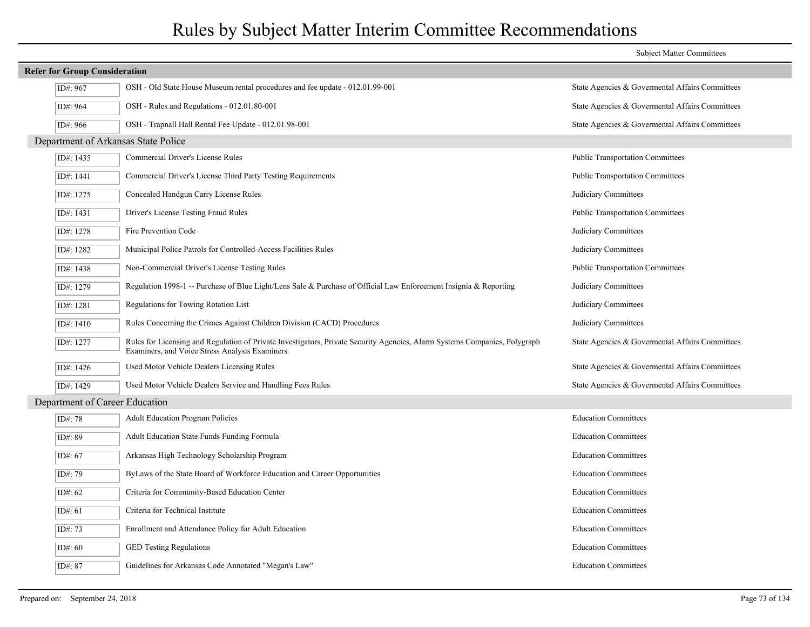|                                      |                                                                                                                                                                              | <b>Subject Matter Committees</b>                |
|--------------------------------------|------------------------------------------------------------------------------------------------------------------------------------------------------------------------------|-------------------------------------------------|
| <b>Refer for Group Consideration</b> |                                                                                                                                                                              |                                                 |
| ID#: 967                             | OSH - Old State House Museum rental procedures and fee update - 012.01.99-001                                                                                                | State Agencies & Governental Affairs Committees |
| ID#: 964                             | OSH - Rules and Regulations - 012.01.80-001                                                                                                                                  | State Agencies & Governental Affairs Committees |
| ID#: 966                             | OSH - Trapnall Hall Rental Fee Update - 012.01.98-001                                                                                                                        | State Agencies & Governental Affairs Committees |
|                                      | Department of Arkansas State Police                                                                                                                                          |                                                 |
| ID#: 1435                            | Commercial Driver's License Rules                                                                                                                                            | <b>Public Transportation Committees</b>         |
| ID#: 1441                            | Commercial Driver's License Third Party Testing Requirements                                                                                                                 | <b>Public Transportation Committees</b>         |
| ID#: 1275                            | Concealed Handgun Carry License Rules                                                                                                                                        | Judiciary Committees                            |
| ID#: 1431                            | Driver's License Testing Fraud Rules                                                                                                                                         | <b>Public Transportation Committees</b>         |
| ID#: 1278                            | Fire Prevention Code                                                                                                                                                         | Judiciary Committees                            |
| ID#: 1282                            | Municipal Police Patrols for Controlled-Access Facilities Rules                                                                                                              | Judiciary Committees                            |
| ID#: 1438                            | Non-Commercial Driver's License Testing Rules                                                                                                                                | <b>Public Transportation Committees</b>         |
| ID#: 1279                            | Regulation 1998-1 -- Purchase of Blue Light/Lens Sale & Purchase of Official Law Enforcement Insignia & Reporting                                                            | Judiciary Committees                            |
| ID#: 1281                            | Regulations for Towing Rotation List                                                                                                                                         | Judiciary Committees                            |
| ID#: 1410                            | Rules Concerning the Crimes Against Children Division (CACD) Procedures                                                                                                      | Judiciary Committees                            |
| ID#: 1277                            | Rules for Licensing and Regulation of Private Investigators, Private Security Agencies, Alarm Systems Companies, Polygraph<br>Examiners, and Voice Stress Analysis Examiners | State Agencies & Governental Affairs Committees |
| ID#: 1426                            | Used Motor Vehicle Dealers Licensing Rules                                                                                                                                   | State Agencies & Governental Affairs Committees |
| ID#: 1429                            | Used Motor Vehicle Dealers Service and Handling Fees Rules                                                                                                                   | State Agencies & Govermental Affairs Committees |
|                                      | Department of Career Education                                                                                                                                               |                                                 |
| ID#: 78                              | <b>Adult Education Program Policies</b>                                                                                                                                      | <b>Education Committees</b>                     |
| ID#: 89                              | Adult Education State Funds Funding Formula                                                                                                                                  | <b>Education Committees</b>                     |
| ID#: 67                              | Arkansas High Technology Scholarship Program                                                                                                                                 | <b>Education Committees</b>                     |
| ID#: 79                              | By Laws of the State Board of Workforce Education and Career Opportunities                                                                                                   | <b>Education Committees</b>                     |
| ID#: 62                              | Criteria for Community-Based Education Center                                                                                                                                | <b>Education Committees</b>                     |
| ID#: $61$                            | Criteria for Technical Institute                                                                                                                                             | <b>Education Committees</b>                     |
| ID#: 73                              | Enrollment and Attendance Policy for Adult Education                                                                                                                         | <b>Education Committees</b>                     |
| ID#: $60$                            | <b>GED Testing Regulations</b>                                                                                                                                               | <b>Education Committees</b>                     |
| ID#: 87                              | Guidelines for Arkansas Code Annotated "Megan's Law"                                                                                                                         | <b>Education Committees</b>                     |
|                                      |                                                                                                                                                                              |                                                 |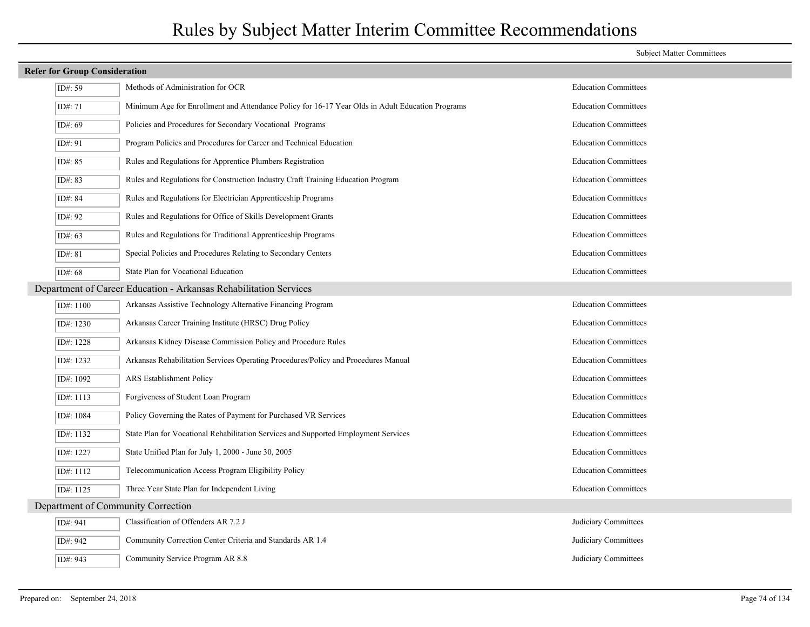| <b>Refer for Group Consideration</b> |                                                                                                  |                             |  |  |
|--------------------------------------|--------------------------------------------------------------------------------------------------|-----------------------------|--|--|
| ID#: $59$                            | Methods of Administration for OCR                                                                | <b>Education Committees</b> |  |  |
| ID#: 71                              | Minimum Age for Enrollment and Attendance Policy for 16-17 Year Olds in Adult Education Programs | <b>Education Committees</b> |  |  |
| ID#: 69                              | Policies and Procedures for Secondary Vocational Programs                                        | <b>Education Committees</b> |  |  |
| ID#: 91                              | Program Policies and Procedures for Career and Technical Education                               | <b>Education Committees</b> |  |  |
| ID#: 85                              | Rules and Regulations for Apprentice Plumbers Registration                                       | <b>Education Committees</b> |  |  |
| ID#: 83                              | Rules and Regulations for Construction Industry Craft Training Education Program                 | <b>Education Committees</b> |  |  |
| ID#: 84                              | Rules and Regulations for Electrician Apprenticeship Programs                                    | <b>Education Committees</b> |  |  |
| ID#: 92                              | Rules and Regulations for Office of Skills Development Grants                                    | <b>Education Committees</b> |  |  |
| ID#: 63                              | Rules and Regulations for Traditional Apprenticeship Programs                                    | <b>Education Committees</b> |  |  |
| ID#: 81                              | Special Policies and Procedures Relating to Secondary Centers                                    | <b>Education Committees</b> |  |  |
| ID#: 68                              | State Plan for Vocational Education                                                              | <b>Education Committees</b> |  |  |
|                                      | Department of Career Education - Arkansas Rehabilitation Services                                |                             |  |  |
| ID#: 1100                            | Arkansas Assistive Technology Alternative Financing Program                                      | <b>Education Committees</b> |  |  |
| ID#: 1230                            | Arkansas Career Training Institute (HRSC) Drug Policy                                            | <b>Education Committees</b> |  |  |
| ID#: 1228                            | Arkansas Kidney Disease Commission Policy and Procedure Rules                                    | <b>Education Committees</b> |  |  |
| ID#: 1232                            | Arkansas Rehabilitation Services Operating Procedures/Policy and Procedures Manual               | <b>Education Committees</b> |  |  |
| ID#: 1092                            | ARS Establishment Policy                                                                         | <b>Education Committees</b> |  |  |
| ID#: 1113                            | Forgiveness of Student Loan Program                                                              | <b>Education Committees</b> |  |  |
| ID#: 1084                            | Policy Governing the Rates of Payment for Purchased VR Services                                  | <b>Education Committees</b> |  |  |
| ID#: 1132                            | State Plan for Vocational Rehabilitation Services and Supported Employment Services              | <b>Education Committees</b> |  |  |
| ID#: 1227                            | State Unified Plan for July 1, 2000 - June 30, 2005                                              | <b>Education Committees</b> |  |  |
| ID#: 1112                            | Telecommunication Access Program Eligibility Policy                                              | <b>Education Committees</b> |  |  |
| ID#: 1125                            | Three Year State Plan for Independent Living                                                     | <b>Education Committees</b> |  |  |
|                                      | Department of Community Correction                                                               |                             |  |  |
| ID#: 941                             | Classification of Offenders AR 7.2 J                                                             | Judiciary Committees        |  |  |
| ID#: 942                             | Community Correction Center Criteria and Standards AR 1.4                                        | Judiciary Committees        |  |  |
| ID#: 943                             | Community Service Program AR 8.8                                                                 | Judiciary Committees        |  |  |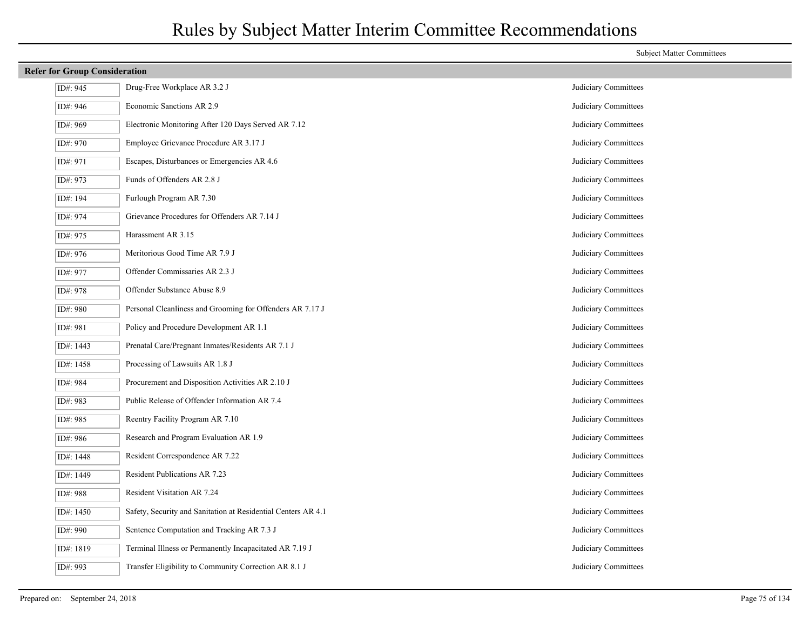|           | <b>Refer for Group Consideration</b>                          |                      |  |
|-----------|---------------------------------------------------------------|----------------------|--|
| ID#: 945  | Drug-Free Workplace AR 3.2 J                                  | Judiciary Committees |  |
| ID#: 946  | Economic Sanctions AR 2.9                                     | Judiciary Committees |  |
| ID#: 969  | Electronic Monitoring After 120 Days Served AR 7.12           | Judiciary Committees |  |
| ID#: 970  | Employee Grievance Procedure AR 3.17 J                        | Judiciary Committees |  |
| ID#: 971  | Escapes, Disturbances or Emergencies AR 4.6                   | Judiciary Committees |  |
| ID#: 973  | Funds of Offenders AR 2.8 J                                   | Judiciary Committees |  |
| ID#: 194  | Furlough Program AR 7.30                                      | Judiciary Committees |  |
| ID#: 974  | Grievance Procedures for Offenders AR 7.14 J                  | Judiciary Committees |  |
| ID#: 975  | Harassment AR 3.15                                            | Judiciary Committees |  |
| ID#: 976  | Meritorious Good Time AR 7.9 J                                | Judiciary Committees |  |
| ID#: 977  | Offender Commissaries AR 2.3 J                                | Judiciary Committees |  |
| ID#: 978  | Offender Substance Abuse 8.9                                  | Judiciary Committees |  |
| ID#: 980  | Personal Cleanliness and Grooming for Offenders AR 7.17 J     | Judiciary Committees |  |
| ID#: 981  | Policy and Procedure Development AR 1.1                       | Judiciary Committees |  |
| ID#: 1443 | Prenatal Care/Pregnant Inmates/Residents AR 7.1 J             | Judiciary Committees |  |
| ID#: 1458 | Processing of Lawsuits AR 1.8 J                               | Judiciary Committees |  |
| ID#: 984  | Procurement and Disposition Activities AR 2.10 J              | Judiciary Committees |  |
| ID#: 983  | Public Release of Offender Information AR 7.4                 | Judiciary Committees |  |
| ID#: 985  | Reentry Facility Program AR 7.10                              | Judiciary Committees |  |
| ID#: 986  | Research and Program Evaluation AR 1.9                        | Judiciary Committees |  |
| ID#: 1448 | Resident Correspondence AR 7.22                               | Judiciary Committees |  |
| ID#: 1449 | Resident Publications AR 7.23                                 | Judiciary Committees |  |
| ID#: 988  | Resident Visitation AR 7.24                                   | Judiciary Committees |  |
| ID#: 1450 | Safety, Security and Sanitation at Residential Centers AR 4.1 | Judiciary Committees |  |
| ID#: 990  | Sentence Computation and Tracking AR 7.3 J                    | Judiciary Committees |  |
| ID#: 1819 | Terminal Illness or Permanently Incapacitated AR 7.19 J       | Judiciary Committees |  |
| ID#: 993  | Transfer Eligibility to Community Correction AR 8.1 J         | Judiciary Committees |  |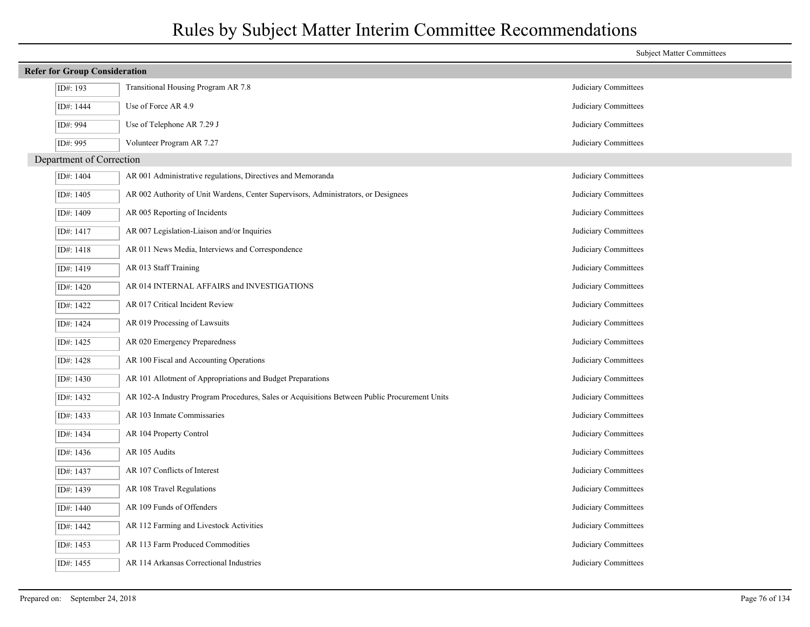|                          |                                                                                              | <b>Subject Matter Committees</b> |  |  |  |  |
|--------------------------|----------------------------------------------------------------------------------------------|----------------------------------|--|--|--|--|
|                          | <b>Refer for Group Consideration</b>                                                         |                                  |  |  |  |  |
| ID#: 193                 | Transitional Housing Program AR 7.8                                                          | Judiciary Committees             |  |  |  |  |
| ID#: 1444                | Use of Force AR 4.9                                                                          | Judiciary Committees             |  |  |  |  |
| ID#: 994                 | Use of Telephone AR 7.29 J                                                                   | Judiciary Committees             |  |  |  |  |
| ID#: 995                 | Volunteer Program AR 7.27                                                                    | Judiciary Committees             |  |  |  |  |
| Department of Correction |                                                                                              |                                  |  |  |  |  |
| ID#: 1404                | AR 001 Administrative regulations, Directives and Memoranda                                  | Judiciary Committees             |  |  |  |  |
| ID#: 1405                | AR 002 Authority of Unit Wardens, Center Supervisors, Administrators, or Designees           | Judiciary Committees             |  |  |  |  |
| ID#: 1409                | AR 005 Reporting of Incidents                                                                | Judiciary Committees             |  |  |  |  |
| ID#: 1417                | AR 007 Legislation-Liaison and/or Inquiries                                                  | Judiciary Committees             |  |  |  |  |
| ID#: 1418                | AR 011 News Media, Interviews and Correspondence                                             | Judiciary Committees             |  |  |  |  |
| ID#: 1419                | AR 013 Staff Training                                                                        | Judiciary Committees             |  |  |  |  |
| ID#: 1420                | AR 014 INTERNAL AFFAIRS and INVESTIGATIONS                                                   | Judiciary Committees             |  |  |  |  |
| ID#: 1422                | AR 017 Critical Incident Review                                                              | Judiciary Committees             |  |  |  |  |
| ID#: 1424                | AR 019 Processing of Lawsuits                                                                | Judiciary Committees             |  |  |  |  |
| ID#: 1425                | AR 020 Emergency Preparedness                                                                | Judiciary Committees             |  |  |  |  |
| ID#: 1428                | AR 100 Fiscal and Accounting Operations                                                      | Judiciary Committees             |  |  |  |  |
| ID#: 1430                | AR 101 Allotment of Appropriations and Budget Preparations                                   | Judiciary Committees             |  |  |  |  |
| ID#: 1432                | AR 102-A Industry Program Procedures, Sales or Acquisitions Between Public Procurement Units | Judiciary Committees             |  |  |  |  |
| ID#: 1433                | AR 103 Inmate Commissaries                                                                   | Judiciary Committees             |  |  |  |  |
| ID#: 1434                | AR 104 Property Control                                                                      | Judiciary Committees             |  |  |  |  |
| ID#: 1436                | AR 105 Audits                                                                                | Judiciary Committees             |  |  |  |  |
| ID#: 1437                | AR 107 Conflicts of Interest                                                                 | Judiciary Committees             |  |  |  |  |
| ID#: 1439                | AR 108 Travel Regulations                                                                    | Judiciary Committees             |  |  |  |  |
| ID#: 1440                | AR 109 Funds of Offenders                                                                    | Judiciary Committees             |  |  |  |  |
| ID#: 1442                | AR 112 Farming and Livestock Activities                                                      | Judiciary Committees             |  |  |  |  |
| ID#: 1453                | AR 113 Farm Produced Commodities                                                             | Judiciary Committees             |  |  |  |  |
| ID#: 1455                | AR 114 Arkansas Correctional Industries                                                      | Judiciary Committees             |  |  |  |  |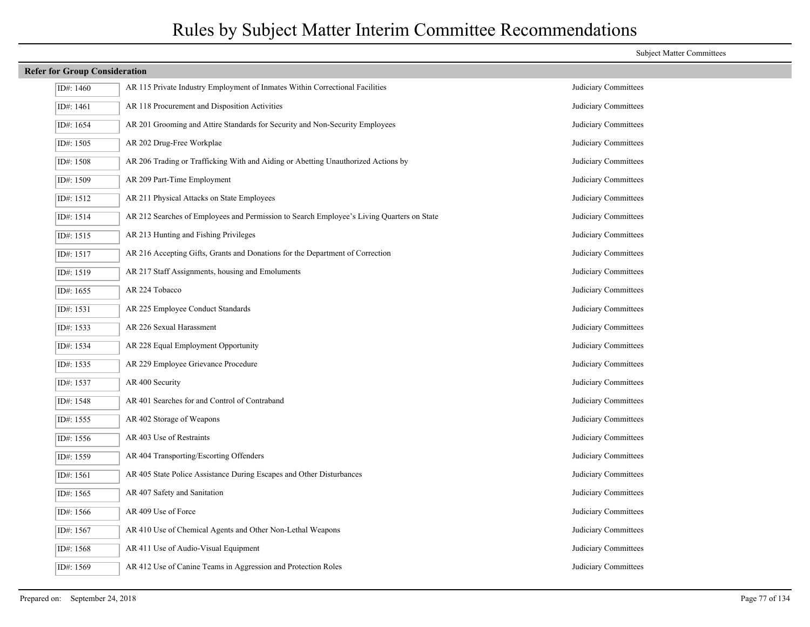| <b>Refer for Group Consideration</b> |                                                                                           |                      |
|--------------------------------------|-------------------------------------------------------------------------------------------|----------------------|
| ID#: 1460                            | AR 115 Private Industry Employment of Inmates Within Correctional Facilities              | Judiciary Committees |
| ID#: 1461                            | AR 118 Procurement and Disposition Activities                                             | Judiciary Committees |
| ID#: 1654                            | AR 201 Grooming and Attire Standards for Security and Non-Security Employees              | Judiciary Committees |
| ID#: 1505                            | AR 202 Drug-Free Workplae                                                                 | Judiciary Committees |
| ID#: 1508                            | AR 206 Trading or Trafficking With and Aiding or Abetting Unauthorized Actions by         | Judiciary Committees |
| ID#: 1509                            | AR 209 Part-Time Employment                                                               | Judiciary Committees |
| ID#: 1512                            | AR 211 Physical Attacks on State Employees                                                | Judiciary Committees |
| ID#: 1514                            | AR 212 Searches of Employees and Permission to Search Employee's Living Quarters on State | Judiciary Committees |
| ID#: 1515                            | AR 213 Hunting and Fishing Privileges                                                     | Judiciary Committees |
| ID#: 1517                            | AR 216 Accepting Gifts, Grants and Donations for the Department of Correction             | Judiciary Committees |
| ID#: 1519                            | AR 217 Staff Assignments, housing and Emoluments                                          | Judiciary Committees |
| ID#: 1655                            | AR 224 Tobacco                                                                            | Judiciary Committees |
| ID#: 1531                            | AR 225 Employee Conduct Standards                                                         | Judiciary Committees |
| ID#: 1533                            | AR 226 Sexual Harassment                                                                  | Judiciary Committees |
| ID#: 1534                            | AR 228 Equal Employment Opportunity                                                       | Judiciary Committees |
| ID#: 1535                            | AR 229 Employee Grievance Procedure                                                       | Judiciary Committees |
| ID#: 1537                            | AR 400 Security                                                                           | Judiciary Committees |
| ID#: 1548                            | AR 401 Searches for and Control of Contraband                                             | Judiciary Committees |
| ID#: 1555                            | AR 402 Storage of Weapons                                                                 | Judiciary Committees |
| ID#: 1556                            | AR 403 Use of Restraints                                                                  | Judiciary Committees |
| ID#: 1559                            | AR 404 Transporting/Escorting Offenders                                                   | Judiciary Committees |
| ID#: 1561                            | AR 405 State Police Assistance During Escapes and Other Disturbances                      | Judiciary Committees |
| ID#: 1565                            | AR 407 Safety and Sanitation                                                              | Judiciary Committees |
| ID#: 1566                            | AR 409 Use of Force                                                                       | Judiciary Committees |
| ID#: 1567                            | AR 410 Use of Chemical Agents and Other Non-Lethal Weapons                                | Judiciary Committees |
| ID#: 1568                            | AR 411 Use of Audio-Visual Equipment                                                      | Judiciary Committees |
| ID#: 1569                            | AR 412 Use of Canine Teams in Aggression and Protection Roles                             | Judiciary Committees |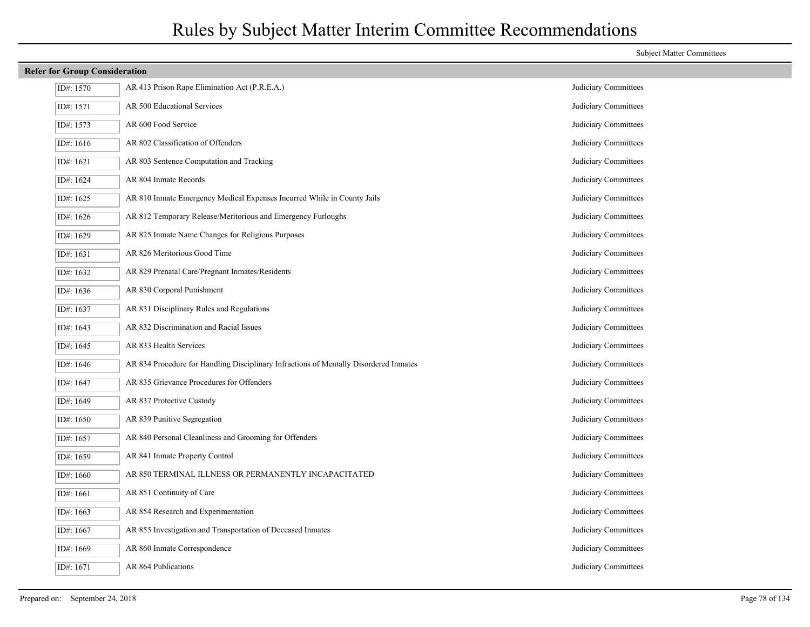| <b>Refer for Group Consideration</b> |                                                                                       |                      |  |
|--------------------------------------|---------------------------------------------------------------------------------------|----------------------|--|
| ID#: 1570                            | AR 413 Prison Rape Elimination Act (P.R.E.A.)                                         | Judiciary Committees |  |
| ID#: 1571                            | AR 500 Educational Services                                                           | Judiciary Committees |  |
| ID#: 1573                            | AR 600 Food Service                                                                   | Judiciary Committees |  |
| ID#: 1616                            | AR 802 Classification of Offenders                                                    | Judiciary Committees |  |
| ID#: 1621                            | AR 803 Sentence Computation and Tracking                                              | Judiciary Committees |  |
| ID#: 1624                            | AR 804 Inmate Records                                                                 | Judiciary Committees |  |
| ID#: 1625                            | AR 810 Inmate Emergency Medical Expenses Incurred While in County Jails               | Judiciary Committees |  |
| ID#: 1626                            | AR 812 Temporary Release/Meritorious and Emergency Furloughs                          | Judiciary Committees |  |
| ID#: 1629                            | AR 825 Inmate Name Changes for Religious Purposes                                     | Judiciary Committees |  |
| ID#: 1631                            | AR 826 Meritorious Good Time                                                          | Judiciary Committees |  |
| ID#: 1632                            | AR 829 Prenatal Care/Pregnant Inmates/Residents                                       | Judiciary Committees |  |
| ID#: 1636                            | AR 830 Corporal Punishment                                                            | Judiciary Committees |  |
| ID#: 1637                            | AR 831 Disciplinary Rules and Regulations                                             | Judiciary Committees |  |
| ID#: 1643                            | AR 832 Discrimination and Racial Issues                                               | Judiciary Committees |  |
| ID#: 1645                            | AR 833 Health Services                                                                | Judiciary Committees |  |
| ID#: 1646                            | AR 834 Procedure for Handling Disciplinary Infractions of Mentally Disordered Inmates | Judiciary Committees |  |
| ID#: 1647                            | AR 835 Grievance Procedures for Offenders                                             | Judiciary Committees |  |
| ID#: 1649                            | AR 837 Protective Custody                                                             | Judiciary Committees |  |
| ID#: $1650$                          | AR 839 Punitive Segregation                                                           | Judiciary Committees |  |
| ID#: 1657                            | AR 840 Personal Cleanliness and Grooming for Offenders                                | Judiciary Committees |  |
| ID#: 1659                            | AR 841 Inmate Property Control                                                        | Judiciary Committees |  |
| ID#: 1660                            | AR 850 TERMINAL ILLNESS OR PERMANENTLY INCAPACITATED                                  | Judiciary Committees |  |
| ID#: 1661                            | AR 851 Continuity of Care                                                             | Judiciary Committees |  |
| ID#: 1663                            | AR 854 Research and Experimentation                                                   | Judiciary Committees |  |
| ID#: 1667                            | AR 855 Investigation and Transportation of Deceased Inmates                           | Judiciary Committees |  |
| ID#: 1669                            | AR 860 Inmate Correspondence                                                          | Judiciary Committees |  |
| ID#: 1671                            | AR 864 Publications                                                                   | Judiciary Committees |  |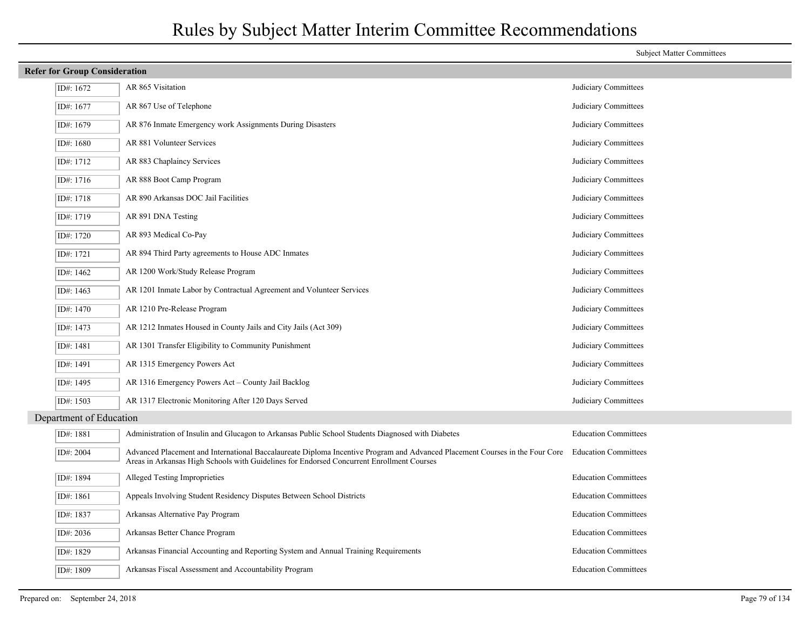| <b>Refer for Group Consideration</b> |                                                                                                                                                                                                                           |                             |  |
|--------------------------------------|---------------------------------------------------------------------------------------------------------------------------------------------------------------------------------------------------------------------------|-----------------------------|--|
| ID#: 1672                            | AR 865 Visitation                                                                                                                                                                                                         | Judiciary Committees        |  |
| ID#: 1677                            | AR 867 Use of Telephone                                                                                                                                                                                                   | Judiciary Committees        |  |
| ID#: 1679                            | AR 876 Inmate Emergency work Assignments During Disasters                                                                                                                                                                 | Judiciary Committees        |  |
| ID#: 1680                            | AR 881 Volunteer Services                                                                                                                                                                                                 | Judiciary Committees        |  |
| ID#: 1712                            | AR 883 Chaplaincy Services                                                                                                                                                                                                | Judiciary Committees        |  |
| ID#: 1716                            | AR 888 Boot Camp Program                                                                                                                                                                                                  | Judiciary Committees        |  |
| ID#: 1718                            | AR 890 Arkansas DOC Jail Facilities                                                                                                                                                                                       | Judiciary Committees        |  |
| ID#: 1719                            | AR 891 DNA Testing                                                                                                                                                                                                        | Judiciary Committees        |  |
| ID#: 1720                            | AR 893 Medical Co-Pay                                                                                                                                                                                                     | Judiciary Committees        |  |
| ID#: 1721                            | AR 894 Third Party agreements to House ADC Inmates                                                                                                                                                                        | Judiciary Committees        |  |
| ID#: 1462                            | AR 1200 Work/Study Release Program                                                                                                                                                                                        | Judiciary Committees        |  |
| ID#: 1463                            | AR 1201 Inmate Labor by Contractual Agreement and Volunteer Services                                                                                                                                                      | Judiciary Committees        |  |
| ID#: 1470                            | AR 1210 Pre-Release Program                                                                                                                                                                                               | Judiciary Committees        |  |
| ID#: 1473                            | AR 1212 Inmates Housed in County Jails and City Jails (Act 309)                                                                                                                                                           | Judiciary Committees        |  |
| ID#: 1481                            | AR 1301 Transfer Eligibility to Community Punishment                                                                                                                                                                      | Judiciary Committees        |  |
| ID#: 1491                            | AR 1315 Emergency Powers Act                                                                                                                                                                                              | Judiciary Committees        |  |
| ID#: 1495                            | AR 1316 Emergency Powers Act – County Jail Backlog                                                                                                                                                                        | Judiciary Committees        |  |
| ID#: 1503                            | AR 1317 Electronic Monitoring After 120 Days Served                                                                                                                                                                       | Judiciary Committees        |  |
| Department of Education              |                                                                                                                                                                                                                           |                             |  |
| ID#: 1881                            | Administration of Insulin and Glucagon to Arkansas Public School Students Diagnosed with Diabetes                                                                                                                         | <b>Education Committees</b> |  |
| ID#: 2004                            | Advanced Placement and International Baccalaureate Diploma Incentive Program and Advanced Placement Courses in the Four Core<br>Areas in Arkansas High Schools with Guidelines for Endorsed Concurrent Enrollment Courses | <b>Education Committees</b> |  |
| ID#: 1894                            | Alleged Testing Improprieties                                                                                                                                                                                             | <b>Education Committees</b> |  |
| ID#: 1861                            | Appeals Involving Student Residency Disputes Between School Districts                                                                                                                                                     | <b>Education Committees</b> |  |
| ID#: 1837                            | Arkansas Alternative Pay Program                                                                                                                                                                                          | <b>Education Committees</b> |  |
| ID#: 2036                            | Arkansas Better Chance Program                                                                                                                                                                                            | <b>Education Committees</b> |  |
| ID#: 1829                            | Arkansas Financial Accounting and Reporting System and Annual Training Requirements                                                                                                                                       | <b>Education Committees</b> |  |
| ID#: 1809                            | Arkansas Fiscal Assessment and Accountability Program                                                                                                                                                                     | <b>Education Committees</b> |  |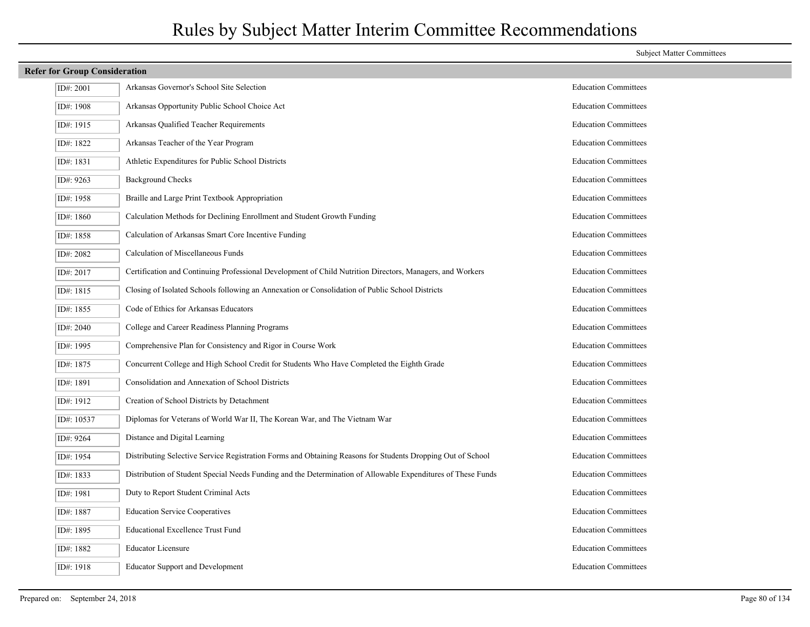| <b>Refer for Group Consideration</b>                                                                         |                             |  |  |  |
|--------------------------------------------------------------------------------------------------------------|-----------------------------|--|--|--|
| Arkansas Governor's School Site Selection                                                                    | <b>Education Committees</b> |  |  |  |
| Arkansas Opportunity Public School Choice Act                                                                | <b>Education Committees</b> |  |  |  |
| Arkansas Qualified Teacher Requirements                                                                      | <b>Education Committees</b> |  |  |  |
| Arkansas Teacher of the Year Program                                                                         | <b>Education Committees</b> |  |  |  |
| Athletic Expenditures for Public School Districts                                                            | <b>Education Committees</b> |  |  |  |
| <b>Background Checks</b>                                                                                     | <b>Education Committees</b> |  |  |  |
| Braille and Large Print Textbook Appropriation                                                               | <b>Education Committees</b> |  |  |  |
| Calculation Methods for Declining Enrollment and Student Growth Funding                                      | <b>Education Committees</b> |  |  |  |
| Calculation of Arkansas Smart Core Incentive Funding                                                         | <b>Education Committees</b> |  |  |  |
| Calculation of Miscellaneous Funds                                                                           | <b>Education Committees</b> |  |  |  |
| Certification and Continuing Professional Development of Child Nutrition Directors, Managers, and Workers    | <b>Education Committees</b> |  |  |  |
| Closing of Isolated Schools following an Annexation or Consolidation of Public School Districts              | <b>Education Committees</b> |  |  |  |
| Code of Ethics for Arkansas Educators                                                                        | <b>Education Committees</b> |  |  |  |
| College and Career Readiness Planning Programs                                                               | <b>Education Committees</b> |  |  |  |
| Comprehensive Plan for Consistency and Rigor in Course Work                                                  | <b>Education Committees</b> |  |  |  |
| Concurrent College and High School Credit for Students Who Have Completed the Eighth Grade                   | <b>Education Committees</b> |  |  |  |
| Consolidation and Annexation of School Districts                                                             | <b>Education Committees</b> |  |  |  |
| Creation of School Districts by Detachment                                                                   | <b>Education Committees</b> |  |  |  |
| Diplomas for Veterans of World War II, The Korean War, and The Vietnam War                                   | <b>Education Committees</b> |  |  |  |
| Distance and Digital Learning                                                                                | <b>Education Committees</b> |  |  |  |
| Distributing Selective Service Registration Forms and Obtaining Reasons for Students Dropping Out of School  | <b>Education Committees</b> |  |  |  |
| Distribution of Student Special Needs Funding and the Determination of Allowable Expenditures of These Funds | <b>Education Committees</b> |  |  |  |
| Duty to Report Student Criminal Acts                                                                         | <b>Education Committees</b> |  |  |  |
| <b>Education Service Cooperatives</b>                                                                        | <b>Education Committees</b> |  |  |  |
| <b>Educational Excellence Trust Fund</b>                                                                     | <b>Education Committees</b> |  |  |  |
| <b>Educator Licensure</b>                                                                                    | <b>Education Committees</b> |  |  |  |
| <b>Educator Support and Development</b>                                                                      | <b>Education Committees</b> |  |  |  |
|                                                                                                              |                             |  |  |  |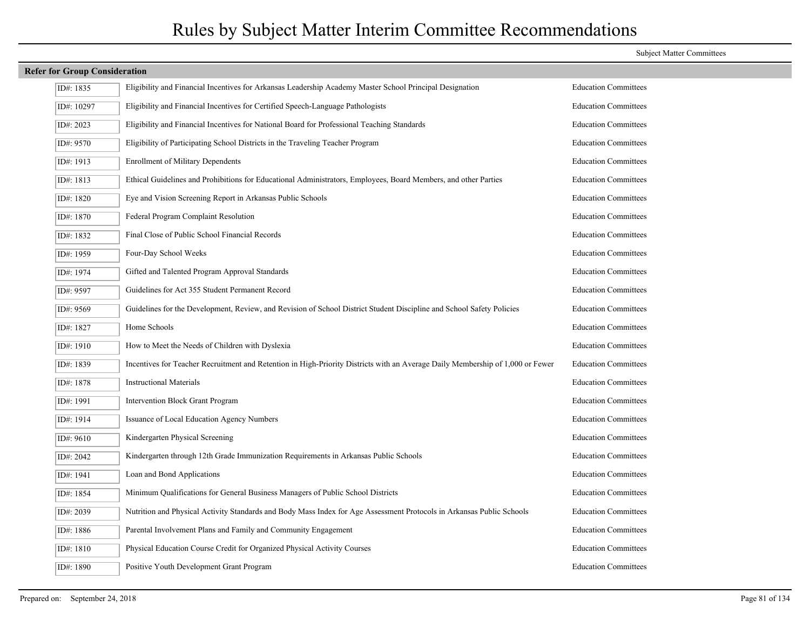| <b>Refer for Group Consideration</b> |                                                                                                                                |                             |  |  |
|--------------------------------------|--------------------------------------------------------------------------------------------------------------------------------|-----------------------------|--|--|
| ID#: 1835                            | Eligibility and Financial Incentives for Arkansas Leadership Academy Master School Principal Designation                       | <b>Education Committees</b> |  |  |
| ID#: 10297                           | Eligibility and Financial Incentives for Certified Speech-Language Pathologists                                                | <b>Education Committees</b> |  |  |
| ID#: 2023                            | Eligibility and Financial Incentives for National Board for Professional Teaching Standards                                    | <b>Education Committees</b> |  |  |
| ID#: 9570                            | Eligibility of Participating School Districts in the Traveling Teacher Program                                                 | <b>Education Committees</b> |  |  |
| ID#: 1913                            | <b>Enrollment of Military Dependents</b>                                                                                       | <b>Education Committees</b> |  |  |
| ID#: 1813                            | Ethical Guidelines and Prohibitions for Educational Administrators, Employees, Board Members, and other Parties                | <b>Education Committees</b> |  |  |
| ID#: 1820                            | Eye and Vision Screening Report in Arkansas Public Schools                                                                     | <b>Education Committees</b> |  |  |
| ID#: 1870                            | Federal Program Complaint Resolution                                                                                           | <b>Education Committees</b> |  |  |
| ID#: 1832                            | Final Close of Public School Financial Records                                                                                 | <b>Education Committees</b> |  |  |
| ID#: 1959                            | Four-Day School Weeks                                                                                                          | <b>Education Committees</b> |  |  |
| ID#: 1974                            | Gifted and Talented Program Approval Standards                                                                                 | <b>Education Committees</b> |  |  |
| ID#: 9597                            | Guidelines for Act 355 Student Permanent Record                                                                                | <b>Education Committees</b> |  |  |
| ID#: 9569                            | Guidelines for the Development, Review, and Revision of School District Student Discipline and School Safety Policies          | <b>Education Committees</b> |  |  |
| ID#: 1827                            | Home Schools                                                                                                                   | <b>Education Committees</b> |  |  |
| ID#: 1910                            | How to Meet the Needs of Children with Dyslexia                                                                                | <b>Education Committees</b> |  |  |
| ID#: 1839                            | Incentives for Teacher Recruitment and Retention in High-Priority Districts with an Average Daily Membership of 1,000 or Fewer | <b>Education Committees</b> |  |  |
| ID#: 1878                            | <b>Instructional Materials</b>                                                                                                 | <b>Education Committees</b> |  |  |
| ID#: 1991                            | Intervention Block Grant Program                                                                                               | <b>Education Committees</b> |  |  |
| ID#: 1914                            | Issuance of Local Education Agency Numbers                                                                                     | <b>Education Committees</b> |  |  |
| ID#: 9610                            | Kindergarten Physical Screening                                                                                                | <b>Education Committees</b> |  |  |
| ID#: 2042                            | Kindergarten through 12th Grade Immunization Requirements in Arkansas Public Schools                                           | <b>Education Committees</b> |  |  |
| ID#: 1941                            | Loan and Bond Applications                                                                                                     | <b>Education Committees</b> |  |  |
| ID#: 1854                            | Minimum Qualifications for General Business Managers of Public School Districts                                                | <b>Education Committees</b> |  |  |
| ID#: 2039                            | Nutrition and Physical Activity Standards and Body Mass Index for Age Assessment Protocols in Arkansas Public Schools          | <b>Education Committees</b> |  |  |
| ID#: 1886                            | Parental Involvement Plans and Family and Community Engagement                                                                 | <b>Education Committees</b> |  |  |
| ID#: 1810                            | Physical Education Course Credit for Organized Physical Activity Courses                                                       | <b>Education Committees</b> |  |  |
| ID#: 1890                            | Positive Youth Development Grant Program                                                                                       | <b>Education Committees</b> |  |  |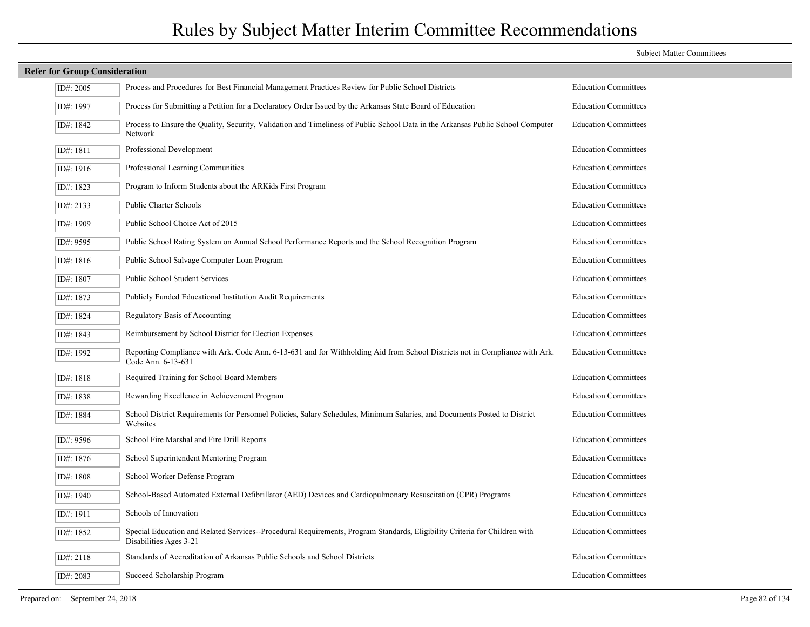| <b>Refer for Group Consideration</b> |                                                                                                                                                      |                             |
|--------------------------------------|------------------------------------------------------------------------------------------------------------------------------------------------------|-----------------------------|
| ID#: 2005                            | Process and Procedures for Best Financial Management Practices Review for Public School Districts                                                    | <b>Education Committees</b> |
| ID#: 1997                            | Process for Submitting a Petition for a Declaratory Order Issued by the Arkansas State Board of Education                                            | <b>Education Committees</b> |
| ID#: 1842                            | Process to Ensure the Quality, Security, Validation and Timeliness of Public School Data in the Arkansas Public School Computer<br>Network           | <b>Education Committees</b> |
| ID#: 1811                            | Professional Development                                                                                                                             | <b>Education Committees</b> |
| ID#: 1916                            | Professional Learning Communities                                                                                                                    | <b>Education Committees</b> |
| ID#: 1823                            | Program to Inform Students about the ARKids First Program                                                                                            | <b>Education Committees</b> |
| ID#: 2133                            | Public Charter Schools                                                                                                                               | <b>Education Committees</b> |
| ID#: 1909                            | Public School Choice Act of 2015                                                                                                                     | <b>Education Committees</b> |
| ID#: 9595                            | Public School Rating System on Annual School Performance Reports and the School Recognition Program                                                  | <b>Education Committees</b> |
| ID#: 1816                            | Public School Salvage Computer Loan Program                                                                                                          | <b>Education Committees</b> |
| ID#: 1807                            | Public School Student Services                                                                                                                       | <b>Education Committees</b> |
| ID#: 1873                            | Publicly Funded Educational Institution Audit Requirements                                                                                           | <b>Education Committees</b> |
| ID#: 1824                            | Regulatory Basis of Accounting                                                                                                                       | <b>Education Committees</b> |
| ID#: 1843                            | Reimbursement by School District for Election Expenses                                                                                               | <b>Education Committees</b> |
| ID#: 1992                            | Reporting Compliance with Ark. Code Ann. 6-13-631 and for Withholding Aid from School Districts not in Compliance with Ark.<br>Code Ann. 6-13-631    | <b>Education Committees</b> |
| ID#: 1818                            | Required Training for School Board Members                                                                                                           | <b>Education Committees</b> |
| ID#: 1838                            | Rewarding Excellence in Achievement Program                                                                                                          | <b>Education Committees</b> |
| ID#: 1884                            | School District Requirements for Personnel Policies, Salary Schedules, Minimum Salaries, and Documents Posted to District<br>Websites                | <b>Education Committees</b> |
| ID#: 9596                            | School Fire Marshal and Fire Drill Reports                                                                                                           | <b>Education Committees</b> |
| ID#: 1876                            | School Superintendent Mentoring Program                                                                                                              | <b>Education Committees</b> |
| ID#: 1808                            | School Worker Defense Program                                                                                                                        | <b>Education Committees</b> |
| ID#: 1940                            | School-Based Automated External Defibrillator (AED) Devices and Cardiopulmonary Resuscitation (CPR) Programs                                         | <b>Education Committees</b> |
| ID#: 1911                            | Schools of Innovation                                                                                                                                | <b>Education Committees</b> |
| ID#: 1852                            | Special Education and Related Services--Procedural Requirements, Program Standards, Eligibility Criteria for Children with<br>Disabilities Ages 3-21 | <b>Education Committees</b> |
| ID#: 2118                            | Standards of Accreditation of Arkansas Public Schools and School Districts                                                                           | <b>Education Committees</b> |
| ID#: 2083                            | Succeed Scholarship Program                                                                                                                          | <b>Education Committees</b> |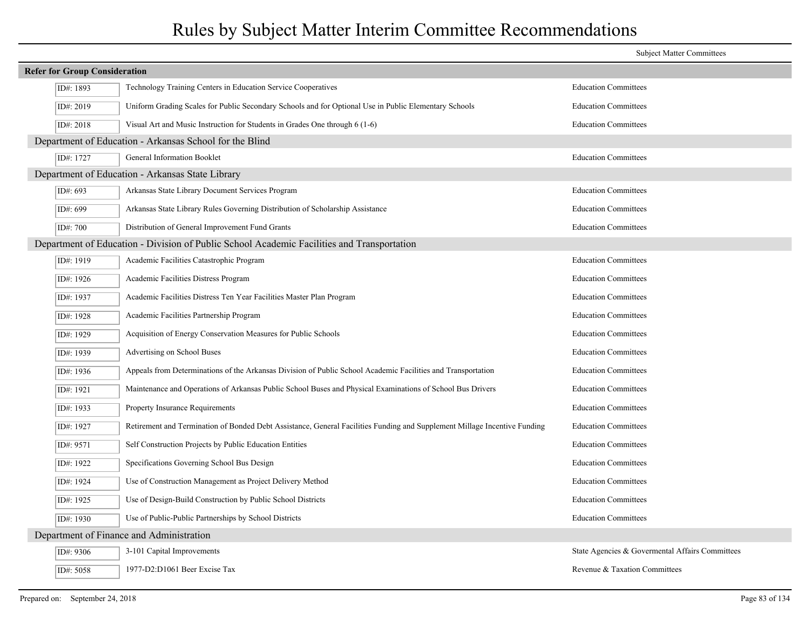|                                      |                                                                                                                           | <b>Subject Matter Committees</b>                |
|--------------------------------------|---------------------------------------------------------------------------------------------------------------------------|-------------------------------------------------|
| <b>Refer for Group Consideration</b> |                                                                                                                           |                                                 |
| ID#: 1893                            | Technology Training Centers in Education Service Cooperatives                                                             | <b>Education Committees</b>                     |
| ID#: 2019                            | Uniform Grading Scales for Public Secondary Schools and for Optional Use in Public Elementary Schools                     | <b>Education Committees</b>                     |
| ID#: 2018                            | Visual Art and Music Instruction for Students in Grades One through 6 (1-6)                                               | <b>Education Committees</b>                     |
|                                      | Department of Education - Arkansas School for the Blind                                                                   |                                                 |
| ID#: 1727                            | <b>General Information Booklet</b>                                                                                        | <b>Education Committees</b>                     |
|                                      | Department of Education - Arkansas State Library                                                                          |                                                 |
| ID#: 693                             | Arkansas State Library Document Services Program                                                                          | <b>Education Committees</b>                     |
| ID#: 699                             | Arkansas State Library Rules Governing Distribution of Scholarship Assistance                                             | <b>Education Committees</b>                     |
| ID#: 700                             | Distribution of General Improvement Fund Grants                                                                           | <b>Education Committees</b>                     |
|                                      | Department of Education - Division of Public School Academic Facilities and Transportation                                |                                                 |
| ID#: 1919                            | Academic Facilities Catastrophic Program                                                                                  | <b>Education Committees</b>                     |
| ID#: 1926                            | Academic Facilities Distress Program                                                                                      | <b>Education Committees</b>                     |
| ID#: 1937                            | Academic Facilities Distress Ten Year Facilities Master Plan Program                                                      | <b>Education Committees</b>                     |
| ID#: 1928                            | Academic Facilities Partnership Program                                                                                   | <b>Education Committees</b>                     |
| ID#: 1929                            | Acquisition of Energy Conservation Measures for Public Schools                                                            | <b>Education Committees</b>                     |
| ID#: 1939                            | Advertising on School Buses                                                                                               | <b>Education Committees</b>                     |
| ID#: 1936                            | Appeals from Determinations of the Arkansas Division of Public School Academic Facilities and Transportation              | <b>Education Committees</b>                     |
| ID#: 1921                            | Maintenance and Operations of Arkansas Public School Buses and Physical Examinations of School Bus Drivers                | <b>Education Committees</b>                     |
| ID#: 1933                            | Property Insurance Requirements                                                                                           | <b>Education Committees</b>                     |
| ID#: 1927                            | Retirement and Termination of Bonded Debt Assistance, General Facilities Funding and Supplement Millage Incentive Funding | <b>Education Committees</b>                     |
| ID#: 9571                            | Self Construction Projects by Public Education Entities                                                                   | <b>Education Committees</b>                     |
| ID#: 1922                            | Specifications Governing School Bus Design                                                                                | <b>Education Committees</b>                     |
| ID#: 1924                            | Use of Construction Management as Project Delivery Method                                                                 | <b>Education Committees</b>                     |
| ID#: 1925                            | Use of Design-Build Construction by Public School Districts                                                               | <b>Education Committees</b>                     |
| ID#: 1930                            | Use of Public-Public Partnerships by School Districts                                                                     | <b>Education Committees</b>                     |
|                                      | Department of Finance and Administration                                                                                  |                                                 |
| ID#: 9306                            | 3-101 Capital Improvements                                                                                                | State Agencies & Govermental Affairs Committees |
| ID#: 5058                            | 1977-D2:D1061 Beer Excise Tax                                                                                             | Revenue & Taxation Committees                   |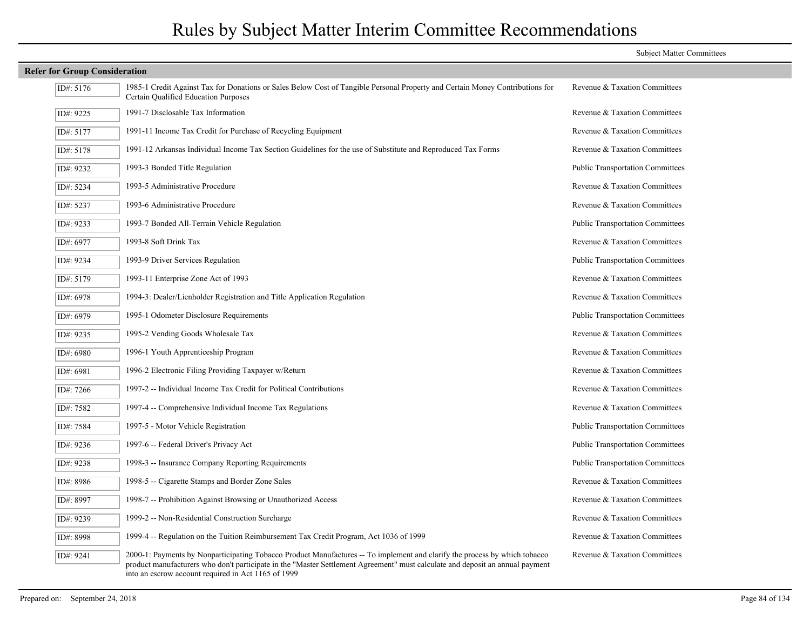|                                      |                                                                                                                                                                                                                                                                                                                    | <b>Subject Matter Committees</b>        |
|--------------------------------------|--------------------------------------------------------------------------------------------------------------------------------------------------------------------------------------------------------------------------------------------------------------------------------------------------------------------|-----------------------------------------|
| <b>Refer for Group Consideration</b> |                                                                                                                                                                                                                                                                                                                    |                                         |
| ID#: 5176                            | 1985-1 Credit Against Tax for Donations or Sales Below Cost of Tangible Personal Property and Certain Money Contributions for<br>Certain Qualified Education Purposes                                                                                                                                              | Revenue & Taxation Committees           |
| ID#: 9225                            | 1991-7 Disclosable Tax Information                                                                                                                                                                                                                                                                                 | Revenue & Taxation Committees           |
| ID#: 5177                            | 1991-11 Income Tax Credit for Purchase of Recycling Equipment                                                                                                                                                                                                                                                      | Revenue & Taxation Committees           |
| ID#: 5178                            | 1991-12 Arkansas Individual Income Tax Section Guidelines for the use of Substitute and Reproduced Tax Forms                                                                                                                                                                                                       | Revenue & Taxation Committees           |
| ID#: 9232                            | 1993-3 Bonded Title Regulation                                                                                                                                                                                                                                                                                     | <b>Public Transportation Committees</b> |
| ID#: 5234                            | 1993-5 Administrative Procedure                                                                                                                                                                                                                                                                                    | Revenue & Taxation Committees           |
| ID#: 5237                            | 1993-6 Administrative Procedure                                                                                                                                                                                                                                                                                    | Revenue & Taxation Committees           |
| ID#: 9233                            | 1993-7 Bonded All-Terrain Vehicle Regulation                                                                                                                                                                                                                                                                       | <b>Public Transportation Committees</b> |
| ID#: 6977                            | 1993-8 Soft Drink Tax                                                                                                                                                                                                                                                                                              | Revenue & Taxation Committees           |
| ID#: 9234                            | 1993-9 Driver Services Regulation                                                                                                                                                                                                                                                                                  | <b>Public Transportation Committees</b> |
| ID#: 5179                            | 1993-11 Enterprise Zone Act of 1993                                                                                                                                                                                                                                                                                | Revenue & Taxation Committees           |
| ID#: 6978                            | 1994-3: Dealer/Lienholder Registration and Title Application Regulation                                                                                                                                                                                                                                            | Revenue & Taxation Committees           |
| ID#: 6979                            | 1995-1 Odometer Disclosure Requirements                                                                                                                                                                                                                                                                            | <b>Public Transportation Committees</b> |
| ID#: 9235                            | 1995-2 Vending Goods Wholesale Tax                                                                                                                                                                                                                                                                                 | Revenue & Taxation Committees           |
| ID#: 6980                            | 1996-1 Youth Apprenticeship Program                                                                                                                                                                                                                                                                                | Revenue & Taxation Committees           |
| ID#: 6981                            | 1996-2 Electronic Filing Providing Taxpayer w/Return                                                                                                                                                                                                                                                               | Revenue & Taxation Committees           |
| ID#: 7266                            | 1997-2 -- Individual Income Tax Credit for Political Contributions                                                                                                                                                                                                                                                 | Revenue & Taxation Committees           |
| ID#: 7582                            | 1997-4 -- Comprehensive Individual Income Tax Regulations                                                                                                                                                                                                                                                          | Revenue & Taxation Committees           |
| ID#: 7584                            | 1997-5 - Motor Vehicle Registration                                                                                                                                                                                                                                                                                | <b>Public Transportation Committees</b> |
| ID#: 9236                            | 1997-6 -- Federal Driver's Privacy Act                                                                                                                                                                                                                                                                             | <b>Public Transportation Committees</b> |
| ID#: 9238                            | 1998-3 -- Insurance Company Reporting Requirements                                                                                                                                                                                                                                                                 | <b>Public Transportation Committees</b> |
| ID#: 8986                            | 1998-5 -- Cigarette Stamps and Border Zone Sales                                                                                                                                                                                                                                                                   | Revenue & Taxation Committees           |
| ID#: 8997                            | 1998-7 -- Prohibition Against Browsing or Unauthorized Access                                                                                                                                                                                                                                                      | Revenue & Taxation Committees           |
| ID#: 9239                            | 1999-2 -- Non-Residential Construction Surcharge                                                                                                                                                                                                                                                                   | Revenue & Taxation Committees           |
| ID#: 8998                            | 1999-4 -- Regulation on the Tuition Reimbursement Tax Credit Program, Act 1036 of 1999                                                                                                                                                                                                                             | Revenue & Taxation Committees           |
| ID#: 9241                            | 2000-1: Payments by Nonparticipating Tobacco Product Manufactures -- To implement and clarify the process by which tobacco<br>product manufacturers who don't participate in the "Master Settlement Agreement" must calculate and deposit an annual payment<br>into an escrow account required in Act 1165 of 1999 | Revenue & Taxation Committees           |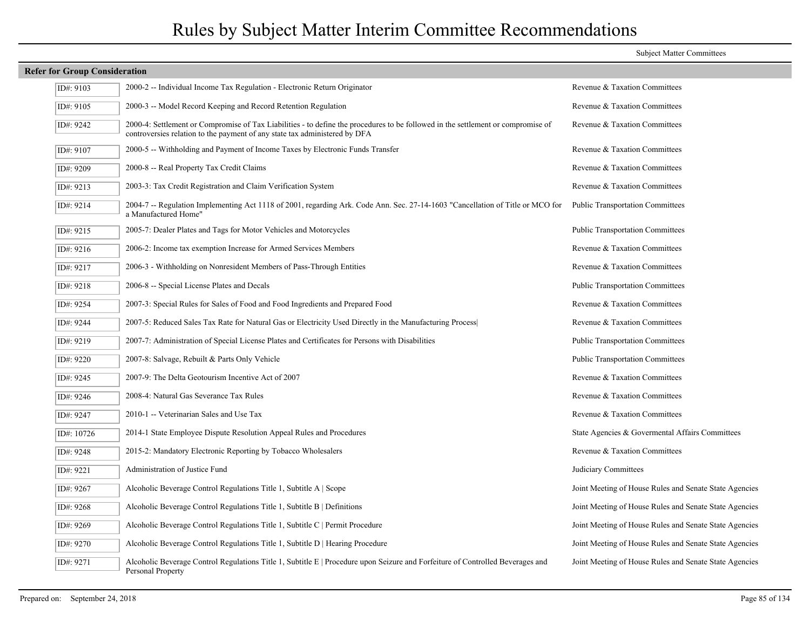|                                      |                                                                                                                                                                                                                | <b>Subject Matter Committees</b>                       |
|--------------------------------------|----------------------------------------------------------------------------------------------------------------------------------------------------------------------------------------------------------------|--------------------------------------------------------|
| <b>Refer for Group Consideration</b> |                                                                                                                                                                                                                |                                                        |
| ID#: 9103                            | 2000-2 -- Individual Income Tax Regulation - Electronic Return Originator                                                                                                                                      | Revenue & Taxation Committees                          |
| ID#: 9105                            | 2000-3 -- Model Record Keeping and Record Retention Regulation                                                                                                                                                 | Revenue & Taxation Committees                          |
| ID#: 9242                            | 2000-4: Settlement or Compromise of Tax Liabilities - to define the procedures to be followed in the settlement or compromise of<br>controversies relation to the payment of any state tax administered by DFA | Revenue & Taxation Committees                          |
| ID#: 9107                            | 2000-5 -- Withholding and Payment of Income Taxes by Electronic Funds Transfer                                                                                                                                 | Revenue & Taxation Committees                          |
| ID#: 9209                            | 2000-8 -- Real Property Tax Credit Claims                                                                                                                                                                      | Revenue & Taxation Committees                          |
| ID#: 9213                            | 2003-3: Tax Credit Registration and Claim Verification System                                                                                                                                                  | Revenue & Taxation Committees                          |
| ID#: 9214                            | 2004-7 -- Regulation Implementing Act 1118 of 2001, regarding Ark. Code Ann. Sec. 27-14-1603 "Cancellation of Title or MCO for<br>a Manufactured Home"                                                         | <b>Public Transportation Committees</b>                |
| ID#: 9215                            | 2005-7: Dealer Plates and Tags for Motor Vehicles and Motorcycles                                                                                                                                              | <b>Public Transportation Committees</b>                |
| ID#: 9216                            | 2006-2: Income tax exemption Increase for Armed Services Members                                                                                                                                               | Revenue & Taxation Committees                          |
| ID#: 9217                            | 2006-3 - Withholding on Nonresident Members of Pass-Through Entities                                                                                                                                           | Revenue & Taxation Committees                          |
| ID#: 9218                            | 2006-8 -- Special License Plates and Decals                                                                                                                                                                    | <b>Public Transportation Committees</b>                |
| ID#: 9254                            | 2007-3: Special Rules for Sales of Food and Food Ingredients and Prepared Food                                                                                                                                 | Revenue & Taxation Committees                          |
| ID#: 9244                            | 2007-5: Reduced Sales Tax Rate for Natural Gas or Electricity Used Directly in the Manufacturing Process                                                                                                       | Revenue & Taxation Committees                          |
| ID#: 9219                            | 2007-7: Administration of Special License Plates and Certificates for Persons with Disabilities                                                                                                                | <b>Public Transportation Committees</b>                |
| ID#: 9220                            | 2007-8: Salvage, Rebuilt & Parts Only Vehicle                                                                                                                                                                  | <b>Public Transportation Committees</b>                |
| ID#: 9245                            | 2007-9: The Delta Geotourism Incentive Act of 2007                                                                                                                                                             | Revenue & Taxation Committees                          |
| ID#: 9246                            | 2008-4: Natural Gas Severance Tax Rules                                                                                                                                                                        | Revenue & Taxation Committees                          |
| ID#: 9247                            | 2010-1 -- Veterinarian Sales and Use Tax                                                                                                                                                                       | Revenue & Taxation Committees                          |
| ID#: 10726                           | 2014-1 State Employee Dispute Resolution Appeal Rules and Procedures                                                                                                                                           | State Agencies & Governental Affairs Committees        |
| ID#: 9248                            | 2015-2: Mandatory Electronic Reporting by Tobacco Wholesalers                                                                                                                                                  | Revenue & Taxation Committees                          |
| ID#: 9221                            | Administration of Justice Fund                                                                                                                                                                                 | Judiciary Committees                                   |
| ID#: 9267                            | Alcoholic Beverage Control Regulations Title 1, Subtitle A   Scope                                                                                                                                             | Joint Meeting of House Rules and Senate State Agencies |
| ID#: 9268                            | Alcoholic Beverage Control Regulations Title 1, Subtitle B   Definitions                                                                                                                                       | Joint Meeting of House Rules and Senate State Agencies |
| ID#: 9269                            | Alcoholic Beverage Control Regulations Title 1, Subtitle C   Permit Procedure                                                                                                                                  | Joint Meeting of House Rules and Senate State Agencies |
| ID#: 9270                            | Alcoholic Beverage Control Regulations Title 1, Subtitle D   Hearing Procedure                                                                                                                                 | Joint Meeting of House Rules and Senate State Agencies |
| ID#: 9271                            | Alcoholic Beverage Control Regulations Title 1, Subtitle E   Procedure upon Seizure and Forfeiture of Controlled Beverages and<br>Personal Property                                                            | Joint Meeting of House Rules and Senate State Agencies |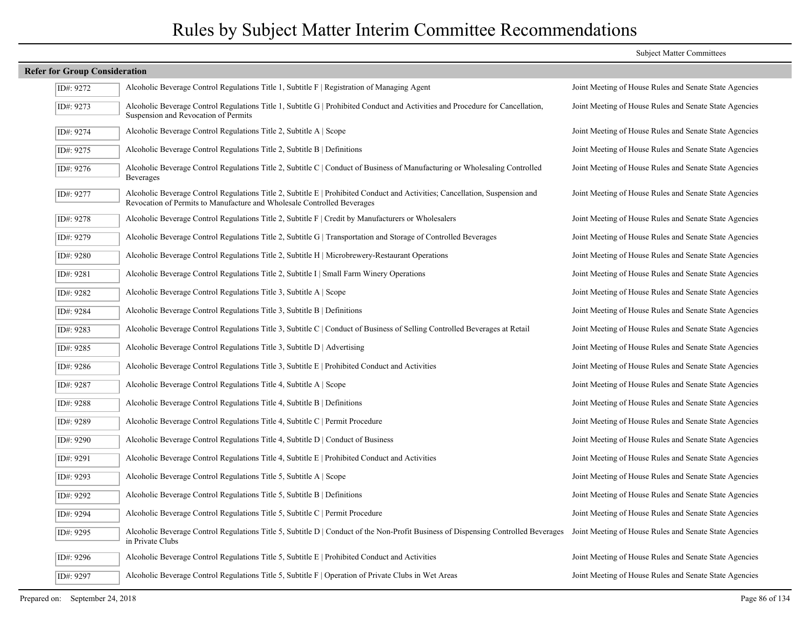| Alcoholic Beverage Control Regulations Title 1, Subtitle F   Registration of Managing Agent                                                                                                             | Joint Meeting of House Rules and Senate State Agencies                                                                                                                                                                                                                                                                                                                                 |
|---------------------------------------------------------------------------------------------------------------------------------------------------------------------------------------------------------|----------------------------------------------------------------------------------------------------------------------------------------------------------------------------------------------------------------------------------------------------------------------------------------------------------------------------------------------------------------------------------------|
| Alcoholic Beverage Control Regulations Title 1, Subtitle G   Prohibited Conduct and Activities and Procedure for Cancellation,<br>Suspension and Revocation of Permits                                  | Joint Meeting of House Rules and Senate State Agencies                                                                                                                                                                                                                                                                                                                                 |
| Alcoholic Beverage Control Regulations Title 2, Subtitle A   Scope                                                                                                                                      | Joint Meeting of House Rules and Senate State Agencies                                                                                                                                                                                                                                                                                                                                 |
| Alcoholic Beverage Control Regulations Title 2, Subtitle B   Definitions                                                                                                                                | Joint Meeting of House Rules and Senate State Agencies                                                                                                                                                                                                                                                                                                                                 |
| Alcoholic Beverage Control Regulations Title 2, Subtitle C   Conduct of Business of Manufacturing or Wholesaling Controlled<br><b>Beverages</b>                                                         | Joint Meeting of House Rules and Senate State Agencies                                                                                                                                                                                                                                                                                                                                 |
| Alcoholic Beverage Control Regulations Title 2, Subtitle E   Prohibited Conduct and Activities; Cancellation, Suspension and<br>Revocation of Permits to Manufacture and Wholesale Controlled Beverages | Joint Meeting of House Rules and Senate State Agencies                                                                                                                                                                                                                                                                                                                                 |
| Alcoholic Beverage Control Regulations Title 2, Subtitle F   Credit by Manufacturers or Wholesalers                                                                                                     | Joint Meeting of House Rules and Senate State Agencies                                                                                                                                                                                                                                                                                                                                 |
| Alcoholic Beverage Control Regulations Title 2, Subtitle G   Transportation and Storage of Controlled Beverages                                                                                         | Joint Meeting of House Rules and Senate State Agencies                                                                                                                                                                                                                                                                                                                                 |
| Alcoholic Beverage Control Regulations Title 2, Subtitle H   Microbrewery-Restaurant Operations                                                                                                         | Joint Meeting of House Rules and Senate State Agencies                                                                                                                                                                                                                                                                                                                                 |
| Alcoholic Beverage Control Regulations Title 2, Subtitle I   Small Farm Winery Operations                                                                                                               | Joint Meeting of House Rules and Senate State Agencies                                                                                                                                                                                                                                                                                                                                 |
| Alcoholic Beverage Control Regulations Title 3, Subtitle A   Scope                                                                                                                                      | Joint Meeting of House Rules and Senate State Agencies                                                                                                                                                                                                                                                                                                                                 |
| Alcoholic Beverage Control Regulations Title 3, Subtitle B   Definitions                                                                                                                                | Joint Meeting of House Rules and Senate State Agencies                                                                                                                                                                                                                                                                                                                                 |
| Alcoholic Beverage Control Regulations Title 3, Subtitle C   Conduct of Business of Selling Controlled Beverages at Retail                                                                              | Joint Meeting of House Rules and Senate State Agencies                                                                                                                                                                                                                                                                                                                                 |
| Alcoholic Beverage Control Regulations Title 3, Subtitle D   Advertising                                                                                                                                | Joint Meeting of House Rules and Senate State Agencies                                                                                                                                                                                                                                                                                                                                 |
| Alcoholic Beverage Control Regulations Title 3, Subtitle E   Prohibited Conduct and Activities                                                                                                          | Joint Meeting of House Rules and Senate State Agencies                                                                                                                                                                                                                                                                                                                                 |
| Alcoholic Beverage Control Regulations Title 4, Subtitle A   Scope                                                                                                                                      | Joint Meeting of House Rules and Senate State Agencies                                                                                                                                                                                                                                                                                                                                 |
| Alcoholic Beverage Control Regulations Title 4, Subtitle B   Definitions                                                                                                                                | Joint Meeting of House Rules and Senate State Agencies                                                                                                                                                                                                                                                                                                                                 |
| Alcoholic Beverage Control Regulations Title 4, Subtitle C   Permit Procedure                                                                                                                           | Joint Meeting of House Rules and Senate State Agencies                                                                                                                                                                                                                                                                                                                                 |
| Alcoholic Beverage Control Regulations Title 4, Subtitle $D \mid$ Conduct of Business                                                                                                                   | Joint Meeting of House Rules and Senate State Agencies                                                                                                                                                                                                                                                                                                                                 |
| Alcoholic Beverage Control Regulations Title 4, Subtitle E   Prohibited Conduct and Activities                                                                                                          | Joint Meeting of House Rules and Senate State Agencies                                                                                                                                                                                                                                                                                                                                 |
| Alcoholic Beverage Control Regulations Title 5, Subtitle A   Scope                                                                                                                                      | Joint Meeting of House Rules and Senate State Agencies                                                                                                                                                                                                                                                                                                                                 |
| Alcoholic Beverage Control Regulations Title 5, Subtitle B   Definitions                                                                                                                                | Joint Meeting of House Rules and Senate State Agencies                                                                                                                                                                                                                                                                                                                                 |
| Alcoholic Beverage Control Regulations Title 5, Subtitle C   Permit Procedure                                                                                                                           | Joint Meeting of House Rules and Senate State Agencies                                                                                                                                                                                                                                                                                                                                 |
| Alcoholic Beverage Control Regulations Title 5, Subtitle D   Conduct of the Non-Profit Business of Dispensing Controlled Beverages<br>in Private Clubs                                                  | Joint Meeting of House Rules and Senate State Agencies                                                                                                                                                                                                                                                                                                                                 |
| Alcoholic Beverage Control Regulations Title 5, Subtitle E   Prohibited Conduct and Activities                                                                                                          | Joint Meeting of House Rules and Senate State Agencies                                                                                                                                                                                                                                                                                                                                 |
| Alcoholic Beverage Control Regulations Title 5, Subtitle F   Operation of Private Clubs in Wet Areas                                                                                                    | Joint Meeting of House Rules and Senate State Agencies                                                                                                                                                                                                                                                                                                                                 |
|                                                                                                                                                                                                         | <b>Refer for Group Consideration</b><br>ID#: 9272<br>ID#: 9273<br>ID#: 9274<br>ID#: 9275<br>ID#: 9276<br>ID#: 9277<br>ID#: 9278<br>ID#: 9279<br>ID#: 9280<br>ID#: 9281<br>ID#: 9282<br>ID#: 9284<br>ID#: 9283<br>ID#: 9285<br>ID#: 9286<br>ID#: 9287<br>ID#: 9288<br>ID#: 9289<br>ID#: 9290<br>ID#: 9291<br>ID#: 9293<br>ID#: 9292<br>ID#: 9294<br>ID#: 9295<br>ID#: 9296<br>ID#: 9297 |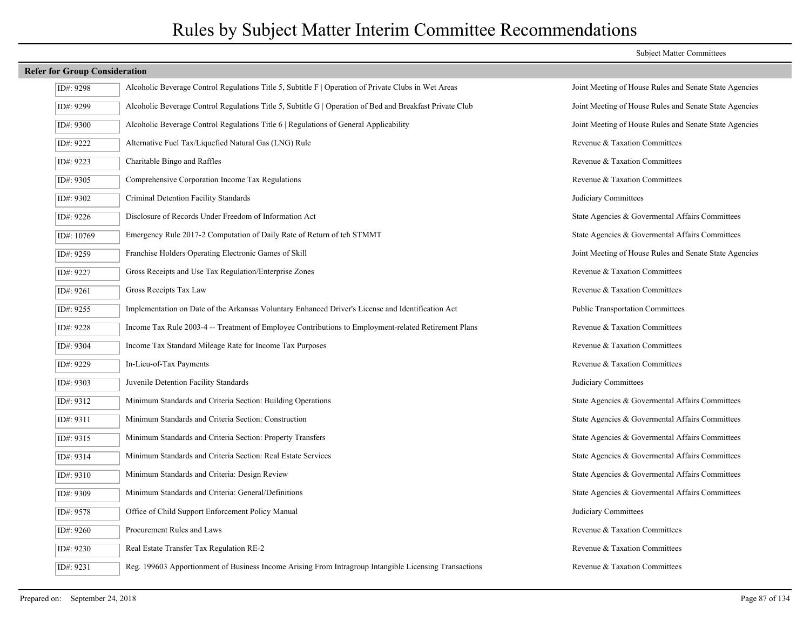| ID#: 9298  | Alcoholic Beverage Control Regulations Title 5, Subtitle F   Operation of Private Clubs in Wet Areas     | Joint Meeting of House Rules and Senate State Agencies |
|------------|----------------------------------------------------------------------------------------------------------|--------------------------------------------------------|
| ID#: 9299  | Alcoholic Beverage Control Regulations Title 5, Subtitle G   Operation of Bed and Breakfast Private Club | Joint Meeting of House Rules and Senate State Agencies |
| ID#: 9300  | Alcoholic Beverage Control Regulations Title 6   Regulations of General Applicability                    | Joint Meeting of House Rules and Senate State Agencies |
| ID#: 9222  | Alternative Fuel Tax/Liquefied Natural Gas (LNG) Rule                                                    | Revenue & Taxation Committees                          |
| ID#: 9223  | Charitable Bingo and Raffles                                                                             | Revenue & Taxation Committees                          |
| ID#: 9305  | Comprehensive Corporation Income Tax Regulations                                                         | Revenue & Taxation Committees                          |
| ID#: 9302  | Criminal Detention Facility Standards                                                                    | Judiciary Committees                                   |
| ID#: 9226  | Disclosure of Records Under Freedom of Information Act                                                   | State Agencies & Govermental Affairs Committees        |
| ID#: 10769 | Emergency Rule 2017-2 Computation of Daily Rate of Return of teh STMMT                                   | State Agencies & Governental Affairs Committees        |
| ID#: 9259  | Franchise Holders Operating Electronic Games of Skill                                                    | Joint Meeting of House Rules and Senate State Agencies |
| ID#: 9227  | Gross Receipts and Use Tax Regulation/Enterprise Zones                                                   | Revenue & Taxation Committees                          |
| ID#: 9261  | Gross Receipts Tax Law                                                                                   | Revenue & Taxation Committees                          |
| ID#: 9255  | Implementation on Date of the Arkansas Voluntary Enhanced Driver's License and Identification Act        | <b>Public Transportation Committees</b>                |
| ID#: 9228  | Income Tax Rule 2003-4 -- Treatment of Employee Contributions to Employment-related Retirement Plans     | Revenue & Taxation Committees                          |
| ID#: 9304  | Income Tax Standard Mileage Rate for Income Tax Purposes                                                 | Revenue & Taxation Committees                          |
| ID#: 9229  | In-Lieu-of-Tax Payments                                                                                  | Revenue & Taxation Committees                          |
| ID#: 9303  | Juvenile Detention Facility Standards                                                                    | Judiciary Committees                                   |
| ID#: 9312  | Minimum Standards and Criteria Section: Building Operations                                              | State Agencies & Govermental Affairs Committees        |
| ID#: 9311  | Minimum Standards and Criteria Section: Construction                                                     | State Agencies & Governental Affairs Committees        |
| ID#: 9315  | Minimum Standards and Criteria Section: Property Transfers                                               | State Agencies & Governental Affairs Committees        |
| ID#: 9314  | Minimum Standards and Criteria Section: Real Estate Services                                             | State Agencies & Govermental Affairs Committees        |
| ID#: 9310  | Minimum Standards and Criteria: Design Review                                                            | State Agencies & Governental Affairs Committees        |
| ID#: 9309  | Minimum Standards and Criteria: General/Definitions                                                      | State Agencies & Governental Affairs Committees        |
| ID#: 9578  | Office of Child Support Enforcement Policy Manual                                                        | Judiciary Committees                                   |
| ID#: 9260  | Procurement Rules and Laws                                                                               | Revenue & Taxation Committees                          |
| ID#: 9230  | Real Estate Transfer Tax Regulation RE-2                                                                 | Revenue & Taxation Committees                          |
| ID#: 9231  | Reg. 199603 Apportionment of Business Income Arising From Intragroup Intangible Licensing Transactions   | Revenue & Taxation Committees                          |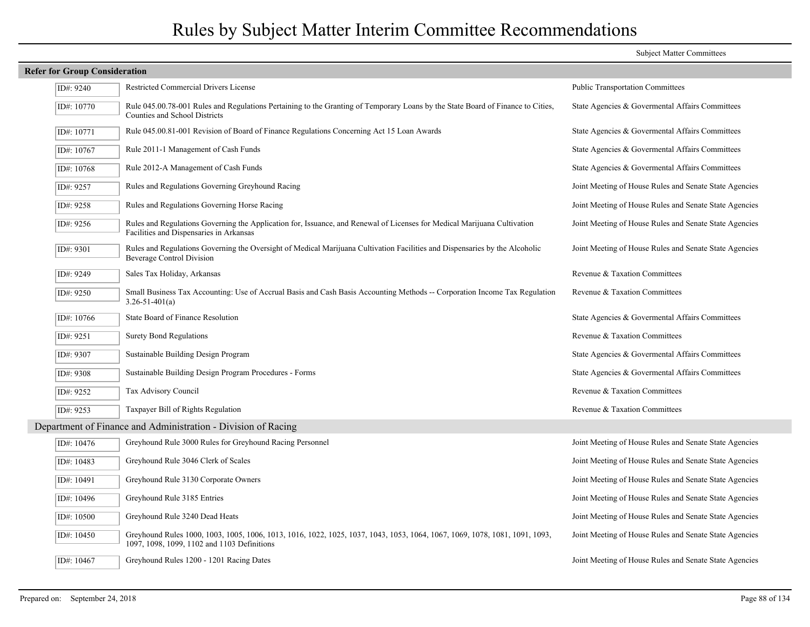| <b>Refer for Group Consideration</b> |                                                                                                                                                                            |                                                        |  |  |
|--------------------------------------|----------------------------------------------------------------------------------------------------------------------------------------------------------------------------|--------------------------------------------------------|--|--|
| ID#: 9240                            | Restricted Commercial Drivers License                                                                                                                                      | <b>Public Transportation Committees</b>                |  |  |
| ID#: 10770                           | Rule 045.00.78-001 Rules and Regulations Pertaining to the Granting of Temporary Loans by the State Board of Finance to Cities,<br>Counties and School Districts           | State Agencies & Govermental Affairs Committees        |  |  |
| ID#: 10771                           | Rule 045.00.81-001 Revision of Board of Finance Regulations Concerning Act 15 Loan Awards                                                                                  | State Agencies & Governental Affairs Committees        |  |  |
| ID#: 10767                           | Rule 2011-1 Management of Cash Funds                                                                                                                                       | State Agencies & Governental Affairs Committees        |  |  |
| ID#: 10768                           | Rule 2012-A Management of Cash Funds                                                                                                                                       | State Agencies & Governental Affairs Committees        |  |  |
| ID#: 9257                            | Rules and Regulations Governing Greyhound Racing                                                                                                                           | Joint Meeting of House Rules and Senate State Agencies |  |  |
| ID#: 9258                            | Rules and Regulations Governing Horse Racing                                                                                                                               | Joint Meeting of House Rules and Senate State Agencies |  |  |
| ID#: 9256                            | Rules and Regulations Governing the Application for, Issuance, and Renewal of Licenses for Medical Marijuana Cultivation<br>Facilities and Dispensaries in Arkansas        | Joint Meeting of House Rules and Senate State Agencies |  |  |
| ID#: 9301                            | Rules and Regulations Governing the Oversight of Medical Marijuana Cultivation Facilities and Dispensaries by the Alcoholic<br><b>Beverage Control Division</b>            | Joint Meeting of House Rules and Senate State Agencies |  |  |
| ID#: 9249                            | Sales Tax Holiday, Arkansas                                                                                                                                                | Revenue & Taxation Committees                          |  |  |
| ID#: 9250                            | Small Business Tax Accounting: Use of Accrual Basis and Cash Basis Accounting Methods -- Corporation Income Tax Regulation<br>$3.26 - 51 - 401(a)$                         | Revenue & Taxation Committees                          |  |  |
| ID#: 10766                           | State Board of Finance Resolution                                                                                                                                          | State Agencies & Governental Affairs Committees        |  |  |
| ID#: 9251                            | <b>Surety Bond Regulations</b>                                                                                                                                             | Revenue & Taxation Committees                          |  |  |
| ID#: 9307                            | Sustainable Building Design Program                                                                                                                                        | State Agencies & Governental Affairs Committees        |  |  |
| ID#: 9308                            | Sustainable Building Design Program Procedures - Forms                                                                                                                     | State Agencies & Govermental Affairs Committees        |  |  |
| ID#: 9252                            | Tax Advisory Council                                                                                                                                                       | Revenue & Taxation Committees                          |  |  |
| ID#: 9253                            | Taxpayer Bill of Rights Regulation                                                                                                                                         | Revenue & Taxation Committees                          |  |  |
|                                      | Department of Finance and Administration - Division of Racing                                                                                                              |                                                        |  |  |
| ID#: 10476                           | Greyhound Rule 3000 Rules for Greyhound Racing Personnel                                                                                                                   | Joint Meeting of House Rules and Senate State Agencies |  |  |
| ID#: 10483                           | Greyhound Rule 3046 Clerk of Scales                                                                                                                                        | Joint Meeting of House Rules and Senate State Agencies |  |  |
| ID#: 10491                           | Greyhound Rule 3130 Corporate Owners                                                                                                                                       | Joint Meeting of House Rules and Senate State Agencies |  |  |
| ID#: 10496                           | Greyhound Rule 3185 Entries                                                                                                                                                | Joint Meeting of House Rules and Senate State Agencies |  |  |
| ID#: 10500                           | Greyhound Rule 3240 Dead Heats                                                                                                                                             | Joint Meeting of House Rules and Senate State Agencies |  |  |
| ID#: 10450                           | Greyhound Rules 1000, 1003, 1005, 1006, 1013, 1016, 1022, 1025, 1037, 1043, 1053, 1064, 1067, 1069, 1078, 1081, 1091, 1093,<br>1097, 1098, 1099, 1102 and 1103 Definitions | Joint Meeting of House Rules and Senate State Agencies |  |  |
| ID#: 10467                           | Greyhound Rules 1200 - 1201 Racing Dates                                                                                                                                   | Joint Meeting of House Rules and Senate State Agencies |  |  |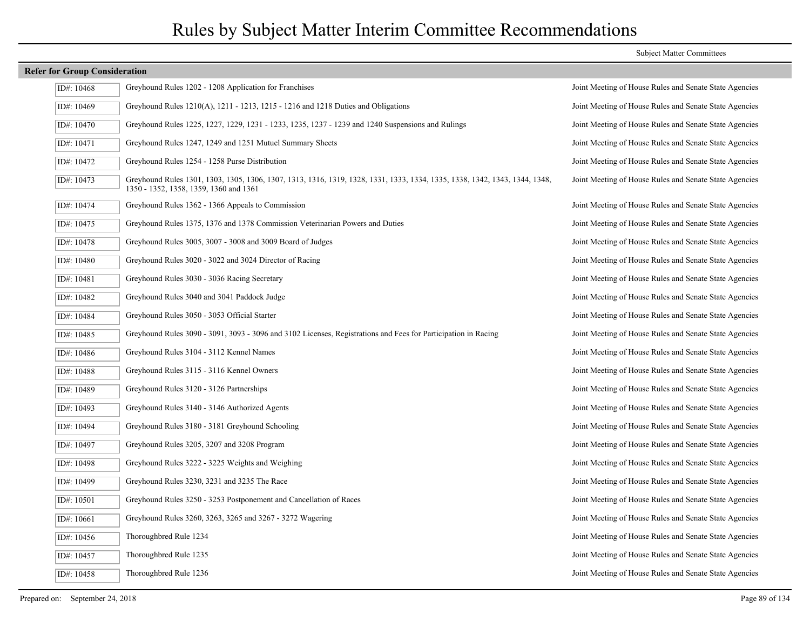## **Refer for Group Consideration** ID#: 10468 Greyhound Rules 1202 - 1208 Application for Franchises Joint Meeting of House Rules and Senate State Agencies ID#: 10469 Greyhound Rules 1210(A), 1211 - 1213, 1215 - 1216 and 1218 Duties and Obligations Joint Meeting of House Rules and Senate State Agencies ID#: 10470 Greyhound Rules 1225, 1227, 1229, 1231 - 1233, 1235, 1237 - 1239 and 1240 Suspensions and Rulings Joint Meeting of House Rules and Senate State Agencies ID#: 10471 Greyhound Rules 1247, 1249 and 1251 Mutuel Summary Sheets Joint Meeting of House Rules and Senate State Agencies ID#: 10472 Greyhound Rules 1254 - 1258 Purse Distribution Joint Meeting of House Rules and Senate State Agencies Greyhound Rules 1301, 1303, 1305, 1306, 1307, 1313, 1316, 1319, 1328, 1331, 1333, 1334, 1335, 1338, 1342, 1343, 1344, 1348, Joint Meeting of House Rules and Senate State Agencies 1350 - 1352, 1358, 1359, 1360 and 1361 ID#: 10473 ID#: 10474 Greyhound Rules 1362 - 1366 Appeals to Commission Joint Meeting of House Rules and Senate State Agencies ID#: 10475 Greyhound Rules 1375, 1376 and 1378 Commission Veterinarian Powers and Duties Joint Meeting of House Rules and Senate State Agencies ID#: 10478 Greyhound Rules 3005, 3007 - 3008 and 3009 Board of Judges Joint Meeting of House Rules and Senate State Agencies ID#: 10480 Greyhound Rules 3020 - 3022 and 3024 Director of Racing Joint Meeting of House Rules and Senate State Agencies ID#: 10481 Greyhound Rules 3030 - 3036 Racing Secretary Joint Meeting of House Rules and Senate State Agencies ID#: 10482 Greyhound Rules 3040 and 3041 Paddock Judge Joint Meeting of House Rules and Senate State Agencies ID#: 10484 Greyhound Rules 3050 - 3053 Official Starter Joint Meeting of House Rules and Senate State Agencies ID#: 10485 Greyhound Rules 3090 - 3091, 3093 - 3096 and 3102 Licenses, Registrations and Fees for Participation in Racing Joint Meeting of House Rules and Senate State Agencies ID#: 10486 Greyhound Rules 3104 - 3112 Kennel Names Joint Meeting of House Rules and Senate State Agencies ID#: 10488 Greyhound Rules 3115 - 3116 Kennel Owners Joint Meeting of House Rules and Senate State Agencies ID#: 10489 Greyhound Rules 3120 - 3126 Partnerships Joint Meeting of House Rules and Senate State Agencies ID#: 10493 Greyhound Rules 3140 - 3146 Authorized Agents Joint Meeting of House Rules and Senate State Agencies ID#: 10494 Greyhound Rules 3180 - 3181 Greyhound Schooling Joint Meeting of House Rules and Senate State Agencies ID#: 10497 Greyhound Rules 3205, 3207 and 3208 Program Joint Meeting of House Rules and Senate State Agencies ID#: 10498 Greyhound Rules 3222 - 3225 Weights and Weighing Joint Meeting of House Rules and Senate State Agencies ID#: 10499 Greyhound Rules 3230, 3231 and 3235 The Race Joint Meeting of House Rules and Senate State Agencies ID#: 10501 Greyhound Rules 3250 - 3253 Postponement and Cancellation of Races Joint Meeting of House Rules and Senate State Agencies ID#: 10661 Greyhound Rules 3260, 3263, 3265 and 3267 - 3272 Wagering Joint Meeting of House Rules and Senate State Agencies ID#: 10456 Thoroughbred Rule 1234 Joint Meeting of House Rules and Senate State Agencies ID#: 10457 Thoroughbred Rule 1235 Joint Meeting of House Rules and Senate State Agencies ID#: 10458 Thoroughbred Rule 1236 Joint Meeting of House Rules and Senate State Agencies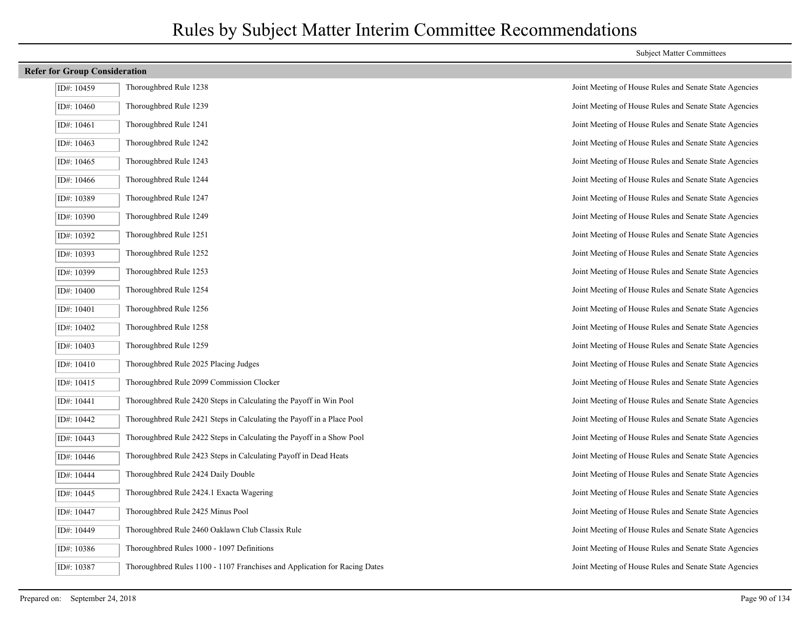| <b>Refer for Group Consideration</b> |                                                                            |                                                        |
|--------------------------------------|----------------------------------------------------------------------------|--------------------------------------------------------|
| ID#: 10459                           | Thoroughbred Rule 1238                                                     | Joint Meeting of House Rules and Senate State Agencies |
| ID#: 10460                           | Thoroughbred Rule 1239                                                     | Joint Meeting of House Rules and Senate State Agencies |
| ID#: 10461                           | Thoroughbred Rule 1241                                                     | Joint Meeting of House Rules and Senate State Agencies |
| ID#: 10463                           | Thoroughbred Rule 1242                                                     | Joint Meeting of House Rules and Senate State Agencies |
| ID#: 10465                           | Thoroughbred Rule 1243                                                     | Joint Meeting of House Rules and Senate State Agencies |
| ID#: 10466                           | Thoroughbred Rule 1244                                                     | Joint Meeting of House Rules and Senate State Agencies |
| ID#: 10389                           | Thoroughbred Rule 1247                                                     | Joint Meeting of House Rules and Senate State Agencies |
| ID#: $10390$                         | Thoroughbred Rule 1249                                                     | Joint Meeting of House Rules and Senate State Agencies |
| ID#: 10392                           | Thoroughbred Rule 1251                                                     | Joint Meeting of House Rules and Senate State Agencies |
| ID#: 10393                           | Thoroughbred Rule 1252                                                     | Joint Meeting of House Rules and Senate State Agencies |
| ID#: 10399                           | Thoroughbred Rule 1253                                                     | Joint Meeting of House Rules and Senate State Agencies |
| ID#: 10400                           | Thoroughbred Rule 1254                                                     | Joint Meeting of House Rules and Senate State Agencies |
| ID#: 10401                           | Thoroughbred Rule 1256                                                     | Joint Meeting of House Rules and Senate State Agencies |
| ID#: 10402                           | Thoroughbred Rule 1258                                                     | Joint Meeting of House Rules and Senate State Agencies |
| ID#: 10403                           | Thoroughbred Rule 1259                                                     | Joint Meeting of House Rules and Senate State Agencies |
| ID#: 10410                           | Thoroughbred Rule 2025 Placing Judges                                      | Joint Meeting of House Rules and Senate State Agencies |
| ID#: 10415                           | Thoroughbred Rule 2099 Commission Clocker                                  | Joint Meeting of House Rules and Senate State Agencies |
| ID#: 10441                           | Thoroughbred Rule 2420 Steps in Calculating the Payoff in Win Pool         | Joint Meeting of House Rules and Senate State Agencies |
| ID#: 10442                           | Thoroughbred Rule 2421 Steps in Calculating the Payoff in a Place Pool     | Joint Meeting of House Rules and Senate State Agencies |
| ID#: 10443                           | Thoroughbred Rule 2422 Steps in Calculating the Payoff in a Show Pool      | Joint Meeting of House Rules and Senate State Agencies |
| ID#: 10446                           | Thoroughbred Rule 2423 Steps in Calculating Payoff in Dead Heats           | Joint Meeting of House Rules and Senate State Agencies |
| ID#: 10444                           | Thoroughbred Rule 2424 Daily Double                                        | Joint Meeting of House Rules and Senate State Agencies |
| ID#: 10445                           | Thoroughbred Rule 2424.1 Exacta Wagering                                   | Joint Meeting of House Rules and Senate State Agencies |
| ID#: 10447                           | Thoroughbred Rule 2425 Minus Pool                                          | Joint Meeting of House Rules and Senate State Agencies |
| ID#: 10449                           | Thoroughbred Rule 2460 Oaklawn Club Classix Rule                           | Joint Meeting of House Rules and Senate State Agencies |
| ID#: 10386                           | Thoroughbred Rules 1000 - 1097 Definitions                                 | Joint Meeting of House Rules and Senate State Agencies |
| ID#: 10387                           | Thoroughbred Rules 1100 - 1107 Franchises and Application for Racing Dates | Joint Meeting of House Rules and Senate State Agencies |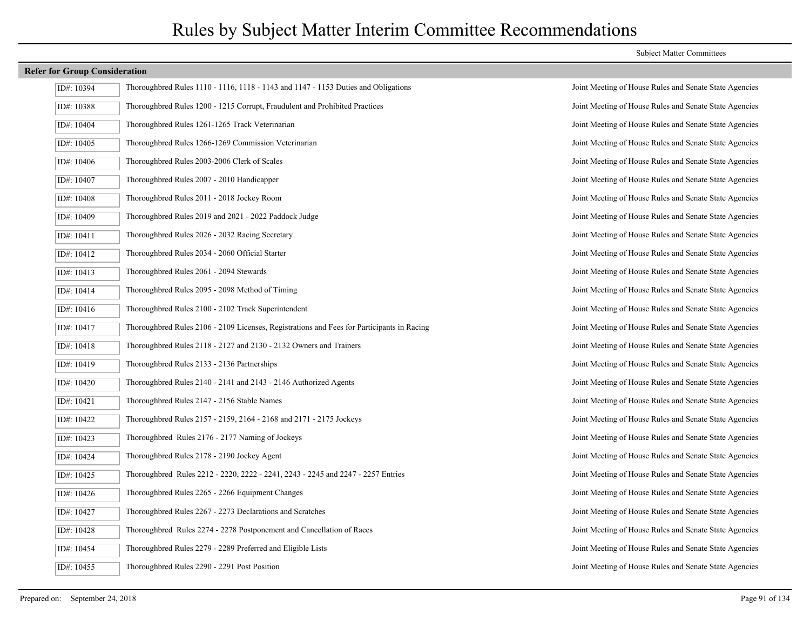| ID#: 10394 | Thoroughbred Rules 1110 - 1116, 1118 - 1143 and 1147 - 1153 Duties and Obligations       |
|------------|------------------------------------------------------------------------------------------|
| ID#: 10388 | Thoroughbred Rules 1200 - 1215 Corrupt, Fraudulent and Prohibited Practices              |
| ID#: 10404 | Thoroughbred Rules 1261-1265 Track Veterinarian                                          |
| ID#: 10405 | Thoroughbred Rules 1266-1269 Commission Veterinarian                                     |
| ID#: 10406 | Thoroughbred Rules 2003-2006 Clerk of Scales                                             |
| ID#: 10407 | Thoroughbred Rules 2007 - 2010 Handicapper                                               |
| ID#: 10408 | Thoroughbred Rules 2011 - 2018 Jockey Room                                               |
| ID#: 10409 | Thoroughbred Rules 2019 and 2021 - 2022 Paddock Judge                                    |
| ID#: 10411 | Thoroughbred Rules 2026 - 2032 Racing Secretary                                          |
| ID#: 10412 | Thoroughbred Rules 2034 - 2060 Official Starter                                          |
| ID#: 10413 | Thoroughbred Rules 2061 - 2094 Stewards                                                  |
| ID#: 10414 | Thoroughbred Rules 2095 - 2098 Method of Timing                                          |
| ID#: 10416 | Thoroughbred Rules 2100 - 2102 Track Superintendent                                      |
| ID#: 10417 | Thoroughbred Rules 2106 - 2109 Licenses, Registrations and Fees for Participants in Raci |
| ID#: 10418 | Thoroughbred Rules 2118 - 2127 and 2130 - 2132 Owners and Trainers                       |
| ID#: 10419 | Thoroughbred Rules 2133 - 2136 Partnerships                                              |
| ID#: 10420 | Thoroughbred Rules 2140 - 2141 and 2143 - 2146 Authorized Agents                         |
| ID#: 10421 | Thoroughbred Rules 2147 - 2156 Stable Names                                              |
| ID#: 10422 | Thoroughbred Rules 2157 - 2159, 2164 - 2168 and 2171 - 2175 Jockeys                      |
| ID#: 10423 | Thoroughbred Rules 2176 - 2177 Naming of Jockeys                                         |
| ID#: 10424 | Thoroughbred Rules 2178 - 2190 Jockey Agent                                              |
| ID#: 10425 | Thoroughbred Rules 2212 - 2220, 2222 - 2241, 2243 - 2245 and 2247 - 2257 Entries         |
| ID#: 10426 | Thoroughbred Rules 2265 - 2266 Equipment Changes                                         |
| ID#: 10427 | Thoroughbred Rules 2267 - 2273 Declarations and Scratches                                |
| ID#: 10428 | Thoroughbred Rules 2274 - 2278 Postponement and Cancellation of Races                    |
| ID#: 10454 | Thoroughbred Rules 2279 - 2289 Preferred and Eligible Lists                              |
| ID#: 10455 | Thoroughbred Rules 2290 - 2291 Post Position                                             |

#### Subject Matter Committees

Joint Meeting of House Rules and Senate State Agencies Joint Meeting of House Rules and Senate State Agencies Joint Meeting of House Rules and Senate State Agencies Joint Meeting of House Rules and Senate State Agencies Joint Meeting of House Rules and Senate State Agencies Joint Meeting of House Rules and Senate State Agencies Joint Meeting of House Rules and Senate State Agencies Joint Meeting of House Rules and Senate State Agencies Joint Meeting of House Rules and Senate State Agencies Joint Meeting of House Rules and Senate State Agencies Joint Meeting of House Rules and Senate State Agencies Joint Meeting of House Rules and Senate State Agencies Joint Meeting of House Rules and Senate State Agencies ID: 10417 Joint Meeting of House Rules and Senate State Agencies Joint Meeting of House Rules and Senate State Agencies Joint Meeting of House Rules and Senate State Agencies Joint Meeting of House Rules and Senate State Agencies Joint Meeting of House Rules and Senate State Agencies Joint Meeting of House Rules and Senate State Agencies Joint Meeting of House Rules and Senate State Agencies Joint Meeting of House Rules and Senate State Agencies Joint Meeting of House Rules and Senate State Agencies Joint Meeting of House Rules and Senate State Agencies Joint Meeting of House Rules and Senate State Agencies Joint Meeting of House Rules and Senate State Agencies Joint Meeting of House Rules and Senate State Agencies Joint Meeting of House Rules and Senate State Agencies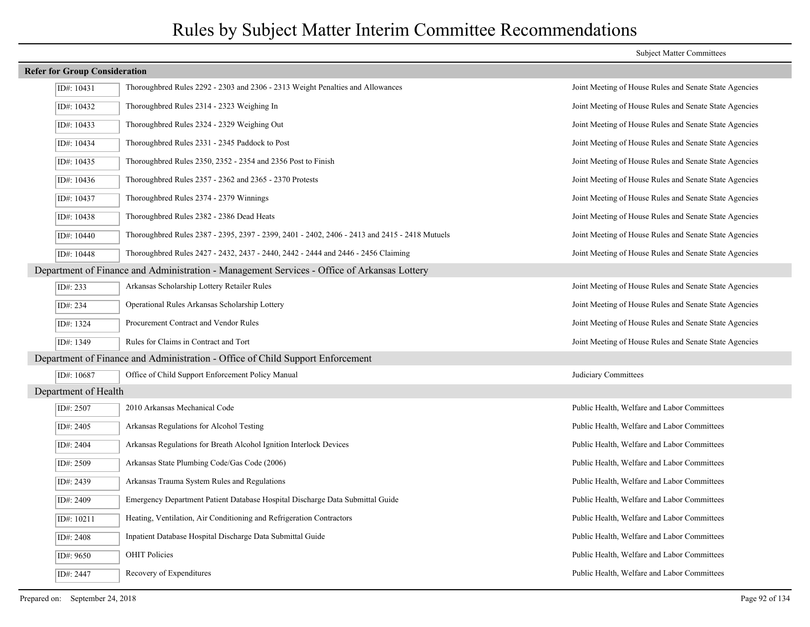## **Refer for Group Consideration** ID#: 10431 Thoroughbred Rules 2292 - 2303 and 2306 - 2313 Weight Penalties and Allowances Joint Meeting of House Rules and Senate State Agencies ID#: 10432 Thoroughbred Rules 2314 - 2323 Weighing In Joint Meeting of House Rules and Senate State Agencies ID#: 10433 Thoroughbred Rules 2324 - 2329 Weighing Out Joint Meeting of House Rules and Senate State Agencies ID#: 10434 Thoroughbred Rules 2331 - 2345 Paddock to Post Joint Meeting of House Rules and Senate State Agencies ID#: 10435 Thoroughbred Rules 2350, 2352 - 2354 and 2356 Post to Finish Joint Meeting of House Rules and Senate State Agencies ID#: 10436 Thoroughbred Rules 2357 - 2362 and 2365 - 2370 Protests Joint Meeting of House Rules and Senate State Agencies ID#: 10437 Thoroughbred Rules 2374 - 2379 Winnings Joint Meeting of House Rules and Senate State Agencies ID#: 10438 Thoroughbred Rules 2382 - 2386 Dead Heats Joint Meeting of House Rules and Senate State Agencies ID#: 10440 Thoroughbred Rules 2387 - 2395, 2397 - 2399, 2401 - 2402, 2406 - 2413 and 2415 - 2418 Mutuels Joint Meeting of House Rules and Senate State Agencies ID#: 10448 Thoroughbred Rules 2427 - 2432, 2437 - 2440, 2442 - 2444 and 2446 - 2456 Claiming Joint Meeting of House Rules and Senate State Agencies Department of Finance and Administration - Management Services - Office of Arkansas Lottery ID#: 233 Arkansas Scholarship Lottery Retailer Rules Joint Meeting of House Rules and Senate State Agencies ID#: 234 Operational Rules Arkansas Scholarship Lottery Joint Meeting of House Rules and Senate State Agencies ID#: 1324 Procurement Contract and Vendor Rules Joint Meeting of House Rules and Senate State Agencies ID#: 1349 Rules for Claims in Contract and Tort Joint Meeting of House Rules and Senate State Agencies Department of Finance and Administration - Office of Child Support Enforcement ID#: 10687 Office of Child Support Enforcement Policy Manual Judiciary Committees Department of Health ID#: 2507 2010 Arkansas Mechanical Code Public Health, Welfare and Labor Committees ID#: 2405 Arkansas Regulations for Alcohol Testing Public Health, Welfare and Labor Committees ID#: 2404 Arkansas Regulations for Breath Alcohol Ignition Interlock Devices Public Health, Welfare and Labor Committees ID#: 2509 Arkansas State Plumbing Code/Gas Code (2006) Public Health, Welfare and Labor Committees ID#: 2439 Arkansas Trauma System Rules and Regulations Public Health, Welfare and Labor Committees ID#: 2409 Emergency Department Patient Database Hospital Discharge Data Submittal Guide Public Health, Welfare and Labor Committees ID#: 10211 Heating, Ventilation, Air Conditioning and Refrigeration Contractors Public Health, Welfare and Labor Committees ID#: 2408 Inpatient Database Hospital Discharge Data Submittal Guide Public Health, Welfare and Labor Committees ID#: 9650 OHIT Policies Public Health, Welfare and Labor Committees ID#: 2447 Recovery of Expenditures Public Health, Welfare and Labor Committees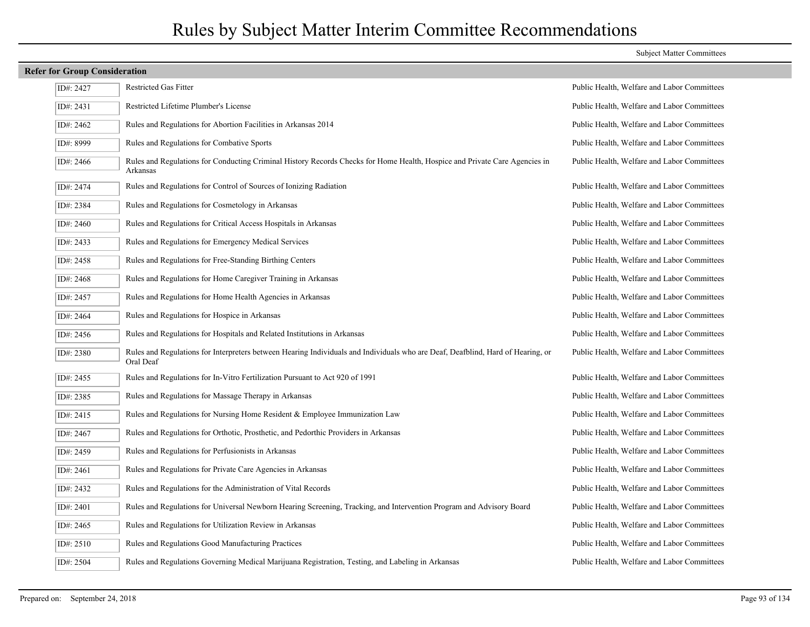|             | <b>Refer for Group Consideration</b>                                                                                                         |                                             |  |
|-------------|----------------------------------------------------------------------------------------------------------------------------------------------|---------------------------------------------|--|
| ID#: 2427   | <b>Restricted Gas Fitter</b>                                                                                                                 | Public Health, Welfare and Labor Committees |  |
| ID#: 2431   | Restricted Lifetime Plumber's License                                                                                                        | Public Health, Welfare and Labor Committees |  |
| ID#: 2462   | Rules and Regulations for Abortion Facilities in Arkansas 2014                                                                               | Public Health, Welfare and Labor Committees |  |
| ID#: 8999   | Rules and Regulations for Combative Sports                                                                                                   | Public Health, Welfare and Labor Committees |  |
| ID#: $2466$ | Rules and Regulations for Conducting Criminal History Records Checks for Home Health, Hospice and Private Care Agencies in<br>Arkansas       | Public Health, Welfare and Labor Committees |  |
| ID#: 2474   | Rules and Regulations for Control of Sources of Ionizing Radiation                                                                           | Public Health, Welfare and Labor Committees |  |
| ID#: 2384   | Rules and Regulations for Cosmetology in Arkansas                                                                                            | Public Health, Welfare and Labor Committees |  |
| ID#: 2460   | Rules and Regulations for Critical Access Hospitals in Arkansas                                                                              | Public Health, Welfare and Labor Committees |  |
| ID#: $2433$ | Rules and Regulations for Emergency Medical Services                                                                                         | Public Health, Welfare and Labor Committees |  |
| ID#: 2458   | Rules and Regulations for Free-Standing Birthing Centers                                                                                     | Public Health, Welfare and Labor Committees |  |
| ID#: 2468   | Rules and Regulations for Home Caregiver Training in Arkansas                                                                                | Public Health, Welfare and Labor Committees |  |
| ID#: 2457   | Rules and Regulations for Home Health Agencies in Arkansas                                                                                   | Public Health, Welfare and Labor Committees |  |
| ID#: 2464   | Rules and Regulations for Hospice in Arkansas                                                                                                | Public Health, Welfare and Labor Committees |  |
| ID#: 2456   | Rules and Regulations for Hospitals and Related Institutions in Arkansas                                                                     | Public Health, Welfare and Labor Committees |  |
| ID#: 2380   | Rules and Regulations for Interpreters between Hearing Individuals and Individuals who are Deaf, Deafblind, Hard of Hearing, or<br>Oral Deaf | Public Health, Welfare and Labor Committees |  |
| ID#: 2455   | Rules and Regulations for In-Vitro Fertilization Pursuant to Act 920 of 1991                                                                 | Public Health, Welfare and Labor Committees |  |
| ID#: 2385   | Rules and Regulations for Massage Therapy in Arkansas                                                                                        | Public Health, Welfare and Labor Committees |  |
| ID#: $2415$ | Rules and Regulations for Nursing Home Resident & Employee Immunization Law                                                                  | Public Health, Welfare and Labor Committees |  |
| ID#: 2467   | Rules and Regulations for Orthotic, Prosthetic, and Pedorthic Providers in Arkansas                                                          | Public Health, Welfare and Labor Committees |  |
| ID#: 2459   | Rules and Regulations for Perfusionists in Arkansas                                                                                          | Public Health, Welfare and Labor Committees |  |
| ID#: 2461   | Rules and Regulations for Private Care Agencies in Arkansas                                                                                  | Public Health, Welfare and Labor Committees |  |
| ID#: 2432   | Rules and Regulations for the Administration of Vital Records                                                                                | Public Health, Welfare and Labor Committees |  |
| ID#: 2401   | Rules and Regulations for Universal Newborn Hearing Screening, Tracking, and Intervention Program and Advisory Board                         | Public Health, Welfare and Labor Committees |  |
| ID#: 2465   | Rules and Regulations for Utilization Review in Arkansas                                                                                     | Public Health, Welfare and Labor Committees |  |
| ID#: 2510   | Rules and Regulations Good Manufacturing Practices                                                                                           | Public Health, Welfare and Labor Committees |  |
| ID#: 2504   | Rules and Regulations Governing Medical Marijuana Registration, Testing, and Labeling in Arkansas                                            | Public Health, Welfare and Labor Committees |  |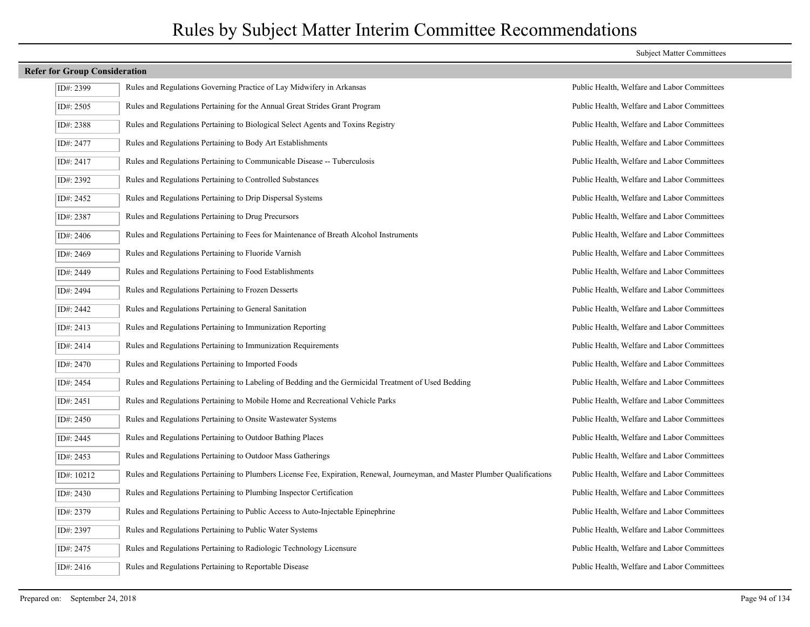| ID#: 2399  | Rules and Regulations Governing Practice of Lay Midwifery in Arkansas                                                        | Public Health, Welfare and Labor Committees |
|------------|------------------------------------------------------------------------------------------------------------------------------|---------------------------------------------|
| ID#: 2505  | Rules and Regulations Pertaining for the Annual Great Strides Grant Program                                                  | Public Health, Welfare and Labor Committees |
| ID#: 2388  | Rules and Regulations Pertaining to Biological Select Agents and Toxins Registry                                             | Public Health, Welfare and Labor Committees |
| ID#: 2477  | Rules and Regulations Pertaining to Body Art Establishments                                                                  | Public Health, Welfare and Labor Committees |
| ID#: 2417  | Rules and Regulations Pertaining to Communicable Disease -- Tuberculosis                                                     | Public Health, Welfare and Labor Committees |
| ID#: 2392  | Rules and Regulations Pertaining to Controlled Substances                                                                    | Public Health, Welfare and Labor Committees |
| ID#: 2452  | Rules and Regulations Pertaining to Drip Dispersal Systems                                                                   | Public Health, Welfare and Labor Committees |
| ID#: 2387  | Rules and Regulations Pertaining to Drug Precursors                                                                          | Public Health, Welfare and Labor Committees |
| ID#: 2406  | Rules and Regulations Pertaining to Fees for Maintenance of Breath Alcohol Instruments                                       | Public Health, Welfare and Labor Committees |
| ID#: 2469  | Rules and Regulations Pertaining to Fluoride Varnish                                                                         | Public Health, Welfare and Labor Committees |
| ID#: 2449  | Rules and Regulations Pertaining to Food Establishments                                                                      | Public Health, Welfare and Labor Committees |
| ID#: 2494  | Rules and Regulations Pertaining to Frozen Desserts                                                                          | Public Health, Welfare and Labor Committees |
| ID#: 2442  | Rules and Regulations Pertaining to General Sanitation                                                                       | Public Health, Welfare and Labor Committees |
| ID#: 2413  | Rules and Regulations Pertaining to Immunization Reporting                                                                   | Public Health, Welfare and Labor Committees |
| ID#: 2414  | Rules and Regulations Pertaining to Immunization Requirements                                                                | Public Health, Welfare and Labor Committees |
| ID#: 2470  | Rules and Regulations Pertaining to Imported Foods                                                                           | Public Health, Welfare and Labor Committees |
| ID#: 2454  | Rules and Regulations Pertaining to Labeling of Bedding and the Germicidal Treatment of Used Bedding                         | Public Health, Welfare and Labor Committees |
| ID#: 2451  | Rules and Regulations Pertaining to Mobile Home and Recreational Vehicle Parks                                               | Public Health, Welfare and Labor Committees |
| ID#: 2450  | Rules and Regulations Pertaining to Onsite Wastewater Systems                                                                | Public Health, Welfare and Labor Committees |
| ID#: 2445  | Rules and Regulations Pertaining to Outdoor Bathing Places                                                                   | Public Health, Welfare and Labor Committees |
| ID#: 2453  | Rules and Regulations Pertaining to Outdoor Mass Gatherings                                                                  | Public Health, Welfare and Labor Committees |
| ID#: 10212 | Rules and Regulations Pertaining to Plumbers License Fee, Expiration, Renewal, Journeyman, and Master Plumber Qualifications | Public Health, Welfare and Labor Committees |
| ID#: 2430  | Rules and Regulations Pertaining to Plumbing Inspector Certification                                                         | Public Health, Welfare and Labor Committees |
| ID#: 2379  | Rules and Regulations Pertaining to Public Access to Auto-Injectable Epinephrine                                             | Public Health, Welfare and Labor Committees |
| ID#: 2397  | Rules and Regulations Pertaining to Public Water Systems                                                                     | Public Health, Welfare and Labor Committees |
| ID#: 2475  | Rules and Regulations Pertaining to Radiologic Technology Licensure                                                          | Public Health, Welfare and Labor Committees |
| ID#: 2416  | Rules and Regulations Pertaining to Reportable Disease                                                                       | Public Health, Welfare and Labor Committees |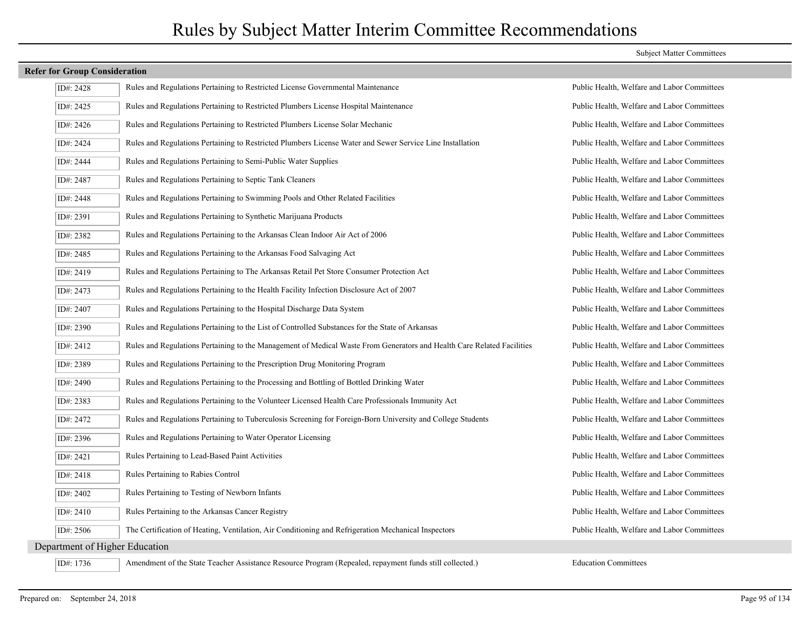| ID#: 2428                      | Rules and Regulations Pertaining to Restricted License Governmental Maintenance                                        | Public Health, Welfare and Labor Committees |
|--------------------------------|------------------------------------------------------------------------------------------------------------------------|---------------------------------------------|
| ID#: 2425                      | Rules and Regulations Pertaining to Restricted Plumbers License Hospital Maintenance                                   | Public Health, Welfare and Labor Committees |
| ID#: 2426                      | Rules and Regulations Pertaining to Restricted Plumbers License Solar Mechanic                                         | Public Health, Welfare and Labor Committees |
| ID#: 2424                      | Rules and Regulations Pertaining to Restricted Plumbers License Water and Sewer Service Line Installation              | Public Health, Welfare and Labor Committees |
| ID#: 2444                      | Rules and Regulations Pertaining to Semi-Public Water Supplies                                                         | Public Health, Welfare and Labor Committees |
| ID#: 2487                      | Rules and Regulations Pertaining to Septic Tank Cleaners                                                               | Public Health, Welfare and Labor Committees |
| ID#: 2448                      | Rules and Regulations Pertaining to Swimming Pools and Other Related Facilities                                        | Public Health, Welfare and Labor Committees |
| ID#: 2391                      | Rules and Regulations Pertaining to Synthetic Marijuana Products                                                       | Public Health, Welfare and Labor Committees |
| ID#: 2382                      | Rules and Regulations Pertaining to the Arkansas Clean Indoor Air Act of 2006                                          | Public Health, Welfare and Labor Committees |
| ID#: 2485                      | Rules and Regulations Pertaining to the Arkansas Food Salvaging Act                                                    | Public Health, Welfare and Labor Committees |
| ID#: 2419                      | Rules and Regulations Pertaining to The Arkansas Retail Pet Store Consumer Protection Act                              | Public Health, Welfare and Labor Committees |
| ID#: 2473                      | Rules and Regulations Pertaining to the Health Facility Infection Disclosure Act of 2007                               | Public Health, Welfare and Labor Committees |
| ID#: 2407                      | Rules and Regulations Pertaining to the Hospital Discharge Data System                                                 | Public Health, Welfare and Labor Committees |
| ID#: 2390                      | Rules and Regulations Pertaining to the List of Controlled Substances for the State of Arkansas                        | Public Health, Welfare and Labor Committees |
| ID#: 2412                      | Rules and Regulations Pertaining to the Management of Medical Waste From Generators and Health Care Related Facilities | Public Health, Welfare and Labor Committees |
| ID#: 2389                      | Rules and Regulations Pertaining to the Prescription Drug Monitoring Program                                           | Public Health, Welfare and Labor Committees |
| ID#: 2490                      | Rules and Regulations Pertaining to the Processing and Bottling of Bottled Drinking Water                              | Public Health, Welfare and Labor Committees |
| ID#: 2383                      | Rules and Regulations Pertaining to the Volunteer Licensed Health Care Professionals Immunity Act                      | Public Health, Welfare and Labor Committees |
| ID#: 2472                      | Rules and Regulations Pertaining to Tuberculosis Screening for Foreign-Born University and College Students            | Public Health, Welfare and Labor Committees |
| ID#: 2396                      | Rules and Regulations Pertaining to Water Operator Licensing                                                           | Public Health, Welfare and Labor Committees |
| ID#: 2421                      | Rules Pertaining to Lead-Based Paint Activities                                                                        | Public Health, Welfare and Labor Committees |
| ID#: 2418                      | Rules Pertaining to Rabies Control                                                                                     | Public Health, Welfare and Labor Committees |
| ID#: 2402                      | Rules Pertaining to Testing of Newborn Infants                                                                         | Public Health, Welfare and Labor Committees |
| ID#: 2410                      | Rules Pertaining to the Arkansas Cancer Registry                                                                       | Public Health, Welfare and Labor Committees |
| ID#: 2506                      | The Certification of Heating, Ventilation, Air Conditioning and Refrigeration Mechanical Inspectors                    | Public Health, Welfare and Labor Committees |
| Department of Higher Education |                                                                                                                        |                                             |
| ID#: 1736                      | Amendment of the State Teacher Assistance Resource Program (Repealed, repayment funds still collected.)                | <b>Education Committees</b>                 |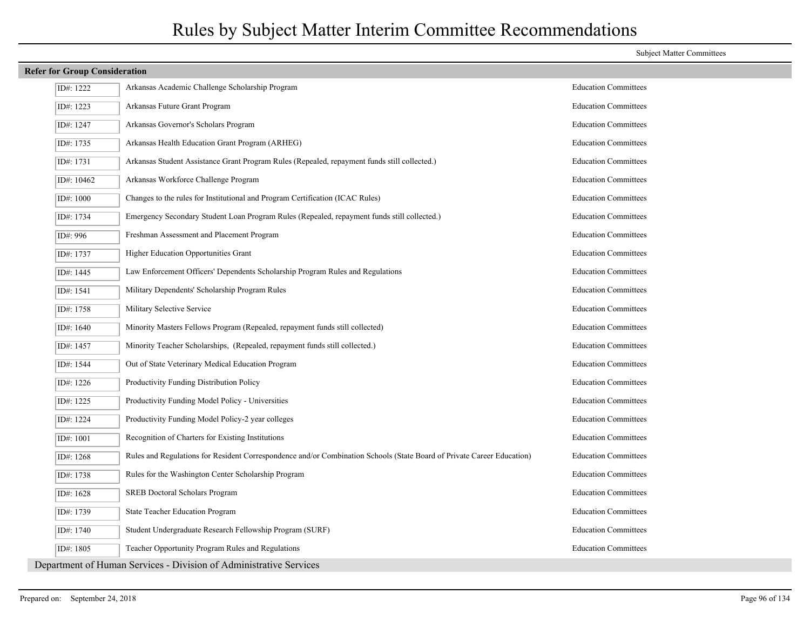| <b>Refer for Group Consideration</b> |                                                                                                                        |                             |
|--------------------------------------|------------------------------------------------------------------------------------------------------------------------|-----------------------------|
| ID#: 1222                            | Arkansas Academic Challenge Scholarship Program                                                                        | <b>Education Committees</b> |
| ID#: 1223                            | Arkansas Future Grant Program                                                                                          | <b>Education Committees</b> |
| ID#: 1247                            | Arkansas Governor's Scholars Program                                                                                   | <b>Education Committees</b> |
| ID#: 1735                            | Arkansas Health Education Grant Program (ARHEG)                                                                        | <b>Education Committees</b> |
| ID#: 1731                            | Arkansas Student Assistance Grant Program Rules (Repealed, repayment funds still collected.)                           | <b>Education Committees</b> |
| ID#: 10462                           | Arkansas Workforce Challenge Program                                                                                   | <b>Education Committees</b> |
| ID#: 1000                            | Changes to the rules for Institutional and Program Certification (ICAC Rules)                                          | <b>Education Committees</b> |
| ID#: 1734                            | Emergency Secondary Student Loan Program Rules (Repealed, repayment funds still collected.)                            | <b>Education Committees</b> |
| ID#: 996                             | Freshman Assessment and Placement Program                                                                              | <b>Education Committees</b> |
| ID#: 1737                            | Higher Education Opportunities Grant                                                                                   | <b>Education Committees</b> |
| ID#: 1445                            | Law Enforcement Officers' Dependents Scholarship Program Rules and Regulations                                         | <b>Education Committees</b> |
| ID#: 1541                            | Military Dependents' Scholarship Program Rules                                                                         | <b>Education Committees</b> |
| ID#: 1758                            | Military Selective Service                                                                                             | <b>Education Committees</b> |
| ID#: 1640                            | Minority Masters Fellows Program (Repealed, repayment funds still collected)                                           | <b>Education Committees</b> |
| ID#: 1457                            | Minority Teacher Scholarships, (Repealed, repayment funds still collected.)                                            | <b>Education Committees</b> |
| ID#: 1544                            | Out of State Veterinary Medical Education Program                                                                      | <b>Education Committees</b> |
| ID#: 1226                            | Productivity Funding Distribution Policy                                                                               | <b>Education Committees</b> |
| ID#: 1225                            | Productivity Funding Model Policy - Universities                                                                       | <b>Education Committees</b> |
| ID#: 1224                            | Productivity Funding Model Policy-2 year colleges                                                                      | <b>Education Committees</b> |
| ID#: 1001                            | Recognition of Charters for Existing Institutions                                                                      | <b>Education Committees</b> |
| ID#: 1268                            | Rules and Regulations for Resident Correspondence and/or Combination Schools (State Board of Private Career Education) | <b>Education Committees</b> |
| ID#: 1738                            | Rules for the Washington Center Scholarship Program                                                                    | <b>Education Committees</b> |
| ID#: 1628                            | <b>SREB Doctoral Scholars Program</b>                                                                                  | <b>Education Committees</b> |
| ID#: 1739                            | State Teacher Education Program                                                                                        | <b>Education Committees</b> |
| ID#: 1740                            | Student Undergraduate Research Fellowship Program (SURF)                                                               | <b>Education Committees</b> |
| ID#: 1805                            | Teacher Opportunity Program Rules and Regulations                                                                      | <b>Education Committees</b> |
|                                      | Department of Human Services - Division of Administrative Services                                                     |                             |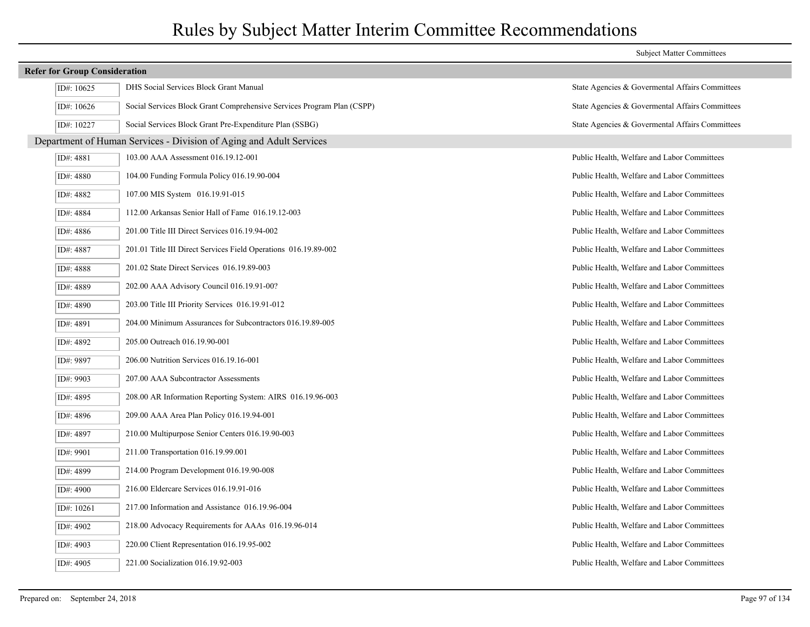| <b>Refer for Group Consideration</b> |                                                                        |                                                 |  |  |
|--------------------------------------|------------------------------------------------------------------------|-------------------------------------------------|--|--|
| ID#: 10625                           | DHS Social Services Block Grant Manual                                 | State Agencies & Governental Affairs Committees |  |  |
| ID#: 10626                           | Social Services Block Grant Comprehensive Services Program Plan (CSPP) | State Agencies & Governental Affairs Committees |  |  |
| ID#: 10227                           | Social Services Block Grant Pre-Expenditure Plan (SSBG)                | State Agencies & Governental Affairs Committees |  |  |
|                                      | Department of Human Services - Division of Aging and Adult Services    |                                                 |  |  |
| ID#: 4881                            | 103.00 AAA Assessment 016.19.12-001                                    | Public Health, Welfare and Labor Committees     |  |  |
| ID#: 4880                            | 104.00 Funding Formula Policy 016.19.90-004                            | Public Health, Welfare and Labor Committees     |  |  |
| ID#: 4882                            | 107.00 MIS System 016.19.91-015                                        | Public Health, Welfare and Labor Committees     |  |  |
| ID#: 4884                            | 112.00 Arkansas Senior Hall of Fame 016.19.12-003                      | Public Health, Welfare and Labor Committees     |  |  |
| ID#: 4886                            | 201.00 Title III Direct Services 016.19.94-002                         | Public Health, Welfare and Labor Committees     |  |  |
| ID#: 4887                            | 201.01 Title III Direct Services Field Operations 016.19.89-002        | Public Health, Welfare and Labor Committees     |  |  |
| ID#: 4888                            | 201.02 State Direct Services 016.19.89-003                             | Public Health, Welfare and Labor Committees     |  |  |
| ID#: 4889                            | 202.00 AAA Advisory Council 016.19.91-00?                              | Public Health, Welfare and Labor Committees     |  |  |
| ID#: 4890                            | 203.00 Title III Priority Services 016.19.91-012                       | Public Health, Welfare and Labor Committees     |  |  |
| ID#: 4891                            | 204.00 Minimum Assurances for Subcontractors 016.19.89-005             | Public Health, Welfare and Labor Committees     |  |  |
| ID#: 4892                            | 205.00 Outreach 016.19.90-001                                          | Public Health, Welfare and Labor Committees     |  |  |
| ID#: 9897                            | 206.00 Nutrition Services 016.19.16-001                                | Public Health, Welfare and Labor Committees     |  |  |
| ID#: 9903                            | 207.00 AAA Subcontractor Assessments                                   | Public Health, Welfare and Labor Committees     |  |  |
| ID#: 4895                            | 208.00 AR Information Reporting System: AIRS 016.19.96-003             | Public Health, Welfare and Labor Committees     |  |  |
| ID#: 4896                            | 209.00 AAA Area Plan Policy 016.19.94-001                              | Public Health, Welfare and Labor Committees     |  |  |
| ID#: 4897                            | 210.00 Multipurpose Senior Centers 016.19.90-003                       | Public Health, Welfare and Labor Committees     |  |  |
| ID#: 9901                            | 211.00 Transportation 016.19.99.001                                    | Public Health, Welfare and Labor Committees     |  |  |
| ID#: 4899                            | 214.00 Program Development 016.19.90-008                               | Public Health, Welfare and Labor Committees     |  |  |
| ID#: 4900                            | 216.00 Eldercare Services 016.19.91-016                                | Public Health, Welfare and Labor Committees     |  |  |
| ID#: 10261                           | 217.00 Information and Assistance 016.19.96-004                        | Public Health, Welfare and Labor Committees     |  |  |
| ID#: 4902                            | 218.00 Advocacy Requirements for AAAs 016.19.96-014                    | Public Health, Welfare and Labor Committees     |  |  |
| ID#: 4903                            | 220.00 Client Representation 016.19.95-002                             | Public Health, Welfare and Labor Committees     |  |  |
| ID#: 4905                            | 221.00 Socialization 016.19.92-003                                     | Public Health, Welfare and Labor Committees     |  |  |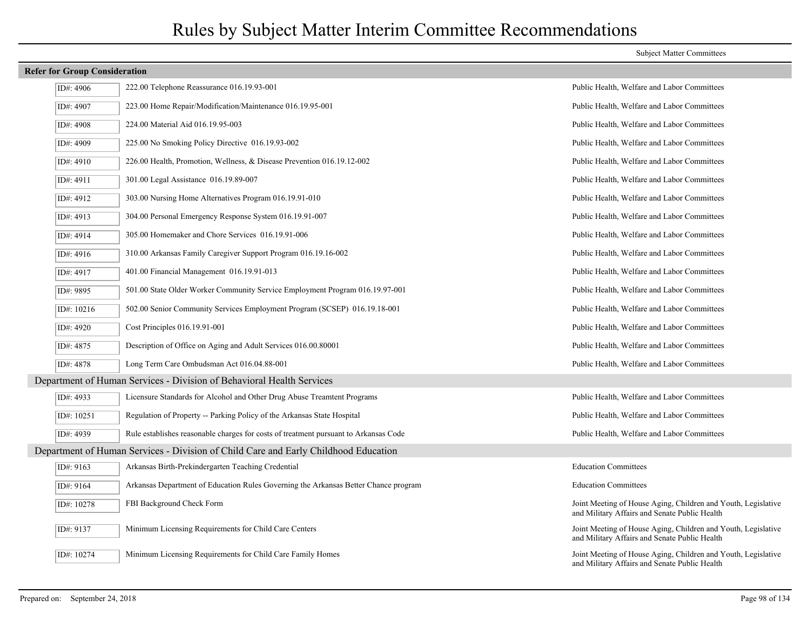|  |  | <b>Refer for Group Consideration</b> |
|--|--|--------------------------------------|
|--|--|--------------------------------------|

## ID#: 4906 222.00 Telephone Reassurance 016.19.93-001 Public Health, Welfare and Labor Committees ID#: 4907 223.00 Home Repair/Modification/Maintenance 016.19.95-001 Public Health, Welfare and Labor Committees ID#: 4908 224.00 Material Aid 016.19.95-003 Public Health, Welfare and Labor Committees ID#: 4909 225.00 No Smoking Policy Directive 016.19.93-002 Public Health, Welfare and Labor Committees ID#: 4910 226.00 Health, Promotion, Wellness, & Disease Prevention 016.19.12-002 Public Health, Welfare and Labor Committees ID#: 4911 301.00 Legal Assistance 016.19.89-007 Public Health, Welfare and Labor Committees ID#: 4912 303.00 Nursing Home Alternatives Program 016.19.91-010 Public Health, Welfare and Labor Committees ID#: 4913 304.00 Personal Emergency Response System 016.19.91-007 Public Health, Welfare and Labor Committees ID#: 4914 305.00 Homemaker and Chore Services 016.19.91-006 Public Health, Welfare and Labor Committees ID#: 4916 310.00 Arkansas Family Caregiver Support Program 016.19.16-002 Public Health, Welfare and Labor Committees ID#: 4917 401.00 Financial Management 016.19.91-013 Public Health, Welfare and Labor Committees ID#: 9895 501.00 State Older Worker Community Service Employment Program 016.19.97-001 Public Health, Welfare and Labor Committees ID#: 10216 502.00 Senior Community Services Employment Program (SCSEP) 016.19.18-001 Public Health, Welfare and Labor Committees ID#: 4920 Cost Principles 016.19.91-001 Public Health, Welfare and Labor Committees ID#: 4875 Public Health, Welfare and Labor Committees 016.00.80001 Public Health, Welfare and Labor Committees ID#: 4878 Long Term Care Ombudsman Act 016.04.88-001 Public Health, Welfare and Labor Committees Department of Human Services - Division of Behavioral Health Services ID#: 4933 Licensure Standards for Alcohol and Other Drug Abuse Treamtent Programs Public Health, Welfare and Labor Committees ID#: 10251 Regulation of Property -- Parking Policy of the Arkansas State Hospital Public Health, Welfare and Labor Committees ID#: 4939 Rule establishes reasonable charges for costs of treatment pursuant to Arkansas Code Public Health, Welfare and Labor Committees Department of Human Services - Division of Child Care and Early Childhood Education ID#: 9163 Arkansas Birth-Prekindergarten Teaching Credential Education Committees ID#: 9164 Arkansas Department of Education Rules Governing the Arkansas Better Chance program Education Committees Joint Meeting of House Aging, Children and Youth, Legislative and Military Affairs and Senate Public Health ID#: 10278 FBI Background Check Form Joint Meeting of House Aging, Children and Youth, Legislative and Military Affairs and Senate Public Health ID#: 9137 Minimum Licensing Requirements for Child Care Centers Joint Meeting of House Aging, Children and Youth, Legislative and Military Affairs and Senate Public Health ID#: 10274 Minimum Licensing Requirements for Child Care Family Homes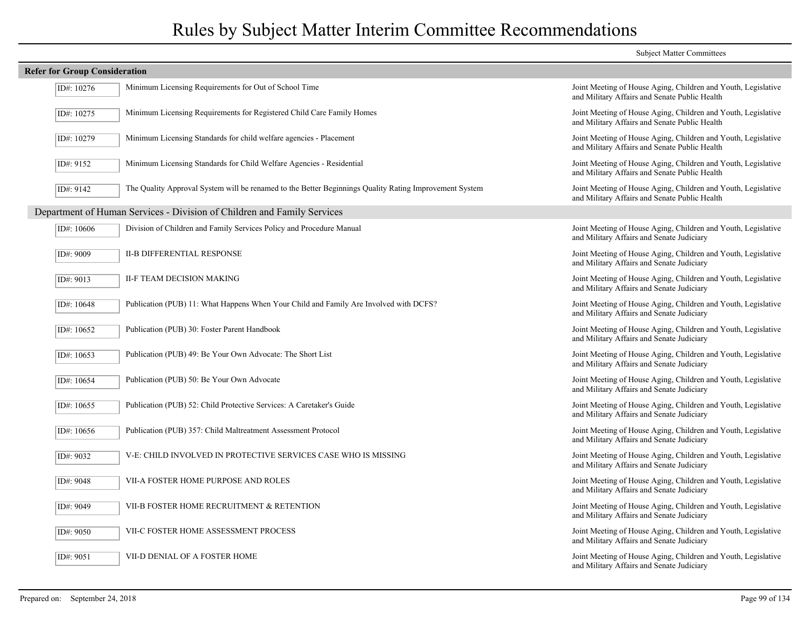|                                      |                                                                                                        | <b>Subject Matter Committees</b>                                                                               |
|--------------------------------------|--------------------------------------------------------------------------------------------------------|----------------------------------------------------------------------------------------------------------------|
| <b>Refer for Group Consideration</b> |                                                                                                        |                                                                                                                |
| ID#: 10276                           | Minimum Licensing Requirements for Out of School Time                                                  | Joint Meeting of House Aging, Children and Youth, Legislative<br>and Military Affairs and Senate Public Health |
| ID#: 10275                           | Minimum Licensing Requirements for Registered Child Care Family Homes                                  | Joint Meeting of House Aging, Children and Youth, Legislative<br>and Military Affairs and Senate Public Health |
| ID#: 10279                           | Minimum Licensing Standards for child welfare agencies - Placement                                     | Joint Meeting of House Aging, Children and Youth, Legislative<br>and Military Affairs and Senate Public Health |
| ID#: 9152                            | Minimum Licensing Standards for Child Welfare Agencies - Residential                                   | Joint Meeting of House Aging, Children and Youth, Legislative<br>and Military Affairs and Senate Public Health |
| ID#: 9142                            | The Quality Approval System will be renamed to the Better Beginnings Quality Rating Improvement System | Joint Meeting of House Aging, Children and Youth, Legislative<br>and Military Affairs and Senate Public Health |
|                                      | Department of Human Services - Division of Children and Family Services                                |                                                                                                                |
| ID#: 10606                           | Division of Children and Family Services Policy and Procedure Manual                                   | Joint Meeting of House Aging, Children and Youth, Legislative<br>and Military Affairs and Senate Judiciary     |
| ID#: 9009                            | <b>II-B DIFFERENTIAL RESPONSE</b>                                                                      | Joint Meeting of House Aging, Children and Youth, Legislative<br>and Military Affairs and Senate Judiciary     |
| ID#: 9013                            | II-F TEAM DECISION MAKING                                                                              | Joint Meeting of House Aging, Children and Youth, Legislative<br>and Military Affairs and Senate Judiciary     |
| ID#: 10648                           | Publication (PUB) 11: What Happens When Your Child and Family Are Involved with DCFS?                  | Joint Meeting of House Aging, Children and Youth, Legislative<br>and Military Affairs and Senate Judiciary     |
| ID#: 10652                           | Publication (PUB) 30: Foster Parent Handbook                                                           | Joint Meeting of House Aging, Children and Youth, Legislative<br>and Military Affairs and Senate Judiciary     |
| ID#: 10653                           | Publication (PUB) 49: Be Your Own Advocate: The Short List                                             | Joint Meeting of House Aging, Children and Youth, Legislative<br>and Military Affairs and Senate Judiciary     |
| ID#: 10654                           | Publication (PUB) 50: Be Your Own Advocate                                                             | Joint Meeting of House Aging, Children and Youth, Legislative<br>and Military Affairs and Senate Judiciary     |
| ID#: 10655                           | Publication (PUB) 52: Child Protective Services: A Caretaker's Guide                                   | Joint Meeting of House Aging, Children and Youth, Legislative<br>and Military Affairs and Senate Judiciary     |
| ID#: 10656                           | Publication (PUB) 357: Child Maltreatment Assessment Protocol                                          | Joint Meeting of House Aging, Children and Youth, Legislative<br>and Military Affairs and Senate Judiciary     |
| ID#: 9032                            | V-E: CHILD INVOLVED IN PROTECTIVE SERVICES CASE WHO IS MISSING                                         | Joint Meeting of House Aging, Children and Youth, Legislative<br>and Military Affairs and Senate Judiciary     |
| ID#: 9048                            | VII-A FOSTER HOME PURPOSE AND ROLES                                                                    | Joint Meeting of House Aging, Children and Youth, Legislative<br>and Military Affairs and Senate Judiciary     |
| ID#: 9049                            | VII-B FOSTER HOME RECRUITMENT & RETENTION                                                              | Joint Meeting of House Aging, Children and Youth, Legislative<br>and Military Affairs and Senate Judiciary     |
| ID#: 9050                            | VII-C FOSTER HOME ASSESSMENT PROCESS                                                                   | Joint Meeting of House Aging, Children and Youth, Legislative<br>and Military Affairs and Senate Judiciary     |
| ID#: 9051                            | VII-D DENIAL OF A FOSTER HOME                                                                          | Joint Meeting of House Aging, Children and Youth, Legislative<br>and Military Affairs and Senate Judiciary     |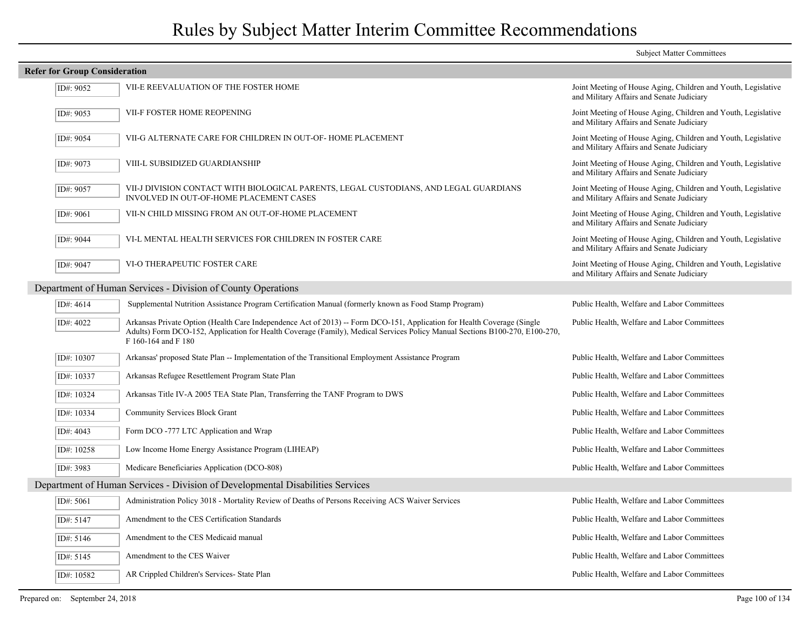#### Subject Matter Committees **Refer for Group Consideration** Joint Meeting of House Aging, Children and Youth, Legislative and Military Affairs and Senate Judiciary ID#: 9052 VII-E REEVALUATION OF THE FOSTER HOME Joint Meeting of House Aging, Children and Youth, Legislative and Military Affairs and Senate Judiciary ID#: 9053 VII-F FOSTER HOME REOPENING Joint Meeting of House Aging, Children and Youth, Legislative and Military Affairs and Senate Judiciary ID#: 9054 VII-G ALTERNATE CARE FOR CHILDREN IN OUT-OF- HOME PLACEMENT Joint Meeting of House Aging, Children and Youth, Legislative and Military Affairs and Senate Judiciary ID#: 9073 VIII-L SUBSIDIZED GUARDIANSHIP Joint Meeting of House Aging, Children and Youth, Legislative and Military Affairs and Senate Judiciary VII-J DIVISION CONTACT WITH BIOLOGICAL PARENTS, LEGAL CUSTODIANS, AND LEGAL GUARDIANS INVOLVED IN OUT-OF-HOME PLACEMENT CASES ID#: 9057 Joint Meeting of House Aging, Children and Youth, Legislative and Military Affairs and Senate Judiciary ID#: 9061 VII-N CHILD MISSING FROM AN OUT-OF-HOME PLACEMENT Joint Meeting of House Aging, Children and Youth, Legislative and Military Affairs and Senate Judiciary ID#: 9044 VI-L MENTAL HEALTH SERVICES FOR CHILDREN IN FOSTER CARE Joint Meeting of House Aging, Children and Youth, Legislative and Military Affairs and Senate Judiciary ID#: 9047 VI-O THERAPEUTIC FOSTER CARE Department of Human Services - Division of County Operations ID#: 4614 Supplemental Nutrition Assistance Program Certification Manual (formerly known as Food Stamp Program) Public Health, Welfare and Labor Committees Arkansas Private Option (Health Care Independence Act of 2013) -- Form DCO-151, Application for Health Coverage (Single Public Health, Welfare and Labor Committees Adults) Form DCO-152, Application for Health Coverage (Family), Medical Services Policy Manual Sections B100-270, E100-270, F 160-164 and F 180 ID#: 4022 ID#: 10307 Arkansas' proposed State Plan -- Implementation of the Transitional Employment Assistance Program Public Health, Welfare and Labor Committees ID#: 10337 Arkansas Refugee Resettlement Program State Plan Public Health, Welfare and Labor Committees ID#: 10324 Arkansas Title IV-A 2005 TEA State Plan, Transferring the TANF Program to DWS Public Health, Welfare and Labor Committees ID#: 10334 Community Services Block Grant Public Health, Welfare and Labor Committees ID#: 4043 Form DCO -777 LTC Application and Wrap Public Health, Welfare and Labor Committees ID#: 10258 Low Income Home Energy Assistance Program (LIHEAP) Public Health, Welfare and Labor Committees ID#: 3983 Medicare Beneficiaries Application (DCO-808) Public Health, Welfare and Labor Committees Department of Human Services - Division of Developmental Disabilities Services ID#: 5061 Administration Policy 3018 - Mortality Review of Deaths of Persons Receiving ACS Waiver Services Public Health, Welfare and Labor Committees ID#: 5147 Amendment to the CES Certification Standards Public Health, Welfare and Labor Committees ID#: 5146 Amendment to the CES Medicaid manual Public Health, Welfare and Labor Committees ID#: 5145 Amendment to the CES Waiver Public Health, Welfare and Labor Committees ID#: 10582 AR Crippled Children's Services- State Plan Public Health, Welfare and Labor Committees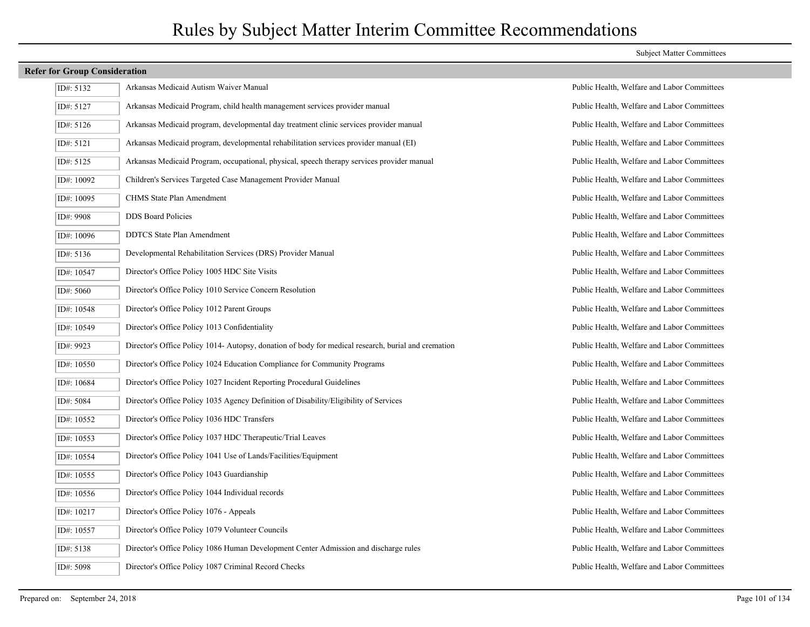| ID#: 5132    | Arkansas Medicaid Autism Waiver Manual                                                              |
|--------------|-----------------------------------------------------------------------------------------------------|
| ID#: 5127    | Arkansas Medicaid Program, child health management services provider manual                         |
| ID#: 5126    | Arkansas Medicaid program, developmental day treatment clinic services provider manual              |
| ID#: 5121    | Arkansas Medicaid program, developmental rehabilitation services provider manual (EI)               |
| ID#: 5125    | Arkansas Medicaid Program, occupational, physical, speech therapy services provider manual          |
| ID#: 10092   | Children's Services Targeted Case Management Provider Manual                                        |
| ID#: 10095   | CHMS State Plan Amendment                                                                           |
| ID#: 9908    | <b>DDS</b> Board Policies                                                                           |
| ID#: 10096   | <b>DDTCS</b> State Plan Amendment                                                                   |
| ID#: 5136    | Developmental Rehabilitation Services (DRS) Provider Manual                                         |
| ID#: 10547   | Director's Office Policy 1005 HDC Site Visits                                                       |
| ID#: 5060    | Director's Office Policy 1010 Service Concern Resolution                                            |
| ID#: 10548   | Director's Office Policy 1012 Parent Groups                                                         |
| ID#: 10549   | Director's Office Policy 1013 Confidentiality                                                       |
| ID#: 9923    | Director's Office Policy 1014- Autopsy, donation of body for medical research, burial and cremation |
| ID#: $10550$ | Director's Office Policy 1024 Education Compliance for Community Programs                           |
| ID#: 10684   | Director's Office Policy 1027 Incident Reporting Procedural Guidelines                              |
| ID#: 5084    | Director's Office Policy 1035 Agency Definition of Disability/Eligibility of Services               |
| ID#: 10552   | Director's Office Policy 1036 HDC Transfers                                                         |
| ID#: 10553   | Director's Office Policy 1037 HDC Therapeutic/Trial Leaves                                          |
| ID#: 10554   | Director's Office Policy 1041 Use of Lands/Facilities/Equipment                                     |
| ID#: 10555   | Director's Office Policy 1043 Guardianship                                                          |
| ID#: 10556   | Director's Office Policy 1044 Individual records                                                    |
| ID#: 10217   | Director's Office Policy 1076 - Appeals                                                             |
| ID#: 10557   | Director's Office Policy 1079 Volunteer Councils                                                    |
| ID#: 5138    | Director's Office Policy 1086 Human Development Center Admission and discharge rules                |
| ID#: 5098    | Director's Office Policy 1087 Criminal Record Checks                                                |

#### Subject Matter Committees

Public Health, Welfare and Labor Committees

Public Health, Welfare and Labor Committees Public Health, Welfare and Labor Committees Public Health, Welfare and Labor Committees Public Health, Welfare and Labor Committees Public Health, Welfare and Labor Committees Public Health, Welfare and Labor Committees Public Health, Welfare and Labor Committees Public Health, Welfare and Labor Committees Public Health, Welfare and Labor Committees Public Health, Welfare and Labor Committees Public Health, Welfare and Labor Committees Public Health, Welfare and Labor Committees Public Health, Welfare and Labor Committees Public Health, Welfare and Labor Committees Public Health, Welfare and Labor Committees Public Health, Welfare and Labor Committees Public Health, Welfare and Labor Committees Public Health, Welfare and Labor Committees Public Health, Welfare and Labor Committees Public Health, Welfare and Labor Committees Public Health, Welfare and Labor Committees Public Health, Welfare and Labor Committees Public Health, Welfare and Labor Committees Public Health, Welfare and Labor Committees Public Health, Welfare and Labor Committees Public Health, Welfare and Labor Committees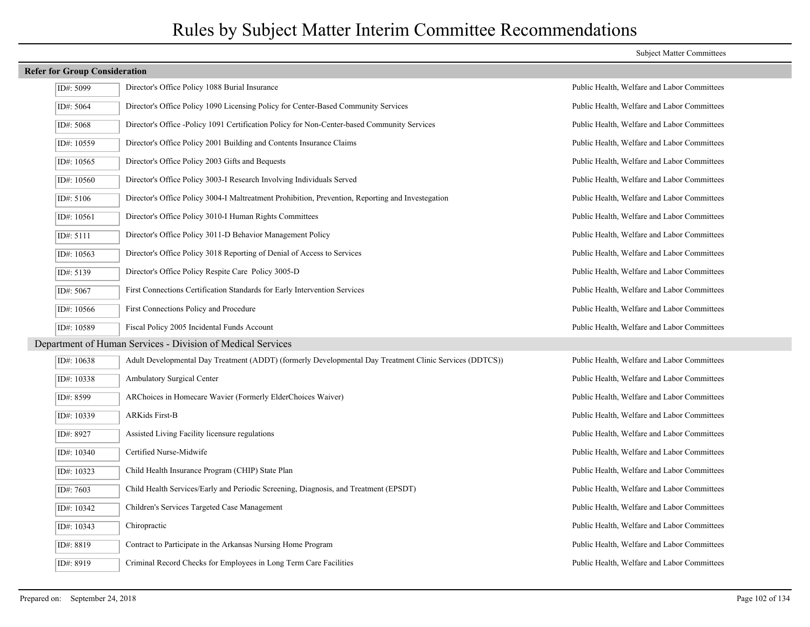| ID#: 5099  | Director's Office Policy 1088 Burial Insurance                                                          | Public Health, Welfare and Labor Committees |
|------------|---------------------------------------------------------------------------------------------------------|---------------------------------------------|
| ID#: 5064  | Director's Office Policy 1090 Licensing Policy for Center-Based Community Services                      | Public Health, Welfare and Labor Committees |
| ID#: 5068  | Director's Office -Policy 1091 Certification Policy for Non-Center-based Community Services             | Public Health, Welfare and Labor Committees |
| ID#: 10559 | Director's Office Policy 2001 Building and Contents Insurance Claims                                    | Public Health, Welfare and Labor Committees |
| ID#: 10565 | Director's Office Policy 2003 Gifts and Bequests                                                        | Public Health, Welfare and Labor Committees |
| ID#: 10560 | Director's Office Policy 3003-I Research Involving Individuals Served                                   | Public Health, Welfare and Labor Committees |
| ID#: 5106  | Director's Office Policy 3004-I Maltreatment Prohibition, Prevention, Reporting and Investegation       | Public Health, Welfare and Labor Committees |
| ID#: 10561 | Director's Office Policy 3010-I Human Rights Committees                                                 | Public Health, Welfare and Labor Committees |
| ID#: 5111  | Director's Office Policy 3011-D Behavior Management Policy                                              | Public Health, Welfare and Labor Committees |
| ID#: 10563 | Director's Office Policy 3018 Reporting of Denial of Access to Services                                 | Public Health, Welfare and Labor Committees |
| ID#: 5139  | Director's Office Policy Respite Care Policy 3005-D                                                     | Public Health, Welfare and Labor Committees |
| ID#: 5067  | First Connections Certification Standards for Early Intervention Services                               | Public Health, Welfare and Labor Committees |
| ID#: 10566 | First Connections Policy and Procedure                                                                  | Public Health, Welfare and Labor Committees |
| ID#: 10589 | Fiscal Policy 2005 Incidental Funds Account                                                             | Public Health, Welfare and Labor Committees |
|            | Department of Human Services - Division of Medical Services                                             |                                             |
| ID#: 10638 | Adult Developmental Day Treatment (ADDT) (formerly Developmental Day Treatment Clinic Services (DDTCS)) | Public Health, Welfare and Labor Committees |
| ID#: 10338 | Ambulatory Surgical Center                                                                              | Public Health, Welfare and Labor Committees |
| ID#: 8599  | ARChoices in Homecare Wavier (Formerly ElderChoices Waiver)                                             | Public Health, Welfare and Labor Committees |
| ID#: 10339 | <b>ARKids First-B</b>                                                                                   | Public Health, Welfare and Labor Committees |
| ID#: 8927  | Assisted Living Facility licensure regulations                                                          | Public Health, Welfare and Labor Committees |
| ID#: 10340 | Certified Nurse-Midwife                                                                                 | Public Health, Welfare and Labor Committees |
| ID#: 10323 | Child Health Insurance Program (CHIP) State Plan                                                        | Public Health, Welfare and Labor Committees |
| ID#: 7603  | Child Health Services/Early and Periodic Screening, Diagnosis, and Treatment (EPSDT)                    | Public Health, Welfare and Labor Committees |
| ID#: 10342 | Children's Services Targeted Case Management                                                            | Public Health, Welfare and Labor Committees |
| ID#: 10343 | Chiropractic                                                                                            | Public Health, Welfare and Labor Committees |
| ID#: 8819  | Contract to Participate in the Arkansas Nursing Home Program                                            | Public Health, Welfare and Labor Committees |
| ID#: 8919  | Criminal Record Checks for Employees in Long Term Care Facilities                                       | Public Health, Welfare and Labor Committees |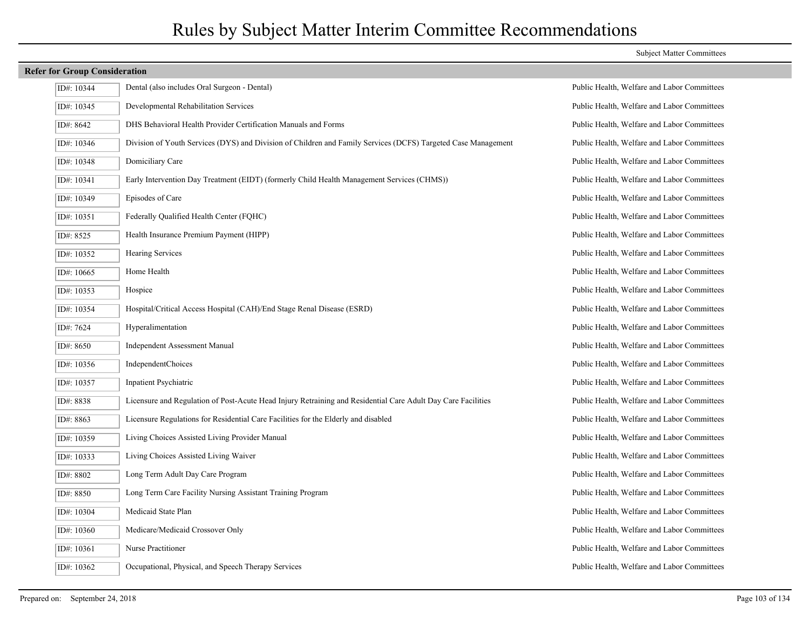| ID#: 10344 | Dental (also includes Oral Surgeon - Dental)                                                                  |
|------------|---------------------------------------------------------------------------------------------------------------|
| ID#: 10345 | Developmental Rehabilitation Services                                                                         |
| ID#: 8642  | DHS Behavioral Health Provider Certification Manuals and Forms                                                |
| ID#: 10346 | Division of Youth Services (DYS) and Division of Children and Family Services (DCFS) Targeted Case Management |
| ID#: 10348 | Domiciliary Care                                                                                              |
| ID#: 10341 | Early Intervention Day Treatment (EIDT) (formerly Child Health Management Services (CHMS))                    |
| ID#: 10349 | Episodes of Care                                                                                              |
| ID#: 10351 | Federally Qualified Health Center (FQHC)                                                                      |
| ID#: 8525  | Health Insurance Premium Payment (HIPP)                                                                       |
| ID#: 10352 | <b>Hearing Services</b>                                                                                       |
| ID#: 10665 | Home Health                                                                                                   |
| ID#: 10353 | Hospice                                                                                                       |
| ID#: 10354 | Hospital/Critical Access Hospital (CAH)/End Stage Renal Disease (ESRD)                                        |
| ID#: 7624  | Hyperalimentation                                                                                             |
| ID#: 8650  | Independent Assessment Manual                                                                                 |
| ID#: 10356 | <b>IndependentChoices</b>                                                                                     |
| ID#: 10357 | Inpatient Psychiatric                                                                                         |
| ID#: 8838  | Licensure and Regulation of Post-Acute Head Injury Retraining and Residential Care Adult Day Care Facilities  |
| ID#: 8863  | Licensure Regulations for Residential Care Facilities for the Elderly and disabled                            |
| ID#: 10359 | Living Choices Assisted Living Provider Manual                                                                |
| ID#: 10333 | Living Choices Assisted Living Waiver                                                                         |
| ID#: 8802  | Long Term Adult Day Care Program                                                                              |
| ID#: 8850  | Long Term Care Facility Nursing Assistant Training Program                                                    |
| ID#: 10304 | Medicaid State Plan                                                                                           |
| ID#: 10360 | Medicare/Medicaid Crossover Only                                                                              |
| ID#: 10361 | Nurse Practitioner                                                                                            |
| ID#: 10362 | Occupational, Physical, and Speech Therapy Services                                                           |

#### Subject Matter Committees

Public Health, Welfare and Labor Committees Public Health, Welfare and Labor Committees Public Health, Welfare and Labor Committees Public Health, Welfare and Labor Committees Public Health, Welfare and Labor Committees Public Health, Welfare and Labor Committees Public Health, Welfare and Labor Committees Public Health, Welfare and Labor Committees Public Health, Welfare and Labor Committees Public Health, Welfare and Labor Committees Public Health, Welfare and Labor Committees Public Health, Welfare and Labor Committees Public Health, Welfare and Labor Committees Public Health, Welfare and Labor Committees Public Health, Welfare and Labor Committees Public Health, Welfare and Labor Committees Public Health, Welfare and Labor Committees Public Health, Welfare and Labor Committees Public Health, Welfare and Labor Committees Public Health, Welfare and Labor Committees Public Health, Welfare and Labor Committees Public Health, Welfare and Labor Committees Public Health, Welfare and Labor Committees Public Health, Welfare and Labor Committees Public Health, Welfare and Labor Committees Public Health, Welfare and Labor Committees Public Health, Welfare and Labor Committees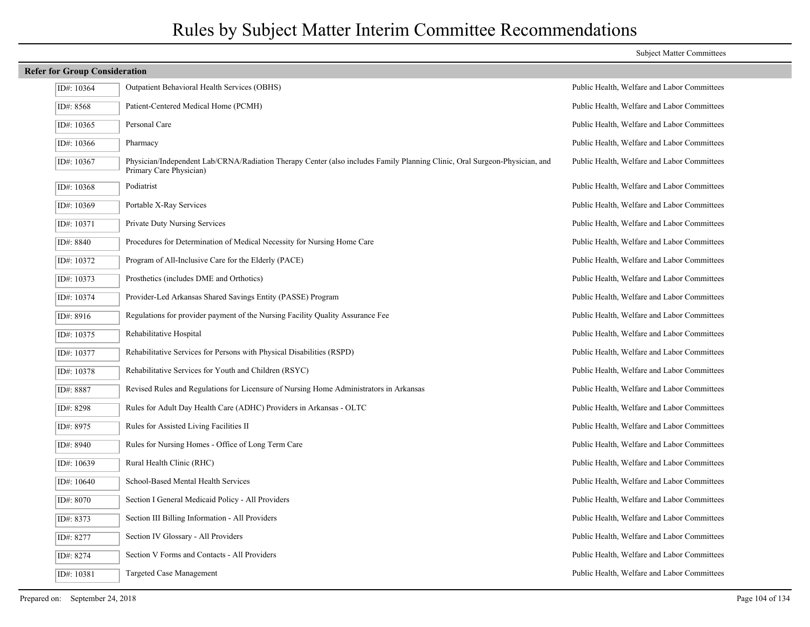| <b>Refer for Group Consideration</b> |  |                                                                                                                                                       |                                             |
|--------------------------------------|--|-------------------------------------------------------------------------------------------------------------------------------------------------------|---------------------------------------------|
| ID#: 10364                           |  | <b>Outpatient Behavioral Health Services (OBHS)</b>                                                                                                   | Public Health, Welfare and Labor Committees |
|                                      |  |                                                                                                                                                       |                                             |
| ID#: 8568                            |  | Patient-Centered Medical Home (PCMH)                                                                                                                  | Public Health, Welfare and Labor Committees |
| ID#: 10365                           |  | Personal Care                                                                                                                                         | Public Health, Welfare and Labor Committees |
| ID#: 10366                           |  | Pharmacy                                                                                                                                              | Public Health, Welfare and Labor Committees |
| ID#: 10367                           |  | Physician/Independent Lab/CRNA/Radiation Therapy Center (also includes Family Planning Clinic, Oral Surgeon-Physician, and<br>Primary Care Physician) | Public Health, Welfare and Labor Committees |
| ID#: 10368                           |  | Podiatrist                                                                                                                                            | Public Health, Welfare and Labor Committees |
| ID#: 10369                           |  | Portable X-Ray Services                                                                                                                               | Public Health, Welfare and Labor Committees |
| ID#: 10371                           |  | <b>Private Duty Nursing Services</b>                                                                                                                  | Public Health, Welfare and Labor Committees |
| ID#: 8840                            |  | Procedures for Determination of Medical Necessity for Nursing Home Care                                                                               | Public Health, Welfare and Labor Committees |
| ID#: 10372                           |  | Program of All-Inclusive Care for the Elderly (PACE)                                                                                                  | Public Health, Welfare and Labor Committees |
| ID#: 10373                           |  | Prosthetics (includes DME and Orthotics)                                                                                                              | Public Health, Welfare and Labor Committees |
| ID#: 10374                           |  | Provider-Led Arkansas Shared Savings Entity (PASSE) Program                                                                                           | Public Health, Welfare and Labor Committees |
| ID#: 8916                            |  | Regulations for provider payment of the Nursing Facility Quality Assurance Fee                                                                        | Public Health, Welfare and Labor Committees |
| ID#: 10375                           |  | Rehabilitative Hospital                                                                                                                               | Public Health, Welfare and Labor Committees |
| ID#: 10377                           |  | Rehabilitative Services for Persons with Physical Disabilities (RSPD)                                                                                 | Public Health, Welfare and Labor Committees |
| ID#: 10378                           |  | Rehabilitative Services for Youth and Children (RSYC)                                                                                                 | Public Health, Welfare and Labor Committees |
| ID#: 8887                            |  | Revised Rules and Regulations for Licensure of Nursing Home Administrators in Arkansas                                                                | Public Health, Welfare and Labor Committees |
| ID#: 8298                            |  | Rules for Adult Day Health Care (ADHC) Providers in Arkansas - OLTC                                                                                   | Public Health, Welfare and Labor Committees |
| ID#: 8975                            |  | Rules for Assisted Living Facilities II                                                                                                               | Public Health, Welfare and Labor Committees |
| ID#: 8940                            |  | Rules for Nursing Homes - Office of Long Term Care                                                                                                    | Public Health, Welfare and Labor Committees |
| ID#: 10639                           |  | Rural Health Clinic (RHC)                                                                                                                             | Public Health, Welfare and Labor Committees |
| ID#: 10640                           |  | School-Based Mental Health Services                                                                                                                   | Public Health, Welfare and Labor Committees |
| ID#: 8070                            |  | Section I General Medicaid Policy - All Providers                                                                                                     | Public Health, Welfare and Labor Committees |
| ID#: 8373                            |  | Section III Billing Information - All Providers                                                                                                       | Public Health, Welfare and Labor Committees |
| ID#: 8277                            |  | Section IV Glossary - All Providers                                                                                                                   | Public Health, Welfare and Labor Committees |
| ID#: 8274                            |  | Section V Forms and Contacts - All Providers                                                                                                          | Public Health, Welfare and Labor Committees |
| ID#: 10381                           |  | Targeted Case Management                                                                                                                              | Public Health, Welfare and Labor Committees |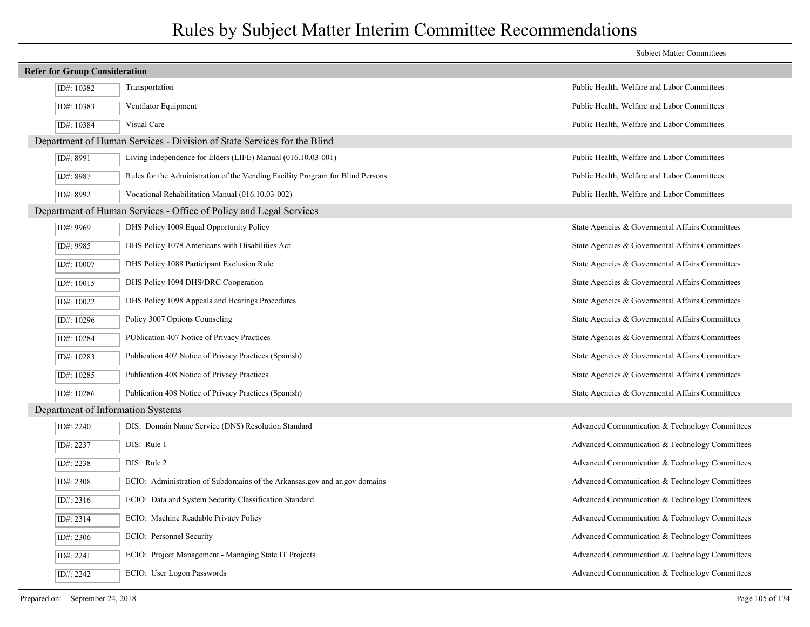|                                                                         |                                                                                | <b>Subject Matter Committees</b>                |
|-------------------------------------------------------------------------|--------------------------------------------------------------------------------|-------------------------------------------------|
| <b>Refer for Group Consideration</b>                                    |                                                                                |                                                 |
| ID#: 10382                                                              | Transportation                                                                 | Public Health, Welfare and Labor Committees     |
| ID#: 10383                                                              | Ventilator Equipment                                                           | Public Health, Welfare and Labor Committees     |
| ID#: 10384                                                              | Visual Care                                                                    | Public Health, Welfare and Labor Committees     |
| Department of Human Services - Division of State Services for the Blind |                                                                                |                                                 |
| ID#: 8991                                                               | Living Independence for Elders (LIFE) Manual (016.10.03-001)                   | Public Health, Welfare and Labor Committees     |
| ID#: 8987                                                               | Rules for the Administration of the Vending Facility Program for Blind Persons | Public Health, Welfare and Labor Committees     |
| ID#: 8992                                                               | Vocational Rehabilitation Manual (016.10.03-002)                               | Public Health, Welfare and Labor Committees     |
|                                                                         | Department of Human Services - Office of Policy and Legal Services             |                                                 |
| ID#: 9969                                                               | DHS Policy 1009 Equal Opportunity Policy                                       | State Agencies & Governental Affairs Committees |
| ID#: 9985                                                               | DHS Policy 1078 Americans with Disabilities Act                                | State Agencies & Governental Affairs Committees |
| ID#: 10007                                                              | DHS Policy 1088 Participant Exclusion Rule                                     | State Agencies & Governental Affairs Committees |
| ID#: 10015                                                              | DHS Policy 1094 DHS/DRC Cooperation                                            | State Agencies & Governental Affairs Committees |
| ID#: 10022                                                              | DHS Policy 1098 Appeals and Hearings Procedures                                | State Agencies & Governental Affairs Committees |
| ID#: 10296                                                              | Policy 3007 Options Counseling                                                 | State Agencies & Governental Affairs Committees |
| ID#: 10284                                                              | PUblication 407 Notice of Privacy Practices                                    | State Agencies & Governental Affairs Committees |
| ID#: 10283                                                              | Publication 407 Notice of Privacy Practices (Spanish)                          | State Agencies & Governental Affairs Committees |
| ID#: 10285                                                              | Publication 408 Notice of Privacy Practices                                    | State Agencies & Governental Affairs Committees |
| ID#: 10286                                                              | Publication 408 Notice of Privacy Practices (Spanish)                          | State Agencies & Governental Affairs Committees |
| Department of Information Systems                                       |                                                                                |                                                 |
| ID#: $2240$                                                             | DIS: Domain Name Service (DNS) Resolution Standard                             | Advanced Communication & Technology Committees  |
| ID#: 2237                                                               | DIS: Rule 1                                                                    | Advanced Communication & Technology Committees  |
| ID#: $2238$                                                             | DIS: Rule 2                                                                    | Advanced Communication & Technology Committees  |
| ID#: 2308                                                               | ECIO: Administration of Subdomains of the Arkansas gov and ar gov domains      | Advanced Communication & Technology Committees  |
| ID#: $2316$                                                             | ECIO: Data and System Security Classification Standard                         | Advanced Communication & Technology Committees  |
| ID#: 2314                                                               | ECIO: Machine Readable Privacy Policy                                          | Advanced Communication & Technology Committees  |
| ID#: 2306                                                               | ECIO: Personnel Security                                                       | Advanced Communication & Technology Committees  |
| ID#: 2241                                                               | ECIO: Project Management - Managing State IT Projects                          | Advanced Communication & Technology Committees  |
| ID#: 2242                                                               | ECIO: User Logon Passwords                                                     | Advanced Communication & Technology Committees  |
|                                                                         |                                                                                |                                                 |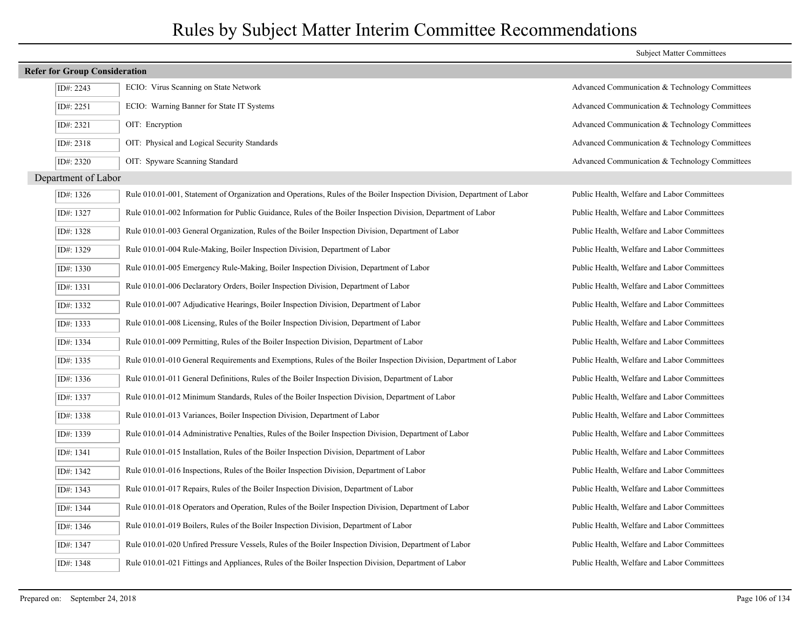|                                      |                                                                                                                         | <b>Subject Matter Committees</b>               |
|--------------------------------------|-------------------------------------------------------------------------------------------------------------------------|------------------------------------------------|
| <b>Refer for Group Consideration</b> |                                                                                                                         |                                                |
| ID#: 2243                            | ECIO: Virus Scanning on State Network                                                                                   | Advanced Communication & Technology Committees |
| ID#: 2251                            | ECIO: Warning Banner for State IT Systems                                                                               | Advanced Communication & Technology Committees |
| ID#: 2321                            | OIT: Encryption                                                                                                         | Advanced Communication & Technology Committees |
| ID#: 2318                            | OIT: Physical and Logical Security Standards                                                                            | Advanced Communication & Technology Committees |
| ID#: 2320                            | OIT: Spyware Scanning Standard                                                                                          | Advanced Communication & Technology Committees |
| Department of Labor                  |                                                                                                                         |                                                |
| ID#: 1326                            | Rule 010.01-001, Statement of Organization and Operations, Rules of the Boiler Inspection Division, Department of Labor | Public Health, Welfare and Labor Committees    |
| ID#: 1327                            | Rule 010.01-002 Information for Public Guidance, Rules of the Boiler Inspection Division, Department of Labor           | Public Health, Welfare and Labor Committees    |
| ID#: 1328                            | Rule 010.01-003 General Organization, Rules of the Boiler Inspection Division, Department of Labor                      | Public Health, Welfare and Labor Committees    |
| ID#: 1329                            | Rule 010.01-004 Rule-Making, Boiler Inspection Division, Department of Labor                                            | Public Health, Welfare and Labor Committees    |
| ID#: 1330                            | Rule 010.01-005 Emergency Rule-Making, Boiler Inspection Division, Department of Labor                                  | Public Health, Welfare and Labor Committees    |
| ID#: 1331                            | Rule 010.01-006 Declaratory Orders, Boiler Inspection Division, Department of Labor                                     | Public Health, Welfare and Labor Committees    |
| ID#: 1332                            | Rule 010.01-007 Adjudicative Hearings, Boiler Inspection Division, Department of Labor                                  | Public Health, Welfare and Labor Committees    |
| ID#: $1333$                          | Rule 010.01-008 Licensing, Rules of the Boiler Inspection Division, Department of Labor                                 | Public Health, Welfare and Labor Committees    |
| ID#: 1334                            | Rule 010.01-009 Permitting, Rules of the Boiler Inspection Division, Department of Labor                                | Public Health, Welfare and Labor Committees    |
| ID#: 1335                            | Rule 010.01-010 General Requirements and Exemptions, Rules of the Boiler Inspection Division, Department of Labor       | Public Health, Welfare and Labor Committees    |
| ID#: 1336                            | Rule 010.01-011 General Definitions, Rules of the Boiler Inspection Division, Department of Labor                       | Public Health, Welfare and Labor Committees    |
| ID#: 1337                            | Rule 010.01-012 Minimum Standards, Rules of the Boiler Inspection Division, Department of Labor                         | Public Health, Welfare and Labor Committees    |
| ID#: 1338                            | Rule 010.01-013 Variances, Boiler Inspection Division, Department of Labor                                              | Public Health, Welfare and Labor Committees    |
| ID#: 1339                            | Rule 010.01-014 Administrative Penalties, Rules of the Boiler Inspection Division, Department of Labor                  | Public Health, Welfare and Labor Committees    |
| ID#: 1341                            | Rule 010.01-015 Installation, Rules of the Boiler Inspection Division, Department of Labor                              | Public Health, Welfare and Labor Committees    |
| ID#: 1342                            | Rule 010.01-016 Inspections, Rules of the Boiler Inspection Division, Department of Labor                               | Public Health, Welfare and Labor Committees    |
| ID#: 1343                            | Rule 010.01-017 Repairs, Rules of the Boiler Inspection Division, Department of Labor                                   | Public Health, Welfare and Labor Committees    |
| ID#: 1344                            | Rule 010.01-018 Operators and Operation, Rules of the Boiler Inspection Division, Department of Labor                   | Public Health, Welfare and Labor Committees    |
| ID#: 1346                            | Rule 010.01-019 Boilers, Rules of the Boiler Inspection Division, Department of Labor                                   | Public Health, Welfare and Labor Committees    |
| ID#: 1347                            | Rule 010.01-020 Unfired Pressure Vessels, Rules of the Boiler Inspection Division, Department of Labor                  | Public Health, Welfare and Labor Committees    |
| ID#: 1348                            | Rule 010.01-021 Fittings and Appliances, Rules of the Boiler Inspection Division, Department of Labor                   | Public Health, Welfare and Labor Committees    |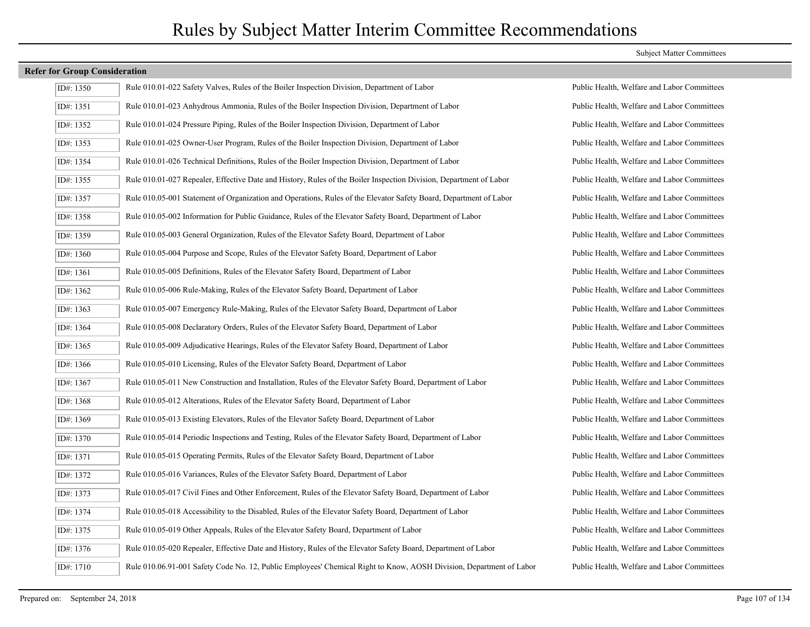| ID#: 1350 | Rule 010.01-022 Safety Valves, Rules of the Boiler Inspection Division, Department of Labor                         | Public Health, Welfare and Labor Committees |
|-----------|---------------------------------------------------------------------------------------------------------------------|---------------------------------------------|
| ID#: 1351 | Rule 010.01-023 Anhydrous Ammonia, Rules of the Boiler Inspection Division, Department of Labor                     | Public Health, Welfare and Labor Committees |
| ID#: 1352 | Rule 010.01-024 Pressure Piping, Rules of the Boiler Inspection Division, Department of Labor                       | Public Health, Welfare and Labor Committees |
| ID#: 1353 | Rule 010.01-025 Owner-User Program, Rules of the Boiler Inspection Division, Department of Labor                    | Public Health, Welfare and Labor Committees |
| ID#: 1354 | Rule 010.01-026 Technical Definitions, Rules of the Boiler Inspection Division, Department of Labor                 | Public Health, Welfare and Labor Committees |
| ID#: 1355 | Rule 010.01-027 Repealer, Effective Date and History, Rules of the Boiler Inspection Division, Department of Labor  | Public Health, Welfare and Labor Committees |
| ID#: 1357 | Rule 010.05-001 Statement of Organization and Operations, Rules of the Elevator Safety Board, Department of Labor   | Public Health, Welfare and Labor Committees |
| ID#: 1358 | Rule 010.05-002 Information for Public Guidance, Rules of the Elevator Safety Board, Department of Labor            | Public Health, Welfare and Labor Committees |
| ID#: 1359 | Rule 010.05-003 General Organization, Rules of the Elevator Safety Board, Department of Labor                       | Public Health, Welfare and Labor Committees |
| ID#: 1360 | Rule 010.05-004 Purpose and Scope, Rules of the Elevator Safety Board, Department of Labor                          | Public Health, Welfare and Labor Committees |
| ID#: 1361 | Rule 010.05-005 Definitions, Rules of the Elevator Safety Board, Department of Labor                                | Public Health, Welfare and Labor Committees |
| ID#: 1362 | Rule 010.05-006 Rule-Making, Rules of the Elevator Safety Board, Department of Labor                                | Public Health, Welfare and Labor Committees |
| ID#: 1363 | Rule 010.05-007 Emergency Rule-Making, Rules of the Elevator Safety Board, Department of Labor                      | Public Health, Welfare and Labor Committees |
| ID#: 1364 | Rule 010.05-008 Declaratory Orders, Rules of the Elevator Safety Board, Department of Labor                         | Public Health, Welfare and Labor Committees |
| ID#: 1365 | Rule 010.05-009 Adjudicative Hearings, Rules of the Elevator Safety Board, Department of Labor                      | Public Health, Welfare and Labor Committees |
| ID#: 1366 | Rule 010.05-010 Licensing, Rules of the Elevator Safety Board, Department of Labor                                  | Public Health, Welfare and Labor Committees |
| ID#: 1367 | Rule 010.05-011 New Construction and Installation, Rules of the Elevator Safety Board, Department of Labor          | Public Health, Welfare and Labor Committees |
| ID#: 1368 | Rule 010.05-012 Alterations, Rules of the Elevator Safety Board, Department of Labor                                | Public Health, Welfare and Labor Committees |
| ID#: 1369 | Rule 010.05-013 Existing Elevators, Rules of the Elevator Safety Board, Department of Labor                         | Public Health, Welfare and Labor Committees |
| ID#: 1370 | Rule 010.05-014 Periodic Inspections and Testing, Rules of the Elevator Safety Board, Department of Labor           | Public Health, Welfare and Labor Committees |
| ID#: 1371 | Rule 010.05-015 Operating Permits, Rules of the Elevator Safety Board, Department of Labor                          | Public Health, Welfare and Labor Committees |
| ID#: 1372 | Rule 010.05-016 Variances, Rules of the Elevator Safety Board, Department of Labor                                  | Public Health, Welfare and Labor Committees |
| ID#: 1373 | Rule 010.05-017 Civil Fines and Other Enforcement, Rules of the Elevator Safety Board, Department of Labor          | Public Health, Welfare and Labor Committees |
| ID#: 1374 | Rule 010.05-018 Accessibility to the Disabled, Rules of the Elevator Safety Board, Department of Labor              | Public Health, Welfare and Labor Committees |
| ID#: 1375 | Rule 010.05-019 Other Appeals, Rules of the Elevator Safety Board, Department of Labor                              | Public Health, Welfare and Labor Committees |
| ID#: 1376 | Rule 010.05-020 Repealer, Effective Date and History, Rules of the Elevator Safety Board, Department of Labor       | Public Health, Welfare and Labor Committees |
| ID#: 1710 | Rule 010.06.91-001 Safety Code No. 12, Public Employees' Chemical Right to Know, AOSH Division, Department of Labor | Public Health, Welfare and Labor Committees |

#### Subject Matter Committees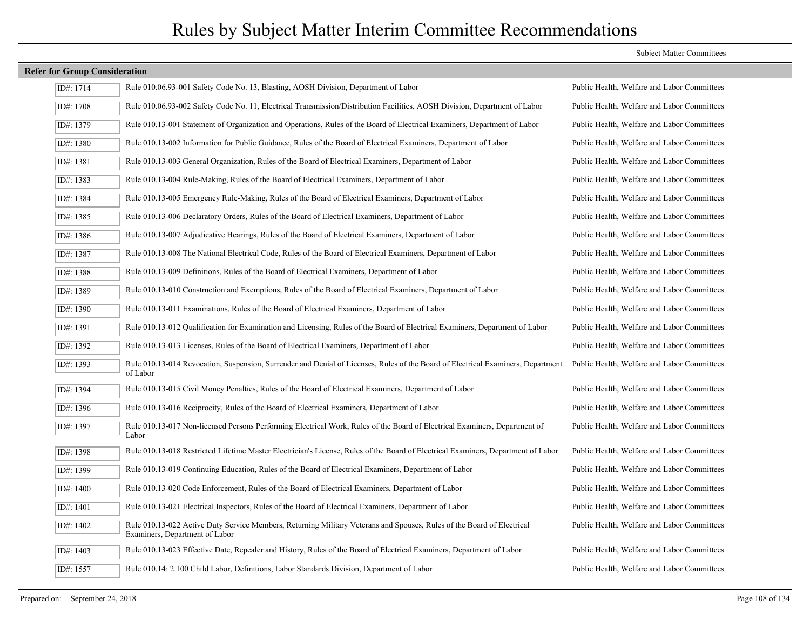| ID#: 1714 | Rule 010.06.93-001 Safety Code No. 13, Blasting, AOSH Division, Department of Labor                                                                      | Public Health, Welfare and Labor Committees |
|-----------|----------------------------------------------------------------------------------------------------------------------------------------------------------|---------------------------------------------|
| ID#: 1708 | Rule 010.06.93-002 Safety Code No. 11, Electrical Transmission/Distribution Facilities, AOSH Division, Department of Labor                               | Public Health, Welfare and Labor Committees |
| ID#: 1379 | Rule 010.13-001 Statement of Organization and Operations, Rules of the Board of Electrical Examiners, Department of Labor                                | Public Health, Welfare and Labor Committees |
| ID#: 1380 | Rule 010.13-002 Information for Public Guidance, Rules of the Board of Electrical Examiners, Department of Labor                                         | Public Health, Welfare and Labor Committees |
| ID#: 1381 | Rule 010.13-003 General Organization, Rules of the Board of Electrical Examiners, Department of Labor                                                    | Public Health, Welfare and Labor Committees |
| ID#: 1383 | Rule 010.13-004 Rule-Making, Rules of the Board of Electrical Examiners, Department of Labor                                                             | Public Health, Welfare and Labor Committees |
| ID#: 1384 | Rule 010.13-005 Emergency Rule-Making, Rules of the Board of Electrical Examiners, Department of Labor                                                   | Public Health, Welfare and Labor Committees |
| ID#: 1385 | Rule 010.13-006 Declaratory Orders, Rules of the Board of Electrical Examiners, Department of Labor                                                      | Public Health, Welfare and Labor Committees |
| ID#: 1386 | Rule 010.13-007 Adjudicative Hearings, Rules of the Board of Electrical Examiners, Department of Labor                                                   | Public Health, Welfare and Labor Committees |
| ID#: 1387 | Rule 010.13-008 The National Electrical Code, Rules of the Board of Electrical Examiners, Department of Labor                                            | Public Health, Welfare and Labor Committees |
| ID#: 1388 | Rule 010.13-009 Definitions, Rules of the Board of Electrical Examiners, Department of Labor                                                             | Public Health, Welfare and Labor Committees |
| ID#: 1389 | Rule 010.13-010 Construction and Exemptions, Rules of the Board of Electrical Examiners, Department of Labor                                             | Public Health, Welfare and Labor Committees |
| ID#: 1390 | Rule 010.13-011 Examinations, Rules of the Board of Electrical Examiners, Department of Labor                                                            | Public Health, Welfare and Labor Committees |
| ID#: 1391 | Rule 010.13-012 Qualification for Examination and Licensing, Rules of the Board of Electrical Examiners, Department of Labor                             | Public Health, Welfare and Labor Committees |
| ID#: 1392 | Rule 010.13-013 Licenses, Rules of the Board of Electrical Examiners, Department of Labor                                                                | Public Health, Welfare and Labor Committees |
| ID#: 1393 | Rule 010.13-014 Revocation, Suspension, Surrender and Denial of Licenses, Rules of the Board of Electrical Examiners, Department<br>of Labor             | Public Health, Welfare and Labor Committees |
| ID#: 1394 | Rule 010.13-015 Civil Money Penalties, Rules of the Board of Electrical Examiners, Department of Labor                                                   | Public Health, Welfare and Labor Committees |
| ID#: 1396 | Rule 010.13-016 Reciprocity, Rules of the Board of Electrical Examiners, Department of Labor                                                             | Public Health, Welfare and Labor Committees |
| ID#: 1397 | Rule 010.13-017 Non-licensed Persons Performing Electrical Work, Rules of the Board of Electrical Examiners, Department of<br>Labor                      | Public Health, Welfare and Labor Committees |
| ID#: 1398 | Rule 010.13-018 Restricted Lifetime Master Electrician's License, Rules of the Board of Electrical Examiners, Department of Labor                        | Public Health, Welfare and Labor Committees |
| ID#: 1399 | Rule 010.13-019 Continuing Education, Rules of the Board of Electrical Examiners, Department of Labor                                                    | Public Health, Welfare and Labor Committees |
| ID#: 1400 | Rule 010.13-020 Code Enforcement, Rules of the Board of Electrical Examiners, Department of Labor                                                        | Public Health, Welfare and Labor Committees |
| ID#: 1401 | Rule 010.13-021 Electrical Inspectors, Rules of the Board of Electrical Examiners, Department of Labor                                                   | Public Health, Welfare and Labor Committees |
| ID#: 1402 | Rule 010.13-022 Active Duty Service Members, Returning Military Veterans and Spouses, Rules of the Board of Electrical<br>Examiners, Department of Labor | Public Health, Welfare and Labor Committees |
| ID#: 1403 | Rule 010.13-023 Effective Date, Repealer and History, Rules of the Board of Electrical Examiners, Department of Labor                                    | Public Health, Welfare and Labor Committees |
| ID#: 1557 | Rule 010.14: 2.100 Child Labor, Definitions, Labor Standards Division, Department of Labor                                                               | Public Health, Welfare and Labor Committees |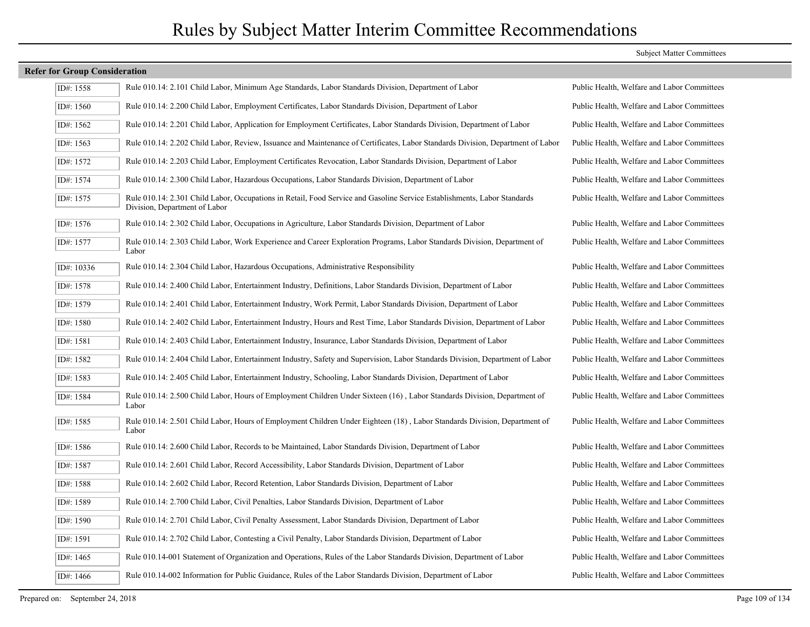### **Refer for Group Consideration** ID#: 1558 Rule 010.14: 2.101 Child Labor, Minimum Age Standards, Labor Standards Division, Department of Labor Public Health, Welfare and Labor Committees ID#: 1560 Rule 010.14: 2.200 Child Labor, Employment Certificates, Labor Standards Division, Department of Labor Public Health, Welfare and Labor Committees ID#: 1562 Rule 010.14: 2.201 Child Labor, Application for Employment Certificates, Labor Standards Division, Department of Labor Public Health, Welfare and Labor Committees ID#: 1563 Rule 010.14: 2.202 Child Labor, Review, Issuance and Maintenance of Certificates, Labor Standards Division, Department of Labor Public Health, Welfare and Labor Committees ID#: 1572 Rule 010.14: 2.203 Child Labor, Employment Certificates Revocation, Labor Standards Division, Department of Labor Public Health, Welfare and Labor Committees ID#: 1574 Rule 010.14: 2.300 Child Labor, Hazardous Occupations, Labor Standards Division, Department of Labor Public Health, Welfare and Labor Committees Rule 010.14: 2.301 Child Labor, Occupations in Retail, Food Service and Gasoline Service Establishments, Labor Standards Public Health, Welfare and Labor Committees Division, Department of Labor ID#: 1575 ID#: 1576 Rule 010.14: 2.302 Child Labor, Occupations in Agriculture, Labor Standards Division, Department of Labor Public Health, Welfare and Labor Committees Rule 010.14: 2.303 Child Labor, Work Experience and Career Exploration Programs, Labor Standards Division, Department of Public Health, Welfare and Labor Committees Labor ID#: 1577 ID#: 10336 Rule 010.14: 2.304 Child Labor, Hazardous Occupations, Administrative Responsibility Public Health, Welfare and Labor Committees ID#: 1578 Rule 010.14: 2.400 Child Labor, Entertainment Industry, Definitions, Labor Standards Division, Department of Labor Public Health, Welfare and Labor Committees ID#: 1579 Rule 010.14: 2.401 Child Labor, Entertainment Industry, Work Permit, Labor Standards Division, Department of Labor Public Health, Welfare and Labor Committees ID#: 1580 Rule 010.14: 2.402 Child Labor, Entertainment Industry, Hours and Rest Time, Labor Standards Division, Department of Labor Public Health, Welfare and Labor Committees ID#: 1581 Rule 010.14: 2.403 Child Labor, Entertainment Industry, Insurance, Labor Standards Division, Department of Labor Public Health, Welfare and Labor Committees ID#: 1582 Rule 010.14: 2.404 Child Labor, Entertainment Industry, Safety and Supervision, Labor Standards Division, Department of Labor Public Health, Welfare and Labor Committees ID#: 1583 Rule 010.14: 2.405 Child Labor, Entertainment Industry, Schooling, Labor Standards Division, Department of Labor Public Health, Welfare and Labor Committees Rule 010.14: 2.500 Child Labor, Hours of Employment Children Under Sixteen (16) , Labor Standards Division, Department of Public Health, Welfare and Labor Committees Labor ID#: 1584 Rule 010.14: 2.501 Child Labor, Hours of Employment Children Under Eighteen (18) , Labor Standards Division, Department of Public Health, Welfare and Labor Committees Labor ID#: 1585 ID#: 1586 Rule 010.14: 2.600 Child Labor, Records to be Maintained, Labor Standards Division, Department of Labor Public Health, Welfare and Labor Committees ID#: 1587 Rule 010.14: 2.601 Child Labor, Record Accessibility, Labor Standards Division, Department of Labor Public Health, Welfare and Labor Committees ID#: 1588 Rule 010.14: 2.602 Child Labor, Record Retention, Labor Standards Division, Department of Labor Public Health, Welfare and Labor Committees ID#: 1589 Rule 010.14: 2.700 Child Labor, Civil Penalties, Labor Standards Division, Department of Labor Public Health, Welfare and Labor Committees ID#: 1590 Rule 010.14: 2.701 Child Labor, Civil Penalty Assessment, Labor Standards Division, Department of Labor Public Health, Welfare and Labor Committees ID#: 1591 Rule 010.14: 2.702 Child Labor, Contesting a Civil Penalty, Labor Standards Division, Department of Labor Public Health, Welfare and Labor Committees ID#: 1465 Rule 010.14-001 Statement of Organization and Operations, Rules of the Labor Standards Division, Department of Labor Public Health, Welfare and Labor Committees ID#: 1466 Rule 010.14-002 Information for Public Guidance, Rules of the Labor Standards Division, Department of Labor Public Health, Welfare and Labor Committees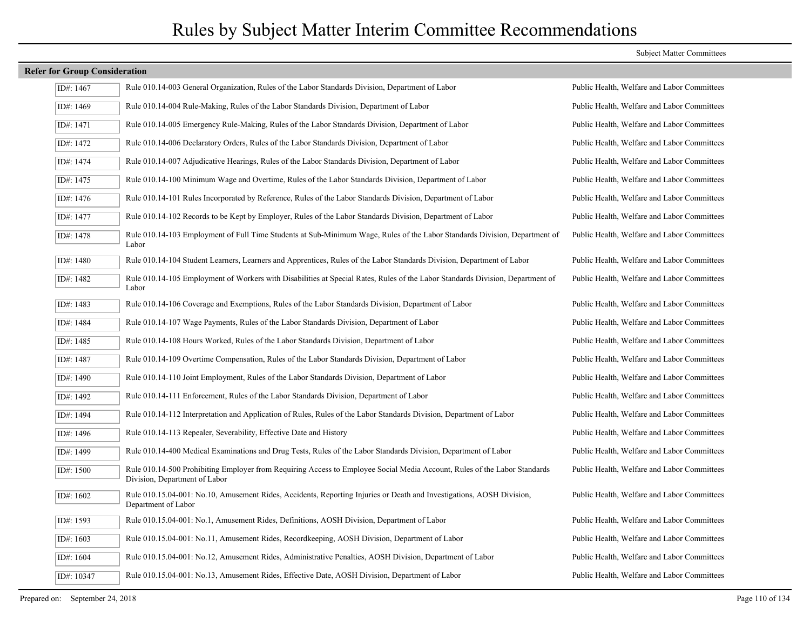| <b>Refer for Group Consideration</b> |                                                                                                                                                            |                                             |
|--------------------------------------|------------------------------------------------------------------------------------------------------------------------------------------------------------|---------------------------------------------|
| ID#: 1467                            | Rule 010.14-003 General Organization, Rules of the Labor Standards Division, Department of Labor                                                           | Public Health, Welfare and Labor Committees |
| ID#: 1469                            | Rule 010.14-004 Rule-Making, Rules of the Labor Standards Division, Department of Labor                                                                    | Public Health, Welfare and Labor Committees |
| ID#: 1471                            | Rule 010.14-005 Emergency Rule-Making, Rules of the Labor Standards Division, Department of Labor                                                          | Public Health, Welfare and Labor Committees |
| ID#: 1472                            | Rule 010.14-006 Declaratory Orders, Rules of the Labor Standards Division, Department of Labor                                                             | Public Health, Welfare and Labor Committees |
| ID#: 1474                            | Rule 010.14-007 Adjudicative Hearings, Rules of the Labor Standards Division, Department of Labor                                                          | Public Health, Welfare and Labor Committees |
| ID#: 1475                            | Rule 010.14-100 Minimum Wage and Overtime, Rules of the Labor Standards Division, Department of Labor                                                      | Public Health, Welfare and Labor Committees |
| ID#: 1476                            | Rule 010.14-101 Rules Incorporated by Reference, Rules of the Labor Standards Division, Department of Labor                                                | Public Health, Welfare and Labor Committees |
| ID#: 1477                            | Rule 010.14-102 Records to be Kept by Employer, Rules of the Labor Standards Division, Department of Labor                                                 | Public Health, Welfare and Labor Committees |
| ID#: 1478                            | Rule 010.14-103 Employment of Full Time Students at Sub-Minimum Wage, Rules of the Labor Standards Division, Department of<br>Labor                        | Public Health, Welfare and Labor Committees |
| ID#: 1480                            | Rule 010.14-104 Student Learners, Learners and Apprentices, Rules of the Labor Standards Division, Department of Labor                                     | Public Health, Welfare and Labor Committees |
| ID#: 1482                            | Rule 010.14-105 Employment of Workers with Disabilities at Special Rates, Rules of the Labor Standards Division, Department of<br>Labor                    | Public Health, Welfare and Labor Committees |
| ID#: 1483                            | Rule 010.14-106 Coverage and Exemptions, Rules of the Labor Standards Division, Department of Labor                                                        | Public Health, Welfare and Labor Committees |
| ID#: 1484                            | Rule 010.14-107 Wage Payments, Rules of the Labor Standards Division, Department of Labor                                                                  | Public Health, Welfare and Labor Committees |
| ID#: 1485                            | Rule 010.14-108 Hours Worked, Rules of the Labor Standards Division, Department of Labor                                                                   | Public Health, Welfare and Labor Committees |
| ID#: 1487                            | Rule 010.14-109 Overtime Compensation, Rules of the Labor Standards Division, Department of Labor                                                          | Public Health, Welfare and Labor Committees |
| ID#: 1490                            | Rule 010.14-110 Joint Employment, Rules of the Labor Standards Division, Department of Labor                                                               | Public Health, Welfare and Labor Committees |
| ID#: 1492                            | Rule 010.14-111 Enforcement, Rules of the Labor Standards Division, Department of Labor                                                                    | Public Health, Welfare and Labor Committees |
| ID#: 1494                            | Rule 010.14-112 Interpretation and Application of Rules, Rules of the Labor Standards Division, Department of Labor                                        | Public Health, Welfare and Labor Committees |
| ID#: 1496                            | Rule 010.14-113 Repealer, Severability, Effective Date and History                                                                                         | Public Health, Welfare and Labor Committees |
| ID#: 1499                            | Rule 010.14-400 Medical Examinations and Drug Tests, Rules of the Labor Standards Division, Department of Labor                                            | Public Health, Welfare and Labor Committees |
| ID#: 1500                            | Rule 010.14-500 Prohibiting Employer from Requiring Access to Employee Social Media Account, Rules of the Labor Standards<br>Division, Department of Labor | Public Health, Welfare and Labor Committees |
| ID#: 1602                            | Rule 010.15.04-001: No.10, Amusement Rides, Accidents, Reporting Injuries or Death and Investigations, AOSH Division,<br>Department of Labor               | Public Health, Welfare and Labor Committees |
| ID#: 1593                            | Rule 010.15.04-001: No.1, Amusement Rides, Definitions, AOSH Division, Department of Labor                                                                 | Public Health, Welfare and Labor Committees |
| ID#: 1603                            | Rule 010.15.04-001: No.11, Amusement Rides, Recordkeeping, AOSH Division, Department of Labor                                                              | Public Health, Welfare and Labor Committees |
| ID#: 1604                            | Rule 010.15.04-001: No.12, Amusement Rides, Administrative Penalties, AOSH Division, Department of Labor                                                   | Public Health, Welfare and Labor Committees |
| ID#: 10347                           | Rule 010.15.04-001: No.13, Amusement Rides, Effective Date, AOSH Division, Department of Labor                                                             | Public Health, Welfare and Labor Committees |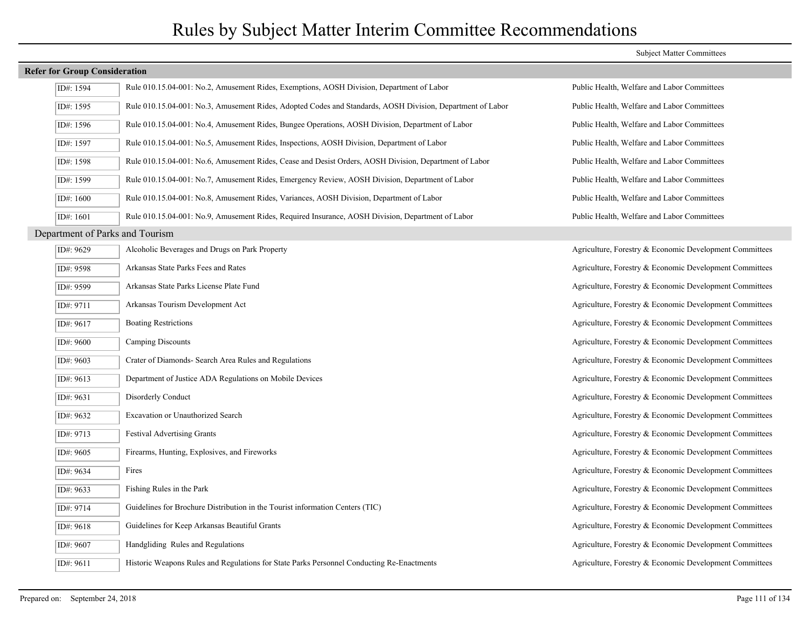#### **Refer for Group Consideration**

| ID#: 1594                       | Rule 010.15.04-001: No.2, Amusement Rides, Exemptions, AOSH Division, Department of Labor                  | Public Health, Welfare and Labor Committees             |
|---------------------------------|------------------------------------------------------------------------------------------------------------|---------------------------------------------------------|
| ID#: 1595                       | Rule 010.15.04-001: No.3, Amusement Rides, Adopted Codes and Standards, AOSH Division, Department of Labor | Public Health, Welfare and Labor Committees             |
| ID#: 1596                       | Rule 010.15.04-001: No.4, Amusement Rides, Bungee Operations, AOSH Division, Department of Labor           | Public Health, Welfare and Labor Committees             |
| ID#: 1597                       | Rule 010.15.04-001: No.5, Amusement Rides, Inspections, AOSH Division, Department of Labor                 | Public Health, Welfare and Labor Committees             |
| ID#: 1598                       | Rule 010.15.04-001: No.6, Amusement Rides, Cease and Desist Orders, AOSH Division, Department of Labor     | Public Health, Welfare and Labor Committees             |
| ID#: 1599                       | Rule 010.15.04-001: No.7, Amusement Rides, Emergency Review, AOSH Division, Department of Labor            | Public Health, Welfare and Labor Committees             |
| ID#: 1600                       | Rule 010.15.04-001: No.8, Amusement Rides, Variances, AOSH Division, Department of Labor                   | Public Health, Welfare and Labor Committees             |
| ID#: $1601$                     | Rule 010.15.04-001: No.9, Amusement Rides, Required Insurance, AOSH Division, Department of Labor          | Public Health, Welfare and Labor Committees             |
| Department of Parks and Tourism |                                                                                                            |                                                         |
| ID#: 9629                       | Alcoholic Beverages and Drugs on Park Property                                                             | Agriculture, Forestry & Economic Development Committees |
| ID#: 9598                       | Arkansas State Parks Fees and Rates                                                                        | Agriculture, Forestry & Economic Development Committees |
| ID#: 9599                       | Arkansas State Parks License Plate Fund                                                                    | Agriculture, Forestry & Economic Development Committees |
| ID#: 9711                       | Arkansas Tourism Development Act                                                                           | Agriculture, Forestry & Economic Development Committees |
| ID#: 9617                       | <b>Boating Restrictions</b>                                                                                | Agriculture, Forestry & Economic Development Committees |
| ID#: 9600                       | Camping Discounts                                                                                          | Agriculture, Forestry & Economic Development Committees |
| ID#: 9603                       | Crater of Diamonds- Search Area Rules and Regulations                                                      | Agriculture, Forestry & Economic Development Committees |
| ID#: 9613                       | Department of Justice ADA Regulations on Mobile Devices                                                    | Agriculture, Forestry & Economic Development Committees |
| ID#: 9631                       | Disorderly Conduct                                                                                         | Agriculture, Forestry & Economic Development Committees |
| ID#: 9632                       | <b>Excavation or Unauthorized Search</b>                                                                   | Agriculture, Forestry & Economic Development Committees |
| ID#: 9713                       | <b>Festival Advertising Grants</b>                                                                         | Agriculture, Forestry & Economic Development Committees |
| ID#: 9605                       | Firearms, Hunting, Explosives, and Fireworks                                                               | Agriculture, Forestry & Economic Development Committees |
| ID#: 9634                       | Fires                                                                                                      | Agriculture, Forestry & Economic Development Committees |
| ID#: 9633                       | Fishing Rules in the Park                                                                                  | Agriculture, Forestry & Economic Development Committees |
| ID#: 9714                       | Guidelines for Brochure Distribution in the Tourist information Centers (TIC)                              | Agriculture, Forestry & Economic Development Committees |
| ID#: 9618                       | Guidelines for Keep Arkansas Beautiful Grants                                                              | Agriculture, Forestry & Economic Development Committees |
| ID#: 9607                       | Handgliding Rules and Regulations                                                                          | Agriculture, Forestry & Economic Development Committees |
| ID#: 9611                       | Historic Weapons Rules and Regulations for State Parks Personnel Conducting Re-Enactments                  | Agriculture, Forestry & Economic Development Committees |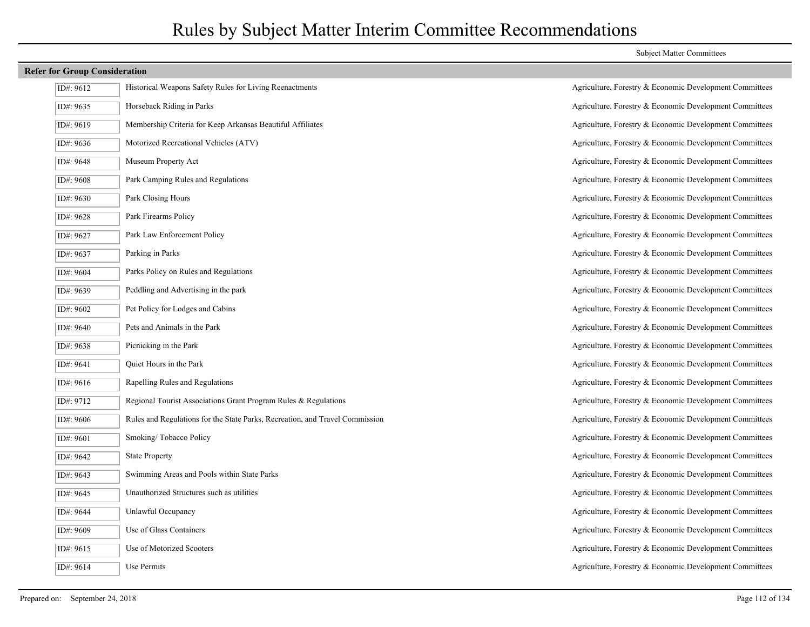#### **Refer for Group Consideration**

| ID#: 9612 | Historical Weapons Safety Rules for Living Reenactments                      |
|-----------|------------------------------------------------------------------------------|
| ID#: 9635 | Horseback Riding in Parks                                                    |
| ID#: 9619 | Membership Criteria for Keep Arkansas Beautiful Affiliates                   |
| ID#: 9636 | Motorized Recreational Vehicles (ATV)                                        |
| ID#: 9648 | Museum Property Act                                                          |
| ID#: 9608 | Park Camping Rules and Regulations                                           |
| ID#: 9630 | Park Closing Hours                                                           |
| ID#: 9628 | Park Firearms Policy                                                         |
| ID#: 9627 | Park Law Enforcement Policy                                                  |
| ID#: 9637 | Parking in Parks                                                             |
| ID#: 9604 | Parks Policy on Rules and Regulations                                        |
| ID#: 9639 | Peddling and Advertising in the park                                         |
| ID#: 9602 | Pet Policy for Lodges and Cabins                                             |
| ID#: 9640 | Pets and Animals in the Park                                                 |
| ID#: 9638 | Picnicking in the Park                                                       |
| ID#: 9641 | Quiet Hours in the Park                                                      |
| ID#: 9616 | Rapelling Rules and Regulations                                              |
| ID#: 9712 | Regional Tourist Associations Grant Program Rules & Regulations              |
| ID#: 9606 | Rules and Regulations for the State Parks, Recreation, and Travel Commission |
| ID#: 9601 | Smoking/Tobacco Policy                                                       |
| ID#: 9642 | <b>State Property</b>                                                        |
| ID#: 9643 | Swimming Areas and Pools within State Parks                                  |
| ID#: 9645 | Unauthorized Structures such as utilities                                    |
| ID#: 9644 | Unlawful Occupancy                                                           |
| ID#: 9609 | Use of Glass Containers                                                      |
| ID#: 9615 | Use of Motorized Scooters                                                    |
| ID#: 9614 | Use Permits                                                                  |

#### Subject Matter Committees

Agriculture, Forestry & Economic Development Committees Agriculture, Forestry & Economic Development Committees Agriculture, Forestry & Economic Development Committees Agriculture, Forestry & Economic Development Committees Agriculture, Forestry & Economic Development Committees Agriculture, Forestry & Economic Development Committees Agriculture, Forestry & Economic Development Committees Agriculture, Forestry & Economic Development Committees Agriculture, Forestry & Economic Development Committees Agriculture, Forestry & Economic Development Committees Agriculture, Forestry & Economic Development Committees Agriculture, Forestry & Economic Development Committees Agriculture, Forestry & Economic Development Committees Agriculture, Forestry & Economic Development Committees Agriculture, Forestry & Economic Development Committees Agriculture, Forestry & Economic Development Committees Agriculture, Forestry & Economic Development Committees Agriculture, Forestry & Economic Development Committees Agriculture, Forestry & Economic Development Committees Agriculture, Forestry & Economic Development Committees Agriculture, Forestry & Economic Development Committees Agriculture, Forestry & Economic Development Committees Agriculture, Forestry & Economic Development Committees Agriculture, Forestry & Economic Development Committees Agriculture, Forestry & Economic Development Committees Agriculture, Forestry & Economic Development Committees Agriculture, Forestry & Economic Development Committees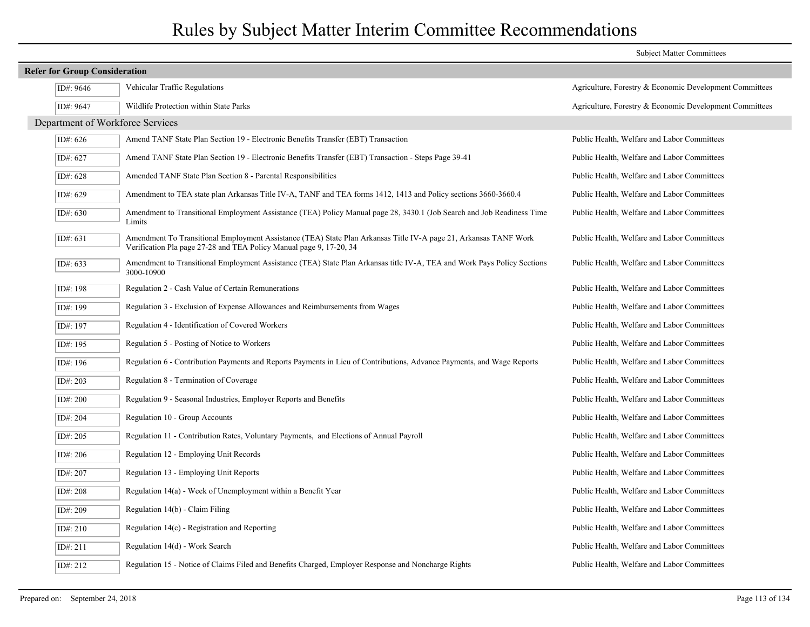|                                      |                                                                                                                                                                                         | <b>Subject Matter Committees</b>                        |  |  |
|--------------------------------------|-----------------------------------------------------------------------------------------------------------------------------------------------------------------------------------------|---------------------------------------------------------|--|--|
| <b>Refer for Group Consideration</b> |                                                                                                                                                                                         |                                                         |  |  |
| ID#: 9646                            | Vehicular Traffic Regulations                                                                                                                                                           | Agriculture, Forestry & Economic Development Committees |  |  |
| ID#: 9647                            | Wildlife Protection within State Parks                                                                                                                                                  | Agriculture, Forestry & Economic Development Committees |  |  |
| Department of Workforce Services     |                                                                                                                                                                                         |                                                         |  |  |
| ID#: 626                             | Amend TANF State Plan Section 19 - Electronic Benefits Transfer (EBT) Transaction                                                                                                       | Public Health, Welfare and Labor Committees             |  |  |
| ID#: 627                             | Amend TANF State Plan Section 19 - Electronic Benefits Transfer (EBT) Transaction - Steps Page 39-41                                                                                    | Public Health, Welfare and Labor Committees             |  |  |
| ID#: 628                             | Amended TANF State Plan Section 8 - Parental Responsibilities                                                                                                                           | Public Health, Welfare and Labor Committees             |  |  |
| ID#: 629                             | Amendment to TEA state plan Arkansas Title IV-A, TANF and TEA forms 1412, 1413 and Policy sections 3660-3660.4                                                                          | Public Health, Welfare and Labor Committees             |  |  |
| ID#: 630                             | Amendment to Transitional Employment Assistance (TEA) Policy Manual page 28, 3430.1 (Job Search and Job Readiness Time<br>Limits                                                        | Public Health, Welfare and Labor Committees             |  |  |
| ID#: 631                             | Amendment To Transitional Employment Assistance (TEA) State Plan Arkansas Title IV-A page 21, Arkansas TANF Work<br>Verification Pla page 27-28 and TEA Policy Manual page 9, 17-20, 34 | Public Health, Welfare and Labor Committees             |  |  |
| ID#: 633                             | Amendment to Transitional Employment Assistance (TEA) State Plan Arkansas title IV-A, TEA and Work Pays Policy Sections<br>3000-10900                                                   | Public Health, Welfare and Labor Committees             |  |  |
| ID#: 198                             | Regulation 2 - Cash Value of Certain Remunerations                                                                                                                                      | Public Health, Welfare and Labor Committees             |  |  |
| ID#: 199                             | Regulation 3 - Exclusion of Expense Allowances and Reimbursements from Wages                                                                                                            | Public Health, Welfare and Labor Committees             |  |  |
| ID#: 197                             | Regulation 4 - Identification of Covered Workers                                                                                                                                        | Public Health, Welfare and Labor Committees             |  |  |
| ID#: 195                             | Regulation 5 - Posting of Notice to Workers                                                                                                                                             | Public Health, Welfare and Labor Committees             |  |  |
| ID#: 196                             | Regulation 6 - Contribution Payments and Reports Payments in Lieu of Contributions, Advance Payments, and Wage Reports                                                                  | Public Health, Welfare and Labor Committees             |  |  |
| ID#: 203                             | Regulation 8 - Termination of Coverage                                                                                                                                                  | Public Health, Welfare and Labor Committees             |  |  |
| ID#: 200                             | Regulation 9 - Seasonal Industries, Employer Reports and Benefits                                                                                                                       | Public Health, Welfare and Labor Committees             |  |  |
| ID#: 204                             | Regulation 10 - Group Accounts                                                                                                                                                          | Public Health, Welfare and Labor Committees             |  |  |
| ID#: 205                             | Regulation 11 - Contribution Rates, Voluntary Payments, and Elections of Annual Payroll                                                                                                 | Public Health, Welfare and Labor Committees             |  |  |
| ID#: 206                             | Regulation 12 - Employing Unit Records                                                                                                                                                  | Public Health, Welfare and Labor Committees             |  |  |
| ID#: 207                             | Regulation 13 - Employing Unit Reports                                                                                                                                                  | Public Health, Welfare and Labor Committees             |  |  |
| ID#: 208                             | Regulation 14(a) - Week of Unemployment within a Benefit Year                                                                                                                           | Public Health, Welfare and Labor Committees             |  |  |
| ID#: 209                             | Regulation 14(b) - Claim Filing                                                                                                                                                         | Public Health, Welfare and Labor Committees             |  |  |
| ID#: 210                             | Regulation $14(c)$ - Registration and Reporting                                                                                                                                         | Public Health, Welfare and Labor Committees             |  |  |
| ID#: 211                             | Regulation 14(d) - Work Search                                                                                                                                                          | Public Health, Welfare and Labor Committees             |  |  |
| ID#: 212                             | Regulation 15 - Notice of Claims Filed and Benefits Charged, Employer Response and Noncharge Rights                                                                                     | Public Health, Welfare and Labor Committees             |  |  |
|                                      |                                                                                                                                                                                         |                                                         |  |  |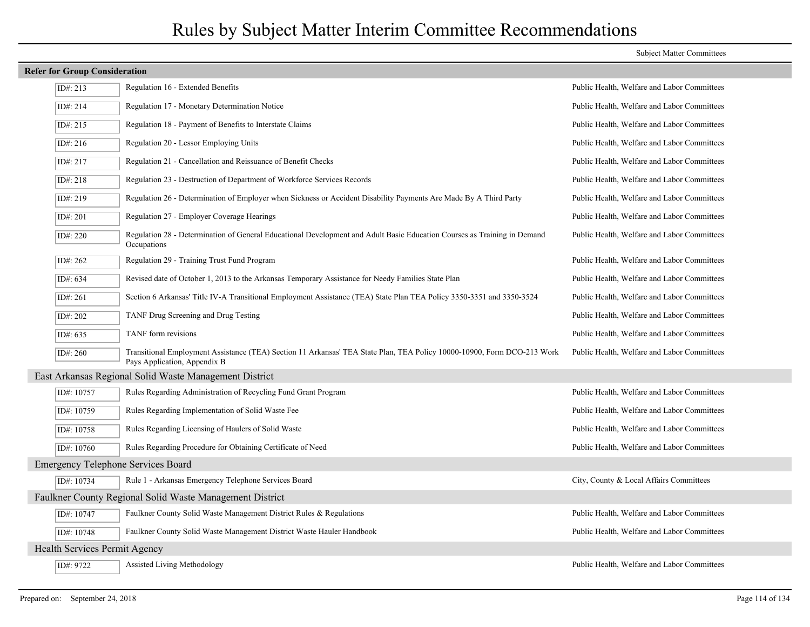| <b>Refer for Group Consideration</b>      |                                                                                                                                                         |                                             |  |  |
|-------------------------------------------|---------------------------------------------------------------------------------------------------------------------------------------------------------|---------------------------------------------|--|--|
| ID#: 213                                  | Regulation 16 - Extended Benefits                                                                                                                       | Public Health, Welfare and Labor Committees |  |  |
| ID#: 214                                  | Regulation 17 - Monetary Determination Notice                                                                                                           | Public Health, Welfare and Labor Committees |  |  |
| ID#: 215                                  | Regulation 18 - Payment of Benefits to Interstate Claims                                                                                                | Public Health, Welfare and Labor Committees |  |  |
| ID#: 216                                  | Regulation 20 - Lessor Employing Units                                                                                                                  | Public Health, Welfare and Labor Committees |  |  |
| ID#: 217                                  | Regulation 21 - Cancellation and Reissuance of Benefit Checks                                                                                           | Public Health, Welfare and Labor Committees |  |  |
| ID#: 218                                  | Regulation 23 - Destruction of Department of Workforce Services Records                                                                                 | Public Health, Welfare and Labor Committees |  |  |
| ID#: 219                                  | Regulation 26 - Determination of Employer when Sickness or Accident Disability Payments Are Made By A Third Party                                       | Public Health, Welfare and Labor Committees |  |  |
| ID#: 201                                  | Regulation 27 - Employer Coverage Hearings                                                                                                              | Public Health, Welfare and Labor Committees |  |  |
| ID#: 220                                  | Regulation 28 - Determination of General Educational Development and Adult Basic Education Courses as Training in Demand<br>Occupations                 | Public Health, Welfare and Labor Committees |  |  |
| ID#: 262                                  | Regulation 29 - Training Trust Fund Program                                                                                                             | Public Health, Welfare and Labor Committees |  |  |
| ID#: $634$                                | Revised date of October 1, 2013 to the Arkansas Temporary Assistance for Needy Families State Plan                                                      | Public Health, Welfare and Labor Committees |  |  |
| ID#: 261                                  | Section 6 Arkansas' Title IV-A Transitional Employment Assistance (TEA) State Plan TEA Policy 3350-3351 and 3350-3524                                   | Public Health, Welfare and Labor Committees |  |  |
| ID#: 202                                  | TANF Drug Screening and Drug Testing                                                                                                                    | Public Health, Welfare and Labor Committees |  |  |
| ID#: $635$                                | TANF form revisions                                                                                                                                     | Public Health, Welfare and Labor Committees |  |  |
| ID#: $260$                                | Transitional Employment Assistance (TEA) Section 11 Arkansas' TEA State Plan, TEA Policy 10000-10900, Form DCO-213 Work<br>Pays Application, Appendix B | Public Health, Welfare and Labor Committees |  |  |
|                                           | East Arkansas Regional Solid Waste Management District                                                                                                  |                                             |  |  |
| ID#: 10757                                | Rules Regarding Administration of Recycling Fund Grant Program                                                                                          | Public Health, Welfare and Labor Committees |  |  |
| ID#: 10759                                | Rules Regarding Implementation of Solid Waste Fee                                                                                                       | Public Health, Welfare and Labor Committees |  |  |
| ID#: 10758                                | Rules Regarding Licensing of Haulers of Solid Waste                                                                                                     | Public Health, Welfare and Labor Committees |  |  |
| ID#: 10760                                | Rules Regarding Procedure for Obtaining Certificate of Need                                                                                             | Public Health, Welfare and Labor Committees |  |  |
| <b>Emergency Telephone Services Board</b> |                                                                                                                                                         |                                             |  |  |
| ID#: 10734                                | Rule 1 - Arkansas Emergency Telephone Services Board                                                                                                    | City, County & Local Affairs Committees     |  |  |
|                                           | Faulkner County Regional Solid Waste Management District                                                                                                |                                             |  |  |
| ID#: 10747                                | Faulkner County Solid Waste Management District Rules & Regulations                                                                                     | Public Health, Welfare and Labor Committees |  |  |
| ID#: 10748                                | Faulkner County Solid Waste Management District Waste Hauler Handbook                                                                                   | Public Health, Welfare and Labor Committees |  |  |
| Health Services Permit Agency             |                                                                                                                                                         |                                             |  |  |
| ID#: 9722                                 | Assisted Living Methodology                                                                                                                             | Public Health, Welfare and Labor Committees |  |  |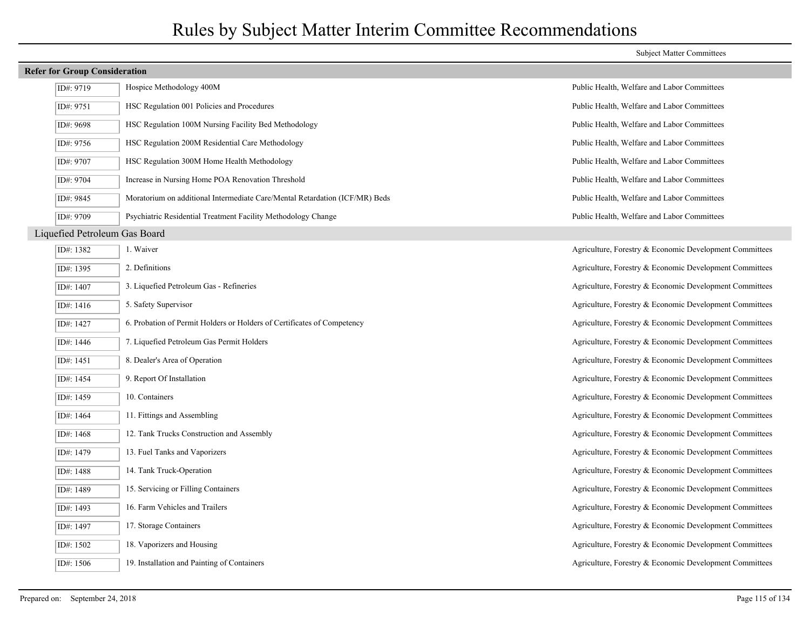| <b>Refer for Group Consideration</b> |                               |                                                                             |                                                         |
|--------------------------------------|-------------------------------|-----------------------------------------------------------------------------|---------------------------------------------------------|
|                                      | ID#: 9719                     | Hospice Methodology 400M                                                    | Public Health, Welfare and Labor Committees             |
|                                      | ID#: 9751                     | HSC Regulation 001 Policies and Procedures                                  | Public Health, Welfare and Labor Committees             |
|                                      | ID#: 9698                     | HSC Regulation 100M Nursing Facility Bed Methodology                        | Public Health, Welfare and Labor Committees             |
|                                      | ID#: 9756                     | HSC Regulation 200M Residential Care Methodology                            | Public Health, Welfare and Labor Committees             |
|                                      | ID#: 9707                     | HSC Regulation 300M Home Health Methodology                                 | Public Health, Welfare and Labor Committees             |
|                                      | ID#: 9704                     | Increase in Nursing Home POA Renovation Threshold                           | Public Health, Welfare and Labor Committees             |
|                                      | ID#: 9845                     | Moratorium on additional Intermediate Care/Mental Retardation (ICF/MR) Beds | Public Health, Welfare and Labor Committees             |
|                                      | ID#: 9709                     | Psychiatric Residential Treatment Facility Methodology Change               | Public Health, Welfare and Labor Committees             |
|                                      | Liquefied Petroleum Gas Board |                                                                             |                                                         |
|                                      | ID#: 1382                     | 1. Waiver                                                                   | Agriculture, Forestry & Economic Development Committees |
|                                      | ID#: 1395                     | 2. Definitions                                                              | Agriculture, Forestry & Economic Development Committees |
|                                      | ID#: 1407                     | 3. Liquefied Petroleum Gas - Refineries                                     | Agriculture, Forestry & Economic Development Committees |
|                                      | ID#: $1416$                   | 5. Safety Supervisor                                                        | Agriculture, Forestry & Economic Development Committees |
|                                      | ID#: 1427                     | 6. Probation of Permit Holders or Holders of Certificates of Competency     | Agriculture, Forestry & Economic Development Committees |
|                                      | ID#: 1446                     | 7. Liquefied Petroleum Gas Permit Holders                                   | Agriculture, Forestry & Economic Development Committees |
|                                      | ID#: 1451                     | 8. Dealer's Area of Operation                                               | Agriculture, Forestry & Economic Development Committees |
|                                      | ID#: 1454                     | 9. Report Of Installation                                                   | Agriculture, Forestry & Economic Development Committees |
|                                      | ID#: 1459                     | 10. Containers                                                              | Agriculture, Forestry & Economic Development Committees |
|                                      | ID#: 1464                     | 11. Fittings and Assembling                                                 | Agriculture, Forestry & Economic Development Committees |
|                                      | ID#: 1468                     | 12. Tank Trucks Construction and Assembly                                   | Agriculture, Forestry & Economic Development Committees |
|                                      | ID#: 1479                     | 13. Fuel Tanks and Vaporizers                                               | Agriculture, Forestry & Economic Development Committees |
|                                      | ID#: 1488                     | 14. Tank Truck-Operation                                                    | Agriculture, Forestry & Economic Development Committees |
|                                      | ID#: 1489                     | 15. Servicing or Filling Containers                                         | Agriculture, Forestry & Economic Development Committees |
|                                      | ID#: 1493                     | 16. Farm Vehicles and Trailers                                              | Agriculture, Forestry & Economic Development Committees |
|                                      | ID#: 1497                     | 17. Storage Containers                                                      | Agriculture, Forestry & Economic Development Committees |
|                                      | ID#: $1502$                   | 18. Vaporizers and Housing                                                  | Agriculture, Forestry & Economic Development Committees |
|                                      | ID#: 1506                     | 19. Installation and Painting of Containers                                 | Agriculture, Forestry & Economic Development Committees |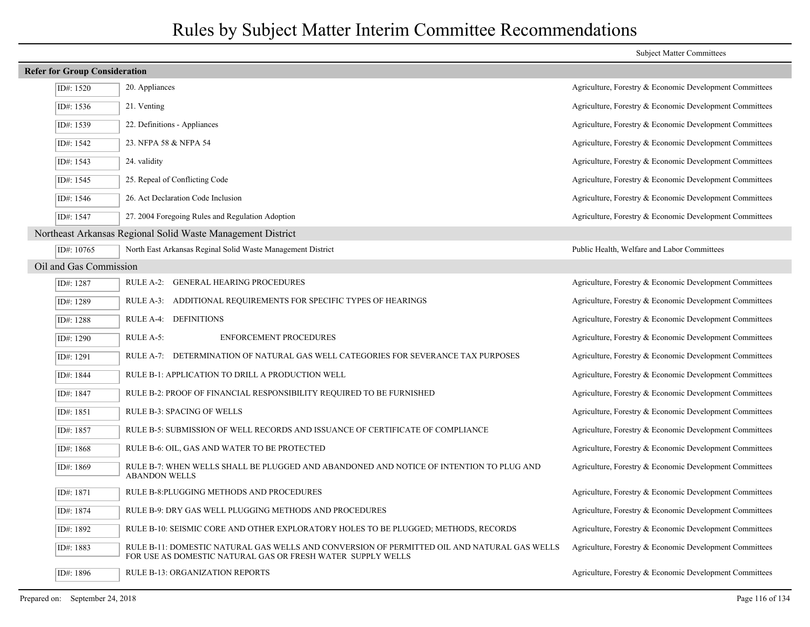|                                      |                                                                                                                                                            | <b>Subject Matter Committees</b>                        |  |  |
|--------------------------------------|------------------------------------------------------------------------------------------------------------------------------------------------------------|---------------------------------------------------------|--|--|
| <b>Refer for Group Consideration</b> |                                                                                                                                                            |                                                         |  |  |
| ID#: 1520                            | 20. Appliances                                                                                                                                             | Agriculture, Forestry & Economic Development Committees |  |  |
| ID#: 1536                            | 21. Venting                                                                                                                                                | Agriculture, Forestry & Economic Development Committees |  |  |
| ID#: 1539                            | 22. Definitions - Appliances                                                                                                                               | Agriculture, Forestry & Economic Development Committees |  |  |
| ID#: 1542                            | 23. NFPA 58 & NFPA 54                                                                                                                                      | Agriculture, Forestry & Economic Development Committees |  |  |
| ID#: 1543                            | 24. validity                                                                                                                                               | Agriculture, Forestry & Economic Development Committees |  |  |
| ID#: 1545                            | 25. Repeal of Conflicting Code                                                                                                                             | Agriculture, Forestry & Economic Development Committees |  |  |
| ID#: 1546                            | 26. Act Declaration Code Inclusion                                                                                                                         | Agriculture, Forestry & Economic Development Committees |  |  |
| ID#: 1547                            | 27. 2004 Foregoing Rules and Regulation Adoption                                                                                                           | Agriculture, Forestry & Economic Development Committees |  |  |
|                                      | Northeast Arkansas Regional Solid Waste Management District                                                                                                |                                                         |  |  |
| ID#: 10765                           | North East Arkansas Reginal Solid Waste Management District                                                                                                | Public Health, Welfare and Labor Committees             |  |  |
| Oil and Gas Commission               |                                                                                                                                                            |                                                         |  |  |
| ID#: 1287                            | RULE A-2: GENERAL HEARING PROCEDURES                                                                                                                       | Agriculture, Forestry & Economic Development Committees |  |  |
| ID#: 1289                            | RULE A-3: ADDITIONAL REQUIREMENTS FOR SPECIFIC TYPES OF HEARINGS                                                                                           | Agriculture, Forestry & Economic Development Committees |  |  |
| ID#: 1288                            | RULE A-4: DEFINITIONS                                                                                                                                      | Agriculture, Forestry & Economic Development Committees |  |  |
| ID#: 1290                            | RULE A-5:<br><b>ENFORCEMENT PROCEDURES</b>                                                                                                                 | Agriculture, Forestry & Economic Development Committees |  |  |
| ID#: 1291                            | RULE A-7: DETERMINATION OF NATURAL GAS WELL CATEGORIES FOR SEVERANCE TAX PURPOSES                                                                          | Agriculture, Forestry & Economic Development Committees |  |  |
| ID#: 1844                            | RULE B-1: APPLICATION TO DRILL A PRODUCTION WELL                                                                                                           | Agriculture, Forestry & Economic Development Committees |  |  |
| ID#: 1847                            | RULE B-2: PROOF OF FINANCIAL RESPONSIBILITY REQUIRED TO BE FURNISHED                                                                                       | Agriculture, Forestry & Economic Development Committees |  |  |
| ID#: 1851                            | RULE B-3: SPACING OF WELLS                                                                                                                                 | Agriculture, Forestry & Economic Development Committees |  |  |
| ID#: 1857                            | RULE B-5: SUBMISSION OF WELL RECORDS AND ISSUANCE OF CERTIFICATE OF COMPLIANCE                                                                             | Agriculture, Forestry & Economic Development Committees |  |  |
| ID#: 1868                            | RULE B-6: OIL, GAS AND WATER TO BE PROTECTED                                                                                                               | Agriculture, Forestry & Economic Development Committees |  |  |
| ID#: 1869                            | RULE B-7: WHEN WELLS SHALL BE PLUGGED AND ABANDONED AND NOTICE OF INTENTION TO PLUG AND<br><b>ABANDON WELLS</b>                                            | Agriculture, Forestry & Economic Development Committees |  |  |
| ID#: 1871                            | RULE B-8: PLUGGING METHODS AND PROCEDURES                                                                                                                  | Agriculture, Forestry & Economic Development Committees |  |  |
| ID#: 1874                            | RULE B-9: DRY GAS WELL PLUGGING METHODS AND PROCEDURES                                                                                                     | Agriculture, Forestry & Economic Development Committees |  |  |
| ID#: 1892                            | RULE B-10: SEISMIC CORE AND OTHER EXPLORATORY HOLES TO BE PLUGGED; METHODS, RECORDS                                                                        | Agriculture, Forestry & Economic Development Committees |  |  |
| ID#: 1883                            | RULE B-11: DOMESTIC NATURAL GAS WELLS AND CONVERSION OF PERMITTED OIL AND NATURAL GAS WELLS<br>FOR USE AS DOMESTIC NATURAL GAS OR FRESH WATER SUPPLY WELLS | Agriculture, Forestry & Economic Development Committees |  |  |
| ID#: 1896                            | <b>RULE B-13: ORGANIZATION REPORTS</b>                                                                                                                     | Agriculture, Forestry & Economic Development Committees |  |  |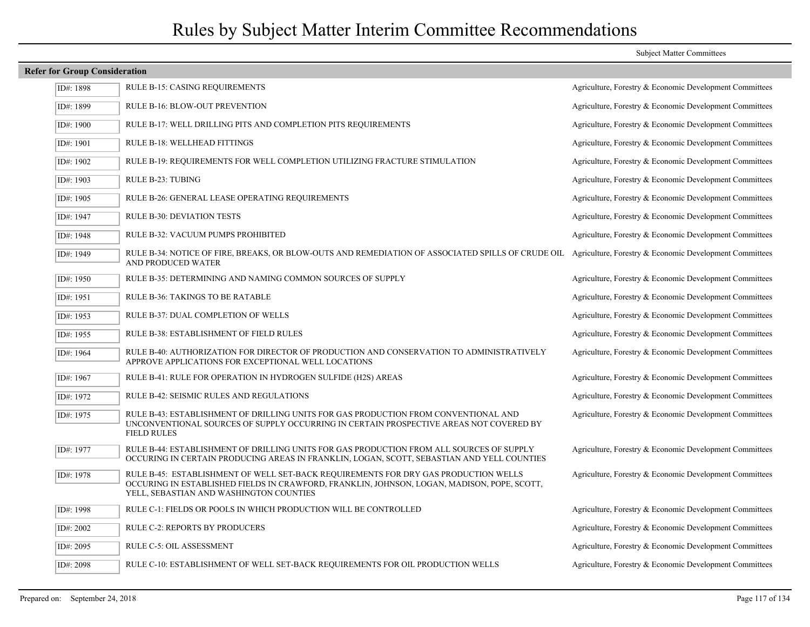### **Refer for Group Consideration** ID#: 1898 RULE B-15: CASING REQUIREMENTS Agriculture, Forestry & Economic Development Committees ID#: 1899 RULE B-16: BLOW-OUT PREVENTION Agriculture, Forestry & Economic Development Committees ID#: 1900 RULE B-17: WELL DRILLING PITS AND COMPLETION PITS REQUIREMENTS Agriculture, Forestry & Economic Development Committees ID#: 1901 RULE B-18: WELLHEAD FITTINGS Agriculture, Forestry & Economic Development Committees ID#: 1902 RULE B-19: REQUIREMENTS FOR WELL COMPLETION UTILIZING FRACTURE STIMULATION Agriculture, Forestry & Economic Development Committees ID#: 1903 RULE B-23: TUBING RULE ROOMERS Agriculture, Forestry & Economic Development Committees ID#: 1905 RULE B-26: GENERAL LEASE OPERATING REQUIREMENTS Agriculture, Forestry & Economic Development Committees ID#: 1947 RULE B-30: DEVIATION TESTS Agriculture, Forestry & Economic Development Committees ID#: 1948 RULE B-32: VACUUM PUMPS PROHIBITED Agriculture, Forestry & Economic Development Committees RULE B-34: NOTICE OF FIRE, BREAKS, OR BLOW-OUTS AND REMEDIATION OF ASSOCIATED SPILLS OF CRUDE OIL Agriculture, Forestry & Economic Development Committees AND PRODUCED WATER ID#: 1949 ID#: 1950 RULE B-35: DETERMINING AND NAMING COMMON SOURCES OF SUPPLY Agriculture, Forestry & Economic Development Committees ID#: 1951 RULE B-36: TAKINGS TO BE RATABLE Agriculture, Forestry & Economic Development Committees ID#: 1953 RULE B-37: DUAL COMPLETION OF WELLS Agriculture, Forestry & Economic Development Committees ID#: 1955 RULE B-38: ESTABLISHMENT OF FIELD RULES Agriculture, Forestry & Economic Development Committees RULE B-40: AUTHORIZATION FOR DIRECTOR OF PRODUCTION AND CONSERVATION TO ADMINISTRATIVELY Agriculture, Forestry & Economic Development Committees APPROVE APPLICATIONS FOR EXCEPTIONAL WELL LOCATIONS ID#: 1964 ID#: 1967 RULE B-41: RULE FOR OPERATION IN HYDROGEN SULFIDE (H2S) AREAS Agriculture, Forestry & Economic Development Committees ID#: 1972 RULE B-42: SEISMIC RULES AND REGULATIONS Agriculture, Forestry & Economic Development Committees RULE B-43: ESTABLISHMENT OF DRILLING UNITS FOR GAS PRODUCTION FROM CONVENTIONAL AND Agriculture, Forestry & Economic Development Committees UNCONVENTIONAL SOURCES OF SUPPLY OCCURRING IN CERTAIN PROSPECTIVE AREAS NOT COVERED BY FIELD RULES ID#: 1975 RULE B-44: ESTABLISHMENT OF DRILLING UNITS FOR GAS PRODUCTION FROM ALL SOURCES OF SUPPLY Agriculture, Forestry & Economic Development Committees OCCURING IN CERTAIN PRODUCING AREAS IN FRANKLIN, LOGAN, SCOTT, SEBASTIAN AND YELL COUNTIES ID#: 1977 RULE B-45: ESTABLISHMENT OF WELL SET-BACK REQUIREMENTS FOR DRY GAS PRODUCTION WELLS Agriculture, Forestry & Economic Development Committees OCCURING IN ESTABLISHED FIELDS IN CRAWFORD, FRANKLIN, JOHNSON, LOGAN, MADISON, POPE, SCOTT, YELL, SEBASTIAN AND WASHINGTON COUNTIES ID#: 1978 ID#: 1998 RULE C-1: FIELDS OR POOLS IN WHICH PRODUCTION WILL BE CONTROLLED Agriculture, Forestry & Economic Development Committees ID#: 2002 RULE C-2: REPORTS BY PRODUCERS Agriculture, Forestry & Economic Development Committees ID#: 2095 RULE C-5: OIL ASSESSMENT Agriculture, Forestry & Economic Development Committees ID#: 2098 RULE C-10: ESTABLISHMENT OF WELL SET-BACK REQUIREMENTS FOR OIL PRODUCTION WELLS Agriculture, Forestry & Economic Development Committees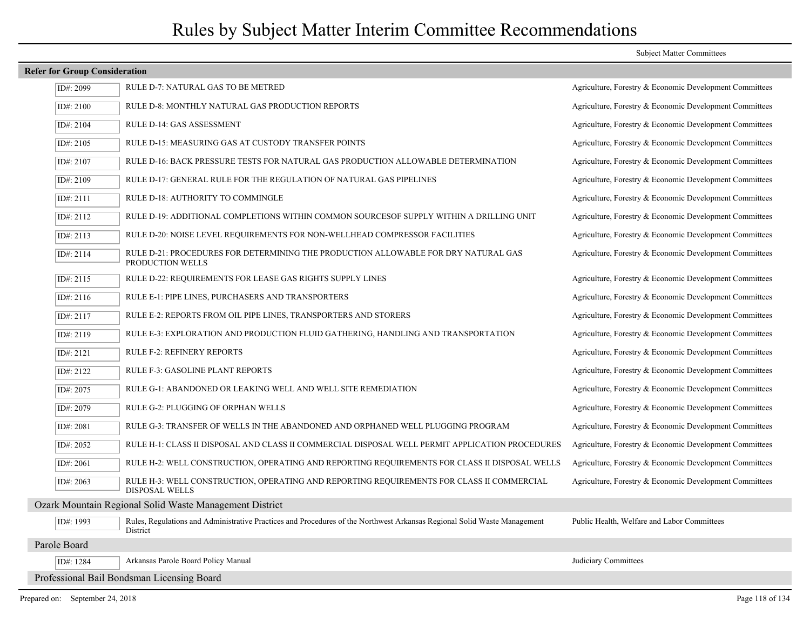### **Refer for Group Consideration**

| ID#: 2099    | RULE D-7: NATURAL GAS TO BE METRED                                                                                                   | Agriculture, Forestry & Economic Development Committees |
|--------------|--------------------------------------------------------------------------------------------------------------------------------------|---------------------------------------------------------|
| ID#: 2100    | <b>RULE D-8: MONTHLY NATURAL GAS PRODUCTION REPORTS</b>                                                                              | Agriculture, Forestry & Economic Development Committees |
| ID#: 2104    | RULE D-14: GAS ASSESSMENT                                                                                                            | Agriculture, Forestry & Economic Development Committees |
| ID#: 2105    | RULE D-15: MEASURING GAS AT CUSTODY TRANSFER POINTS                                                                                  | Agriculture, Forestry & Economic Development Committees |
| ID#: 2107    | RULE D-16: BACK PRESSURE TESTS FOR NATURAL GAS PRODUCTION ALLOWABLE DETERMINATION                                                    | Agriculture, Forestry & Economic Development Committees |
| ID#: 2109    | RULE D-17: GENERAL RULE FOR THE REGULATION OF NATURAL GAS PIPELINES                                                                  | Agriculture, Forestry & Economic Development Committees |
| ID#: 2111    | RULE D-18: AUTHORITY TO COMMINGLE                                                                                                    | Agriculture, Forestry & Economic Development Committees |
| ID#: 2112    | RULE D-19: ADDITIONAL COMPLETIONS WITHIN COMMON SOURCESOF SUPPLY WITHIN A DRILLING UNIT                                              | Agriculture, Forestry & Economic Development Committees |
| ID#: 2113    | RULE D-20: NOISE LEVEL REQUIREMENTS FOR NON-WELLHEAD COMPRESSOR FACILITIES                                                           | Agriculture, Forestry & Economic Development Committees |
| ID#: 2114    | RULE D-21: PROCEDURES FOR DETERMINING THE PRODUCTION ALLOWABLE FOR DRY NATURAL GAS<br>PRODUCTION WELLS                               | Agriculture, Forestry & Economic Development Committees |
| ID#: 2115    | RULE D-22: REQUIREMENTS FOR LEASE GAS RIGHTS SUPPLY LINES                                                                            | Agriculture, Forestry & Economic Development Committees |
| ID#: 2116    | RULE E-1: PIPE LINES, PURCHASERS AND TRANSPORTERS                                                                                    | Agriculture, Forestry & Economic Development Committees |
| ID#: 2117    | RULE E-2: REPORTS FROM OIL PIPE LINES, TRANSPORTERS AND STORERS                                                                      | Agriculture, Forestry & Economic Development Committees |
| ID#: 2119    | RULE E-3: EXPLORATION AND PRODUCTION FLUID GATHERING, HANDLING AND TRANSPORTATION                                                    | Agriculture, Forestry & Economic Development Committees |
| ID#: 2121    | <b>RULE F-2: REFINERY REPORTS</b>                                                                                                    | Agriculture, Forestry & Economic Development Committees |
| ID#: 2122    | RULE F-3: GASOLINE PLANT REPORTS                                                                                                     | Agriculture, Forestry & Economic Development Committees |
| ID#: 2075    | RULE G-1: ABANDONED OR LEAKING WELL AND WELL SITE REMEDIATION                                                                        | Agriculture, Forestry & Economic Development Committees |
| ID#: 2079    | RULE G-2: PLUGGING OF ORPHAN WELLS                                                                                                   | Agriculture, Forestry & Economic Development Committees |
| ID#: 2081    | RULE G-3: TRANSFER OF WELLS IN THE ABANDONED AND ORPHANED WELL PLUGGING PROGRAM                                                      | Agriculture, Forestry & Economic Development Committees |
| ID#: $2052$  | RULE H-1: CLASS II DISPOSAL AND CLASS II COMMERCIAL DISPOSAL WELL PERMIT APPLICATION PROCEDURES                                      | Agriculture, Forestry & Economic Development Committees |
| ID#: 2061    | RULE H-2: WELL CONSTRUCTION, OPERATING AND REPORTING REQUIREMENTS FOR CLASS II DISPOSAL WELLS                                        | Agriculture, Forestry & Economic Development Committees |
| ID#: 2063    | RULE H-3: WELL CONSTRUCTION, OPERATING AND REPORTING REQUIREMENTS FOR CLASS II COMMERCIAL<br><b>DISPOSAL WELLS</b>                   | Agriculture, Forestry & Economic Development Committees |
|              | Ozark Mountain Regional Solid Waste Management District                                                                              |                                                         |
| ID#: 1993    | Rules, Regulations and Administrative Practices and Procedures of the Northwest Arkansas Regional Solid Waste Management<br>District | Public Health, Welfare and Labor Committees             |
| Parole Board |                                                                                                                                      |                                                         |
| ID#: 1284    | Arkansas Parole Board Policy Manual                                                                                                  | Judiciary Committees                                    |
|              | Professional Bail Bondsman Licensing Board                                                                                           |                                                         |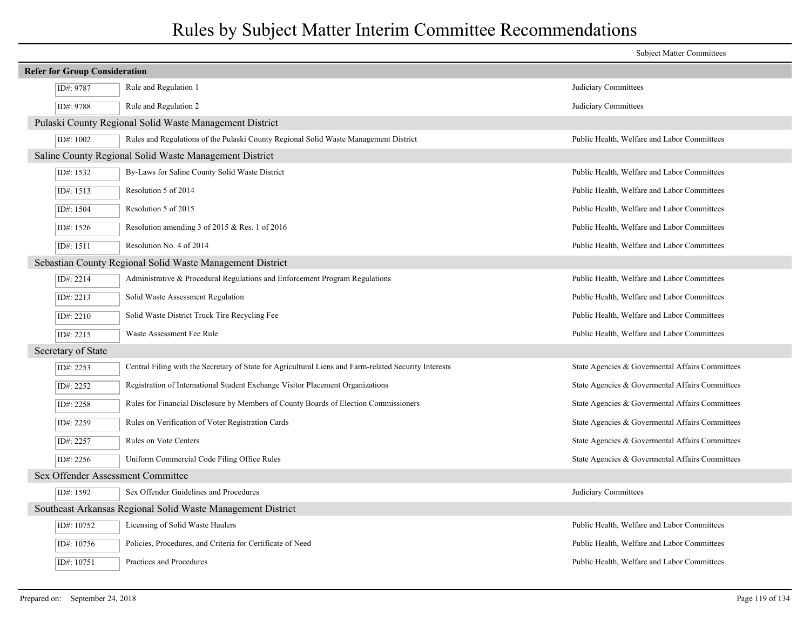|                                      |                                                                                                       | <b>Subject Matter Committees</b>                |  |  |
|--------------------------------------|-------------------------------------------------------------------------------------------------------|-------------------------------------------------|--|--|
| <b>Refer for Group Consideration</b> |                                                                                                       |                                                 |  |  |
| ID#: 9787                            | Rule and Regulation 1                                                                                 | Judiciary Committees                            |  |  |
| ID#: 9788                            | Rule and Regulation 2                                                                                 | Judiciary Committees                            |  |  |
|                                      | Pulaski County Regional Solid Waste Management District                                               |                                                 |  |  |
| ID#: 1002                            | Rules and Regulations of the Pulaski County Regional Solid Waste Management District                  | Public Health, Welfare and Labor Committees     |  |  |
|                                      | Saline County Regional Solid Waste Management District                                                |                                                 |  |  |
| ID#: 1532                            | By-Laws for Saline County Solid Waste District                                                        | Public Health, Welfare and Labor Committees     |  |  |
| ID#: 1513                            | Resolution 5 of 2014                                                                                  | Public Health, Welfare and Labor Committees     |  |  |
| ID#: 1504                            | Resolution 5 of 2015                                                                                  | Public Health, Welfare and Labor Committees     |  |  |
| ID#: 1526                            | Resolution amending 3 of 2015 & Res. 1 of 2016                                                        | Public Health, Welfare and Labor Committees     |  |  |
| ID#: 1511                            | Resolution No. 4 of 2014                                                                              | Public Health, Welfare and Labor Committees     |  |  |
|                                      | Sebastian County Regional Solid Waste Management District                                             |                                                 |  |  |
| ID#: 2214                            | Administrative & Procedural Regulations and Enforcement Program Regulations                           | Public Health, Welfare and Labor Committees     |  |  |
| ID#: 2213                            | Solid Waste Assessment Regulation                                                                     | Public Health, Welfare and Labor Committees     |  |  |
| ID#: 2210                            | Solid Waste District Truck Tire Recycling Fee                                                         | Public Health, Welfare and Labor Committees     |  |  |
| ID#: 2215                            | Waste Assessment Fee Rule                                                                             | Public Health, Welfare and Labor Committees     |  |  |
| Secretary of State                   |                                                                                                       |                                                 |  |  |
| ID#: 2253                            | Central Filing with the Secretary of State for Agricultural Liens and Farm-related Security Interests | State Agencies & Governental Affairs Committees |  |  |
| ID#: 2252                            | Registration of International Student Exchange Visitor Placement Organizations                        | State Agencies & Governental Affairs Committees |  |  |
| ID#: 2258                            | Rules for Financial Disclosure by Members of County Boards of Election Commissioners                  | State Agencies & Governental Affairs Committees |  |  |
| ID#: 2259                            | Rules on Verification of Voter Registration Cards                                                     | State Agencies & Governental Affairs Committees |  |  |
| ID#: 2257                            | <b>Rules on Vote Centers</b>                                                                          | State Agencies & Governental Affairs Committees |  |  |
| ID#: 2256                            | Uniform Commercial Code Filing Office Rules                                                           | State Agencies & Governental Affairs Committees |  |  |
| Sex Offender Assessment Committee    |                                                                                                       |                                                 |  |  |
| ID#: 1592                            | Sex Offender Guidelines and Procedures                                                                | Judiciary Committees                            |  |  |
|                                      | Southeast Arkansas Regional Solid Waste Management District                                           |                                                 |  |  |
| ID#: 10752                           | Licensing of Solid Waste Haulers                                                                      | Public Health, Welfare and Labor Committees     |  |  |
| ID#: 10756                           | Policies, Procedures, and Criteria for Certificate of Need                                            | Public Health, Welfare and Labor Committees     |  |  |
| ID#: 10751                           | Practices and Procedures                                                                              | Public Health, Welfare and Labor Committees     |  |  |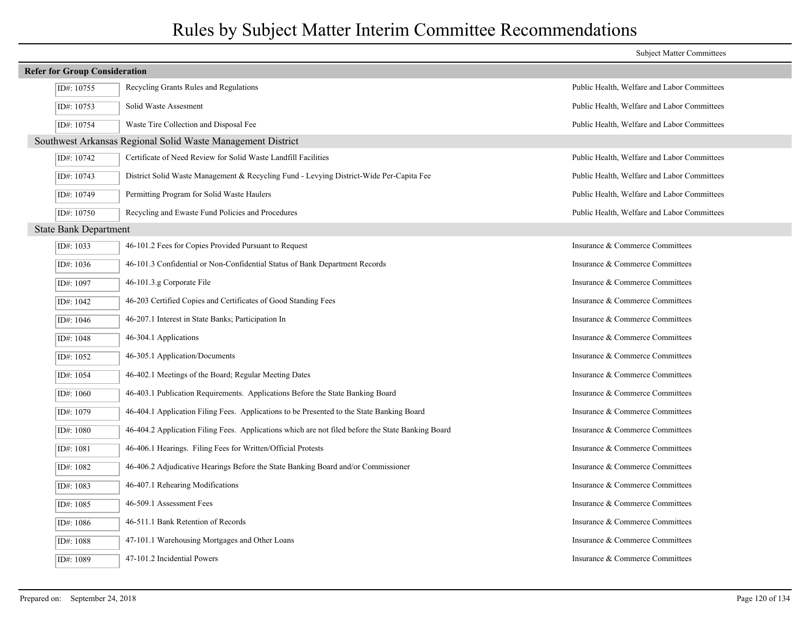| <b>Subject Matter Committees</b>     |                                                                                                   |                                             |
|--------------------------------------|---------------------------------------------------------------------------------------------------|---------------------------------------------|
| <b>Refer for Group Consideration</b> |                                                                                                   |                                             |
| ID#: 10755                           | Recycling Grants Rules and Regulations                                                            | Public Health, Welfare and Labor Committees |
| ID#: 10753                           | Solid Waste Assesment                                                                             | Public Health, Welfare and Labor Committees |
| ID#: 10754                           | Waste Tire Collection and Disposal Fee                                                            | Public Health, Welfare and Labor Committees |
|                                      | Southwest Arkansas Regional Solid Waste Management District                                       |                                             |
| ID#: 10742                           | Certificate of Need Review for Solid Waste Landfill Facilities                                    | Public Health, Welfare and Labor Committees |
| ID#: 10743                           | District Solid Waste Management & Recycling Fund - Levying District-Wide Per-Capita Fee           | Public Health, Welfare and Labor Committees |
| ID#: 10749                           | Permitting Program for Solid Waste Haulers                                                        | Public Health, Welfare and Labor Committees |
| ID#: 10750                           | Recycling and Ewaste Fund Policies and Procedures                                                 | Public Health, Welfare and Labor Committees |
| <b>State Bank Department</b>         |                                                                                                   |                                             |
| ID#: 1033                            | 46-101.2 Fees for Copies Provided Pursuant to Request                                             | Insurance & Commerce Committees             |
| ID#: 1036                            | 46-101.3 Confidential or Non-Confidential Status of Bank Department Records                       | Insurance & Commerce Committees             |
| ID#: 1097                            | 46-101.3.g Corporate File                                                                         | Insurance & Commerce Committees             |
| ID#: 1042                            | 46-203 Certified Copies and Certificates of Good Standing Fees                                    | Insurance & Commerce Committees             |
| ID#: 1046                            | 46-207.1 Interest in State Banks; Participation In                                                | Insurance & Commerce Committees             |
| ID#: 1048                            | 46-304.1 Applications                                                                             | Insurance & Commerce Committees             |
| ID#: 1052                            | 46-305.1 Application/Documents                                                                    | Insurance & Commerce Committees             |
| ID#: 1054                            | 46-402.1 Meetings of the Board; Regular Meeting Dates                                             | Insurance & Commerce Committees             |
| ID#: 1060                            | 46-403.1 Publication Requirements. Applications Before the State Banking Board                    | Insurance & Commerce Committees             |
| ID#: 1079                            | 46-404.1 Application Filing Fees. Applications to be Presented to the State Banking Board         | Insurance & Commerce Committees             |
| ID#: 1080                            | 46-404.2 Application Filing Fees. Applications which are not filed before the State Banking Board | Insurance & Commerce Committees             |
| ID#: 1081                            | 46-406.1 Hearings. Filing Fees for Written/Official Protests                                      | Insurance & Commerce Committees             |
| ID#: 1082                            | 46-406.2 Adjudicative Hearings Before the State Banking Board and/or Commissioner                 | Insurance & Commerce Committees             |
| ID#: 1083                            | 46-407.1 Rehearing Modifications                                                                  | Insurance & Commerce Committees             |
| ID#: 1085                            | 46-509.1 Assessment Fees                                                                          | Insurance & Commerce Committees             |
| ID#: 1086                            | 46-511.1 Bank Retention of Records                                                                | Insurance & Commerce Committees             |
| ID#: 1088                            | 47-101.1 Warehousing Mortgages and Other Loans                                                    | Insurance & Commerce Committees             |
| ID#: 1089                            | 47-101.2 Incidential Powers                                                                       | Insurance & Commerce Committees             |
|                                      |                                                                                                   |                                             |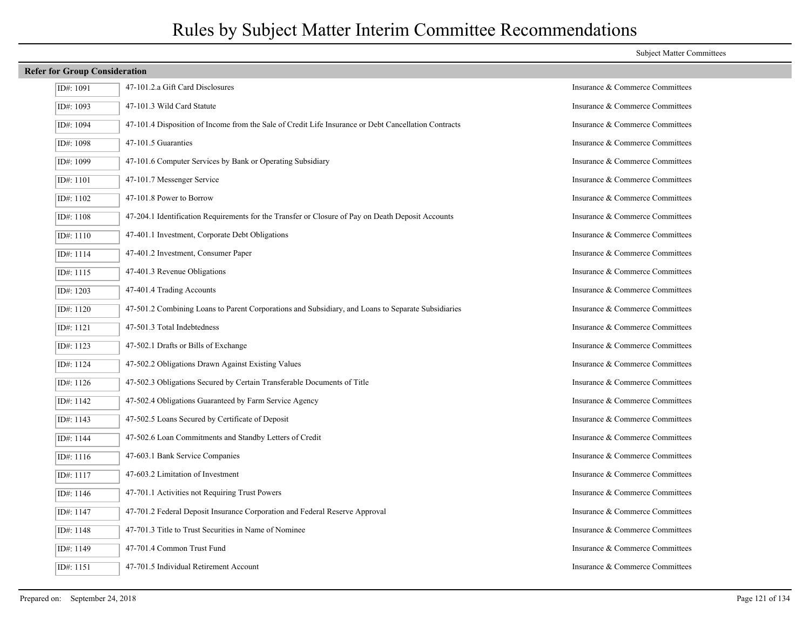### **Refer for Group Consideration** ID#: 1091 47-101.2.a Gift Card Disclosures Insurance & Commerce Committees ID#: 1093 47-101.3 Wild Card Statute Insurance & Commerce Committees ID#: 1094 47-101.4 Disposition of Income from the Sale of Credit Life Insurance or Debt Cancellation Contracts Insurance & Commerce Committees ID#: 1098 47-101.5 Guaranties Insurance & Commerce Committees ID#: 1099 47-101.6 Computer Services by Bank or Operating Subsidiary Insurance & Commerce Committees ID#: 1101 47-101.7 Messenger Service Insurance & Commerce Committees ID#: 1102 47-101.8 Power to Borrow Insurance & Commerce Committees ID#: 1108 47-204.1 Identification Requirements for the Transfer or Closure of Pay on Death Deposit Accounts Insurance & Commerce Committees ID#: 1110 47-401.1 Investment, Corporate Debt Obligations Insurance & Commerce Committees ID#: 1114 47-401.2 Investment, Consumer Paper Insurance & Commerce Committees ID#: 1115 47-401.3 Revenue Obligations Insurance & Commerce Committees ID#: 1203 47-401.4 Trading Accounts Insurance & Commerce Committees ID#: 1120 47-501.2 Combining Loans to Parent Corporations and Subsidiary, and Loans to Separate Subsidiaries Insurance & Commerce Committees ID#: 1121 47-501.3 Total Indebtedness Insurance & Commerce Committees ID#: 1123  $\vert$  47-502.1 Drafts or Bills of Exchange Insurance & Commerce Committees ID#: 1124 47-502.2 Obligations Drawn Against Existing Values Insurance & Commerce Committees ID#: 1126 47-502.3 Obligations Secured by Certain Transferable Documents of Title Insurance & Commerce Committees ID#: 1142 47-502.4 Obligations Guaranteed by Farm Service Agency Insurance & Commerce Committees ID#: 1143 47-502.5 Loans Secured by Certificate of Deposit Insurance & Commerce Committees ID#: 1144 47-502.6 Loan Commitments and Standby Letters of Credit Insurance & Commerce Committees ID#: 1116 47-603.1 Bank Service Companies Insurance & Commerce Committees ID#: 1117 47-603.2 Limitation of Investment Insurance & Commerce Committees ID#: 1146 47-701.1 Activities not Requiring Trust Powers Insurance & Commerce Committees ID#: 1147 47-701.2 Federal Deposit Insurance Corporation and Federal Reserve Approval Insurance & Commerce Committees ID#: 1148  $\vert$  47-701.3 Title to Trust Securities in Name of Nominee Insurance 20 and Trust Securities in Name of Nominee ID#: 1149 47-701.4 Common Trust Fund Insurance & Commerce Committees ID#: 1151 47-701.5 Individual Retirement Account Insurance & Commerce Committees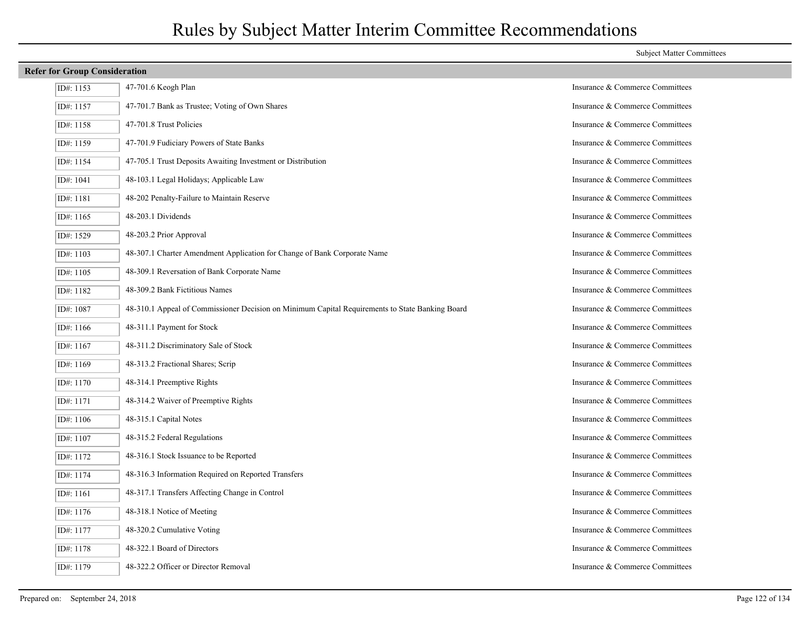### **Refer for Group Consideration**

| ID#: 1153 | 47-701.6 Keogh Plan                                                                             | Insurance & Commerce Committees |
|-----------|-------------------------------------------------------------------------------------------------|---------------------------------|
| ID#: 1157 | 47-701.7 Bank as Trustee; Voting of Own Shares                                                  | Insurance & Commerce Committees |
| ID#: 1158 | 47-701.8 Trust Policies                                                                         | Insurance & Commerce Committees |
| ID#: 1159 | 47-701.9 Fudiciary Powers of State Banks                                                        | Insurance & Commerce Committees |
| ID#: 1154 | 47-705.1 Trust Deposits Awaiting Investment or Distribution                                     | Insurance & Commerce Committees |
| ID#: 1041 | 48-103.1 Legal Holidays; Applicable Law                                                         | Insurance & Commerce Committees |
| ID#: 1181 | 48-202 Penalty-Failure to Maintain Reserve                                                      | Insurance & Commerce Committees |
| ID#: 1165 | 48-203.1 Dividends                                                                              | Insurance & Commerce Committees |
| ID#: 1529 | 48-203.2 Prior Approval                                                                         | Insurance & Commerce Committees |
| ID#: 1103 | 48-307.1 Charter Amendment Application for Change of Bank Corporate Name                        | Insurance & Commerce Committees |
| ID#: 1105 | 48-309.1 Reversation of Bank Corporate Name                                                     | Insurance & Commerce Committees |
| ID#: 1182 | 48-309.2 Bank Fictitious Names                                                                  | Insurance & Commerce Committees |
| ID#: 1087 | 48-310.1 Appeal of Commissioner Decision on Minimum Capital Requirements to State Banking Board | Insurance & Commerce Committees |
| ID#: 1166 | 48-311.1 Payment for Stock                                                                      | Insurance & Commerce Committees |
| ID#: 1167 | 48-311.2 Discriminatory Sale of Stock                                                           | Insurance & Commerce Committees |
| ID#: 1169 | 48-313.2 Fractional Shares; Scrip                                                               | Insurance & Commerce Committees |
| ID#: 1170 | 48-314.1 Preemptive Rights                                                                      | Insurance & Commerce Committees |
| ID#: 1171 | 48-314.2 Waiver of Preemptive Rights                                                            | Insurance & Commerce Committees |
| ID#: 1106 | 48-315.1 Capital Notes                                                                          | Insurance & Commerce Committees |
| ID#: 1107 | 48-315.2 Federal Regulations                                                                    | Insurance & Commerce Committees |
| ID#: 1172 | 48-316.1 Stock Issuance to be Reported                                                          | Insurance & Commerce Committees |
| ID#: 1174 | 48-316.3 Information Required on Reported Transfers                                             | Insurance & Commerce Committees |
| ID#: 1161 | 48-317.1 Transfers Affecting Change in Control                                                  | Insurance & Commerce Committees |
| ID#: 1176 | 48-318.1 Notice of Meeting                                                                      | Insurance & Commerce Committees |
| ID#: 1177 | 48-320.2 Cumulative Voting                                                                      | Insurance & Commerce Committees |
| ID#: 1178 | 48-322.1 Board of Directors                                                                     | Insurance & Commerce Committees |
| ID#: 1179 | 48-322.2 Officer or Director Removal                                                            | Insurance & Commerce Committees |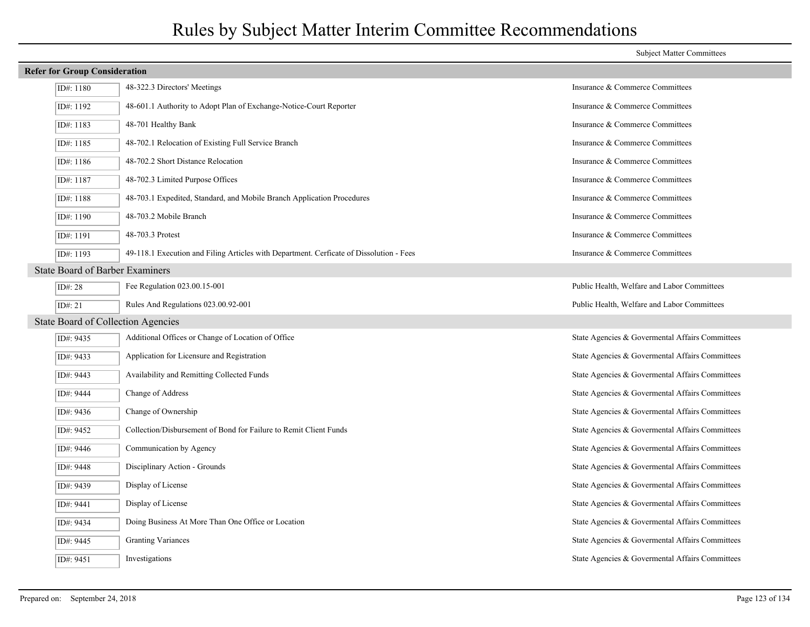| <b>Refer for Group Consideration</b>      |                                                                                         |                                                 |
|-------------------------------------------|-----------------------------------------------------------------------------------------|-------------------------------------------------|
| ID#: 1180                                 | 48-322.3 Directors' Meetings                                                            | Insurance & Commerce Committees                 |
| ID#: 1192                                 | 48-601.1 Authority to Adopt Plan of Exchange-Notice-Court Reporter                      | Insurance & Commerce Committees                 |
| ID#: 1183                                 | 48-701 Healthy Bank                                                                     | Insurance & Commerce Committees                 |
| ID#: 1185                                 | 48-702.1 Relocation of Existing Full Service Branch                                     | Insurance & Commerce Committees                 |
| ID#: $1186$                               | 48-702.2 Short Distance Relocation                                                      | Insurance & Commerce Committees                 |
| ID#: 1187                                 | 48-702.3 Limited Purpose Offices                                                        | Insurance & Commerce Committees                 |
| ID#: 1188                                 | 48-703.1 Expedited, Standard, and Mobile Branch Application Procedures                  | Insurance & Commerce Committees                 |
| ID#: 1190                                 | 48-703.2 Mobile Branch                                                                  | Insurance & Commerce Committees                 |
| ID#: 1191                                 | 48-703.3 Protest                                                                        | Insurance & Commerce Committees                 |
| ID#: 1193                                 | 49-118.1 Execution and Filing Articles with Department. Cerficate of Dissolution - Fees | Insurance & Commerce Committees                 |
| <b>State Board of Barber Examiners</b>    |                                                                                         |                                                 |
| ID $\#$ : 28                              | Fee Regulation 023.00.15-001                                                            | Public Health, Welfare and Labor Committees     |
| ID#: $21$                                 | Rules And Regulations 023.00.92-001                                                     | Public Health, Welfare and Labor Committees     |
| <b>State Board of Collection Agencies</b> |                                                                                         |                                                 |
| ID#: 9435                                 | Additional Offices or Change of Location of Office                                      | State Agencies & Governental Affairs Committees |
| ID#: 9433                                 | Application for Licensure and Registration                                              | State Agencies & Governental Affairs Committees |
| ID#: 9443                                 | Availability and Remitting Collected Funds                                              | State Agencies & Governental Affairs Committees |
| ID#: 9444                                 | Change of Address                                                                       | State Agencies & Governental Affairs Committees |
| ID#: 9436                                 | Change of Ownership                                                                     | State Agencies & Governental Affairs Committees |
| ID#: 9452                                 | Collection/Disbursement of Bond for Failure to Remit Client Funds                       | State Agencies & Governental Affairs Committees |
| ID#: 9446                                 | Communication by Agency                                                                 | State Agencies & Governental Affairs Committees |
| ID#: 9448                                 | Disciplinary Action - Grounds                                                           | State Agencies & Governental Affairs Committees |
| ID#: 9439                                 | Display of License                                                                      | State Agencies & Governental Affairs Committees |
| ID#: 9441                                 | Display of License                                                                      | State Agencies & Governental Affairs Committees |
| ID#: 9434                                 | Doing Business At More Than One Office or Location                                      | State Agencies & Governental Affairs Committees |
| ID#: 9445                                 | <b>Granting Variances</b>                                                               | State Agencies & Governental Affairs Committees |
| ID#: 9451                                 | Investigations                                                                          | State Agencies & Governental Affairs Committees |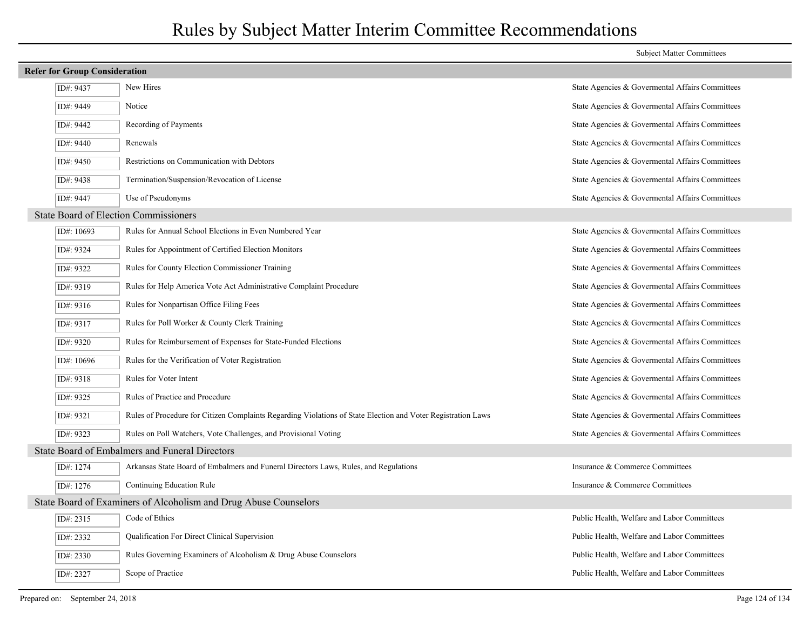|                                                                  |                                                                                                              | <b>Subject Matter Committees</b>                |  |  |
|------------------------------------------------------------------|--------------------------------------------------------------------------------------------------------------|-------------------------------------------------|--|--|
| <b>Refer for Group Consideration</b>                             |                                                                                                              |                                                 |  |  |
| ID#: 9437                                                        | New Hires                                                                                                    | State Agencies & Governental Affairs Committees |  |  |
| ID#: 9449                                                        | Notice                                                                                                       | State Agencies & Governental Affairs Committees |  |  |
| ID#: 9442                                                        | Recording of Payments                                                                                        | State Agencies & Governental Affairs Committees |  |  |
| ID#: 9440                                                        | Renewals                                                                                                     | State Agencies & Governental Affairs Committees |  |  |
| ID#: 9450                                                        | Restrictions on Communication with Debtors                                                                   | State Agencies & Governental Affairs Committees |  |  |
| ID#: 9438                                                        | Termination/Suspension/Revocation of License                                                                 | State Agencies & Governental Affairs Committees |  |  |
| ID#: 9447                                                        | Use of Pseudonyms                                                                                            | State Agencies & Governental Affairs Committees |  |  |
| <b>State Board of Election Commissioners</b>                     |                                                                                                              |                                                 |  |  |
| ID#: 10693                                                       | Rules for Annual School Elections in Even Numbered Year                                                      | State Agencies & Governental Affairs Committees |  |  |
| ID#: 9324                                                        | Rules for Appointment of Certified Election Monitors                                                         | State Agencies & Govermental Affairs Committees |  |  |
| ID#: 9322                                                        | Rules for County Election Commissioner Training                                                              | State Agencies & Governental Affairs Committees |  |  |
| ID#: 9319                                                        | Rules for Help America Vote Act Administrative Complaint Procedure                                           | State Agencies & Governental Affairs Committees |  |  |
| ID#: 9316                                                        | Rules for Nonpartisan Office Filing Fees                                                                     | State Agencies & Governental Affairs Committees |  |  |
| ID#: 9317                                                        | Rules for Poll Worker & County Clerk Training                                                                | State Agencies & Governental Affairs Committees |  |  |
| ID#: 9320                                                        | Rules for Reimbursement of Expenses for State-Funded Elections                                               | State Agencies & Governental Affairs Committees |  |  |
| ID#: 10696                                                       | Rules for the Verification of Voter Registration                                                             | State Agencies & Governental Affairs Committees |  |  |
| ID#: 9318                                                        | Rules for Voter Intent                                                                                       | State Agencies & Governental Affairs Committees |  |  |
| ID#: 9325                                                        | Rules of Practice and Procedure                                                                              | State Agencies & Governental Affairs Committees |  |  |
| ID#: 9321                                                        | Rules of Procedure for Citizen Complaints Regarding Violations of State Election and Voter Registration Laws | State Agencies & Governental Affairs Committees |  |  |
| ID#: 9323                                                        | Rules on Poll Watchers, Vote Challenges, and Provisional Voting                                              | State Agencies & Governental Affairs Committees |  |  |
|                                                                  | State Board of Embalmers and Funeral Directors                                                               |                                                 |  |  |
| ID#: 1274                                                        | Arkansas State Board of Embalmers and Funeral Directors Laws, Rules, and Regulations                         | Insurance & Commerce Committees                 |  |  |
| ID#: 1276                                                        | Continuing Education Rule                                                                                    | Insurance & Commerce Committees                 |  |  |
| State Board of Examiners of Alcoholism and Drug Abuse Counselors |                                                                                                              |                                                 |  |  |
| ID#: 2315                                                        | Code of Ethics                                                                                               | Public Health, Welfare and Labor Committees     |  |  |
| ID#: 2332                                                        | Qualification For Direct Clinical Supervision                                                                | Public Health, Welfare and Labor Committees     |  |  |
| ID#: 2330                                                        | Rules Governing Examiners of Alcoholism & Drug Abuse Counselors                                              | Public Health, Welfare and Labor Committees     |  |  |
| ID#: 2327                                                        | Scope of Practice                                                                                            | Public Health, Welfare and Labor Committees     |  |  |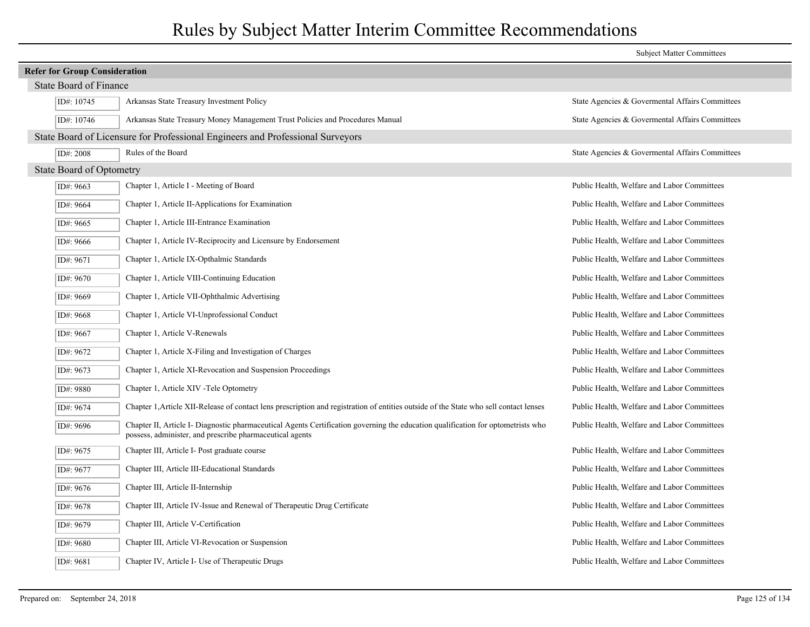|                                      |                                                                                                                                                                                              | <b>Subject Matter Committees</b>                |  |  |
|--------------------------------------|----------------------------------------------------------------------------------------------------------------------------------------------------------------------------------------------|-------------------------------------------------|--|--|
| <b>Refer for Group Consideration</b> |                                                                                                                                                                                              |                                                 |  |  |
| State Board of Finance               |                                                                                                                                                                                              |                                                 |  |  |
| ID#: 10745                           | Arkansas State Treasury Investment Policy                                                                                                                                                    | State Agencies & Governental Affairs Committees |  |  |
| ID#: 10746                           | Arkansas State Treasury Money Management Trust Policies and Procedures Manual                                                                                                                | State Agencies & Govermental Affairs Committees |  |  |
|                                      | State Board of Licensure for Professional Engineers and Professional Surveyors                                                                                                               |                                                 |  |  |
| ID#: 2008                            | Rules of the Board                                                                                                                                                                           | State Agencies & Govermental Affairs Committees |  |  |
| <b>State Board of Optometry</b>      |                                                                                                                                                                                              |                                                 |  |  |
| ID#: 9663                            | Chapter 1, Article I - Meeting of Board                                                                                                                                                      | Public Health, Welfare and Labor Committees     |  |  |
| ID#: 9664                            | Chapter 1, Article II-Applications for Examination                                                                                                                                           | Public Health, Welfare and Labor Committees     |  |  |
| ID#: 9665                            | Chapter 1, Article III-Entrance Examination                                                                                                                                                  | Public Health, Welfare and Labor Committees     |  |  |
| ID#: 9666                            | Chapter 1, Article IV-Reciprocity and Licensure by Endorsement                                                                                                                               | Public Health, Welfare and Labor Committees     |  |  |
| ID#: 9671                            | Chapter 1, Article IX-Opthalmic Standards                                                                                                                                                    | Public Health, Welfare and Labor Committees     |  |  |
| ID#: 9670                            | Chapter 1, Article VIII-Continuing Education                                                                                                                                                 | Public Health, Welfare and Labor Committees     |  |  |
| ID#: 9669                            | Chapter 1, Article VII-Ophthalmic Advertising                                                                                                                                                | Public Health, Welfare and Labor Committees     |  |  |
| ID#: 9668                            | Chapter 1, Article VI-Unprofessional Conduct                                                                                                                                                 | Public Health, Welfare and Labor Committees     |  |  |
| ID#: 9667                            | Chapter 1, Article V-Renewals                                                                                                                                                                | Public Health, Welfare and Labor Committees     |  |  |
| ID#: 9672                            | Chapter 1, Article X-Filing and Investigation of Charges                                                                                                                                     | Public Health, Welfare and Labor Committees     |  |  |
| ID#: 9673                            | Chapter 1, Article XI-Revocation and Suspension Proceedings                                                                                                                                  | Public Health, Welfare and Labor Committees     |  |  |
| ID#: 9880                            | Chapter 1, Article XIV - Tele Optometry                                                                                                                                                      | Public Health, Welfare and Labor Committees     |  |  |
| ID#: 9674                            | Chapter 1, Article XII-Release of contact lens prescription and registration of entities outside of the State who sell contact lenses                                                        | Public Health, Welfare and Labor Committees     |  |  |
| ID#: 9696                            | Chapter II, Article I- Diagnostic pharmaceutical Agents Certification governing the education qualification for optometrists who<br>possess, administer, and prescribe pharmaceutical agents | Public Health, Welfare and Labor Committees     |  |  |
| ID#: 9675                            | Chapter III, Article I- Post graduate course                                                                                                                                                 | Public Health, Welfare and Labor Committees     |  |  |
| ID#: 9677                            | Chapter III, Article III-Educational Standards                                                                                                                                               | Public Health, Welfare and Labor Committees     |  |  |
| ID#: 9676                            | Chapter III, Article II-Internship                                                                                                                                                           | Public Health, Welfare and Labor Committees     |  |  |
| ID#: 9678                            | Chapter III, Article IV-Issue and Renewal of Therapeutic Drug Certificate                                                                                                                    | Public Health, Welfare and Labor Committees     |  |  |
| ID#: 9679                            | Chapter III, Article V-Certification                                                                                                                                                         | Public Health, Welfare and Labor Committees     |  |  |
| ID#: 9680                            | Chapter III, Article VI-Revocation or Suspension                                                                                                                                             | Public Health, Welfare and Labor Committees     |  |  |
| ID#: 9681                            | Chapter IV, Article I- Use of Therapeutic Drugs                                                                                                                                              | Public Health, Welfare and Labor Committees     |  |  |
|                                      |                                                                                                                                                                                              |                                                 |  |  |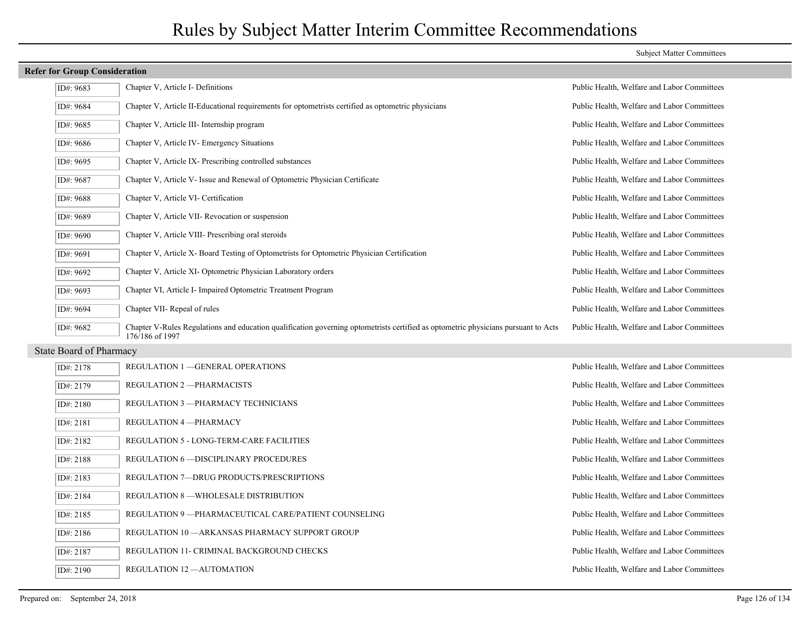| <b>Refer for Group Consideration</b> |                                                                                                                                                       |                                             |  |
|--------------------------------------|-------------------------------------------------------------------------------------------------------------------------------------------------------|---------------------------------------------|--|
| ID#: 9683                            | Chapter V, Article I- Definitions                                                                                                                     | Public Health, Welfare and Labor Committees |  |
| ID#: 9684                            | Chapter V, Article II-Educational requirements for optometrists certified as optometric physicians                                                    | Public Health, Welfare and Labor Committees |  |
| ID#: 9685                            | Chapter V, Article III- Internship program                                                                                                            | Public Health, Welfare and Labor Committees |  |
| ID#: 9686                            | Chapter V, Article IV Emergency Situations                                                                                                            | Public Health, Welfare and Labor Committees |  |
| ID#: 9695                            | Chapter V, Article IX-Prescribing controlled substances                                                                                               | Public Health, Welfare and Labor Committees |  |
| ID#: 9687                            | Chapter V, Article V- Issue and Renewal of Optometric Physician Certificate                                                                           | Public Health, Welfare and Labor Committees |  |
| ID#: 9688                            | Chapter V, Article VI- Certification                                                                                                                  | Public Health, Welfare and Labor Committees |  |
| ID#: 9689                            | Chapter V, Article VII- Revocation or suspension                                                                                                      | Public Health, Welfare and Labor Committees |  |
| ID#: 9690                            | Chapter V, Article VIII- Prescribing oral steroids                                                                                                    | Public Health, Welfare and Labor Committees |  |
| ID#: 9691                            | Chapter V, Article X- Board Testing of Optometrists for Optometric Physician Certification                                                            | Public Health, Welfare and Labor Committees |  |
| ID#: 9692                            | Chapter V, Article XI-Optometric Physician Laboratory orders                                                                                          | Public Health, Welfare and Labor Committees |  |
| ID#: 9693                            | Chapter VI, Article I- Impaired Optometric Treatment Program                                                                                          | Public Health, Welfare and Labor Committees |  |
| ID#: $9694$                          | Chapter VII- Repeal of rules                                                                                                                          | Public Health, Welfare and Labor Committees |  |
| ID#: 9682                            | Chapter V-Rules Regulations and education qualification governing optometrists certified as optometric physicians pursuant to Acts<br>176/186 of 1997 | Public Health, Welfare and Labor Committees |  |

State Board of Pharmacy

| ID#: 2178 | REGULATION 1 - GENERAL OPERATIONS                     | Public Health, Welfare and Labor Committees |
|-----------|-------------------------------------------------------|---------------------------------------------|
| ID#: 2179 | REGULATION 2-PHARMACISTS                              | Public Health, Welfare and Labor Committees |
| ID#: 2180 | REGULATION 3 - PHARMACY TECHNICIANS                   | Public Health, Welfare and Labor Committees |
| ID#: 2181 | REGULATION 4-PHARMACY                                 | Public Health, Welfare and Labor Committees |
| ID#: 2182 | <b>REGULATION 5 - LONG-TERM-CARE FACILITIES</b>       | Public Health, Welfare and Labor Committees |
| ID#: 2188 | <b>REGULATION 6-DISCIPLINARY PROCEDURES</b>           | Public Health, Welfare and Labor Committees |
| ID#: 2183 | REGULATION 7-DRUG PRODUCTS/PRESCRIPTIONS              | Public Health, Welfare and Labor Committees |
| ID#: 2184 | REGULATION 8 —WHOLESALE DISTRIBUTION                  | Public Health, Welfare and Labor Committees |
| ID#: 2185 | REGULATION 9 - PHARMACEUTICAL CARE/PATIENT COUNSELING | Public Health, Welfare and Labor Committees |
| ID#: 2186 | REGULATION 10 - ARKANSAS PHARMACY SUPPORT GROUP       | Public Health, Welfare and Labor Committees |
| ID#: 2187 | REGULATION 11- CRIMINAL BACKGROUND CHECKS             | Public Health, Welfare and Labor Committees |
| ID#: 2190 | <b>REGULATION 12-AUTOMATION</b>                       | Public Health, Welfare and Labor Committees |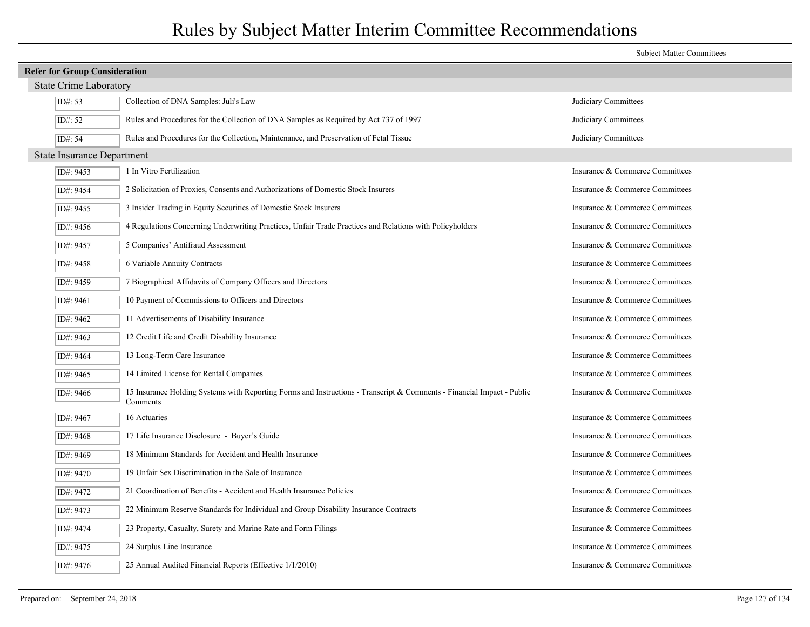|                                   |                                                                                                                                    | <b>Subject Matter Committees</b> |  |  |  |
|-----------------------------------|------------------------------------------------------------------------------------------------------------------------------------|----------------------------------|--|--|--|
|                                   | <b>Refer for Group Consideration</b>                                                                                               |                                  |  |  |  |
| <b>State Crime Laboratory</b>     |                                                                                                                                    |                                  |  |  |  |
| ID#: 53                           | Collection of DNA Samples: Juli's Law                                                                                              | Judiciary Committees             |  |  |  |
| ID#: 52                           | Rules and Procedures for the Collection of DNA Samples as Required by Act 737 of 1997                                              | Judiciary Committees             |  |  |  |
| ID#: 54                           | Rules and Procedures for the Collection, Maintenance, and Preservation of Fetal Tissue                                             | Judiciary Committees             |  |  |  |
| <b>State Insurance Department</b> |                                                                                                                                    |                                  |  |  |  |
| ID#: 9453                         | 1 In Vitro Fertilization                                                                                                           | Insurance & Commerce Committees  |  |  |  |
| ID#: 9454                         | 2 Solicitation of Proxies, Consents and Authorizations of Domestic Stock Insurers                                                  | Insurance & Commerce Committees  |  |  |  |
| ID#: 9455                         | 3 Insider Trading in Equity Securities of Domestic Stock Insurers                                                                  | Insurance & Commerce Committees  |  |  |  |
| ID#: 9456                         | 4 Regulations Concerning Underwriting Practices, Unfair Trade Practices and Relations with Policyholders                           | Insurance & Commerce Committees  |  |  |  |
| ID#: 9457                         | 5 Companies' Antifraud Assessment                                                                                                  | Insurance & Commerce Committees  |  |  |  |
| ID#: 9458                         | 6 Variable Annuity Contracts                                                                                                       | Insurance & Commerce Committees  |  |  |  |
| ID#: 9459                         | 7 Biographical Affidavits of Company Officers and Directors                                                                        | Insurance & Commerce Committees  |  |  |  |
| ID#: 9461                         | 10 Payment of Commissions to Officers and Directors                                                                                | Insurance & Commerce Committees  |  |  |  |
| ID#: 9462                         | 11 Advertisements of Disability Insurance                                                                                          | Insurance & Commerce Committees  |  |  |  |
| ID#: 9463                         | 12 Credit Life and Credit Disability Insurance                                                                                     | Insurance & Commerce Committees  |  |  |  |
| ID#: 9464                         | 13 Long-Term Care Insurance                                                                                                        | Insurance & Commerce Committees  |  |  |  |
| ID#: 9465                         | 14 Limited License for Rental Companies                                                                                            | Insurance & Commerce Committees  |  |  |  |
| ID#: 9466                         | 15 Insurance Holding Systems with Reporting Forms and Instructions - Transcript & Comments - Financial Impact - Public<br>Comments | Insurance & Commerce Committees  |  |  |  |
| ID#: 9467                         | 16 Actuaries                                                                                                                       | Insurance & Commerce Committees  |  |  |  |
| ID#: 9468                         | 17 Life Insurance Disclosure - Buyer's Guide                                                                                       | Insurance & Commerce Committees  |  |  |  |
| ID#: 9469                         | 18 Minimum Standards for Accident and Health Insurance                                                                             | Insurance & Commerce Committees  |  |  |  |
| ID#: 9470                         | 19 Unfair Sex Discrimination in the Sale of Insurance                                                                              | Insurance & Commerce Committees  |  |  |  |
| ID#: 9472                         | 21 Coordination of Benefits - Accident and Health Insurance Policies                                                               | Insurance & Commerce Committees  |  |  |  |
| ID#: 9473                         | 22 Minimum Reserve Standards for Individual and Group Disability Insurance Contracts                                               | Insurance & Commerce Committees  |  |  |  |
| ID#: 9474                         | 23 Property, Casualty, Surety and Marine Rate and Form Filings                                                                     | Insurance & Commerce Committees  |  |  |  |
| ID#: 9475                         | 24 Surplus Line Insurance                                                                                                          | Insurance & Commerce Committees  |  |  |  |
| ID#: 9476                         | 25 Annual Audited Financial Reports (Effective 1/1/2010)                                                                           | Insurance & Commerce Committees  |  |  |  |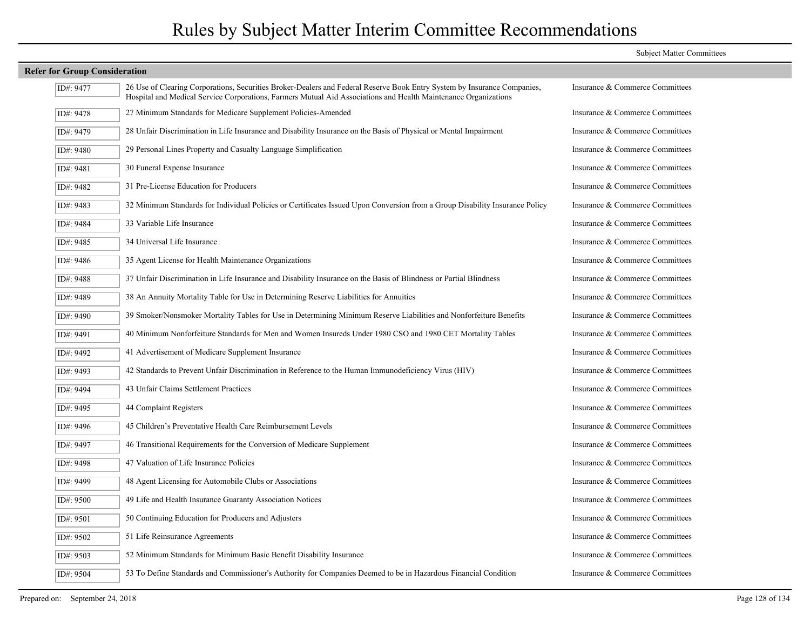|                                      |                                                                                                                                                                                                                                             | <b>Subject Matter Committees</b> |  |  |  |
|--------------------------------------|---------------------------------------------------------------------------------------------------------------------------------------------------------------------------------------------------------------------------------------------|----------------------------------|--|--|--|
| <b>Refer for Group Consideration</b> |                                                                                                                                                                                                                                             |                                  |  |  |  |
| ID#: 9477                            | 26 Use of Clearing Corporations, Securities Broker-Dealers and Federal Reserve Book Entry System by Insurance Companies,<br>Hospital and Medical Service Corporations, Farmers Mutual Aid Associations and Health Maintenance Organizations | Insurance & Commerce Committees  |  |  |  |
| ID#: 9478                            | 27 Minimum Standards for Medicare Supplement Policies-Amended                                                                                                                                                                               | Insurance & Commerce Committees  |  |  |  |
| ID#: 9479                            | 28 Unfair Discrimination in Life Insurance and Disability Insurance on the Basis of Physical or Mental Impairment                                                                                                                           | Insurance & Commerce Committees  |  |  |  |
| ID#: 9480                            | 29 Personal Lines Property and Casualty Language Simplification                                                                                                                                                                             | Insurance & Commerce Committees  |  |  |  |
| ID#: 9481                            | 30 Funeral Expense Insurance                                                                                                                                                                                                                | Insurance & Commerce Committees  |  |  |  |
| ID#: 9482                            | 31 Pre-License Education for Producers                                                                                                                                                                                                      | Insurance & Commerce Committees  |  |  |  |
| ID#: 9483                            | 32 Minimum Standards for Individual Policies or Certificates Issued Upon Conversion from a Group Disability Insurance Policy                                                                                                                | Insurance & Commerce Committees  |  |  |  |
| ID#: 9484                            | 33 Variable Life Insurance                                                                                                                                                                                                                  | Insurance & Commerce Committees  |  |  |  |
| ID#: 9485                            | 34 Universal Life Insurance                                                                                                                                                                                                                 | Insurance & Commerce Committees  |  |  |  |
| ID#: 9486                            | 35 Agent License for Health Maintenance Organizations                                                                                                                                                                                       | Insurance & Commerce Committees  |  |  |  |
| ID#: 9488                            | 37 Unfair Discrimination in Life Insurance and Disability Insurance on the Basis of Blindness or Partial Blindness                                                                                                                          | Insurance & Commerce Committees  |  |  |  |
| ID#: 9489                            | 38 An Annuity Mortality Table for Use in Determining Reserve Liabilities for Annuities                                                                                                                                                      | Insurance & Commerce Committees  |  |  |  |
| ID#: 9490                            | 39 Smoker/Nonsmoker Mortality Tables for Use in Determining Minimum Reserve Liabilities and Nonforfeiture Benefits                                                                                                                          | Insurance & Commerce Committees  |  |  |  |
| ID#: 9491                            | 40 Minimum Nonforfeiture Standards for Men and Women Insureds Under 1980 CSO and 1980 CET Mortality Tables                                                                                                                                  | Insurance & Commerce Committees  |  |  |  |
| ID#: 9492                            | 41 Advertisement of Medicare Supplement Insurance                                                                                                                                                                                           | Insurance & Commerce Committees  |  |  |  |
| ID#: 9493                            | 42 Standards to Prevent Unfair Discrimination in Reference to the Human Immunodeficiency Virus (HIV)                                                                                                                                        | Insurance & Commerce Committees  |  |  |  |
| ID#: 9494                            | 43 Unfair Claims Settlement Practices                                                                                                                                                                                                       | Insurance & Commerce Committees  |  |  |  |
| ID#: 9495                            | 44 Complaint Registers                                                                                                                                                                                                                      | Insurance & Commerce Committees  |  |  |  |
| ID#: 9496                            | 45 Children's Preventative Health Care Reimbursement Levels                                                                                                                                                                                 | Insurance & Commerce Committees  |  |  |  |
| ID#: 9497                            | 46 Transitional Requirements for the Conversion of Medicare Supplement                                                                                                                                                                      | Insurance & Commerce Committees  |  |  |  |
| ID#: 9498                            | 47 Valuation of Life Insurance Policies                                                                                                                                                                                                     | Insurance & Commerce Committees  |  |  |  |
| ID#: 9499                            | 48 Agent Licensing for Automobile Clubs or Associations                                                                                                                                                                                     | Insurance & Commerce Committees  |  |  |  |
| ID#: 9500                            | 49 Life and Health Insurance Guaranty Association Notices                                                                                                                                                                                   | Insurance & Commerce Committees  |  |  |  |
| ID#: 9501                            | 50 Continuing Education for Producers and Adjusters                                                                                                                                                                                         | Insurance & Commerce Committees  |  |  |  |
| ID#: 9502                            | 51 Life Reinsurance Agreements                                                                                                                                                                                                              | Insurance & Commerce Committees  |  |  |  |
| ID#: 9503                            | 52 Minimum Standards for Minimum Basic Benefit Disability Insurance                                                                                                                                                                         | Insurance & Commerce Committees  |  |  |  |
| ID#: 9504                            | 53 To Define Standards and Commissioner's Authority for Companies Deemed to be in Hazardous Financial Condition                                                                                                                             | Insurance & Commerce Committees  |  |  |  |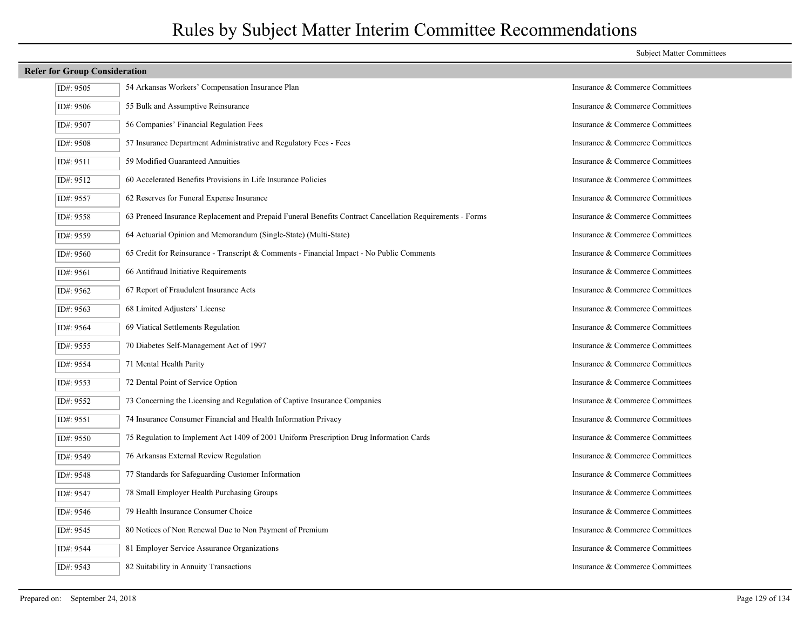|  |  |  | <b>Refer for Group Consideration</b> |
|--|--|--|--------------------------------------|
|--|--|--|--------------------------------------|

| ID#: 9505 | 54 Arkansas Workers' Compensation Insurance Plan                                                         | Insurance & Commerce Committees |
|-----------|----------------------------------------------------------------------------------------------------------|---------------------------------|
| ID#: 9506 | 55 Bulk and Assumptive Reinsurance                                                                       | Insurance & Commerce Committees |
| ID#: 9507 | 56 Companies' Financial Regulation Fees                                                                  | Insurance & Commerce Committees |
| ID#: 9508 | 57 Insurance Department Administrative and Regulatory Fees - Fees                                        | Insurance & Commerce Committees |
| ID#: 9511 | 59 Modified Guaranteed Annuities                                                                         | Insurance & Commerce Committees |
| ID#: 9512 | 60 Accelerated Benefits Provisions in Life Insurance Policies                                            | Insurance & Commerce Committees |
| ID#: 9557 | 62 Reserves for Funeral Expense Insurance                                                                | Insurance & Commerce Committees |
| ID#: 9558 | 63 Preneed Insurance Replacement and Prepaid Funeral Benefits Contract Cancellation Requirements - Forms | Insurance & Commerce Committees |
| ID#: 9559 | 64 Actuarial Opinion and Memorandum (Single-State) (Multi-State)                                         | Insurance & Commerce Committees |
| ID#: 9560 | 65 Credit for Reinsurance - Transcript & Comments - Financial Impact - No Public Comments                | Insurance & Commerce Committees |
| ID#: 9561 | 66 Antifraud Initiative Requirements                                                                     | Insurance & Commerce Committees |
| ID#: 9562 | 67 Report of Fraudulent Insurance Acts                                                                   | Insurance & Commerce Committees |
| ID#: 9563 | 68 Limited Adjusters' License                                                                            | Insurance & Commerce Committees |
| ID#: 9564 | 69 Viatical Settlements Regulation                                                                       | Insurance & Commerce Committees |
| ID#: 9555 | 70 Diabetes Self-Management Act of 1997                                                                  | Insurance & Commerce Committees |
| ID#: 9554 | 71 Mental Health Parity                                                                                  | Insurance & Commerce Committees |
| ID#: 9553 | 72 Dental Point of Service Option                                                                        | Insurance & Commerce Committees |
| ID#: 9552 | 73 Concerning the Licensing and Regulation of Captive Insurance Companies                                | Insurance & Commerce Committees |
| ID#: 9551 | 74 Insurance Consumer Financial and Health Information Privacy                                           | Insurance & Commerce Committees |
| ID#: 9550 | 75 Regulation to Implement Act 1409 of 2001 Uniform Prescription Drug Information Cards                  | Insurance & Commerce Committees |
| ID#: 9549 | 76 Arkansas External Review Regulation                                                                   | Insurance & Commerce Committees |
| ID#: 9548 | 77 Standards for Safeguarding Customer Information                                                       | Insurance & Commerce Committees |
| ID#: 9547 | 78 Small Employer Health Purchasing Groups                                                               | Insurance & Commerce Committees |
| ID#: 9546 | 79 Health Insurance Consumer Choice                                                                      | Insurance & Commerce Committees |
| ID#: 9545 | 80 Notices of Non Renewal Due to Non Payment of Premium                                                  | Insurance & Commerce Committees |
| ID#: 9544 | 81 Employer Service Assurance Organizations                                                              | Insurance & Commerce Committees |
| ID#: 9543 | 82 Suitability in Annuity Transactions                                                                   | Insurance & Commerce Committees |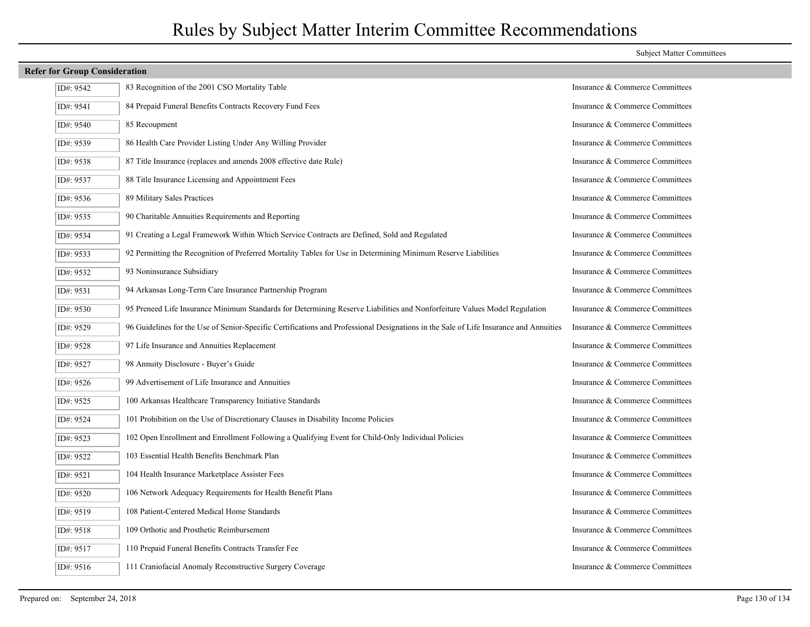|           | <b>Refer for Group Consideration</b>                                                                                                                                  |                                 |  |  |
|-----------|-----------------------------------------------------------------------------------------------------------------------------------------------------------------------|---------------------------------|--|--|
| ID#: 9542 | 83 Recognition of the 2001 CSO Mortality Table                                                                                                                        | Insurance & Commerce Committees |  |  |
| ID#: 9541 | 84 Prepaid Funeral Benefits Contracts Recovery Fund Fees                                                                                                              | Insurance & Commerce Committees |  |  |
| ID#: 9540 | 85 Recoupment                                                                                                                                                         | Insurance & Commerce Committees |  |  |
| ID#: 9539 | 86 Health Care Provider Listing Under Any Willing Provider                                                                                                            | Insurance & Commerce Committees |  |  |
| ID#: 9538 | 87 Title Insurance (replaces and amends 2008 effective date Rule)                                                                                                     | Insurance & Commerce Committees |  |  |
| ID#: 9537 | 88 Title Insurance Licensing and Appointment Fees                                                                                                                     | Insurance & Commerce Committees |  |  |
| ID#: 9536 | 89 Military Sales Practices                                                                                                                                           | Insurance & Commerce Committees |  |  |
| ID#: 9535 | 90 Charitable Annuities Requirements and Reporting                                                                                                                    | Insurance & Commerce Committees |  |  |
| ID#: 9534 | 91 Creating a Legal Framework Within Which Service Contracts are Defined, Sold and Regulated                                                                          | Insurance & Commerce Committees |  |  |
| ID#: 9533 | 92 Permitting the Recognition of Preferred Mortality Tables for Use in Determining Minimum Reserve Liabilities                                                        | Insurance & Commerce Committees |  |  |
| ID#: 9532 | 93 Noninsurance Subsidiary                                                                                                                                            | Insurance & Commerce Committees |  |  |
| ID#: 9531 | 94 Arkansas Long-Term Care Insurance Partnership Program                                                                                                              | Insurance & Commerce Committees |  |  |
| ID#: 9530 | 95 Preneed Life Insurance Minimum Standards for Determining Reserve Liabilities and Nonforfeiture Values Model Regulation                                             | Insurance & Commerce Committees |  |  |
| IDH. O520 | 06 Cuidalines for the Use of Senior Specific Cortifications and Professional Designations in the Sale of Life Insurance and Annuitios Insurance & Commerce Committees |                                 |  |  |

| ID#. <i>7333</i> | 22 I chinung the Recognition of Freichea Mortanty Taoles for Ose in Determining Minimum Reserve Elaomitic.                            | msurance ee commerce committees |
|------------------|---------------------------------------------------------------------------------------------------------------------------------------|---------------------------------|
| ID#: 9532        | 93 Noninsurance Subsidiary                                                                                                            | Insurance & Commerce Committees |
| ID#: 9531        | 94 Arkansas Long-Term Care Insurance Partnership Program                                                                              | Insurance & Commerce Committees |
| ID#: 9530        | 95 Preneed Life Insurance Minimum Standards for Determining Reserve Liabilities and Nonforfeiture Values Model Regulation             | Insurance & Commerce Committees |
| ID#: 9529        | 96 Guidelines for the Use of Senior-Specific Certifications and Professional Designations in the Sale of Life Insurance and Annuities | Insurance & Commerce Committees |
| ID#: 9528        | 97 Life Insurance and Annuities Replacement                                                                                           | Insurance & Commerce Committees |
| ID#: 9527        | 98 Annuity Disclosure - Buyer's Guide                                                                                                 | Insurance & Commerce Committees |
| ID#: 9526        | 99 Advertisement of Life Insurance and Annuities                                                                                      | Insurance & Commerce Committees |
| ID#: 9525        | 100 Arkansas Healthcare Transparency Initiative Standards                                                                             | Insurance & Commerce Committees |
| ID#: 9524        | 101 Prohibition on the Use of Discretionary Clauses in Disability Income Policies                                                     | Insurance & Commerce Committees |
| ID#: 9523        | 102 Open Enrollment and Enrollment Following a Qualifying Event for Child-Only Individual Policies                                    | Insurance & Commerce Committees |
| ID#: 9522        | 103 Essential Health Benefits Benchmark Plan                                                                                          | Insurance & Commerce Committees |
| ID#: 9521        | 104 Health Insurance Marketplace Assister Fees                                                                                        | Insurance & Commerce Committees |
| ID#: 9520        | 106 Network Adequacy Requirements for Health Benefit Plans                                                                            | Insurance & Commerce Committees |
| ID#: 9519        | 108 Patient-Centered Medical Home Standards                                                                                           | Insurance & Commerce Committees |
| ID#: 9518        | 109 Orthotic and Prosthetic Reimbursement                                                                                             | Insurance & Commerce Committees |
| ID#: 9517        | 110 Prepaid Funeral Benefits Contracts Transfer Fee                                                                                   | Insurance & Commerce Committees |
| ID#: 9516        | 111 Craniofacial Anomaly Reconstructive Surgery Coverage                                                                              | Insurance & Commerce Committees |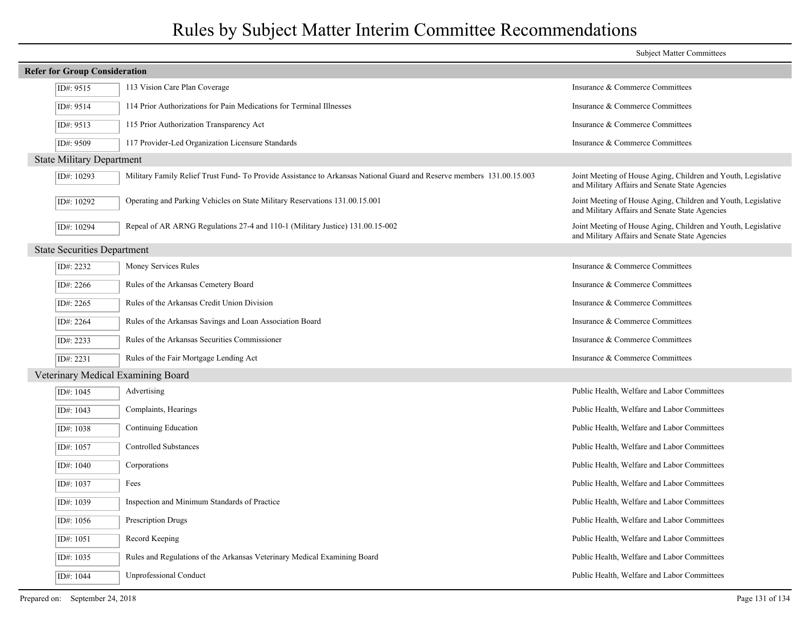| <b>Subject Matter Committees</b>     |                                                                                                                      |                                                                                                                 |  |  |  |
|--------------------------------------|----------------------------------------------------------------------------------------------------------------------|-----------------------------------------------------------------------------------------------------------------|--|--|--|
| <b>Refer for Group Consideration</b> |                                                                                                                      |                                                                                                                 |  |  |  |
| ID#: 9515                            | 113 Vision Care Plan Coverage                                                                                        | Insurance & Commerce Committees                                                                                 |  |  |  |
| ID#: 9514                            | 114 Prior Authorizations for Pain Medications for Terminal Illnesses                                                 | Insurance & Commerce Committees                                                                                 |  |  |  |
| ID#: 9513                            | 115 Prior Authorization Transparency Act                                                                             | Insurance & Commerce Committees                                                                                 |  |  |  |
| ID#: 9509                            | 117 Provider-Led Organization Licensure Standards                                                                    | Insurance & Commerce Committees                                                                                 |  |  |  |
| <b>State Military Department</b>     |                                                                                                                      |                                                                                                                 |  |  |  |
| ID#: $10293$                         | Military Family Relief Trust Fund-To Provide Assistance to Arkansas National Guard and Reserve members 131.00.15.003 | Joint Meeting of House Aging, Children and Youth, Legislative<br>and Military Affairs and Senate State Agencies |  |  |  |
| ID#: 10292                           | Operating and Parking Vehicles on State Military Reservations 131.00.15.001                                          | Joint Meeting of House Aging, Children and Youth, Legislative<br>and Military Affairs and Senate State Agencies |  |  |  |
| ID#: 10294                           | Repeal of AR ARNG Regulations 27-4 and 110-1 (Military Justice) 131.00.15-002                                        | Joint Meeting of House Aging, Children and Youth, Legislative<br>and Military Affairs and Senate State Agencies |  |  |  |
| <b>State Securities Department</b>   |                                                                                                                      |                                                                                                                 |  |  |  |
| ID#: 2232                            | Money Services Rules                                                                                                 | Insurance & Commerce Committees                                                                                 |  |  |  |
| ID#: 2266                            | Rules of the Arkansas Cemetery Board                                                                                 | Insurance & Commerce Committees                                                                                 |  |  |  |
| ID#: 2265                            | Rules of the Arkansas Credit Union Division                                                                          | Insurance & Commerce Committees                                                                                 |  |  |  |
| ID#: 2264                            | Rules of the Arkansas Savings and Loan Association Board                                                             | Insurance & Commerce Committees                                                                                 |  |  |  |
| ID#: 2233                            | Rules of the Arkansas Securities Commissioner                                                                        | Insurance & Commerce Committees                                                                                 |  |  |  |
| ID#: 2231                            | Rules of the Fair Mortgage Lending Act                                                                               | Insurance & Commerce Committees                                                                                 |  |  |  |
|                                      | Veterinary Medical Examining Board                                                                                   |                                                                                                                 |  |  |  |
| ID#: 1045                            | Advertising                                                                                                          | Public Health, Welfare and Labor Committees                                                                     |  |  |  |
| ID#: 1043                            | Complaints, Hearings                                                                                                 | Public Health, Welfare and Labor Committees                                                                     |  |  |  |
| ID#: 1038                            | Continuing Education                                                                                                 | Public Health, Welfare and Labor Committees                                                                     |  |  |  |
| ID#: 1057                            | <b>Controlled Substances</b>                                                                                         | Public Health, Welfare and Labor Committees                                                                     |  |  |  |
| ID#: $1040$                          | Corporations                                                                                                         | Public Health, Welfare and Labor Committees                                                                     |  |  |  |
| ID#: 1037                            | Fees                                                                                                                 | Public Health, Welfare and Labor Committees                                                                     |  |  |  |
| ID#: 1039                            | Inspection and Minimum Standards of Practice                                                                         | Public Health, Welfare and Labor Committees                                                                     |  |  |  |
| ID#: 1056                            | Prescription Drugs                                                                                                   | Public Health, Welfare and Labor Committees                                                                     |  |  |  |
| ID#: 1051                            | Record Keeping                                                                                                       | Public Health, Welfare and Labor Committees                                                                     |  |  |  |
| ID#: 1035                            | Rules and Regulations of the Arkansas Veterinary Medical Examining Board                                             | Public Health, Welfare and Labor Committees                                                                     |  |  |  |
| ID#: 1044                            | <b>Unprofessional Conduct</b>                                                                                        | Public Health, Welfare and Labor Committees                                                                     |  |  |  |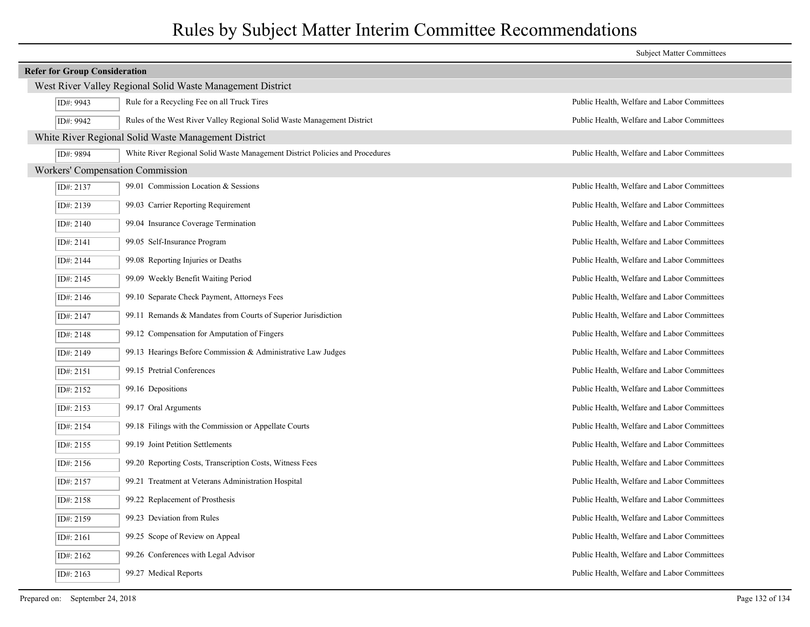| <b>Subject Matter Committees</b>     |                                                                              |                                             |  |
|--------------------------------------|------------------------------------------------------------------------------|---------------------------------------------|--|
| <b>Refer for Group Consideration</b> |                                                                              |                                             |  |
|                                      | West River Valley Regional Solid Waste Management District                   |                                             |  |
| ID#: 9943                            | Rule for a Recycling Fee on all Truck Tires                                  | Public Health, Welfare and Labor Committees |  |
| ID#: 9942                            | Rules of the West River Valley Regional Solid Waste Management District      | Public Health, Welfare and Labor Committees |  |
|                                      | White River Regional Solid Waste Management District                         |                                             |  |
| ID#: 9894                            | White River Regional Solid Waste Management District Policies and Procedures | Public Health, Welfare and Labor Committees |  |
| Workers' Compensation Commission     |                                                                              |                                             |  |
| ID#: 2137                            | 99.01 Commission Location & Sessions                                         | Public Health, Welfare and Labor Committees |  |
| ID#: 2139                            | 99.03 Carrier Reporting Requirement                                          | Public Health, Welfare and Labor Committees |  |
| ID#: $2140$                          | 99.04 Insurance Coverage Termination                                         | Public Health, Welfare and Labor Committees |  |
| ID#: 2141                            | 99.05 Self-Insurance Program                                                 | Public Health, Welfare and Labor Committees |  |
| ID#: 2144                            | 99.08 Reporting Injuries or Deaths                                           | Public Health, Welfare and Labor Committees |  |
| ID#: 2145                            | 99.09 Weekly Benefit Waiting Period                                          | Public Health, Welfare and Labor Committees |  |
| ID#: $2146$                          | 99.10 Separate Check Payment, Attorneys Fees                                 | Public Health, Welfare and Labor Committees |  |
| ID#: $2147$                          | 99.11 Remands & Mandates from Courts of Superior Jurisdiction                | Public Health, Welfare and Labor Committees |  |
| ID#: 2148                            | 99.12 Compensation for Amputation of Fingers                                 | Public Health, Welfare and Labor Committees |  |
| ID#: 2149                            | 99.13 Hearings Before Commission & Administrative Law Judges                 | Public Health, Welfare and Labor Committees |  |
| ID#: 2151                            | 99.15 Pretrial Conferences                                                   | Public Health, Welfare and Labor Committees |  |
| ID#: 2152                            | 99.16 Depositions                                                            | Public Health, Welfare and Labor Committees |  |
| ID#: $2153$                          | 99.17 Oral Arguments                                                         | Public Health, Welfare and Labor Committees |  |
| ID#: $2154$                          | 99.18 Filings with the Commission or Appellate Courts                        | Public Health, Welfare and Labor Committees |  |
| ID#: 2155                            | 99.19 Joint Petition Settlements                                             | Public Health, Welfare and Labor Committees |  |
| ID#: $2156$                          | 99.20 Reporting Costs, Transcription Costs, Witness Fees                     | Public Health, Welfare and Labor Committees |  |
| ID#: 2157                            | 99.21 Treatment at Veterans Administration Hospital                          | Public Health, Welfare and Labor Committees |  |
| ID#: 2158                            | 99.22 Replacement of Prosthesis                                              | Public Health, Welfare and Labor Committees |  |
| ID#: 2159                            | 99.23 Deviation from Rules                                                   | Public Health, Welfare and Labor Committees |  |
| ID#: 2161                            | 99.25 Scope of Review on Appeal                                              | Public Health, Welfare and Labor Committees |  |
| ID#: 2162                            | 99.26 Conferences with Legal Advisor                                         | Public Health, Welfare and Labor Committees |  |
| ID#: 2163                            | 99.27 Medical Reports                                                        | Public Health, Welfare and Labor Committees |  |
|                                      |                                                                              |                                             |  |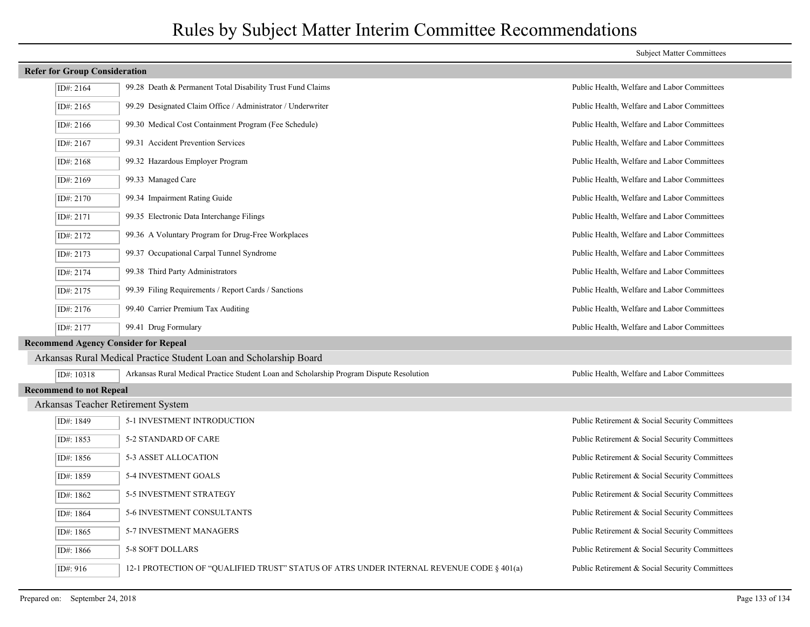### **Refer for Group Consideration** ID#: 2164 99.28 Death & Permanent Total Disability Trust Fund Claims Public Health, Welfare and Labor Committees ID#: 2165 99.29 Designated Claim Office / Administrator / Underwriter Public Health, Welfare and Labor Committees ID#: 2166 99.30 Medical Cost Containment Program (Fee Schedule) Public Health, Welfare and Labor Committees ID#: 2167 99.31 Accident Prevention Services Public Health, Welfare and Labor Committees ID#: 2168 99.32 Hazardous Employer Program Public Health, Welfare and Labor Committees ID#: 2169 99.33 Managed Care Public Health, Welfare and Labor Committees ID#: 2170 99.34 Impairment Rating Guide Public Health, Welfare and Labor Committees ID#: 2171 99.35 Electronic Data Interchange Filings Public Health, Welfare and Labor Committees ID#: 2172 99.36 A Voluntary Program for Drug-Free Workplaces Public Health, Welfare and Labor Committees ID#: 2173 99.37 Occupational Carpal Tunnel Syndrome Public Health, Welfare and Labor Committees ID#: 2174 99.38 Third Party Administrators Public Health, Welfare and Labor Committees ID#: 2175 99.39 Filing Requirements / Report Cards / Sanctions Public Health, Welfare and Labor Committees ID#: 2176 99.40 Carrier Premium Tax Auditing Public Health, Welfare and Labor Committees ID#: 2177 99.41 Drug Formulary Public Health, Welfare and Labor Committees **Recommend Agency Consider for Repeal** Arkansas Rural Medical Practice Student Loan and Scholarship Board ID#: 10318 Arkansas Rural Medical Practice Student Loan and Scholarship Program Dispute Resolution Public Health, Welfare and Labor Committees **Recommend to not Repeal** Arkansas Teacher Retirement System ID#: 1849 5-1 INVESTMENT INTRODUCTION Public Retirement & Social Security Committees ID#: 1853 5-2 STANDARD OF CARE Public Retirement & Social Security Committees ID#: 1856 5-3 ASSET ALLOCATION Public Retirement & Social Security Committees ID#: 1859 5-4 INVESTMENT GOALS Public Retirement & Social Security Committees ID#: 1862 5-5 INVESTMENT STRATEGY Public Retirement & Social Security Committees ID#: 1864 5-6 INVESTMENT CONSULTANTS Public Retirement & Social Security Committees ID#: 1865 5-7 INVESTMENT MANAGERS Public Retirement & Social Security Committees ID#: 1866 5-8 SOFT DOLLARS Public Retirement & Social Security Committees ID#: 916 12-1 PROTECTION OF "QUALIFIED TRUST" STATUS OF ATRS UNDER INTERNAL REVENUE CODE § 401(a) Public Retirement & Social Security Committees